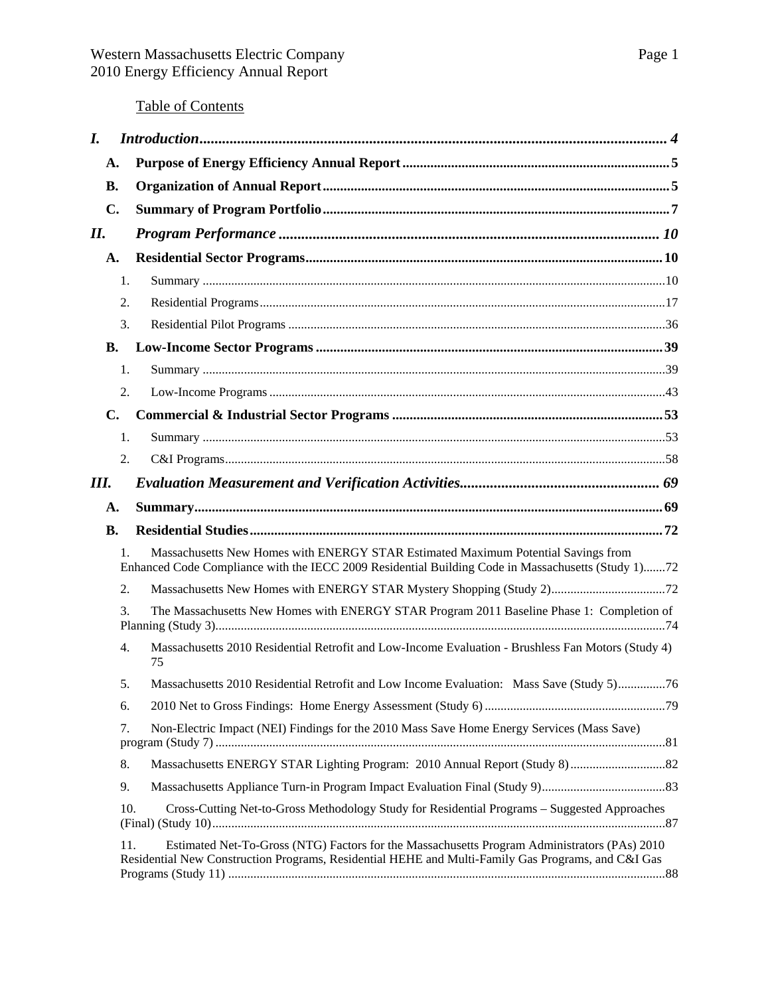# Table of Contents

| $\bm{I}$ .     |                  |                                                                                                                                                                                                    |
|----------------|------------------|----------------------------------------------------------------------------------------------------------------------------------------------------------------------------------------------------|
| А.             |                  |                                                                                                                                                                                                    |
| <b>B.</b>      |                  |                                                                                                                                                                                                    |
| $\mathbf{C}$ . |                  |                                                                                                                                                                                                    |
| II.            |                  |                                                                                                                                                                                                    |
| A.             |                  |                                                                                                                                                                                                    |
|                | 1.               |                                                                                                                                                                                                    |
|                | 2.               |                                                                                                                                                                                                    |
|                | 3.               |                                                                                                                                                                                                    |
| <b>B.</b>      |                  |                                                                                                                                                                                                    |
|                | 1.               |                                                                                                                                                                                                    |
|                | 2.               |                                                                                                                                                                                                    |
| $\mathbf{C}$ . |                  |                                                                                                                                                                                                    |
|                | 1.               |                                                                                                                                                                                                    |
|                | 2.               |                                                                                                                                                                                                    |
| Ш.             |                  |                                                                                                                                                                                                    |
| A.             |                  |                                                                                                                                                                                                    |
| <b>B.</b>      |                  |                                                                                                                                                                                                    |
|                | 1.               | Massachusetts New Homes with ENERGY STAR Estimated Maximum Potential Savings from<br>Enhanced Code Compliance with the IECC 2009 Residential Building Code in Massachusetts (Study 1)72            |
|                | 2.               |                                                                                                                                                                                                    |
|                | 3.               | The Massachusetts New Homes with ENERGY STAR Program 2011 Baseline Phase 1: Completion of                                                                                                          |
|                | $\overline{4}$ . | Massachusetts 2010 Residential Retrofit and Low-Income Evaluation - Brushless Fan Motors (Study 4)<br>75                                                                                           |
|                | 5.               | Massachusetts 2010 Residential Retrofit and Low Income Evaluation: Mass Save (Study 5)76                                                                                                           |
|                | 6.               |                                                                                                                                                                                                    |
|                | 7.               | Non-Electric Impact (NEI) Findings for the 2010 Mass Save Home Energy Services (Mass Save)                                                                                                         |
|                | 8.               |                                                                                                                                                                                                    |
|                | 9.               |                                                                                                                                                                                                    |
|                | 10.              | Cross-Cutting Net-to-Gross Methodology Study for Residential Programs - Suggested Approaches                                                                                                       |
|                | 11.              | Estimated Net-To-Gross (NTG) Factors for the Massachusetts Program Administrators (PAs) 2010<br>Residential New Construction Programs, Residential HEHE and Multi-Family Gas Programs, and C&I Gas |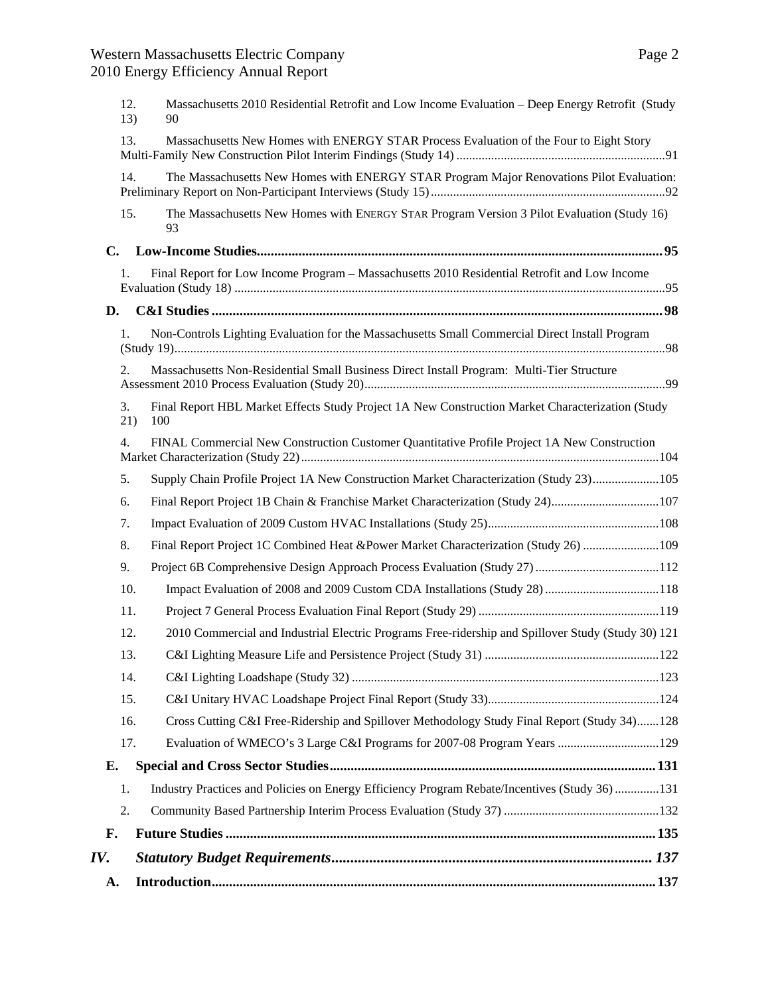| A.            |            |                                                                                                         |
|---------------|------------|---------------------------------------------------------------------------------------------------------|
| IV.           |            |                                                                                                         |
| F.            |            |                                                                                                         |
|               | 2.         |                                                                                                         |
|               | 1.         | Industry Practices and Policies on Energy Efficiency Program Rebate/Incentives (Study 36) 131           |
| Е.            |            |                                                                                                         |
|               | 17.        | Evaluation of WMECO's 3 Large C&I Programs for 2007-08 Program Years  129                               |
|               | 16.        | Cross Cutting C&I Free-Ridership and Spillover Methodology Study Final Report (Study 34)128             |
|               | 15.        |                                                                                                         |
|               | 14.        |                                                                                                         |
|               | 13.        |                                                                                                         |
|               | 12.        | 2010 Commercial and Industrial Electric Programs Free-ridership and Spillover Study (Study 30) 121      |
|               | 11.        |                                                                                                         |
|               | 10.        | Impact Evaluation of 2008 and 2009 Custom CDA Installations (Study 28) 118                              |
|               | 9.         |                                                                                                         |
|               | 8.         | Final Report Project 1C Combined Heat &Power Market Characterization (Study 26) 109                     |
|               | 6.<br>7.   | Final Report Project 1B Chain & Franchise Market Characterization (Study 24)107                         |
|               | 5.         | Supply Chain Profile Project 1A New Construction Market Characterization (Study 23)105                  |
|               | 4.         | FINAL Commercial New Construction Customer Quantitative Profile Project 1A New Construction             |
|               | 3.<br>21)  | Final Report HBL Market Effects Study Project 1A New Construction Market Characterization (Study<br>100 |
|               | 2.         | Massachusetts Non-Residential Small Business Direct Install Program: Multi-Tier Structure               |
|               | 1.         | Non-Controls Lighting Evaluation for the Massachusetts Small Commercial Direct Install Program          |
| D.            |            |                                                                                                         |
|               | 1.         | Final Report for Low Income Program - Massachusetts 2010 Residential Retrofit and Low Income            |
| $C_{\bullet}$ |            |                                                                                                         |
|               | 15.        | The Massachusetts New Homes with ENERGY STAR Program Version 3 Pilot Evaluation (Study 16)<br>93        |
|               | 14.        | The Massachusetts New Homes with ENERGY STAR Program Major Renovations Pilot Evaluation:                |
|               | 13.        | Massachusetts New Homes with ENERGY STAR Process Evaluation of the Four to Eight Story                  |
|               | 12.<br>13) | Massachusetts 2010 Residential Retrofit and Low Income Evaluation - Deep Energy Retrofit (Study<br>90   |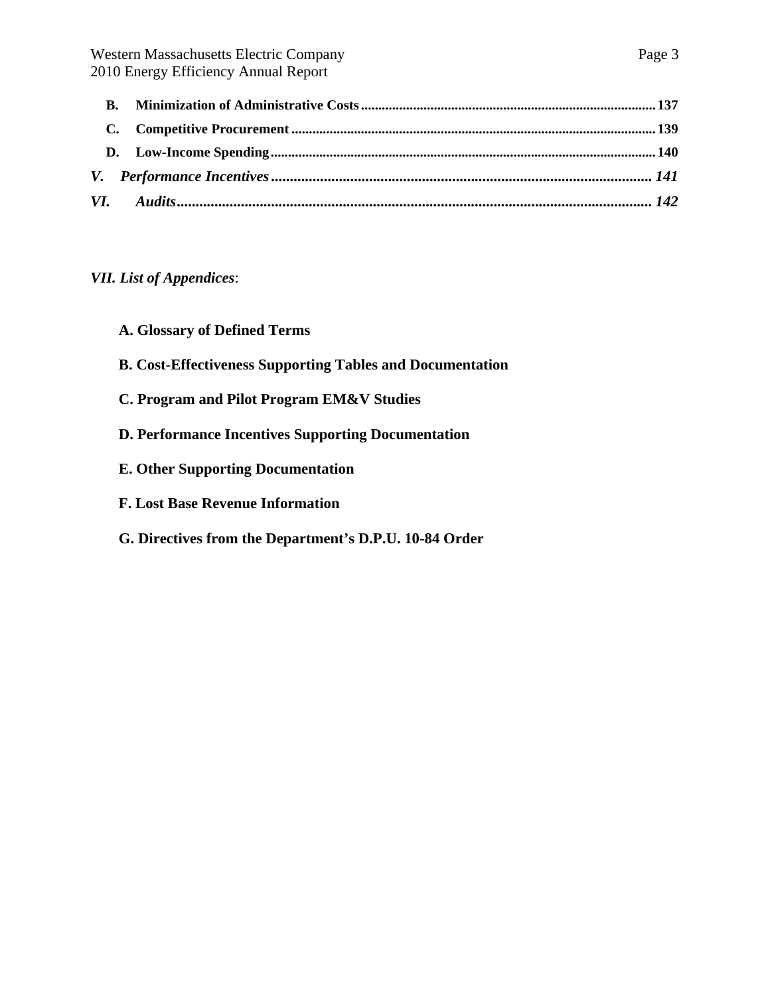# *VII. List of Appendices*:

- **A. Glossary of Defined Terms**
- **B. Cost-Effectiveness Supporting Tables and Documentation**
- **C. Program and Pilot Program EM&V Studies**
- **D. Performance Incentives Supporting Documentation**
- **E. Other Supporting Documentation**
- **F. Lost Base Revenue Information**
- **G. Directives from the Department's D.P.U. 10-84 Order**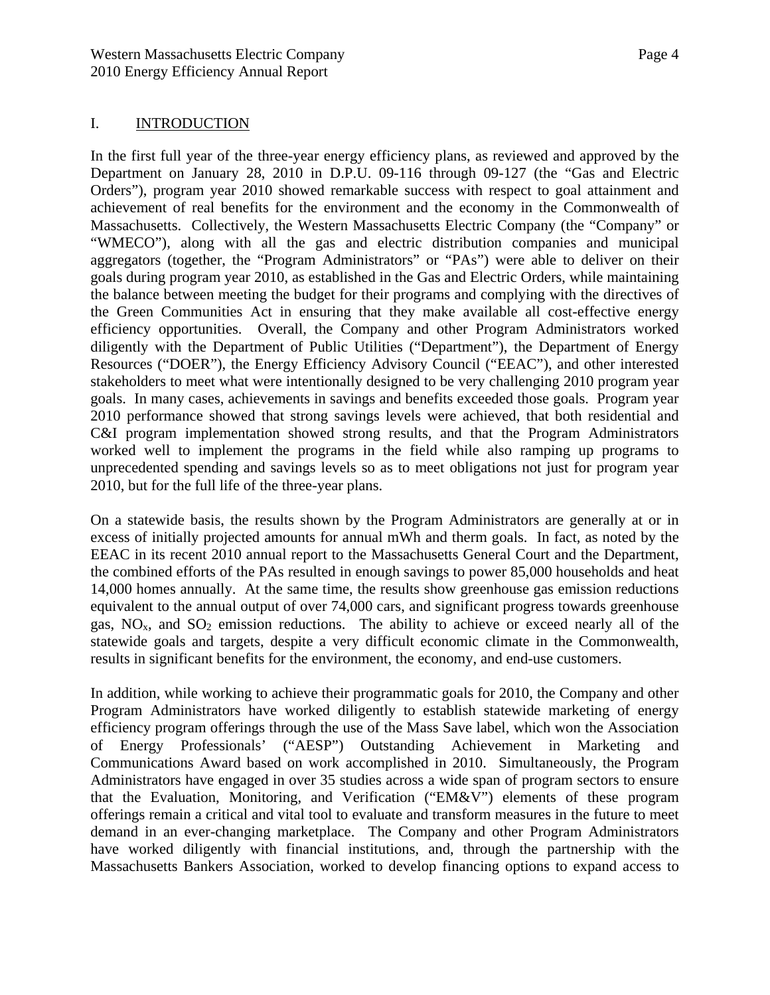## <span id="page-3-0"></span>I. INTRODUCTION

In the first full year of the three-year energy efficiency plans, as reviewed and approved by the Department on January 28, 2010 in D.P.U. 09-116 through 09-127 (the "Gas and Electric Orders"), program year 2010 showed remarkable success with respect to goal attainment and achievement of real benefits for the environment and the economy in the Commonwealth of Massachusetts. Collectively, the Western Massachusetts Electric Company (the "Company" or "WMECO"), along with all the gas and electric distribution companies and municipal aggregators (together, the "Program Administrators" or "PAs") were able to deliver on their goals during program year 2010, as established in the Gas and Electric Orders, while maintaining the balance between meeting the budget for their programs and complying with the directives of the Green Communities Act in ensuring that they make available all cost-effective energy efficiency opportunities. Overall, the Company and other Program Administrators worked diligently with the Department of Public Utilities ("Department"), the Department of Energy Resources ("DOER"), the Energy Efficiency Advisory Council ("EEAC"), and other interested stakeholders to meet what were intentionally designed to be very challenging 2010 program year goals. In many cases, achievements in savings and benefits exceeded those goals. Program year 2010 performance showed that strong savings levels were achieved, that both residential and C&I program implementation showed strong results, and that the Program Administrators worked well to implement the programs in the field while also ramping up programs to unprecedented spending and savings levels so as to meet obligations not just for program year 2010, but for the full life of the three-year plans.

On a statewide basis, the results shown by the Program Administrators are generally at or in excess of initially projected amounts for annual mWh and therm goals. In fact, as noted by the EEAC in its recent 2010 annual report to the Massachusetts General Court and the Department, the combined efforts of the PAs resulted in enough savings to power 85,000 households and heat 14,000 homes annually. At the same time, the results show greenhouse gas emission reductions equivalent to the annual output of over 74,000 cars, and significant progress towards greenhouse gas,  $NO<sub>x</sub>$ , and  $SO<sub>2</sub>$  emission reductions. The ability to achieve or exceed nearly all of the statewide goals and targets, despite a very difficult economic climate in the Commonwealth, results in significant benefits for the environment, the economy, and end-use customers.

In addition, while working to achieve their programmatic goals for 2010, the Company and other Program Administrators have worked diligently to establish statewide marketing of energy efficiency program offerings through the use of the Mass Save label, which won the Association of Energy Professionals' ("AESP") Outstanding Achievement in Marketing and Communications Award based on work accomplished in 2010. Simultaneously, the Program Administrators have engaged in over 35 studies across a wide span of program sectors to ensure that the Evaluation, Monitoring, and Verification ("EM&V") elements of these program offerings remain a critical and vital tool to evaluate and transform measures in the future to meet demand in an ever-changing marketplace. The Company and other Program Administrators have worked diligently with financial institutions, and, through the partnership with the Massachusetts Bankers Association, worked to develop financing options to expand access to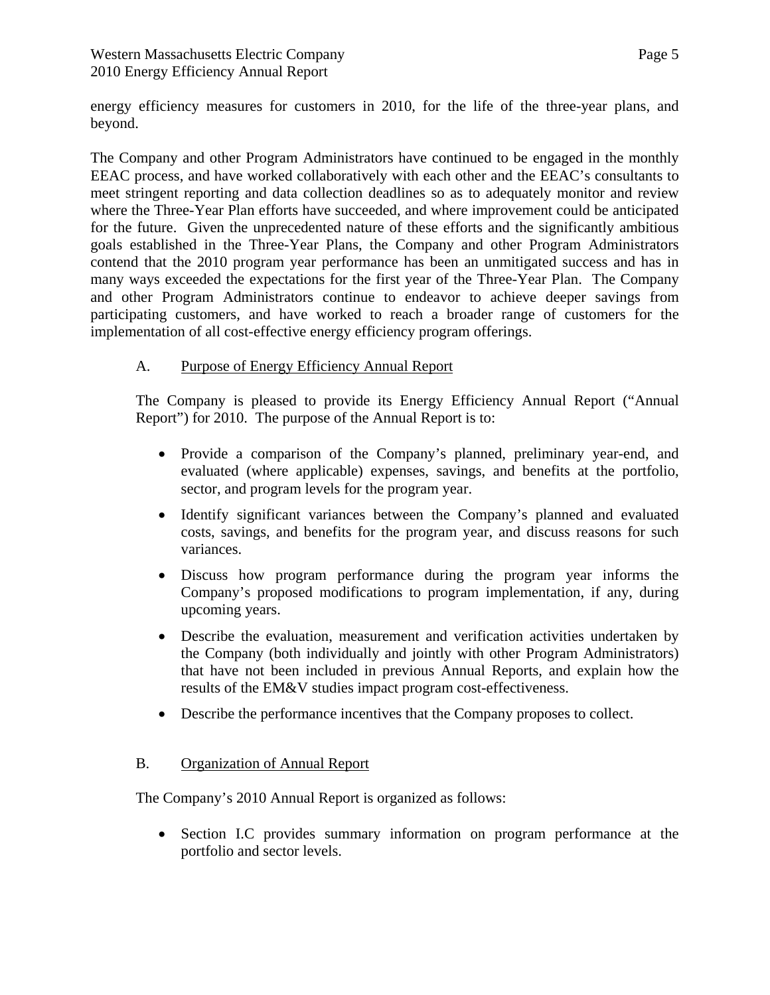energy efficiency measures for customers in 2010, for the life of the three-year plans, and beyond.

The Company and other Program Administrators have continued to be engaged in the monthly EEAC process, and have worked collaboratively with each other and the EEAC's consultants to meet stringent reporting and data collection deadlines so as to adequately monitor and review where the Three-Year Plan efforts have succeeded, and where improvement could be anticipated for the future. Given the unprecedented nature of these efforts and the significantly ambitious goals established in the Three-Year Plans, the Company and other Program Administrators contend that the 2010 program year performance has been an unmitigated success and has in many ways exceeded the expectations for the first year of the Three-Year Plan. The Company and other Program Administrators continue to endeavor to achieve deeper savings from participating customers, and have worked to reach a broader range of customers for the implementation of all cost-effective energy efficiency program offerings.

# <span id="page-4-0"></span>A. Purpose of Energy Efficiency Annual Report

The Company is pleased to provide its Energy Efficiency Annual Report ("Annual Report") for 2010. The purpose of the Annual Report is to:

- Provide a comparison of the Company's planned, preliminary year-end, and evaluated (where applicable) expenses, savings, and benefits at the portfolio, sector, and program levels for the program year.
- Identify significant variances between the Company's planned and evaluated costs, savings, and benefits for the program year, and discuss reasons for such variances.
- Discuss how program performance during the program year informs the Company's proposed modifications to program implementation, if any, during upcoming years.
- Describe the evaluation, measurement and verification activities undertaken by the Company (both individually and jointly with other Program Administrators) that have not been included in previous Annual Reports, and explain how the results of the EM&V studies impact program cost-effectiveness.
- Describe the performance incentives that the Company proposes to collect.

## <span id="page-4-1"></span>B. Organization of Annual Report

The Company's 2010 Annual Report is organized as follows:

 Section I.C provides summary information on program performance at the portfolio and sector levels.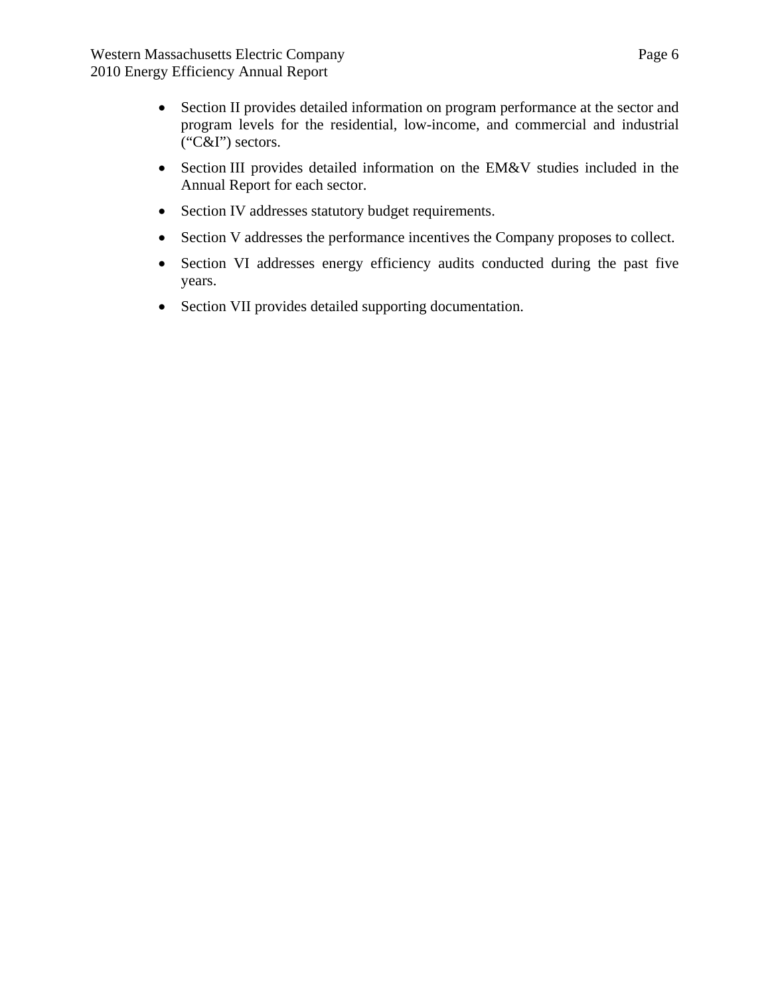- Section II provides detailed information on program performance at the sector and program levels for the residential, low-income, and commercial and industrial ("C&I") sectors.
- Section III provides detailed information on the EM&V studies included in the Annual Report for each sector.
- Section IV addresses statutory budget requirements.
- Section V addresses the performance incentives the Company proposes to collect.
- Section VI addresses energy efficiency audits conducted during the past five years.
- Section VII provides detailed supporting documentation.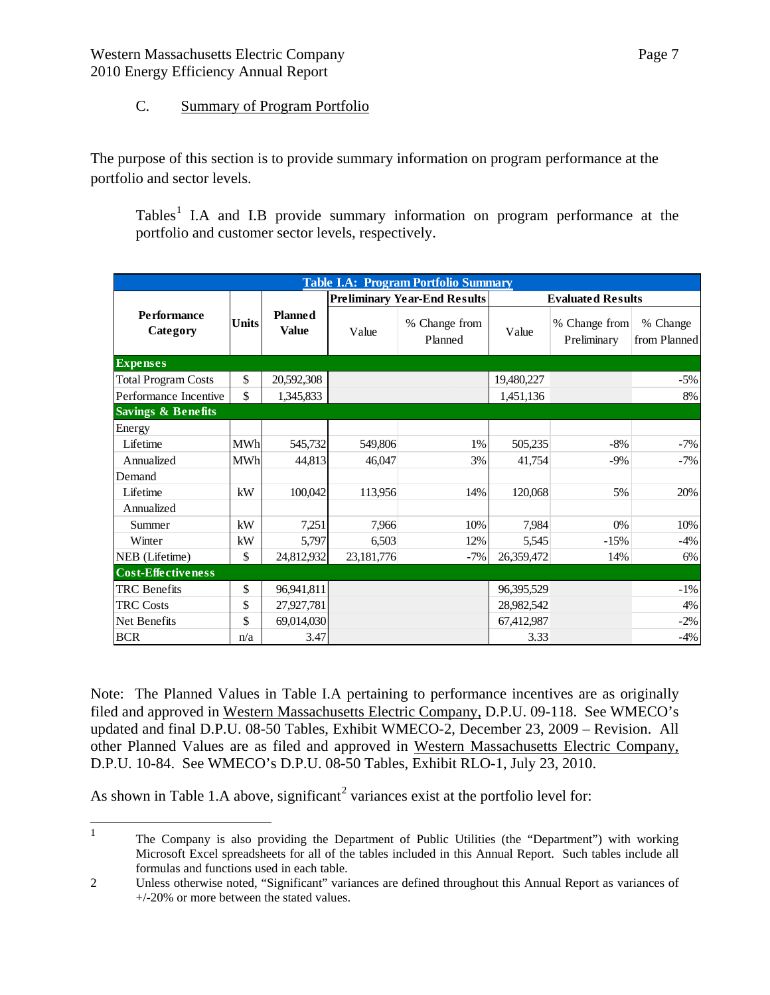# C. Summary of Program Portfolio

<span id="page-6-0"></span>The purpose of this section is to provide summary information on program performance at the portfolio and sector levels.

Tables<sup>[1](#page-6-1)</sup> I.A and I.B provide summary information on program performance at the portfolio and customer sector levels, respectively.

| <b>Table I.A: Program Portfolio Summary</b> |              |                                |            |                                     |            |                              |                          |  |  |  |
|---------------------------------------------|--------------|--------------------------------|------------|-------------------------------------|------------|------------------------------|--------------------------|--|--|--|
|                                             |              |                                |            | <b>Preliminary Year-End Results</b> |            | <b>Evaluated Results</b>     |                          |  |  |  |
| <b>Performance</b><br>Category              | <b>Units</b> | <b>Planned</b><br><b>Value</b> | Value      | % Change from<br>Planned            | Value      | % Change from<br>Preliminary | % Change<br>from Planned |  |  |  |
| <b>Expenses</b>                             |              |                                |            |                                     |            |                              |                          |  |  |  |
| <b>Total Program Costs</b>                  | \$           | 20,592,308                     |            |                                     | 19,480,227 |                              | $-5%$                    |  |  |  |
| Performance Incentive                       | \$           | 1,345,833                      |            |                                     | 1,451,136  |                              | 8%                       |  |  |  |
| <b>Savings &amp; Benefits</b>               |              |                                |            |                                     |            |                              |                          |  |  |  |
| Energy                                      |              |                                |            |                                     |            |                              |                          |  |  |  |
| Lifetime                                    | <b>MWh</b>   | 545,732                        | 549,806    | 1%                                  | 505,235    | $-8%$                        | $-7%$                    |  |  |  |
| Annualized                                  | <b>MWh</b>   | 44,813                         | 46,047     | 3%                                  | 41,754     | $-9\%$                       | $-7%$                    |  |  |  |
| Demand                                      |              |                                |            |                                     |            |                              |                          |  |  |  |
| Lifetime                                    | kW           | 100,042                        | 113,956    | 14%                                 | 120,068    | 5%                           | 20%                      |  |  |  |
| Annualized                                  |              |                                |            |                                     |            |                              |                          |  |  |  |
| Summer                                      | kW           | 7,251                          | 7,966      | 10%                                 | 7,984      | 0%                           | 10%                      |  |  |  |
| Winter                                      | kW           | 5,797                          | 6,503      | 12%                                 | 5,545      | $-15%$                       | $-4%$                    |  |  |  |
| NEB (Lifetime)                              | \$           | 24,812,932                     | 23,181,776 | $-7%$                               | 26,359,472 | 14%                          | 6%                       |  |  |  |
| <b>Cost-Effectiveness</b>                   |              |                                |            |                                     |            |                              |                          |  |  |  |
| <b>TRC</b> Benefits                         | \$           | 96,941,811                     |            |                                     | 96,395,529 |                              | $-1\%$                   |  |  |  |
| <b>TRC</b> Costs                            | \$           | 27,927,781                     |            |                                     | 28,982,542 |                              | 4%                       |  |  |  |
| Net Benefits                                | \$           | 69,014,030                     |            |                                     | 67,412,987 |                              | $-2\%$                   |  |  |  |
| <b>BCR</b>                                  | n/a          | 3.47                           |            |                                     | 3.33       |                              | $-4%$                    |  |  |  |

Note: The Planned Values in Table I.A pertaining to performance incentives are as originally filed and approved in Western Massachusetts Electric Company, D.P.U. 09-118. See WMECO's updated and final D.P.U. 08-50 Tables, Exhibit WMECO-2, December 23, 2009 – Revision. All other Planned Values are as filed and approved in Western Massachusetts Electric Company, D.P.U. 10-84. See WMECO's D.P.U. 08-50 Tables, Exhibit RLO-1, July 23, 2010.

As shown in Table 1.A above, significant<sup>[2](#page-6-2)</sup> variances exist at the portfolio level for:

<span id="page-6-1"></span> $\frac{1}{1}$  The Company is also providing the Department of Public Utilities (the "Department") with working Microsoft Excel spreadsheets for all of the tables included in this Annual Report. Such tables include all formulas and functions used in each table.

<span id="page-6-2"></span><sup>2</sup> Unless otherwise noted, "Significant" variances are defined throughout this Annual Report as variances of +/-20% or more between the stated values.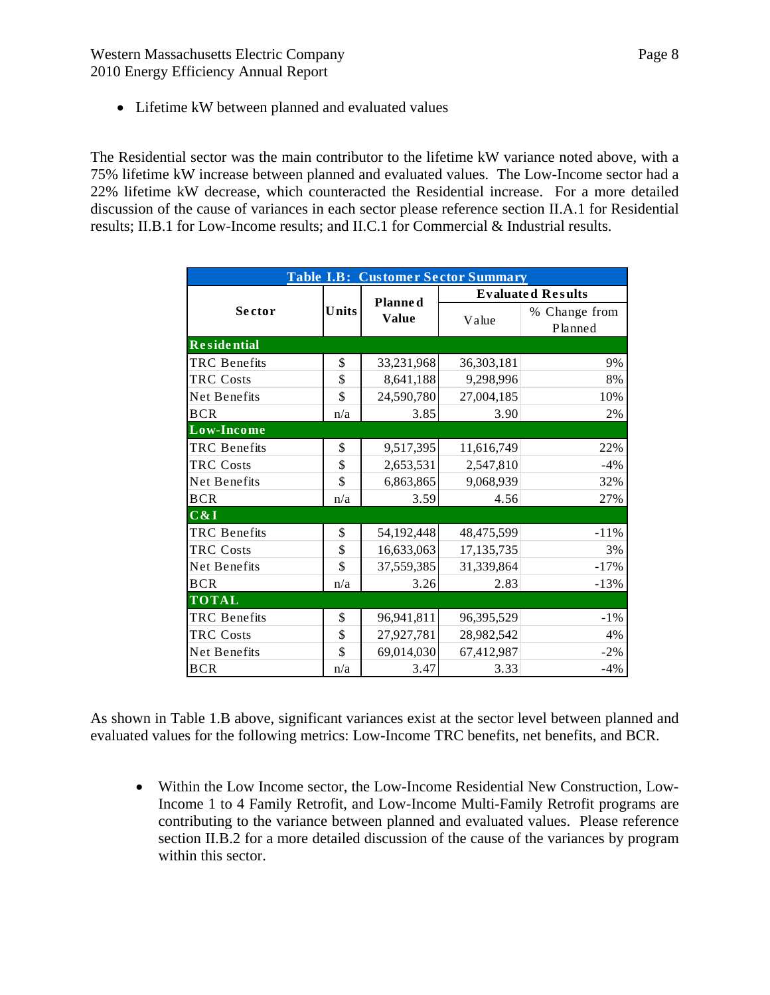• Lifetime kW between planned and evaluated values

The Residential sector was the main contributor to the lifetime kW variance noted above, with a 75% lifetime kW increase between planned and evaluated values. The Low-Income sector had a 22% lifetime kW decrease, which counteracted the Residential increase. For a more detailed discussion of the cause of variances in each sector please reference section II.A.1 for Residential results; II.B.1 for Low-Income results; and II.C.1 for Commercial & Industrial results.

| <b>Table I.B: Customer Sector Summary</b> |       |                |                          |               |  |  |  |  |
|-------------------------------------------|-------|----------------|--------------------------|---------------|--|--|--|--|
|                                           |       | <b>Planned</b> | <b>Evaluated Results</b> |               |  |  |  |  |
| Sector                                    | Units | <b>Value</b>   |                          | % Change from |  |  |  |  |
|                                           |       |                | Value                    | Planned       |  |  |  |  |
| <b>Residential</b>                        |       |                |                          |               |  |  |  |  |
| <b>TRC</b> Benefits                       | \$    | 33,231,968     | 36,303,181               | 9%            |  |  |  |  |
| <b>TRC</b> Costs                          | \$    | 8,641,188      | 9,298,996                | 8%            |  |  |  |  |
| Net Benefits                              | \$    | 24,590,780     | 27,004,185               | 10%           |  |  |  |  |
| <b>BCR</b>                                | n/a   | 3.85           | 3.90                     | 2%            |  |  |  |  |
| Low-Income                                |       |                |                          |               |  |  |  |  |
| <b>TRC</b> Benefits                       | \$    | 9,517,395      | 11,616,749               | 22%           |  |  |  |  |
| <b>TRC</b> Costs                          | \$    | 2,653,531      | 2,547,810                | $-4%$         |  |  |  |  |
| Net Benefits                              | \$    | 6,863,865      | 9,068,939                | 32%           |  |  |  |  |
| <b>BCR</b>                                | n/a   | 3.59           | 4.56                     | 27%           |  |  |  |  |
| C&I                                       |       |                |                          |               |  |  |  |  |
| <b>TRC</b> Benefits                       | \$    | 54,192,448     | 48,475,599               | $-11%$        |  |  |  |  |
| <b>TRC</b> Costs                          | \$    | 16,633,063     | 17,135,735               | 3%            |  |  |  |  |
| <b>Net Benefits</b>                       | \$    | 37,559,385     | 31,339,864               | $-17%$        |  |  |  |  |
| <b>BCR</b>                                | n/a   | 3.26           | 2.83                     | $-13%$        |  |  |  |  |
| <b>TOTAL</b>                              |       |                |                          |               |  |  |  |  |
| <b>TRC</b> Benefits                       | \$    | 96,941,811     | 96, 395, 529             | $-1\%$        |  |  |  |  |
| TRC Costs                                 | \$    | 27,927,781     | 28,982,542               | 4%            |  |  |  |  |
| Net Benefits                              | \$    | 69,014,030     | 67,412,987               | $-2\%$        |  |  |  |  |
| <b>BCR</b>                                | n/a   | 3.47           | 3.33                     | $-4%$         |  |  |  |  |

As shown in Table 1.B above, significant variances exist at the sector level between planned and evaluated values for the following metrics: Low-Income TRC benefits, net benefits, and BCR.

 Within the Low Income sector, the Low-Income Residential New Construction, Low-Income 1 to 4 Family Retrofit, and Low-Income Multi-Family Retrofit programs are contributing to the variance between planned and evaluated values. Please reference section II.B.2 for a more detailed discussion of the cause of the variances by program within this sector.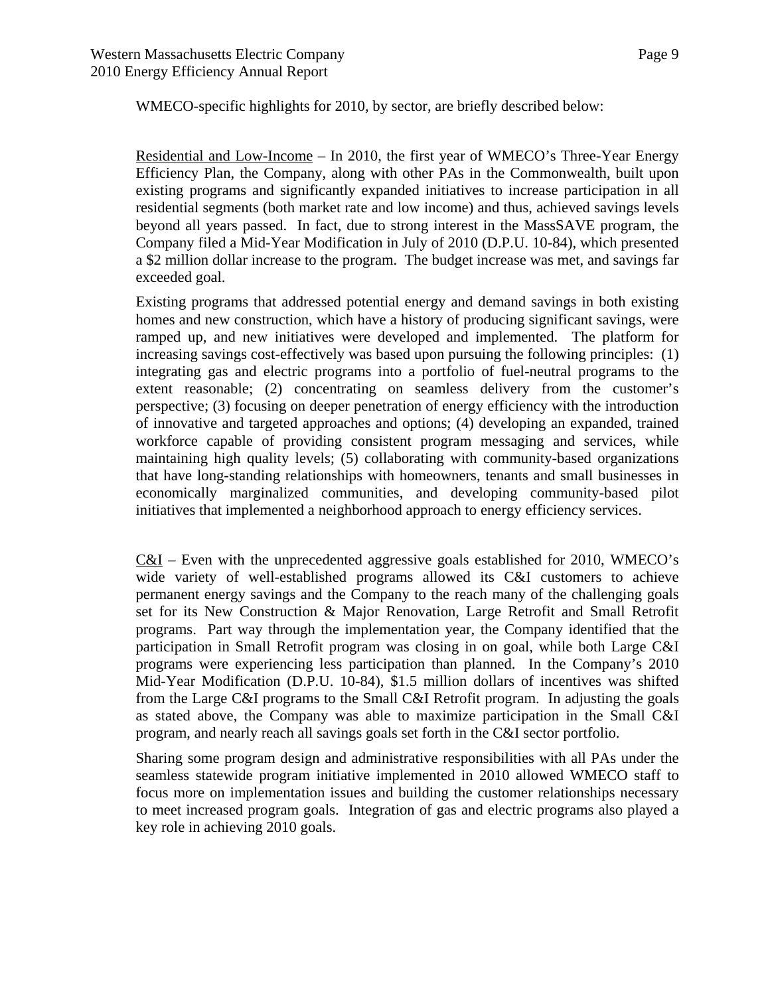WMECO-specific highlights for 2010, by sector, are briefly described below:

Residential and Low-Income – In 2010, the first year of WMECO's Three-Year Energy Efficiency Plan, the Company, along with other PAs in the Commonwealth, built upon existing programs and significantly expanded initiatives to increase participation in all residential segments (both market rate and low income) and thus, achieved savings levels beyond all years passed. In fact, due to strong interest in the MassSAVE program, the Company filed a Mid-Year Modification in July of 2010 (D.P.U. 10-84), which presented a \$2 million dollar increase to the program. The budget increase was met, and savings far exceeded goal.

Existing programs that addressed potential energy and demand savings in both existing homes and new construction, which have a history of producing significant savings, were ramped up, and new initiatives were developed and implemented. The platform for increasing savings cost-effectively was based upon pursuing the following principles: (1) integrating gas and electric programs into a portfolio of fuel-neutral programs to the extent reasonable; (2) concentrating on seamless delivery from the customer's perspective; (3) focusing on deeper penetration of energy efficiency with the introduction of innovative and targeted approaches and options; (4) developing an expanded, trained workforce capable of providing consistent program messaging and services, while maintaining high quality levels; (5) collaborating with community-based organizations that have long-standing relationships with homeowners, tenants and small businesses in economically marginalized communities, and developing community-based pilot initiatives that implemented a neighborhood approach to energy efficiency services.

C&I – Even with the unprecedented aggressive goals established for 2010, WMECO's wide variety of well-established programs allowed its C&I customers to achieve permanent energy savings and the Company to the reach many of the challenging goals set for its New Construction & Major Renovation, Large Retrofit and Small Retrofit programs. Part way through the implementation year, the Company identified that the participation in Small Retrofit program was closing in on goal, while both Large C&I programs were experiencing less participation than planned. In the Company's 2010 Mid-Year Modification (D.P.U. 10-84), \$1.5 million dollars of incentives was shifted from the Large C&I programs to the Small C&I Retrofit program. In adjusting the goals as stated above, the Company was able to maximize participation in the Small C&I program, and nearly reach all savings goals set forth in the C&I sector portfolio.

Sharing some program design and administrative responsibilities with all PAs under the seamless statewide program initiative implemented in 2010 allowed WMECO staff to focus more on implementation issues and building the customer relationships necessary to meet increased program goals. Integration of gas and electric programs also played a key role in achieving 2010 goals.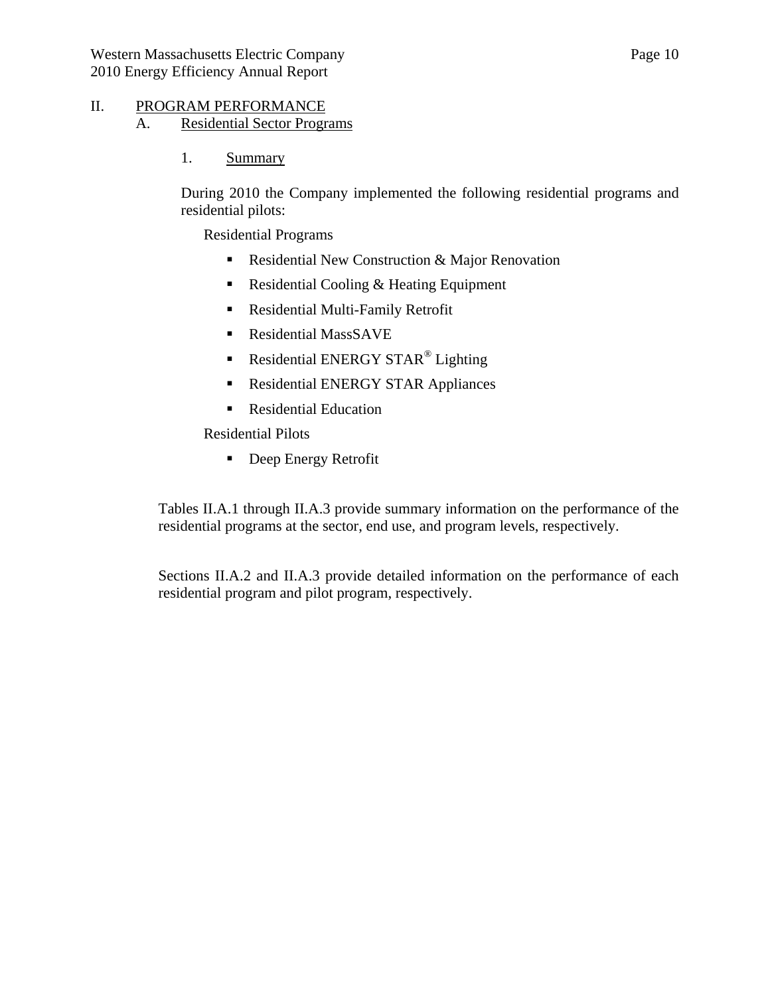## <span id="page-9-2"></span><span id="page-9-1"></span><span id="page-9-0"></span>II. PROGRAM PERFORMANCE

- A. Residential Sector Programs
	- 1. Summary

During 2010 the Company implemented the following residential programs and residential pilots:

Residential Programs

- Residential New Construction & Major Renovation
- Residential Cooling & Heating Equipment
- Residential Multi-Family Retrofit
- **Residential MassSAVE**
- Residential ENERGY STAR<sup>®</sup> Lighting
- Residential ENERGY STAR Appliances
- **Residential Education**

Residential Pilots

**Deep Energy Retrofit** 

Tables II.A.1 through II.A.3 provide summary information on the performance of the residential programs at the sector, end use, and program levels, respectively.

Sections II.A.2 and II.A.3 provide detailed information on the performance of each residential program and pilot program, respectively.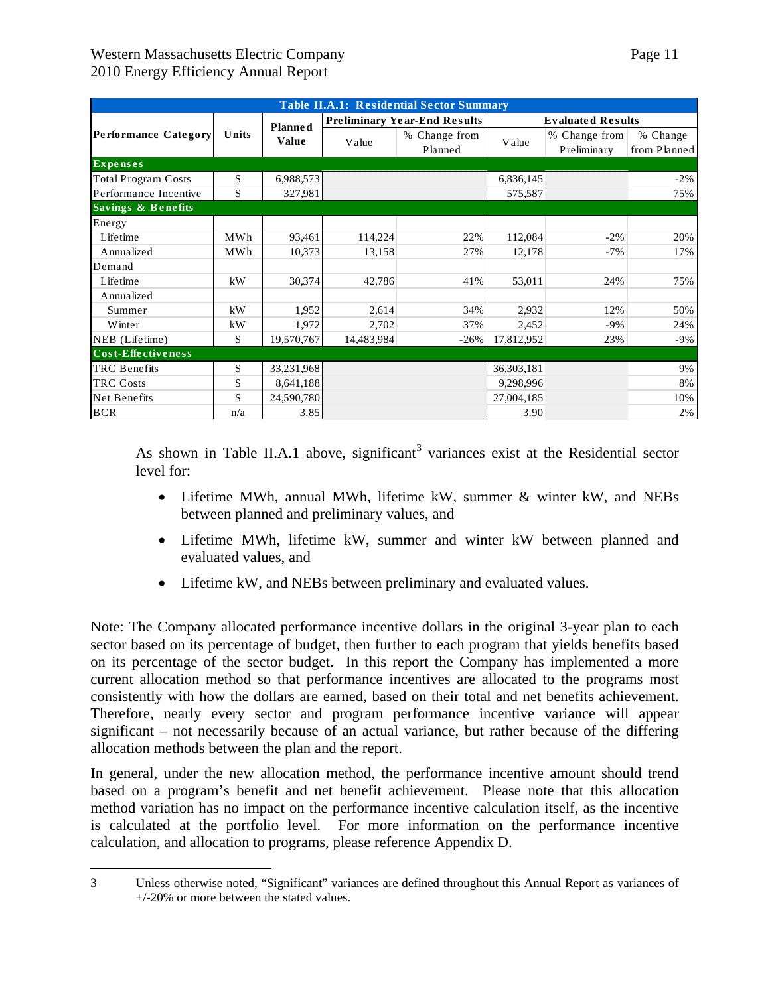1

| <b>Table II.A.1: Residential Sector Summary</b> |       |                |            |                                     |            |                              |                          |  |  |
|-------------------------------------------------|-------|----------------|------------|-------------------------------------|------------|------------------------------|--------------------------|--|--|
|                                                 |       | <b>Planned</b> |            | <b>Preliminary Year-End Results</b> |            | <b>Evaluated Results</b>     |                          |  |  |
| Performance Category                            | Units | <b>Value</b>   | Value      | % Change from<br>Planned            | Value      | % Change from<br>Preliminary | % Change<br>from Planned |  |  |
| <b>Expenses</b>                                 |       |                |            |                                     |            |                              |                          |  |  |
| <b>Total Program Costs</b>                      | \$    | 6,988,573      |            |                                     | 6,836,145  |                              | $-2\%$                   |  |  |
| Performance Incentive                           | \$    | 327,981        |            |                                     | 575,587    |                              | 75%                      |  |  |
| <b>Savings &amp; Benefits</b>                   |       |                |            |                                     |            |                              |                          |  |  |
| Energy                                          |       |                |            |                                     |            |                              |                          |  |  |
| Lifetime                                        | MWh   | 93,461         | 114,224    | 22%                                 | 112,084    | $-2\%$                       | 20%                      |  |  |
| Annualized                                      | MWh   | 10,373         | 13,158     | 27%                                 | 12,178     | $-7%$                        | 17%                      |  |  |
| Demand                                          |       |                |            |                                     |            |                              |                          |  |  |
| Lifetime                                        | kW    | 30,374         | 42,786     | 41%                                 | 53,011     | 24%                          | 75%                      |  |  |
| Annualized                                      |       |                |            |                                     |            |                              |                          |  |  |
| Summer                                          | kW    | 1,952          | 2,614      | 34%                                 | 2,932      | 12%                          | 50%                      |  |  |
| Winter                                          | kW    | 1,972          | 2,702      | 37%                                 | 2,452      | $-9\%$                       | 24%                      |  |  |
| NEB (Lifetime)                                  | \$    | 19,570,767     | 14,483,984 | $-26%$                              | 17,812,952 | 23%                          | $-9%$                    |  |  |
| Cost-Effectiveness                              |       |                |            |                                     |            |                              |                          |  |  |
| <b>TRC</b> Benefits                             | \$    | 33,231,968     |            |                                     | 36,303,181 |                              | 9%                       |  |  |
| <b>TRC Costs</b>                                | \$    | 8,641,188      |            |                                     | 9,298,996  |                              | 8%                       |  |  |
| Net Benefits                                    | \$    | 24,590,780     |            |                                     | 27,004,185 |                              | 10%                      |  |  |
| <b>BCR</b>                                      | n/a   | 3.85           |            |                                     | 3.90       |                              | 2%                       |  |  |

As shown in Table II.A.1 above, significant<sup>[3](#page-10-0)</sup> variances exist at the Residential sector level for:

- Lifetime MWh, annual MWh, lifetime kW, summer & winter kW, and NEBs between planned and preliminary values, and
- Lifetime MWh, lifetime kW, summer and winter kW between planned and evaluated values, and
- Lifetime kW, and NEBs between preliminary and evaluated values.

Note: The Company allocated performance incentive dollars in the original 3-year plan to each sector based on its percentage of budget, then further to each program that yields benefits based on its percentage of the sector budget. In this report the Company has implemented a more current allocation method so that performance incentives are allocated to the programs most consistently with how the dollars are earned, based on their total and net benefits achievement. Therefore, nearly every sector and program performance incentive variance will appear significant – not necessarily because of an actual variance, but rather because of the differing allocation methods between the plan and the report.

In general, under the new allocation method, the performance incentive amount should trend based on a program's benefit and net benefit achievement. Please note that this allocation method variation has no impact on the performance incentive calculation itself, as the incentive is calculated at the portfolio level. For more information on the performance incentive calculation, and allocation to programs, please reference Appendix D.

<span id="page-10-0"></span><sup>3</sup> Unless otherwise noted, "Significant" variances are defined throughout this Annual Report as variances of +/-20% or more between the stated values.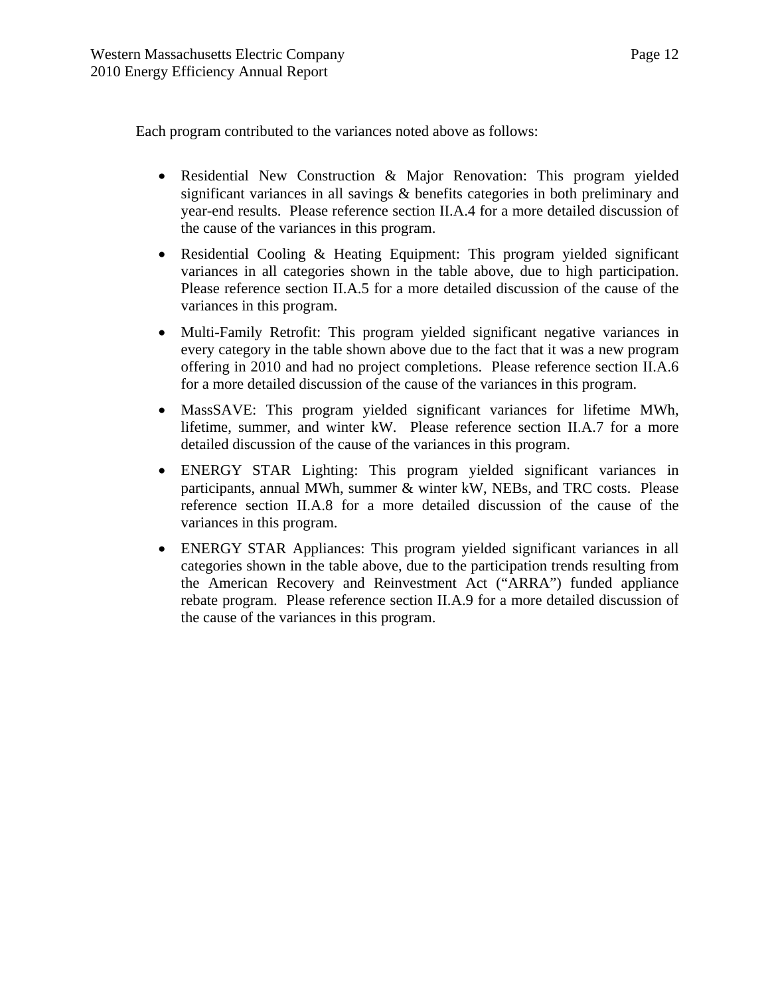Each program contributed to the variances noted above as follows:

- Residential New Construction & Major Renovation: This program yielded significant variances in all savings & benefits categories in both preliminary and year-end results. Please reference section II.A.4 for a more detailed discussion of the cause of the variances in this program.
- Residential Cooling & Heating Equipment: This program yielded significant variances in all categories shown in the table above, due to high participation. Please reference section II.A.5 for a more detailed discussion of the cause of the variances in this program.
- Multi-Family Retrofit: This program yielded significant negative variances in every category in the table shown above due to the fact that it was a new program offering in 2010 and had no project completions. Please reference section II.A.6 for a more detailed discussion of the cause of the variances in this program.
- MassSAVE: This program yielded significant variances for lifetime MWh, lifetime, summer, and winter kW. Please reference section II.A.7 for a more detailed discussion of the cause of the variances in this program.
- ENERGY STAR Lighting: This program yielded significant variances in participants, annual MWh, summer & winter kW, NEBs, and TRC costs. Please reference section II.A.8 for a more detailed discussion of the cause of the variances in this program.
- ENERGY STAR Appliances: This program yielded significant variances in all categories shown in the table above, due to the participation trends resulting from the American Recovery and Reinvestment Act ("ARRA") funded appliance rebate program. Please reference section II.A.9 for a more detailed discussion of the cause of the variances in this program.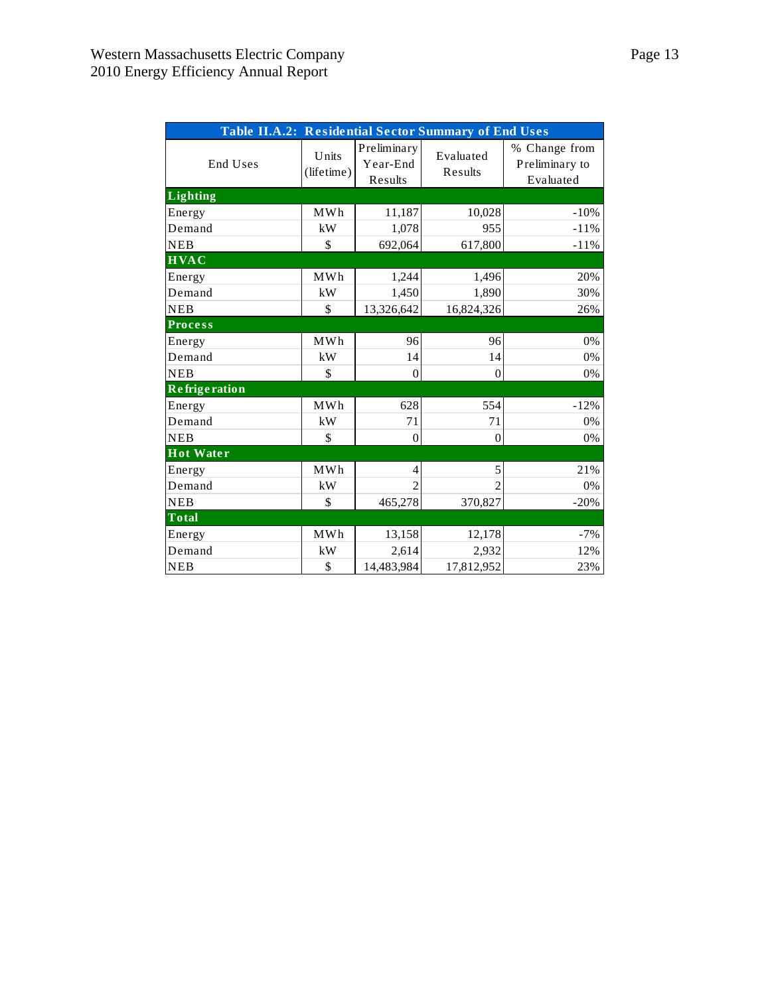| Table II.A.2: Residential Sector Summary of End Uses |                     |                                    |                      |                                              |  |  |  |  |
|------------------------------------------------------|---------------------|------------------------------------|----------------------|----------------------------------------------|--|--|--|--|
| End Uses                                             | Units<br>(lifetime) | Preliminary<br>Year-End<br>Results | Evaluated<br>Results | % Change from<br>Preliminary to<br>Evaluated |  |  |  |  |
| <b>Lighting</b>                                      |                     |                                    |                      |                                              |  |  |  |  |
| Energy                                               | MWh                 | 11,187                             | 10,028               | $-10%$                                       |  |  |  |  |
| Demand                                               | kW                  | 1,078                              | 955                  | $-11%$                                       |  |  |  |  |
| <b>NEB</b>                                           | \$                  | 692,064                            | 617,800              | $-11%$                                       |  |  |  |  |
| $\overline{HVAC}$                                    |                     |                                    |                      |                                              |  |  |  |  |
| Energy                                               | MWh                 | 1,244                              | 1,496                | 20%                                          |  |  |  |  |
| Demand                                               | kW                  | 1,450                              | 1,890                | 30%                                          |  |  |  |  |
| <b>NEB</b>                                           | \$                  | 13,326,642                         | 16,824,326           | 26%                                          |  |  |  |  |
| <b>Process</b>                                       |                     |                                    |                      |                                              |  |  |  |  |
| Energy                                               | MWh                 | 96                                 | 96                   | 0%                                           |  |  |  |  |
| Demand                                               | kW                  | 14                                 | 14                   | 0%                                           |  |  |  |  |
| <b>NEB</b>                                           | \$                  | $\overline{0}$                     | $\theta$             | 0%                                           |  |  |  |  |
| <b>Refrigeration</b>                                 |                     |                                    |                      |                                              |  |  |  |  |
| Energy                                               | MWh                 | 628                                | 554                  | $-12%$                                       |  |  |  |  |
| Demand                                               | kW                  | 71                                 | 71                   | 0%                                           |  |  |  |  |
| <b>NEB</b>                                           | \$                  | $\overline{0}$                     | $\theta$             | 0%                                           |  |  |  |  |
| <b>Hot Water</b>                                     |                     |                                    |                      |                                              |  |  |  |  |
| Energy                                               | MWh                 | 4                                  | 5                    | 21%                                          |  |  |  |  |
| Demand                                               | kW                  | $\mathfrak{D}$                     | $\mathfrak{D}$       | 0%                                           |  |  |  |  |
| <b>NEB</b>                                           | \$                  | 465,278                            | 370,827              | $-20%$                                       |  |  |  |  |
| <b>Total</b>                                         |                     |                                    |                      |                                              |  |  |  |  |
| Energy                                               | MWh                 | 13,158                             | 12,178               | $-7%$                                        |  |  |  |  |
| Demand                                               | kW                  | 2,614                              | 2,932                | 12%                                          |  |  |  |  |
| <b>NEB</b>                                           | \$                  | 14,483,984                         | 17,812,952           | 23%                                          |  |  |  |  |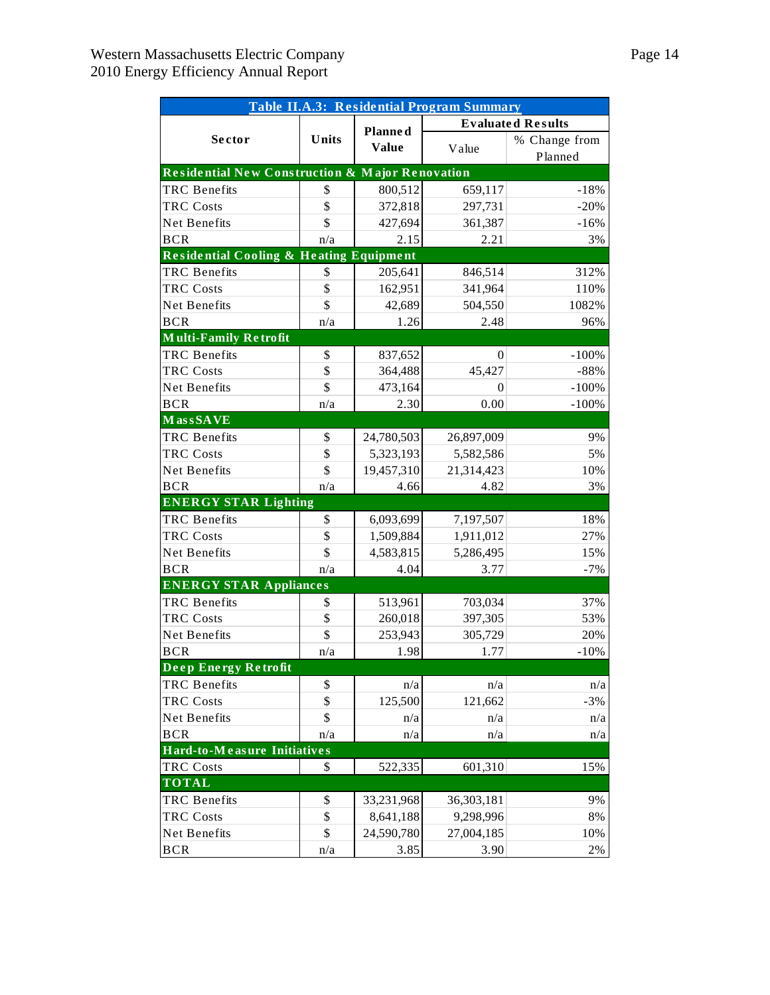|                                                            | Table II.A.3: Residential Program Summary |                |                          |               |  |  |  |  |  |  |
|------------------------------------------------------------|-------------------------------------------|----------------|--------------------------|---------------|--|--|--|--|--|--|
|                                                            |                                           | <b>Planned</b> | <b>Evaluated Results</b> |               |  |  |  |  |  |  |
| Sector                                                     | Units                                     | <b>Value</b>   | Value                    | % Change from |  |  |  |  |  |  |
|                                                            |                                           |                |                          | Planned       |  |  |  |  |  |  |
| <b>Residential New Construction &amp; Major Renovation</b> |                                           |                |                          |               |  |  |  |  |  |  |
| <b>TRC</b> Benefits                                        | \$                                        | 800,512        | 659,117                  | $-18%$        |  |  |  |  |  |  |
| <b>TRC Costs</b>                                           | \$                                        | 372,818        | 297,731                  | $-20%$        |  |  |  |  |  |  |
| Net Benefits                                               | \$                                        | 427,694        | 361,387                  | $-16%$        |  |  |  |  |  |  |
| <b>BCR</b>                                                 | n/a                                       | 2.15           | 2.21                     | 3%            |  |  |  |  |  |  |
| <b>Residential Cooling &amp; Heating Equipment</b>         |                                           |                |                          |               |  |  |  |  |  |  |
| <b>TRC</b> Benefits                                        | \$                                        | 205,641        | 846,514                  | 312%          |  |  |  |  |  |  |
| <b>TRC Costs</b>                                           | \$                                        | 162,951        | 341,964                  | 110%          |  |  |  |  |  |  |
| Net Benefits                                               | \$                                        | 42,689         | 504,550                  | 1082%         |  |  |  |  |  |  |
| <b>BCR</b>                                                 | n/a                                       | 1.26           | 2.48                     | 96%           |  |  |  |  |  |  |
| <b>Multi-Family Retrofit</b>                               |                                           |                |                          |               |  |  |  |  |  |  |
| <b>TRC</b> Benefits                                        | \$                                        | 837,652        | 0                        | $-100%$       |  |  |  |  |  |  |
| <b>TRC Costs</b>                                           | \$                                        | 364,488        | 45,427                   | $-88%$        |  |  |  |  |  |  |
| Net Benefits                                               | \$                                        | 473,164        | 0                        | $-100%$       |  |  |  |  |  |  |
| <b>BCR</b>                                                 | n/a                                       | 2.30           | 0.00                     | $-100%$       |  |  |  |  |  |  |
| MassSAVE                                                   |                                           |                |                          |               |  |  |  |  |  |  |
| <b>TRC</b> Benefits                                        | \$                                        | 24,780,503     | 26,897,009               | 9%            |  |  |  |  |  |  |
| <b>TRC Costs</b>                                           | \$                                        | 5,323,193      | 5,582,586                | 5%            |  |  |  |  |  |  |
| Net Benefits                                               | \$                                        | 19,457,310     | 21,314,423               | 10%           |  |  |  |  |  |  |
| <b>BCR</b>                                                 | n/a                                       | 4.66           | 4.82                     | 3%            |  |  |  |  |  |  |
| <b>ENERGY STAR Lighting</b>                                |                                           |                |                          |               |  |  |  |  |  |  |
| <b>TRC</b> Benefits                                        | \$                                        | 6,093,699      | 7,197,507                | 18%           |  |  |  |  |  |  |
| <b>TRC Costs</b>                                           | \$                                        | 1,509,884      | 1,911,012                | 27%           |  |  |  |  |  |  |
| Net Benefits                                               | \$                                        | 4,583,815      | 5,286,495                | 15%           |  |  |  |  |  |  |
| <b>BCR</b>                                                 | n/a                                       | 4.04           | 3.77                     | $-7%$         |  |  |  |  |  |  |
| <b>ENERGY STAR Appliances</b>                              |                                           |                |                          |               |  |  |  |  |  |  |
| <b>TRC</b> Benefits                                        | \$                                        | 513,961        | 703,034                  | 37%           |  |  |  |  |  |  |
| <b>TRC Costs</b>                                           | \$                                        | 260,018        | 397,305                  | 53%           |  |  |  |  |  |  |
| Net Benefits                                               | \$                                        | 253,943        | 305,729                  | 20%           |  |  |  |  |  |  |
| <b>BCR</b>                                                 | n/a                                       | 1.98           | 1.77                     | $-10%$        |  |  |  |  |  |  |
| Deep Energy Retrofit                                       |                                           |                |                          |               |  |  |  |  |  |  |
| <b>TRC</b> Benefits                                        | \$                                        | n/a            | n/a                      | n/a           |  |  |  |  |  |  |
| <b>TRC Costs</b>                                           | \$                                        | 125,500        | 121,662                  | $-3%$         |  |  |  |  |  |  |
| Net Benefits                                               | \$                                        | n/a            | n/a                      | n/a           |  |  |  |  |  |  |
| <b>BCR</b>                                                 | n/a                                       | n/a            | n/a                      | n/a           |  |  |  |  |  |  |
| Hard-to-Measure Initiatives                                |                                           |                |                          |               |  |  |  |  |  |  |
| <b>TRC Costs</b>                                           | \$                                        | 522,335        | 601,310                  | 15%           |  |  |  |  |  |  |
| <b>TOTAL</b>                                               |                                           |                |                          |               |  |  |  |  |  |  |
| <b>TRC</b> Benefits                                        | \$                                        | 33,231,968     | 36,303,181               | 9%            |  |  |  |  |  |  |
| <b>TRC Costs</b>                                           | \$                                        | 8,641,188      | 9,298,996                | $8\%$         |  |  |  |  |  |  |
| Net Benefits                                               | \$                                        | 24,590,780     | 27,004,185               | 10%           |  |  |  |  |  |  |
| <b>BCR</b>                                                 | n/a                                       | 3.85           | 3.90                     | $2\%$         |  |  |  |  |  |  |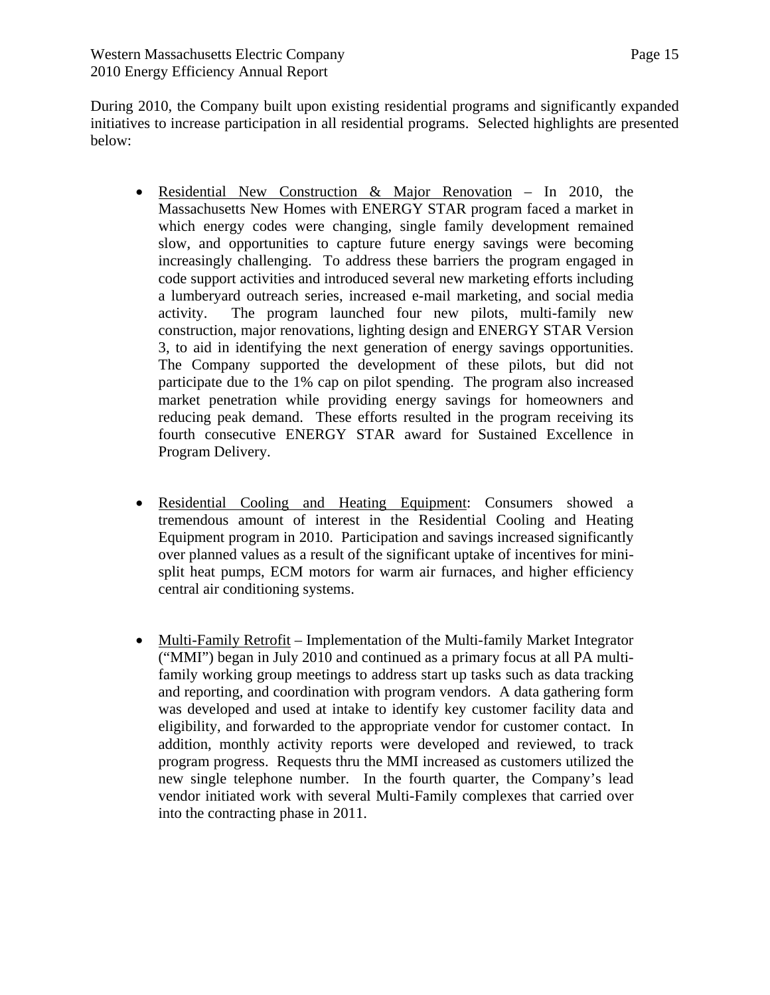During 2010, the Company built upon existing residential programs and significantly expanded initiatives to increase participation in all residential programs. Selected highlights are presented below:

- Residential New Construction & Major Renovation In 2010, the Massachusetts New Homes with ENERGY STAR program faced a market in which energy codes were changing, single family development remained slow, and opportunities to capture future energy savings were becoming increasingly challenging. To address these barriers the program engaged in code support activities and introduced several new marketing efforts including a lumberyard outreach series, increased e-mail marketing, and social media activity. The program launched four new pilots, multi-family new construction, major renovations, lighting design and ENERGY STAR Version 3, to aid in identifying the next generation of energy savings opportunities. The Company supported the development of these pilots, but did not participate due to the 1% cap on pilot spending. The program also increased market penetration while providing energy savings for homeowners and reducing peak demand. These efforts resulted in the program receiving its fourth consecutive ENERGY STAR award for Sustained Excellence in Program Delivery.
- Residential Cooling and Heating Equipment: Consumers showed a tremendous amount of interest in the Residential Cooling and Heating Equipment program in 2010. Participation and savings increased significantly over planned values as a result of the significant uptake of incentives for minisplit heat pumps, ECM motors for warm air furnaces, and higher efficiency central air conditioning systems.
- Multi-Family Retrofit Implementation of the Multi-family Market Integrator ("MMI") began in July 2010 and continued as a primary focus at all PA multifamily working group meetings to address start up tasks such as data tracking and reporting, and coordination with program vendors. A data gathering form was developed and used at intake to identify key customer facility data and eligibility, and forwarded to the appropriate vendor for customer contact. In addition, monthly activity reports were developed and reviewed, to track program progress. Requests thru the MMI increased as customers utilized the new single telephone number. In the fourth quarter, the Company's lead vendor initiated work with several Multi-Family complexes that carried over into the contracting phase in 2011.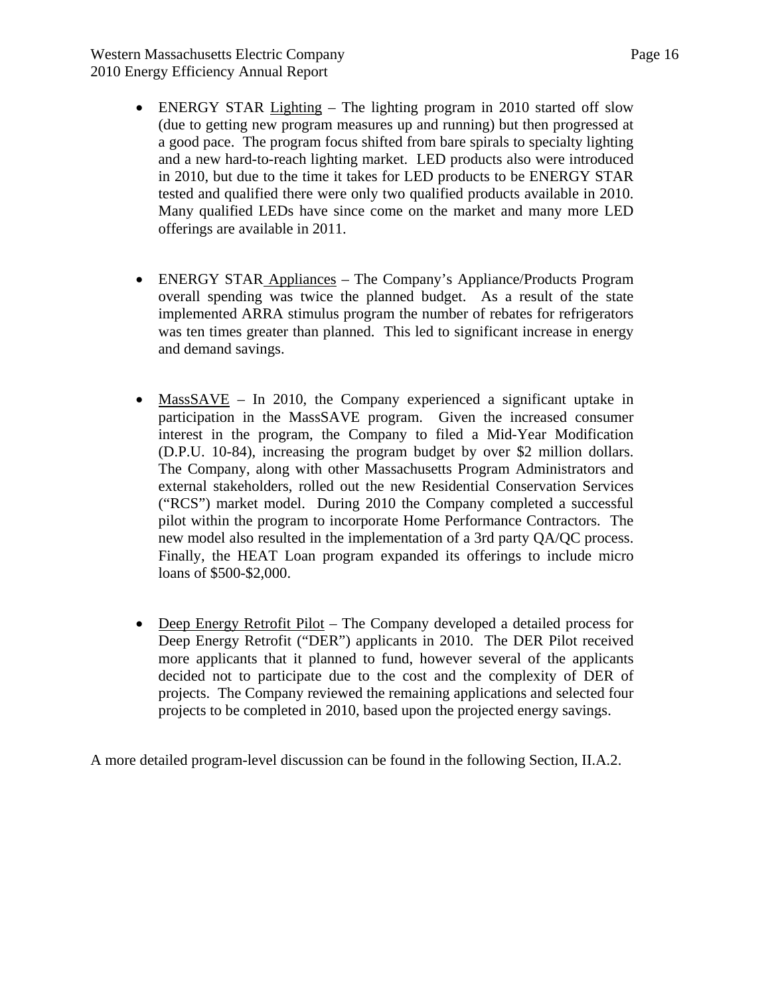Western Massachusetts Electric Company Page 16 2010 Energy Efficiency Annual Report

- ENERGY STAR Lighting The lighting program in 2010 started off slow (due to getting new program measures up and running) but then progressed at a good pace. The program focus shifted from bare spirals to specialty lighting and a new hard-to-reach lighting market. LED products also were introduced in 2010, but due to the time it takes for LED products to be ENERGY STAR tested and qualified there were only two qualified products available in 2010. Many qualified LEDs have since come on the market and many more LED offerings are available in 2011.
- ENERGY STAR Appliances The Company's Appliance/Products Program overall spending was twice the planned budget. As a result of the state implemented ARRA stimulus program the number of rebates for refrigerators was ten times greater than planned. This led to significant increase in energy and demand savings.
- MassSAVE In 2010, the Company experienced a significant uptake in participation in the MassSAVE program. Given the increased consumer interest in the program, the Company to filed a Mid-Year Modification (D.P.U. 10-84), increasing the program budget by over \$2 million dollars. The Company, along with other Massachusetts Program Administrators and external stakeholders, rolled out the new Residential Conservation Services ("RCS") market model. During 2010 the Company completed a successful pilot within the program to incorporate Home Performance Contractors. The new model also resulted in the implementation of a 3rd party QA/QC process. Finally, the HEAT Loan program expanded its offerings to include micro loans of \$500-\$2,000.
- Deep Energy Retrofit Pilot The Company developed a detailed process for Deep Energy Retrofit ("DER") applicants in 2010. The DER Pilot received more applicants that it planned to fund, however several of the applicants decided not to participate due to the cost and the complexity of DER of projects. The Company reviewed the remaining applications and selected four projects to be completed in 2010, based upon the projected energy savings.

A more detailed program-level discussion can be found in the following Section, II.A.2.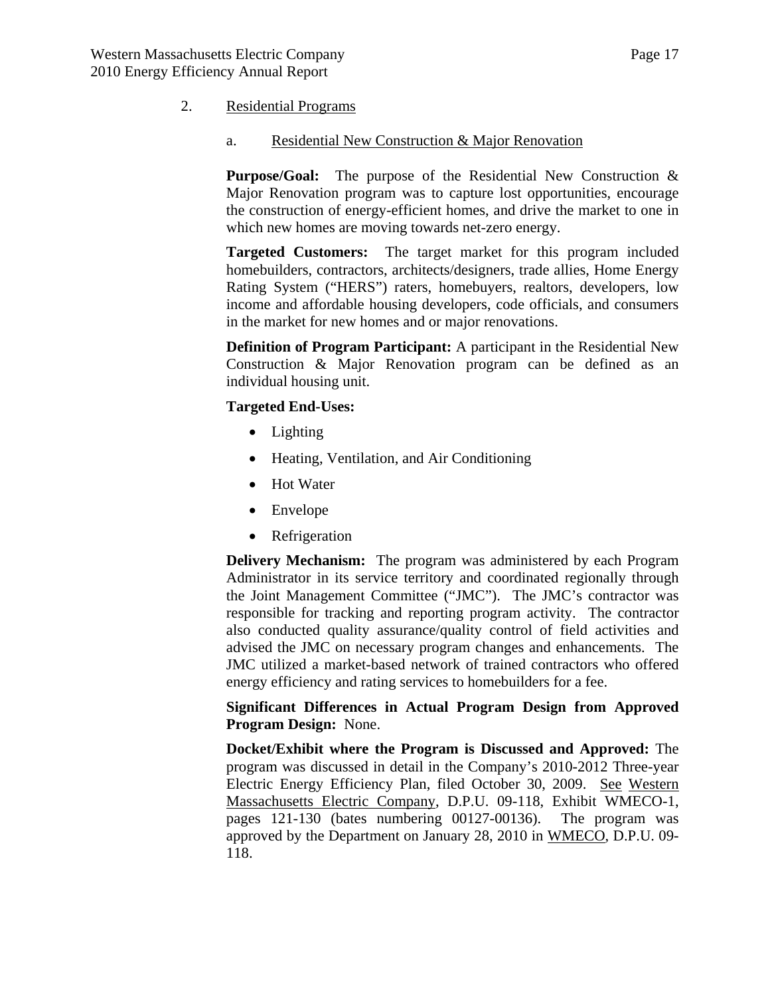### <span id="page-16-0"></span>2. Residential Programs

a. Residential New Construction & Major Renovation

**Purpose/Goal:** The purpose of the Residential New Construction & Major Renovation program was to capture lost opportunities, encourage the construction of energy-efficient homes, and drive the market to one in which new homes are moving towards net-zero energy.

**Targeted Customers:** The target market for this program included homebuilders, contractors, architects/designers, trade allies, Home Energy Rating System ("HERS") raters, homebuyers, realtors, developers, low income and affordable housing developers, code officials, and consumers in the market for new homes and or major renovations.

**Definition of Program Participant:** A participant in the Residential New Construction & Major Renovation program can be defined as an individual housing unit.

#### **Targeted End-Uses:**

- Lighting
- Heating, Ventilation, and Air Conditioning
- Hot Water
- Envelope
- Refrigeration

**Delivery Mechanism:** The program was administered by each Program Administrator in its service territory and coordinated regionally through the Joint Management Committee ("JMC"). The JMC's contractor was responsible for tracking and reporting program activity. The contractor also conducted quality assurance/quality control of field activities and advised the JMC on necessary program changes and enhancements. The JMC utilized a market-based network of trained contractors who offered energy efficiency and rating services to homebuilders for a fee.

**Significant Differences in Actual Program Design from Approved Program Design:** None.

**Docket/Exhibit where the Program is Discussed and Approved:** The program was discussed in detail in the Company's 2010-2012 Three-year Electric Energy Efficiency Plan, filed October 30, 2009. See Western Massachusetts Electric Company, D.P.U. 09-118, Exhibit WMECO-1, pages 121-130 (bates numbering 00127-00136). The program was approved by the Department on January 28, 2010 in WMECO, D.P.U. 09- 118.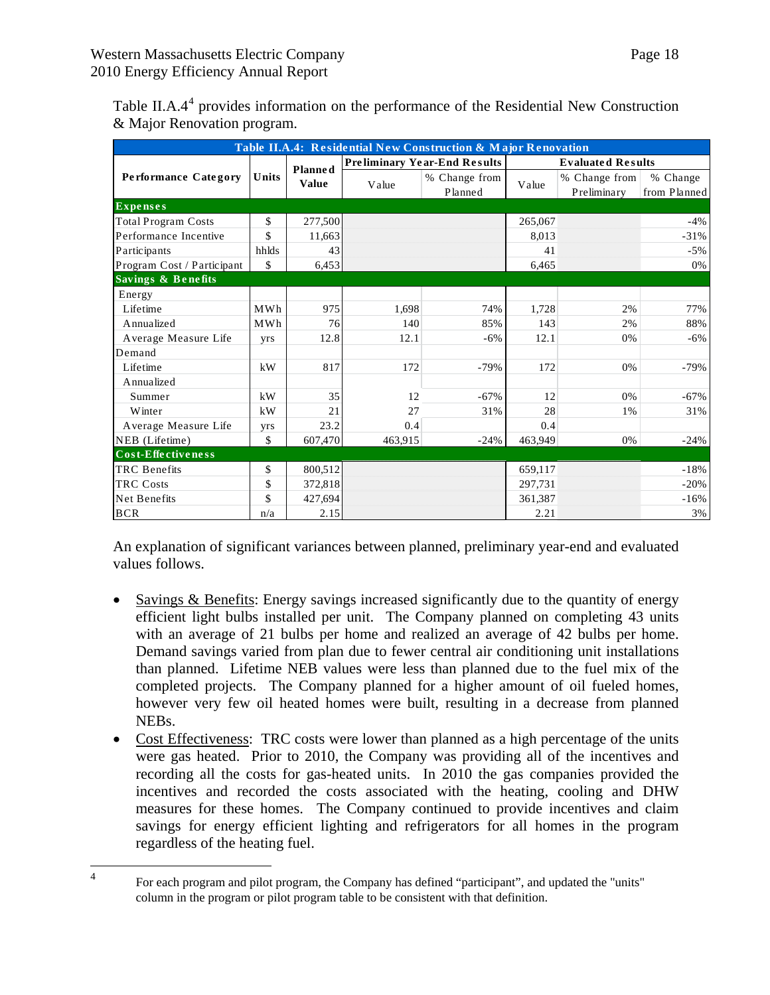| Table II.A.4: Residential New Construction & Major Renovation |       |                |         |                                     |                          |                              |                          |  |  |
|---------------------------------------------------------------|-------|----------------|---------|-------------------------------------|--------------------------|------------------------------|--------------------------|--|--|
|                                                               |       | <b>Planned</b> |         | <b>Preliminary Year-End Results</b> | <b>Evaluated Results</b> |                              |                          |  |  |
| <b>Performance Category</b>                                   | Units | <b>Value</b>   | Value   | % Change from<br>Planned            | Value                    | % Change from<br>Preliminary | % Change<br>from Planned |  |  |
| <b>Expenses</b>                                               |       |                |         |                                     |                          |                              |                          |  |  |
| <b>Total Program Costs</b>                                    | \$    | 277,500        |         |                                     | 265,067                  |                              | $-4%$                    |  |  |
| Performance Incentive                                         | \$    | 11,663         |         |                                     | 8,013                    |                              | $-31%$                   |  |  |
| Participants                                                  | hhlds | 43             |         |                                     | 41                       |                              | $-5%$                    |  |  |
| Program Cost / Participant                                    | \$    | 6,453          |         |                                     | 6,465                    |                              | 0%                       |  |  |
| Savings & Benefits                                            |       |                |         |                                     |                          |                              |                          |  |  |
| Energy                                                        |       |                |         |                                     |                          |                              |                          |  |  |
| Lifetime                                                      | MWh   | 975            | 1,698   | 74%                                 | 1,728                    | 2%                           | 77%                      |  |  |
| Annualized                                                    | MWh   | 76             | 140     | 85%                                 | 143                      | 2%                           | 88%                      |  |  |
| Average Measure Life                                          | yrs   | 12.8           | 12.1    | $-6%$                               | 12.1                     | 0%                           | $-6%$                    |  |  |
| Demand                                                        |       |                |         |                                     |                          |                              |                          |  |  |
| Lifetime                                                      | kW    | 817            | 172     | $-79%$                              | 172                      | 0%                           | $-79%$                   |  |  |
| Annualized                                                    |       |                |         |                                     |                          |                              |                          |  |  |
| Summer                                                        | kW    | 35             | 12      | $-67%$                              | 12                       | 0%                           | $-67%$                   |  |  |
| Winter                                                        | kW    | 21             | 27      | 31%                                 | 28                       | 1%                           | 31%                      |  |  |
| Average Measure Life                                          | yrs   | 23.2           | 0.4     |                                     | 0.4                      |                              |                          |  |  |
| NEB (Lifetime)                                                | \$    | 607,470        | 463,915 | $-24%$                              | 463,949                  | 0%                           | $-24%$                   |  |  |
| Cost-Effectiveness                                            |       |                |         |                                     |                          |                              |                          |  |  |
| <b>TRC</b> Benefits                                           | \$    | 800,512        |         |                                     | 659.117                  |                              | $-18%$                   |  |  |
| <b>TRC Costs</b>                                              | \$    | 372,818        |         |                                     | 297,731                  |                              | $-20%$                   |  |  |
| Net Benefits                                                  | \$    | 427,694        |         |                                     | 361,387                  |                              | $-16%$                   |  |  |
| <b>BCR</b>                                                    | n/a   | 2.15           |         |                                     | 2.21                     |                              | 3%                       |  |  |

Table II.A.[4](#page-17-0)<sup>4</sup> provides information on the performance of the Residential New Construction & Major Renovation program.

An explanation of significant variances between planned, preliminary year-end and evaluated values follows.

- Savings & Benefits: Energy savings increased significantly due to the quantity of energy efficient light bulbs installed per unit. The Company planned on completing 43 units with an average of 21 bulbs per home and realized an average of 42 bulbs per home. Demand savings varied from plan due to fewer central air conditioning unit installations than planned. Lifetime NEB values were less than planned due to the fuel mix of the completed projects. The Company planned for a higher amount of oil fueled homes, however very few oil heated homes were built, resulting in a decrease from planned NEBs.
- Cost Effectiveness: TRC costs were lower than planned as a high percentage of the units were gas heated. Prior to 2010, the Company was providing all of the incentives and recording all the costs for gas-heated units. In 2010 the gas companies provided the incentives and recorded the costs associated with the heating, cooling and DHW measures for these homes. The Company continued to provide incentives and claim savings for energy efficient lighting and refrigerators for all homes in the program regardless of the heating fuel.

<span id="page-17-0"></span> $\frac{1}{4}$ 

For each program and pilot program, the Company has defined "participant", and updated the "units" column in the program or pilot program table to be consistent with that definition.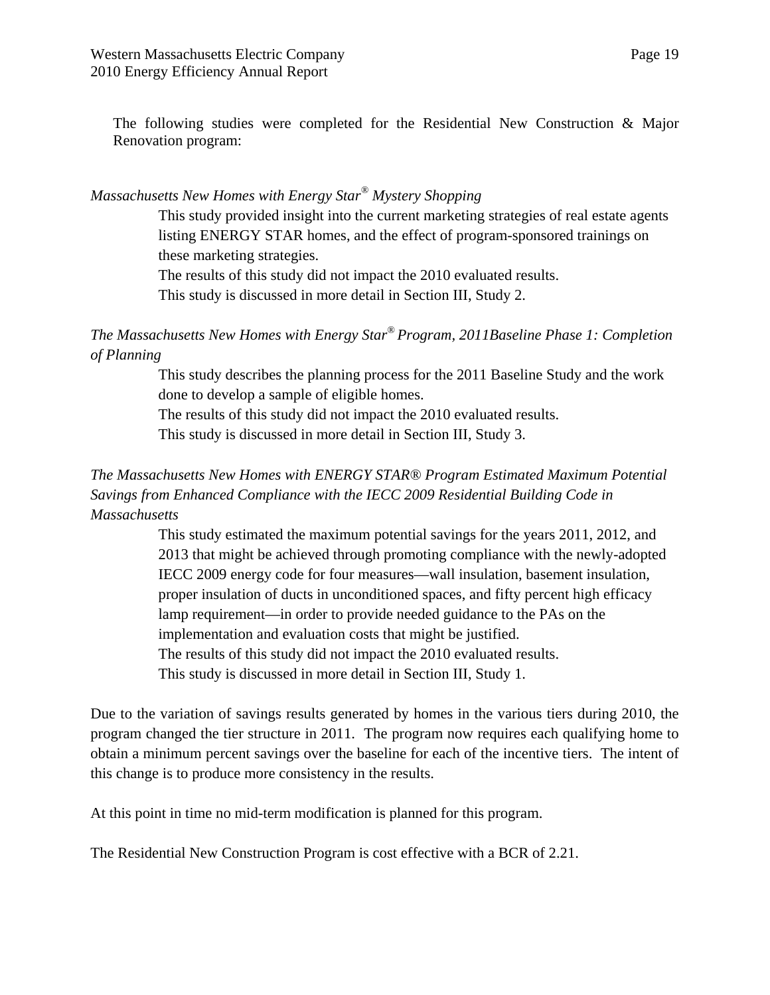The following studies were completed for the Residential New Construction & Major Renovation program:

# *Massachusetts New Homes with Energy Star® Mystery Shopping*

This study provided insight into the current marketing strategies of real estate agents listing ENERGY STAR homes, and the effect of program-sponsored trainings on these marketing strategies.

The results of this study did not impact the 2010 evaluated results.

This study is discussed in more detail in Section III, Study 2.

*The Massachusetts New Homes with Energy Star® Program, 2011Baseline Phase 1: Completion of Planning* 

> This study describes the planning process for the 2011 Baseline Study and the work done to develop a sample of eligible homes.

The results of this study did not impact the 2010 evaluated results. This study is discussed in more detail in Section III, Study 3.

# *The Massachusetts New Homes with ENERGY STAR® Program Estimated Maximum Potential Savings from Enhanced Compliance with the IECC 2009 Residential Building Code in Massachusetts*

This study estimated the maximum potential savings for the years 2011, 2012, and 2013 that might be achieved through promoting compliance with the newly-adopted IECC 2009 energy code for four measures—wall insulation, basement insulation, proper insulation of ducts in unconditioned spaces, and fifty percent high efficacy lamp requirement—in order to provide needed guidance to the PAs on the implementation and evaluation costs that might be justified. The results of this study did not impact the 2010 evaluated results. This study is discussed in more detail in Section III, Study 1.

Due to the variation of savings results generated by homes in the various tiers during 2010, the program changed the tier structure in 2011. The program now requires each qualifying home to obtain a minimum percent savings over the baseline for each of the incentive tiers. The intent of this change is to produce more consistency in the results.

At this point in time no mid-term modification is planned for this program.

The Residential New Construction Program is cost effective with a BCR of 2.21.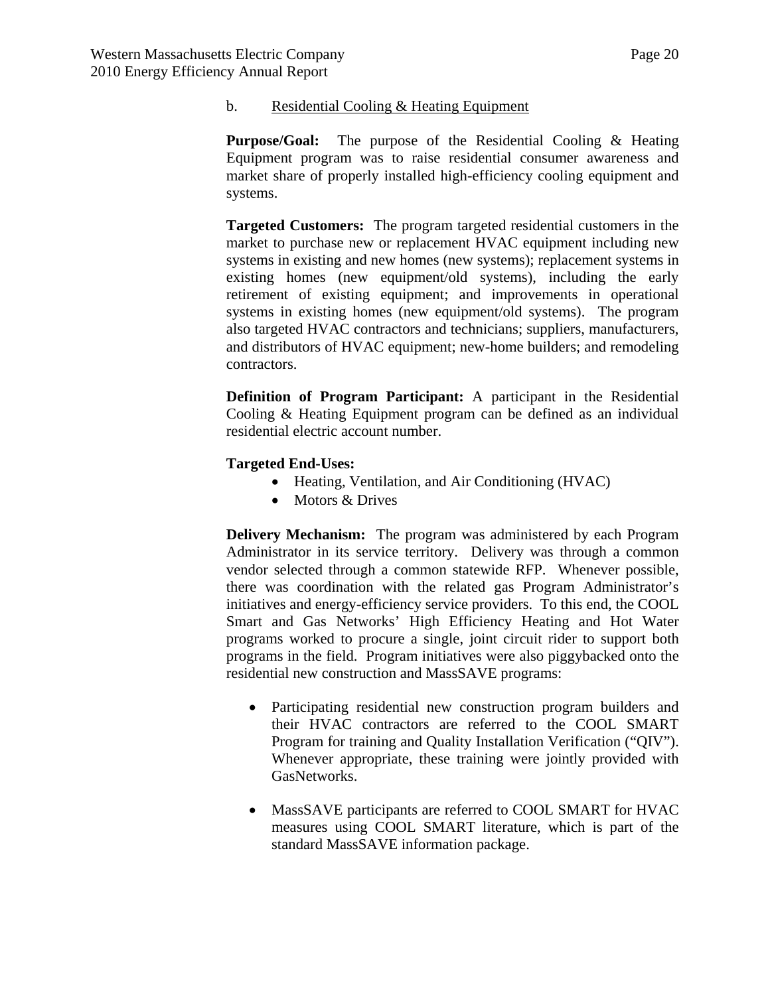#### b. Residential Cooling & Heating Equipment

**Purpose/Goal:** The purpose of the Residential Cooling & Heating Equipment program was to raise residential consumer awareness and market share of properly installed high-efficiency cooling equipment and systems.

**Targeted Customers:** The program targeted residential customers in the market to purchase new or replacement HVAC equipment including new systems in existing and new homes (new systems); replacement systems in existing homes (new equipment/old systems), including the early retirement of existing equipment; and improvements in operational systems in existing homes (new equipment/old systems). The program also targeted HVAC contractors and technicians; suppliers, manufacturers, and distributors of HVAC equipment; new-home builders; and remodeling contractors.

**Definition of Program Participant:** A participant in the Residential Cooling & Heating Equipment program can be defined as an individual residential electric account number.

## **Targeted End-Uses:**

- Heating, Ventilation, and Air Conditioning (HVAC)
- Motors & Drives

**Delivery Mechanism:** The program was administered by each Program Administrator in its service territory. Delivery was through a common vendor selected through a common statewide RFP. Whenever possible, there was coordination with the related gas Program Administrator's initiatives and energy-efficiency service providers. To this end, the COOL Smart and Gas Networks' High Efficiency Heating and Hot Water programs worked to procure a single, joint circuit rider to support both programs in the field. Program initiatives were also piggybacked onto the residential new construction and MassSAVE programs:

- Participating residential new construction program builders and their HVAC contractors are referred to the COOL SMART Program for training and Quality Installation Verification ("QIV"). Whenever appropriate, these training were jointly provided with GasNetworks.
- MassSAVE participants are referred to COOL SMART for HVAC measures using COOL SMART literature, which is part of the standard MassSAVE information package.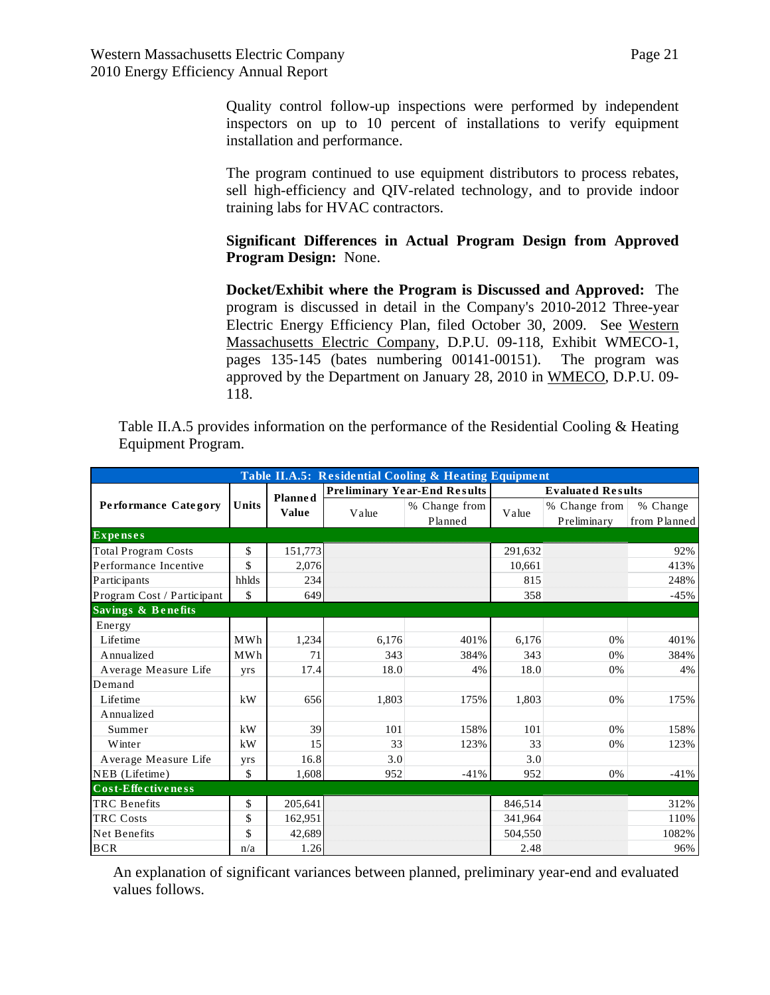Quality control follow-up inspections were performed by independent inspectors on up to 10 percent of installations to verify equipment installation and performance.

The program continued to use equipment distributors to process rebates, sell high-efficiency and QIV-related technology, and to provide indoor training labs for HVAC contractors.

# **Significant Differences in Actual Program Design from Approved Program Design:** None.

**Docket/Exhibit where the Program is Discussed and Approved:** The program is discussed in detail in the Company's 2010-2012 Three-year Electric Energy Efficiency Plan, filed October 30, 2009. See Western Massachusetts Electric Company, D.P.U. 09-118, Exhibit WMECO-1, pages 135-145 (bates numbering 00141-00151). The program was approved by the Department on January 28, 2010 in WMECO, D.P.U. 09- 118.

Table II.A.5 provides information on the performance of the Residential Cooling & Heating Equipment Program.

| Table II.A.5: Residential Cooling & Heating Equipment |       |                |       |                                     |                          |                              |                          |  |  |
|-------------------------------------------------------|-------|----------------|-------|-------------------------------------|--------------------------|------------------------------|--------------------------|--|--|
|                                                       |       | <b>Planned</b> |       | <b>Preliminary Year-End Results</b> | <b>Evaluated Results</b> |                              |                          |  |  |
| <b>Performance Category</b>                           | Units | Value          | Value | % Change from<br>Planned            | Value                    | % Change from<br>Preliminary | % Change<br>from Planned |  |  |
| <b>Expenses</b>                                       |       |                |       |                                     |                          |                              |                          |  |  |
| <b>Total Program Costs</b>                            | \$    | 151,773        |       |                                     | 291,632                  |                              | 92%                      |  |  |
| Performance Incentive                                 | \$    | 2,076          |       |                                     | 10.661                   |                              | 413%                     |  |  |
| Participants                                          | hhlds | 234            |       |                                     | 815                      |                              | 248%                     |  |  |
| Program Cost / Participant                            | \$    | 649            |       |                                     | 358                      |                              | $-45%$                   |  |  |
| Savings & Benefits                                    |       |                |       |                                     |                          |                              |                          |  |  |
| Energy                                                |       |                |       |                                     |                          |                              |                          |  |  |
| Lifetime                                              | MWh   | 1,234          | 6,176 | 401%                                | 6,176                    | 0%                           | 401%                     |  |  |
| A nnualized                                           | MWh   | 71             | 343   | 384%                                | 343                      | 0%                           | 384%                     |  |  |
| Average Measure Life                                  | yrs   | 17.4           | 18.0  | 4%                                  | 18.0                     | 0%                           | 4%                       |  |  |
| Demand                                                |       |                |       |                                     |                          |                              |                          |  |  |
| Lifetime                                              | kW    | 656            | 1.803 | 175%                                | 1.803                    | 0%                           | 175%                     |  |  |
| Annualized                                            |       |                |       |                                     |                          |                              |                          |  |  |
| Summer                                                | kW    | 39             | 101   | 158%                                | 101                      | 0%                           | 158%                     |  |  |
| Winter                                                | kW    | 15             | 33    | 123%                                | 33                       | 0%                           | 123%                     |  |  |
| Average Measure Life                                  | yrs   | 16.8           | 3.0   |                                     | 3.0                      |                              |                          |  |  |
| NEB (Lifetime)                                        | \$    | 1,608          | 952   | $-41%$                              | 952                      | 0%                           | $-41%$                   |  |  |
| Cost-Effectiveness                                    |       |                |       |                                     |                          |                              |                          |  |  |
| <b>TRC</b> Benefits                                   | \$    | 205,641        |       |                                     | 846.514                  |                              | 312%                     |  |  |
| <b>TRC Costs</b>                                      | \$    | 162,951        |       |                                     | 341,964                  |                              | 110%                     |  |  |
| Net Benefits                                          | \$    | 42,689         |       |                                     | 504,550                  |                              | 1082%                    |  |  |
| <b>BCR</b>                                            | n/a   | 1.26           |       |                                     | 2.48                     |                              | 96%                      |  |  |

An explanation of significant variances between planned, preliminary year-end and evaluated values follows.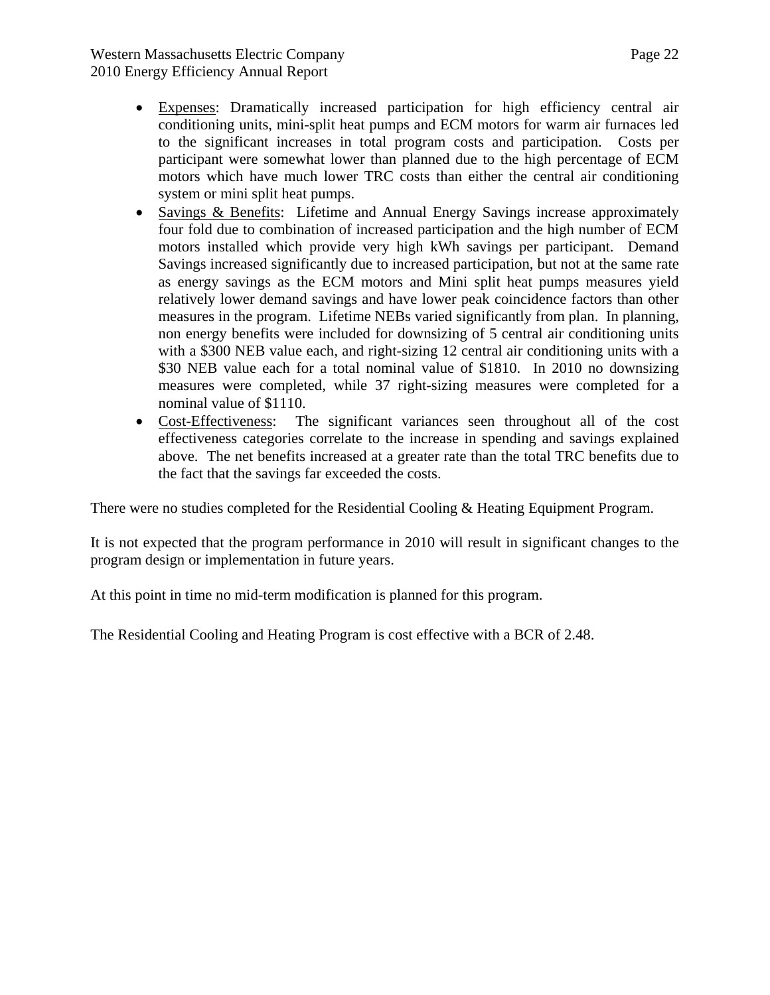- Expenses: Dramatically increased participation for high efficiency central air conditioning units, mini-split heat pumps and ECM motors for warm air furnaces led to the significant increases in total program costs and participation. Costs per participant were somewhat lower than planned due to the high percentage of ECM motors which have much lower TRC costs than either the central air conditioning system or mini split heat pumps.
- Savings & Benefits: Lifetime and Annual Energy Savings increase approximately four fold due to combination of increased participation and the high number of ECM motors installed which provide very high kWh savings per participant. Demand Savings increased significantly due to increased participation, but not at the same rate as energy savings as the ECM motors and Mini split heat pumps measures yield relatively lower demand savings and have lower peak coincidence factors than other measures in the program. Lifetime NEBs varied significantly from plan. In planning, non energy benefits were included for downsizing of 5 central air conditioning units with a \$300 NEB value each, and right-sizing 12 central air conditioning units with a \$30 NEB value each for a total nominal value of \$1810. In 2010 no downsizing measures were completed, while 37 right-sizing measures were completed for a nominal value of \$1110.
- Cost-Effectiveness: The significant variances seen throughout all of the cost effectiveness categories correlate to the increase in spending and savings explained above. The net benefits increased at a greater rate than the total TRC benefits due to the fact that the savings far exceeded the costs.

There were no studies completed for the Residential Cooling & Heating Equipment Program.

It is not expected that the program performance in 2010 will result in significant changes to the program design or implementation in future years.

At this point in time no mid-term modification is planned for this program.

The Residential Cooling and Heating Program is cost effective with a BCR of 2.48.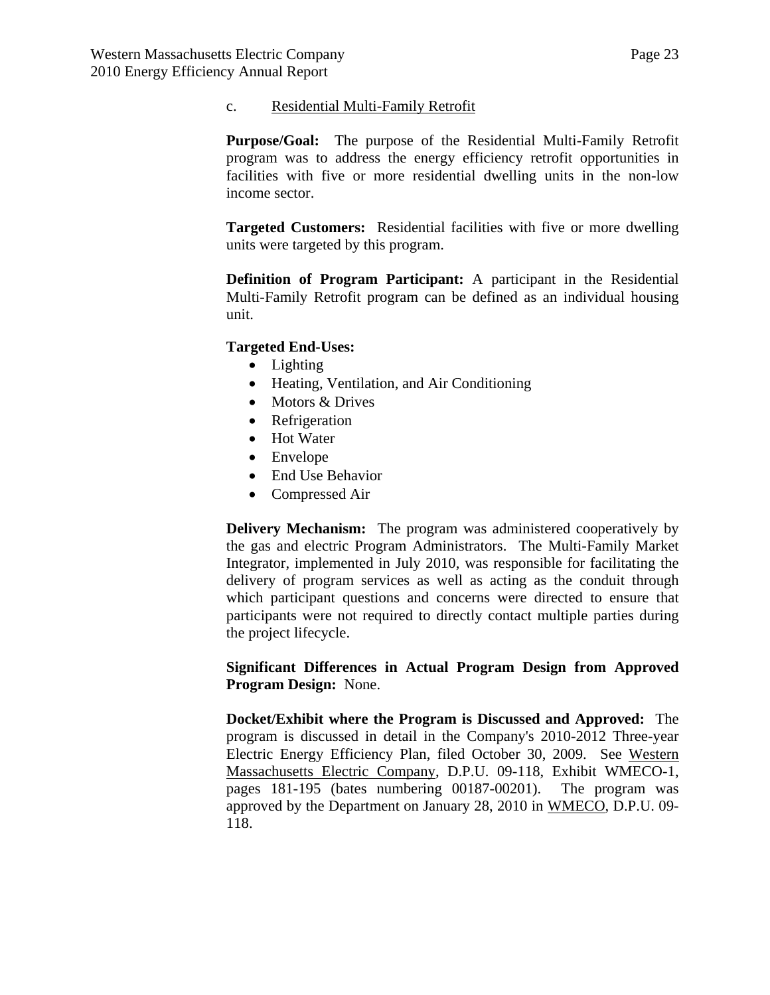### c. Residential Multi-Family Retrofit

**Purpose/Goal:** The purpose of the Residential Multi-Family Retrofit program was to address the energy efficiency retrofit opportunities in facilities with five or more residential dwelling units in the non-low income sector.

**Targeted Customers:** Residential facilities with five or more dwelling units were targeted by this program.

**Definition of Program Participant:** A participant in the Residential Multi-Family Retrofit program can be defined as an individual housing unit.

## **Targeted End-Uses:**

- Lighting
- Heating, Ventilation, and Air Conditioning
- Motors & Drives
- Refrigeration
- Hot Water
- Envelope
- End Use Behavior
- Compressed Air

**Delivery Mechanism:** The program was administered cooperatively by the gas and electric Program Administrators. The Multi-Family Market Integrator, implemented in July 2010, was responsible for facilitating the delivery of program services as well as acting as the conduit through which participant questions and concerns were directed to ensure that participants were not required to directly contact multiple parties during the project lifecycle.

**Significant Differences in Actual Program Design from Approved Program Design:** None.

**Docket/Exhibit where the Program is Discussed and Approved:** The program is discussed in detail in the Company's 2010-2012 Three-year Electric Energy Efficiency Plan, filed October 30, 2009. See Western Massachusetts Electric Company, D.P.U. 09-118, Exhibit WMECO-1, pages 181-195 (bates numbering 00187-00201). The program was approved by the Department on January 28, 2010 in WMECO, D.P.U. 09- 118.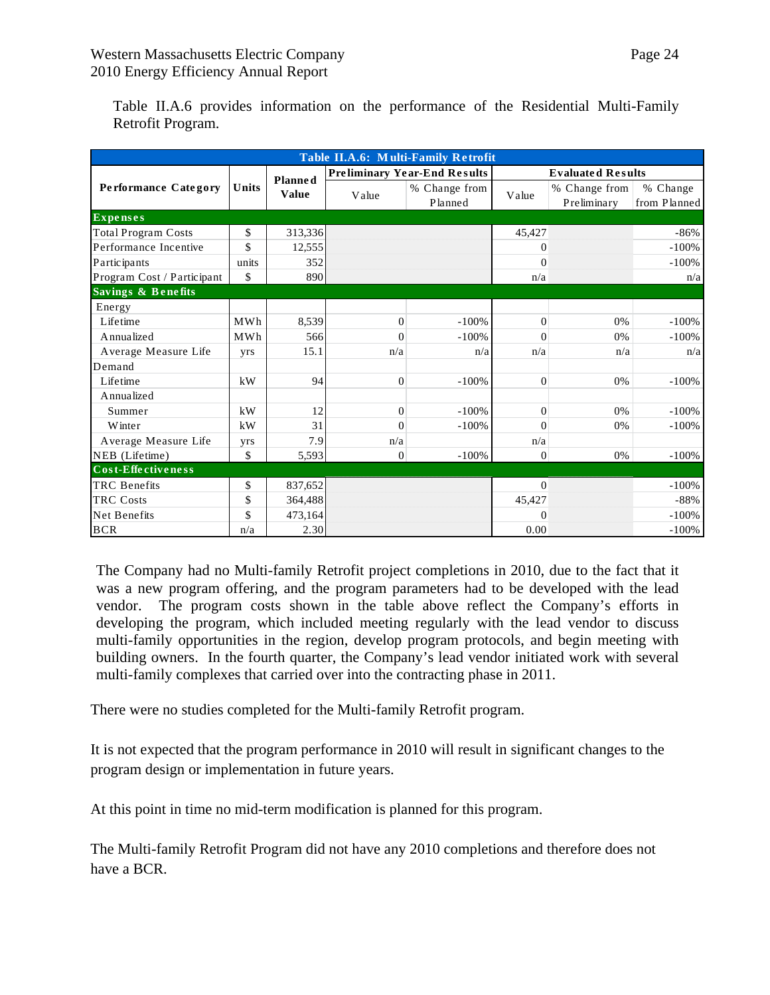|--|--|

Table II.A.6 provides information on the performance of the Residential Multi-Family Retrofit Program.

| Table II.A.6: Multi-Family Retrofit |       |              |                |                                     |                          |                              |                          |  |  |
|-------------------------------------|-------|--------------|----------------|-------------------------------------|--------------------------|------------------------------|--------------------------|--|--|
| Planned                             |       |              |                | <b>Preliminary Year-End Results</b> | <b>Evaluated Results</b> |                              |                          |  |  |
| <b>Performance Category</b>         | Units | <b>Value</b> | Value          | % Change from<br>Planned            | Value                    | % Change from<br>Preliminary | % Change<br>from Planned |  |  |
| <b>Expenses</b>                     |       |              |                |                                     |                          |                              |                          |  |  |
| <b>Total Program Costs</b>          | \$    | 313,336      |                |                                     | 45,427                   |                              | $-86%$                   |  |  |
| Performance Incentive               | \$    | 12,555       |                |                                     | $\Omega$                 |                              | $-100%$                  |  |  |
| Participants                        | units | 352          |                |                                     | $\mathbf{0}$             |                              | $-100%$                  |  |  |
| Program Cost / Participant          | \$    | 890          |                |                                     | n/a                      |                              | n/a                      |  |  |
| Savings & Benefits                  |       |              |                |                                     |                          |                              |                          |  |  |
| Energy                              |       |              |                |                                     |                          |                              |                          |  |  |
| Lifetime                            | MWh   | 8,539        | $\mathbf{0}$   | $-100%$                             | $\Omega$                 | 0%                           | $-100%$                  |  |  |
| Annualized                          | MWh   | 566          | $\Omega$       | $-100%$                             | $\Omega$                 | 0%                           | $-100%$                  |  |  |
| Average Measure Life                | yrs   | 15.1         | n/a            | n/a                                 | n/a                      | n/a                          | n/a                      |  |  |
| Demand                              |       |              |                |                                     |                          |                              |                          |  |  |
| Lifetime                            | kW    | 94           | $\theta$       | $-100%$                             | $\Omega$                 | 0%                           | $-100%$                  |  |  |
| Annualized                          |       |              |                |                                     |                          |                              |                          |  |  |
| Summer                              | kW    | 12           | $\Omega$       | $-100%$                             | $\Omega$                 | 0%                           | $-100%$                  |  |  |
| Winter                              | kW    | 31           | $\Omega$       | $-100%$                             | $\Omega$                 | 0%                           | $-100%$                  |  |  |
| Average Measure Life                | yrs   | 7.9          | n/a            |                                     | n/a                      |                              |                          |  |  |
| NEB (Lifetime)                      | \$    | 5,593        | $\overline{0}$ | $-100%$                             | $\overline{0}$           | 0%                           | $-100%$                  |  |  |
| Cost-Effectiveness                  |       |              |                |                                     |                          |                              |                          |  |  |
| <b>TRC</b> Benefits                 | \$    | 837,652      |                |                                     | $\mathbf{0}$             |                              | $-100%$                  |  |  |
| <b>TRC</b> Costs                    | \$    | 364,488      |                |                                     | 45,427                   |                              | $-88%$                   |  |  |
| <b>Net Benefits</b>                 | \$    | 473,164      |                |                                     | $\Omega$                 |                              | $-100%$                  |  |  |
| <b>BCR</b>                          | n/a   | 2.30         |                |                                     | 0.00                     |                              | $-100%$                  |  |  |

The Company had no Multi-family Retrofit project completions in 2010, due to the fact that it was a new program offering, and the program parameters had to be developed with the lead vendor. The program costs shown in the table above reflect the Company's efforts in developing the program, which included meeting regularly with the lead vendor to discuss multi-family opportunities in the region, develop program protocols, and begin meeting with building owners. In the fourth quarter, the Company's lead vendor initiated work with several multi-family complexes that carried over into the contracting phase in 2011.

There were no studies completed for the Multi-family Retrofit program.

It is not expected that the program performance in 2010 will result in significant changes to the program design or implementation in future years.

At this point in time no mid-term modification is planned for this program.

The Multi-family Retrofit Program did not have any 2010 completions and therefore does not have a BCR.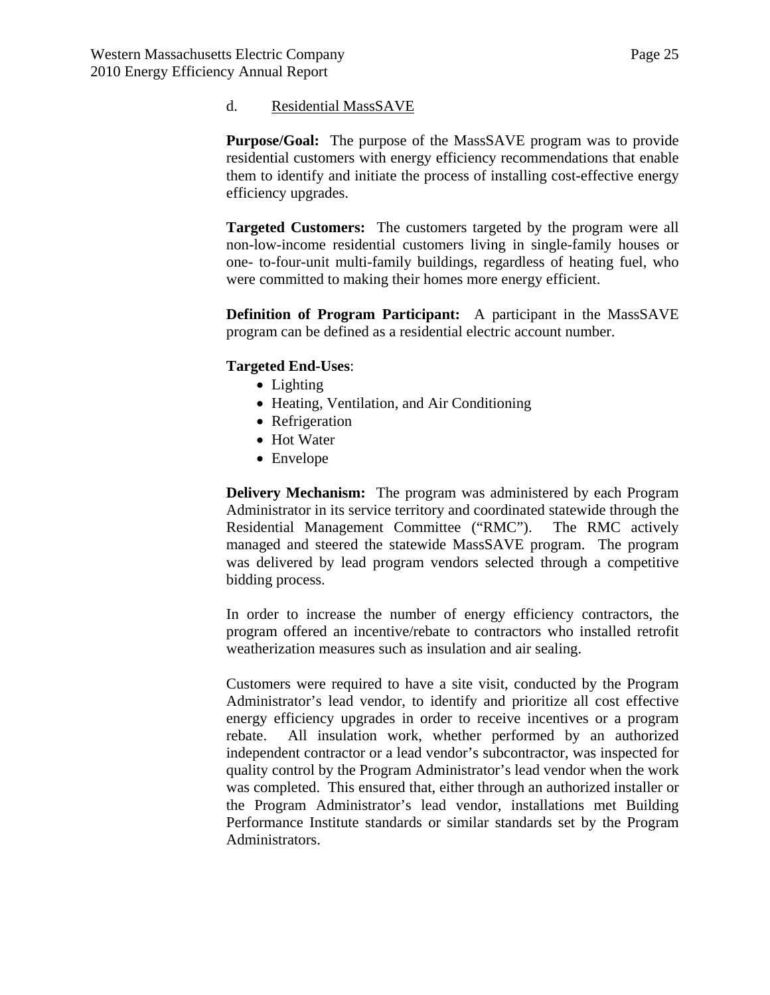#### d. Residential MassSAVE

**Purpose/Goal:** The purpose of the MassSAVE program was to provide residential customers with energy efficiency recommendations that enable them to identify and initiate the process of installing cost-effective energy efficiency upgrades.

**Targeted Customers:** The customers targeted by the program were all non-low-income residential customers living in single-family houses or one- to-four-unit multi-family buildings, regardless of heating fuel, who were committed to making their homes more energy efficient.

**Definition of Program Participant:** A participant in the MassSAVE program can be defined as a residential electric account number.

## **Targeted End-Uses**:

- Lighting
- Heating, Ventilation, and Air Conditioning
- Refrigeration
- Hot Water
- Envelope

**Delivery Mechanism:** The program was administered by each Program Administrator in its service territory and coordinated statewide through the Residential Management Committee ("RMC"). The RMC actively managed and steered the statewide MassSAVE program. The program was delivered by lead program vendors selected through a competitive bidding process.

In order to increase the number of energy efficiency contractors, the program offered an incentive/rebate to contractors who installed retrofit weatherization measures such as insulation and air sealing.

Customers were required to have a site visit, conducted by the Program Administrator's lead vendor, to identify and prioritize all cost effective energy efficiency upgrades in order to receive incentives or a program rebate. All insulation work, whether performed by an authorized independent contractor or a lead vendor's subcontractor, was inspected for quality control by the Program Administrator's lead vendor when the work was completed. This ensured that, either through an authorized installer or the Program Administrator's lead vendor, installations met Building Performance Institute standards or similar standards set by the Program Administrators.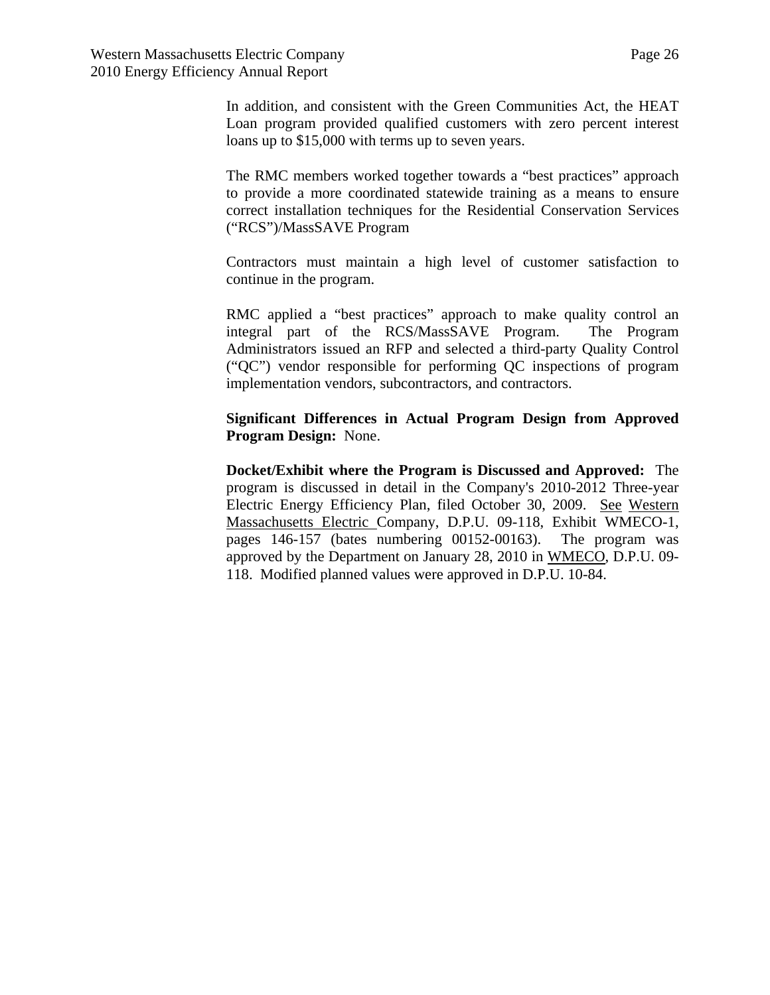In addition, and consistent with the Green Communities Act, the HEAT Loan program provided qualified customers with zero percent interest loans up to \$15,000 with terms up to seven years.

The RMC members worked together towards a "best practices" approach to provide a more coordinated statewide training as a means to ensure correct installation techniques for the Residential Conservation Services ("RCS")/MassSAVE Program

Contractors must maintain a high level of customer satisfaction to continue in the program.

RMC applied a "best practices" approach to make quality control an integral part of the RCS/MassSAVE Program. The Program Administrators issued an RFP and selected a third-party Quality Control ("QC") vendor responsible for performing QC inspections of program implementation vendors, subcontractors, and contractors.

**Significant Differences in Actual Program Design from Approved Program Design:** None.

**Docket/Exhibit where the Program is Discussed and Approved:** The program is discussed in detail in the Company's 2010-2012 Three-year Electric Energy Efficiency Plan, filed October 30, 2009. See Western Massachusetts Electric Company, D.P.U. 09-118, Exhibit WMECO-1, pages 146-157 (bates numbering 00152-00163). The program was approved by the Department on January 28, 2010 in WMECO, D.P.U. 09- 118. Modified planned values were approved in D.P.U. 10-84.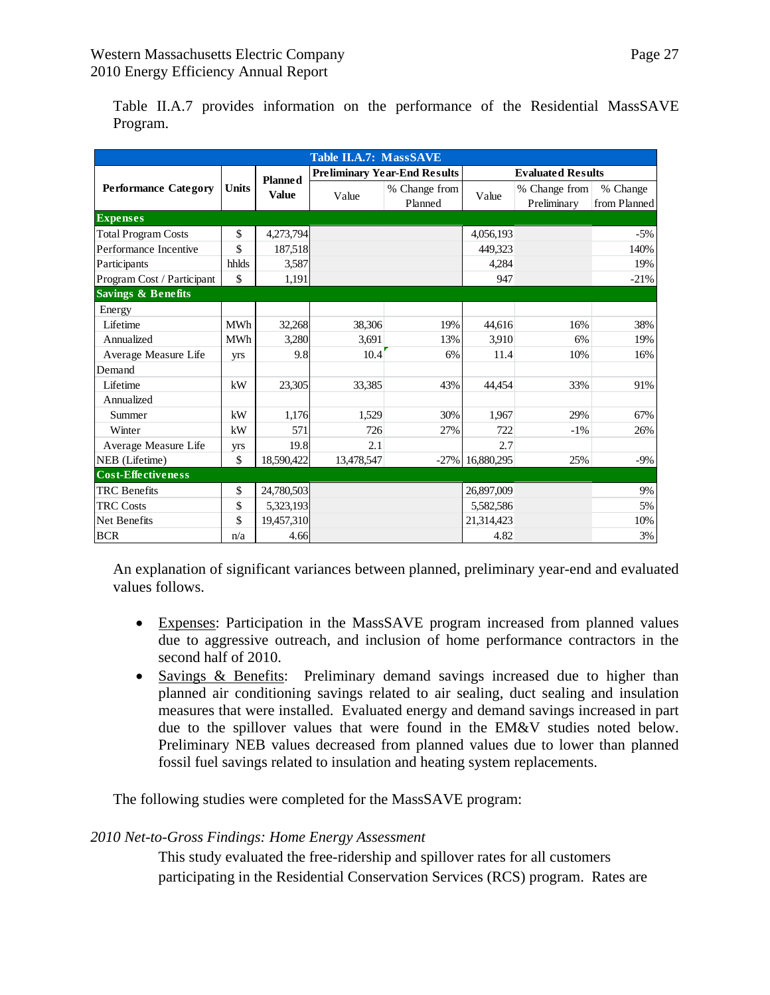|--|--|

Table II.A.7 provides information on the performance of the Residential MassSAVE Program.

| <b>Table II.A.7: MassSAVE</b> |              |                |            |                                     |                          |                              |                          |
|-------------------------------|--------------|----------------|------------|-------------------------------------|--------------------------|------------------------------|--------------------------|
|                               | <b>Units</b> | <b>Planned</b> |            | <b>Preliminary Year-End Results</b> | <b>Evaluated Results</b> |                              |                          |
| <b>Performance Category</b>   |              | <b>Value</b>   | Value      | % Change from<br>Planned            | Value                    | % Change from<br>Preliminary | % Change<br>from Planned |
| <b>Expenses</b>               |              |                |            |                                     |                          |                              |                          |
| <b>Total Program Costs</b>    | \$           | 4,273,794      |            |                                     | 4,056,193                |                              | $-5\%$                   |
| Performance Incentive         | \$           | 187,518        |            |                                     | 449.323                  |                              | 140%                     |
| Participants                  | hhlds        | 3,587          |            |                                     | 4.284                    |                              | 19%                      |
| Program Cost / Participant    | \$           | 1,191          |            |                                     | 947                      |                              | $-21%$                   |
| <b>Savings &amp; Benefits</b> |              |                |            |                                     |                          |                              |                          |
| Energy                        |              |                |            |                                     |                          |                              |                          |
| Lifetime                      | <b>MWh</b>   | 32,268         | 38,306     | 19%                                 | 44,616                   | 16%                          | 38%                      |
| Annualized                    | <b>MWh</b>   | 3,280          | 3,691      | 13%                                 | 3,910                    | 6%                           | 19%                      |
| Average Measure Life          | yrs          | 9.8            | 10.4       | 6%                                  | 11.4                     | 10%                          | 16%                      |
| Demand                        |              |                |            |                                     |                          |                              |                          |
| Lifetime                      | kW           | 23.305         | 33,385     | 43%                                 | 44.454                   | 33%                          | 91%                      |
| Annualized                    |              |                |            |                                     |                          |                              |                          |
| Summer                        | kW           | 1,176          | 1,529      | 30%                                 | 1,967                    | 29%                          | 67%                      |
| Winter                        | kW           | 571            | 726        | 27%                                 | 722                      | $-1\%$                       | 26%                      |
| Average Measure Life          | <b>Vrs</b>   | 19.8           | 2.1        |                                     | 2.7                      |                              |                          |
| NEB (Lifetime)                | \$           | 18,590,422     | 13,478,547 |                                     | $-27\%$ 16,880,295       | 25%                          | $-9\%$                   |
| <b>Cost-Effectiveness</b>     |              |                |            |                                     |                          |                              |                          |
| <b>TRC</b> Benefits           | \$           | 24,780,503     |            |                                     | 26,897,009               |                              | $9\%$                    |
| <b>TRC</b> Costs              | \$           | 5,323,193      |            |                                     | 5,582,586                |                              | 5%                       |
| Net Benefits                  | \$           | 19,457,310     |            |                                     | 21,314,423               |                              | 10%                      |
| <b>BCR</b>                    | n/a          | 4.66           |            |                                     | 4.82                     |                              | 3%                       |

An explanation of significant variances between planned, preliminary year-end and evaluated values follows.

- Expenses: Participation in the MassSAVE program increased from planned values due to aggressive outreach, and inclusion of home performance contractors in the second half of 2010.
- Savings & Benefits: Preliminary demand savings increased due to higher than planned air conditioning savings related to air sealing, duct sealing and insulation measures that were installed. Evaluated energy and demand savings increased in part due to the spillover values that were found in the EM&V studies noted below. Preliminary NEB values decreased from planned values due to lower than planned fossil fuel savings related to insulation and heating system replacements.

The following studies were completed for the MassSAVE program:

## *2010 Net-to-Gross Findings: Home Energy Assessment*

This study evaluated the free-ridership and spillover rates for all customers participating in the Residential Conservation Services (RCS) program. Rates are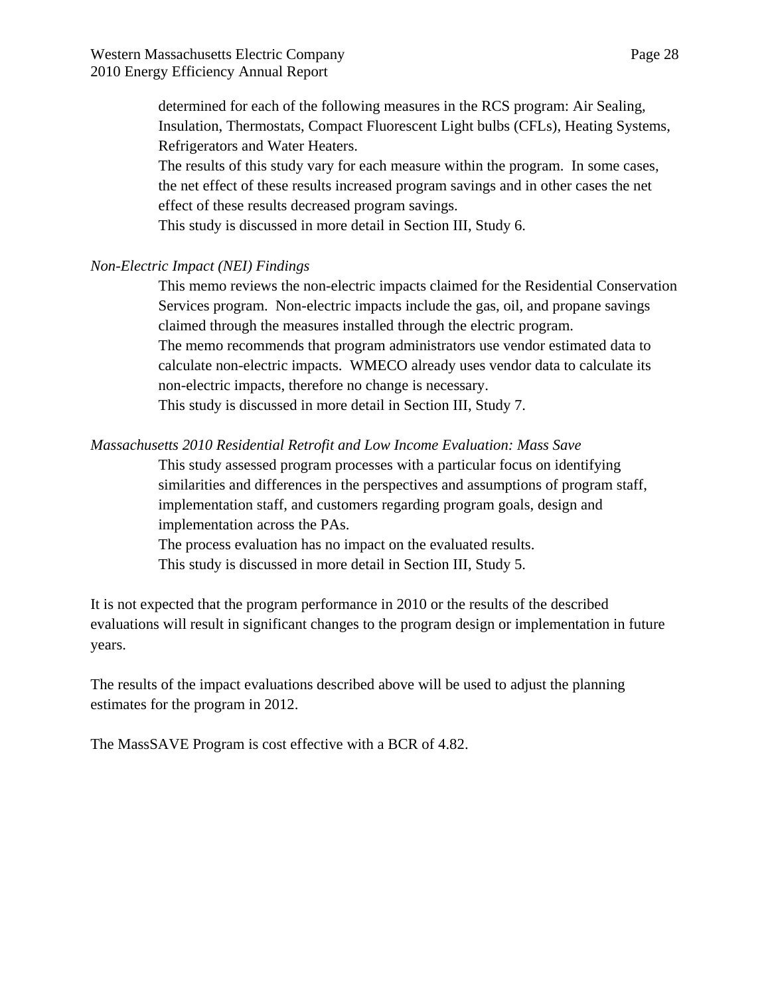determined for each of the following measures in the RCS program: Air Sealing, Insulation, Thermostats, Compact Fluorescent Light bulbs (CFLs), Heating Systems, Refrigerators and Water Heaters.

The results of this study vary for each measure within the program. In some cases, the net effect of these results increased program savings and in other cases the net effect of these results decreased program savings.

This study is discussed in more detail in Section III, Study 6.

## *Non-Electric Impact (NEI) Findings*

This memo reviews the non-electric impacts claimed for the Residential Conservation Services program. Non-electric impacts include the gas, oil, and propane savings claimed through the measures installed through the electric program. The memo recommends that program administrators use vendor estimated data to calculate non-electric impacts. WMECO already uses vendor data to calculate its non-electric impacts, therefore no change is necessary.

This study is discussed in more detail in Section III, Study 7.

# *Massachusetts 2010 Residential Retrofit and Low Income Evaluation: Mass Save*

This study assessed program processes with a particular focus on identifying similarities and differences in the perspectives and assumptions of program staff, implementation staff, and customers regarding program goals, design and implementation across the PAs.

The process evaluation has no impact on the evaluated results. This study is discussed in more detail in Section III, Study 5.

It is not expected that the program performance in 2010 or the results of the described evaluations will result in significant changes to the program design or implementation in future years.

The results of the impact evaluations described above will be used to adjust the planning estimates for the program in 2012.

The MassSAVE Program is cost effective with a BCR of 4.82.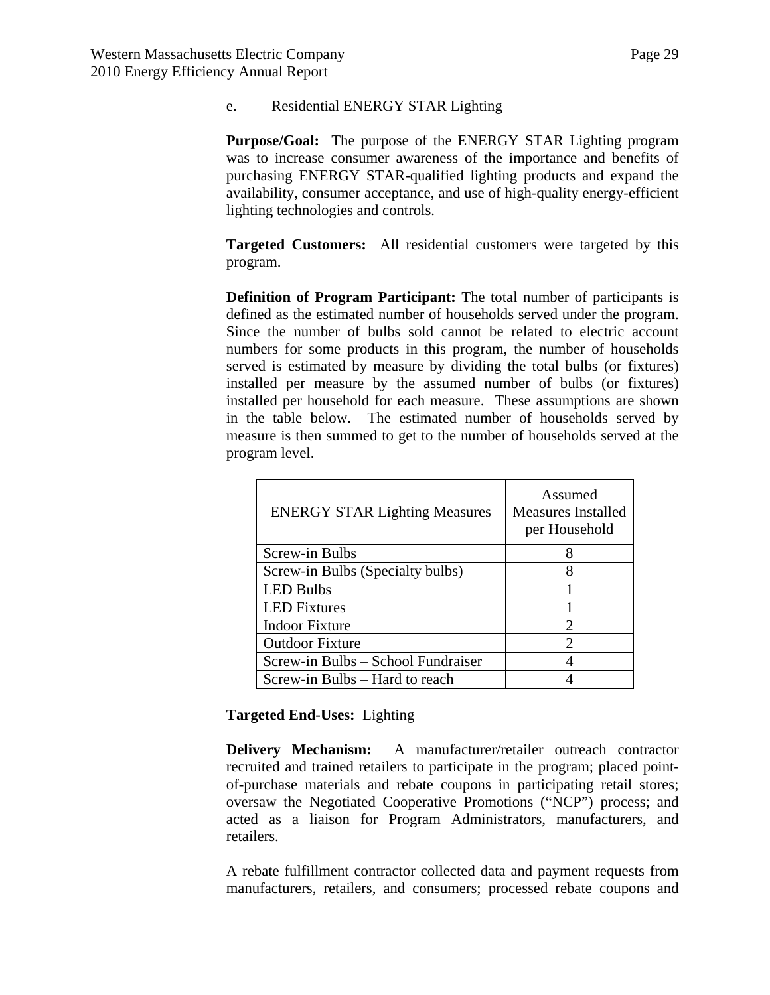#### e. Residential ENERGY STAR Lighting

**Purpose/Goal:** The purpose of the ENERGY STAR Lighting program was to increase consumer awareness of the importance and benefits of purchasing ENERGY STAR-qualified lighting products and expand the availability, consumer acceptance, and use of high-quality energy-efficient lighting technologies and controls.

**Targeted Customers:** All residential customers were targeted by this program.

**Definition of Program Participant:** The total number of participants is defined as the estimated number of households served under the program. Since the number of bulbs sold cannot be related to electric account numbers for some products in this program, the number of households served is estimated by measure by dividing the total bulbs (or fixtures) installed per measure by the assumed number of bulbs (or fixtures) installed per household for each measure. These assumptions are shown in the table below. The estimated number of households served by measure is then summed to get to the number of households served at the program level.

| <b>ENERGY STAR Lighting Measures</b> | Assumed<br><b>Measures Installed</b><br>per Household |
|--------------------------------------|-------------------------------------------------------|
| Screw-in Bulbs                       |                                                       |
| Screw-in Bulbs (Specialty bulbs)     | 8                                                     |
| <b>LED Bulbs</b>                     |                                                       |
| <b>LED</b> Fixtures                  |                                                       |
| <b>Indoor Fixture</b>                | $\mathcal{D}_{\mathcal{L}}$                           |
| <b>Outdoor Fixture</b>               | $\mathcal{D}_{\mathcal{A}}$                           |
| Screw-in Bulbs – School Fundraiser   |                                                       |
| Screw-in Bulbs - Hard to reach       |                                                       |

## **Targeted End-Uses:** Lighting

**Delivery Mechanism:** A manufacturer/retailer outreach contractor recruited and trained retailers to participate in the program; placed pointof-purchase materials and rebate coupons in participating retail stores; oversaw the Negotiated Cooperative Promotions ("NCP") process; and acted as a liaison for Program Administrators, manufacturers, and retailers.

A rebate fulfillment contractor collected data and payment requests from manufacturers, retailers, and consumers; processed rebate coupons and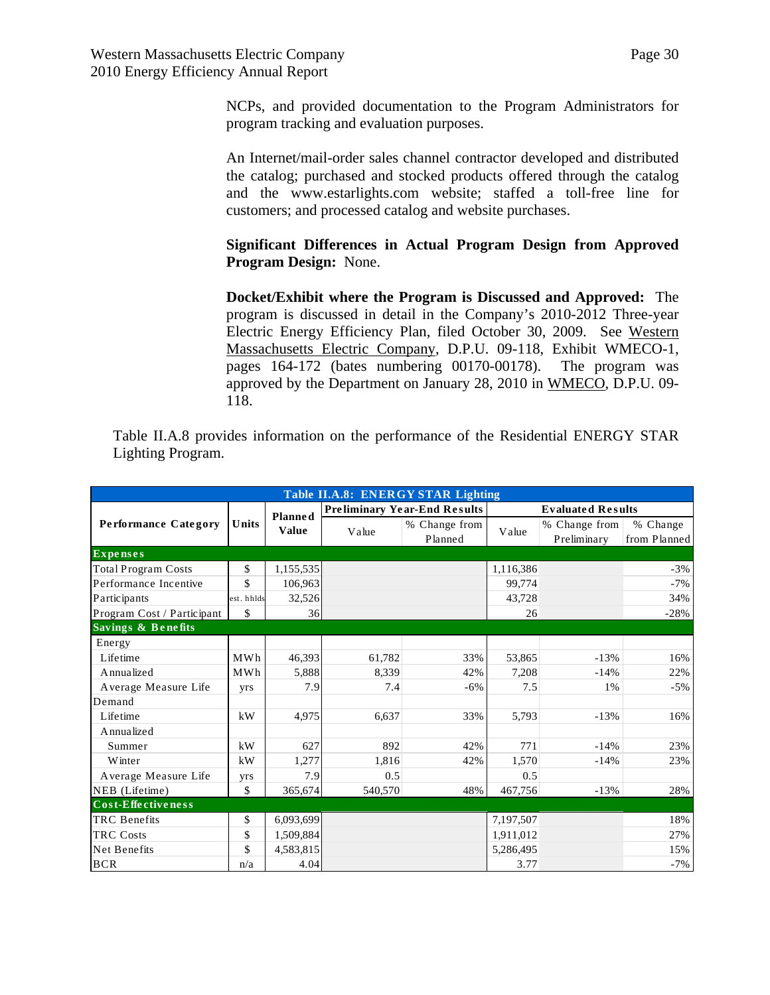NCPs, and provided documentation to the Program Administrators for program tracking and evaluation purposes.

An Internet/mail-order sales channel contractor developed and distributed the catalog; purchased and stocked products offered through the catalog and the www.estarlights.com website; staffed a toll-free line for customers; and processed catalog and website purchases.

# **Significant Differences in Actual Program Design from Approved Program Design:** None.

**Docket/Exhibit where the Program is Discussed and Approved:** The program is discussed in detail in the Company's 2010-2012 Three-year Electric Energy Efficiency Plan, filed October 30, 2009. See Western Massachusetts Electric Company, D.P.U. 09-118, Exhibit WMECO-1, pages 164-172 (bates numbering 00170-00178). The program was approved by the Department on January 28, 2010 in WMECO, D.P.U. 09- 118.

Table II.A.8 provides information on the performance of the Residential ENERGY STAR Lighting Program.

| Table II.A.8: ENERGY STAR Lighting |            |                                |                                     |                          |                          |                              |                          |
|------------------------------------|------------|--------------------------------|-------------------------------------|--------------------------|--------------------------|------------------------------|--------------------------|
| <b>Performance Category</b>        | Units      | <b>Planned</b><br><b>Value</b> | <b>Preliminary Year-End Results</b> |                          | <b>Evaluated Results</b> |                              |                          |
|                                    |            |                                | Value                               | % Change from<br>Planned | Value                    | % Change from<br>Preliminary | % Change<br>from Planned |
| <b>Expenses</b>                    |            |                                |                                     |                          |                          |                              |                          |
| <b>Total Program Costs</b>         | \$         | 1,155,535                      |                                     |                          | 1,116,386                |                              | $-3%$                    |
| Performance Incentive              | \$         | 106,963                        |                                     |                          | 99.774                   |                              | $-7%$                    |
| Participants                       | est. hhlds | 32,526                         |                                     |                          | 43,728                   |                              | 34%                      |
| Program Cost / Participant         | \$         | 36                             |                                     |                          | 26                       |                              | $-28%$                   |
| <b>Savings &amp; Benefits</b>      |            |                                |                                     |                          |                          |                              |                          |
| Energy                             |            |                                |                                     |                          |                          |                              |                          |
| Lifetime                           | <b>MWh</b> | 46,393                         | 61,782                              | 33%                      | 53,865                   | $-13%$                       | 16%                      |
| Annualized                         | MWh        | 5,888                          | 8,339                               | 42%                      | 7,208                    | $-14%$                       | 22%                      |
| Average Measure Life               | yrs        | 7.9                            | 7.4                                 | $-6%$                    | 7.5                      | 1%                           | $-5%$                    |
| Demand                             |            |                                |                                     |                          |                          |                              |                          |
| Lifetime                           | kW         | 4,975                          | 6,637                               | 33%                      | 5,793                    | $-13%$                       | 16%                      |
| Annualized                         |            |                                |                                     |                          |                          |                              |                          |
| Summer                             | kW         | 627                            | 892                                 | 42%                      | 771                      | $-14%$                       | 23%                      |
| Winter                             | kW         | 1,277                          | 1,816                               | 42%                      | 1,570                    | $-14%$                       | 23%                      |
| Average Measure Life               | yrs        | 7.9                            | 0.5                                 |                          | 0.5                      |                              |                          |
| NEB (Lifetime)                     | \$         | 365,674                        | 540,570                             | 48%                      | 467,756                  | $-13%$                       | 28%                      |
| Cost-Effectiveness                 |            |                                |                                     |                          |                          |                              |                          |
| <b>TRC</b> Benefits                | \$         | 6,093,699                      |                                     |                          | 7,197,507                |                              | 18%                      |
| <b>TRC Costs</b>                   | \$         | 1,509,884                      |                                     |                          | 1,911,012                |                              | 27%                      |
| <b>Net Benefits</b>                | \$         | 4,583,815                      |                                     |                          | 5,286,495                |                              | 15%                      |
| <b>BCR</b>                         | n/a        | 4.04                           |                                     |                          | 3.77                     |                              | $-7%$                    |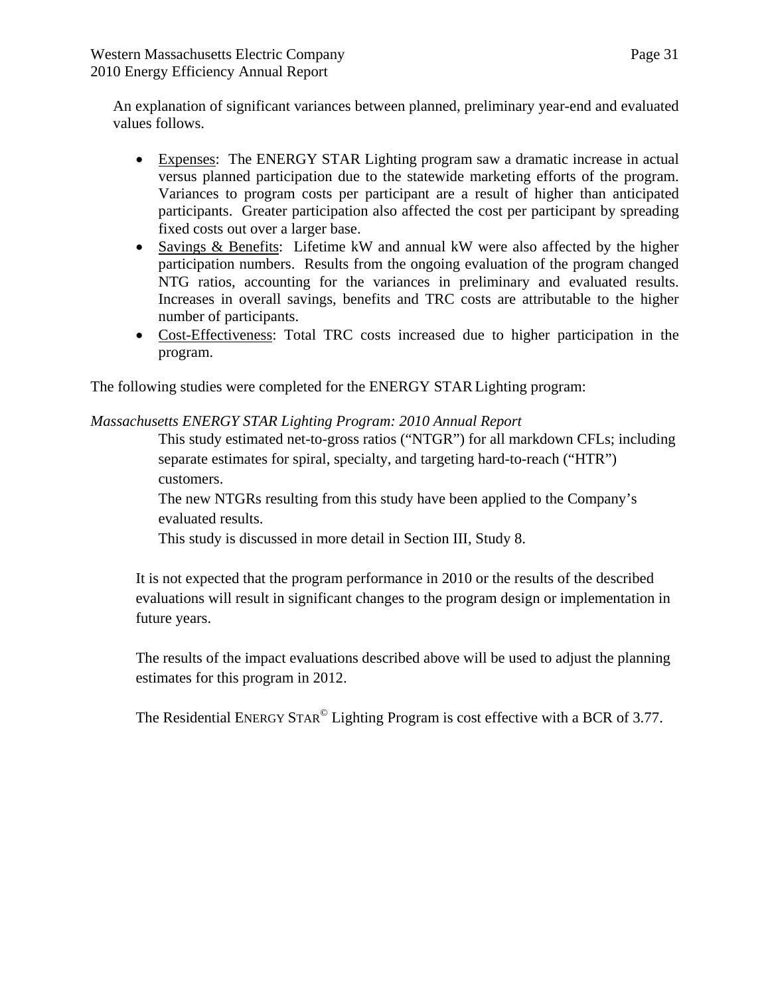An explanation of significant variances between planned, preliminary year-end and evaluated values follows.

- Expenses: The ENERGY STAR Lighting program saw a dramatic increase in actual versus planned participation due to the statewide marketing efforts of the program. Variances to program costs per participant are a result of higher than anticipated participants. Greater participation also affected the cost per participant by spreading fixed costs out over a larger base.
- Savings & Benefits: Lifetime kW and annual kW were also affected by the higher participation numbers. Results from the ongoing evaluation of the program changed NTG ratios, accounting for the variances in preliminary and evaluated results. Increases in overall savings, benefits and TRC costs are attributable to the higher number of participants.
- Cost-Effectiveness: Total TRC costs increased due to higher participation in the program.

The following studies were completed for the ENERGY STARLighting program:

*Massachusetts ENERGY STAR Lighting Program: 2010 Annual Report*

This study estimated net-to-gross ratios ("NTGR") for all markdown CFLs; including separate estimates for spiral, specialty, and targeting hard-to-reach ("HTR") customers.

The new NTGRs resulting from this study have been applied to the Company's evaluated results.

This study is discussed in more detail in Section III, Study 8.

It is not expected that the program performance in 2010 or the results of the described evaluations will result in significant changes to the program design or implementation in future years.

The results of the impact evaluations described above will be used to adjust the planning estimates for this program in 2012.

The Residential ENERGY STAR<sup>©</sup> Lighting Program is cost effective with a BCR of 3.77.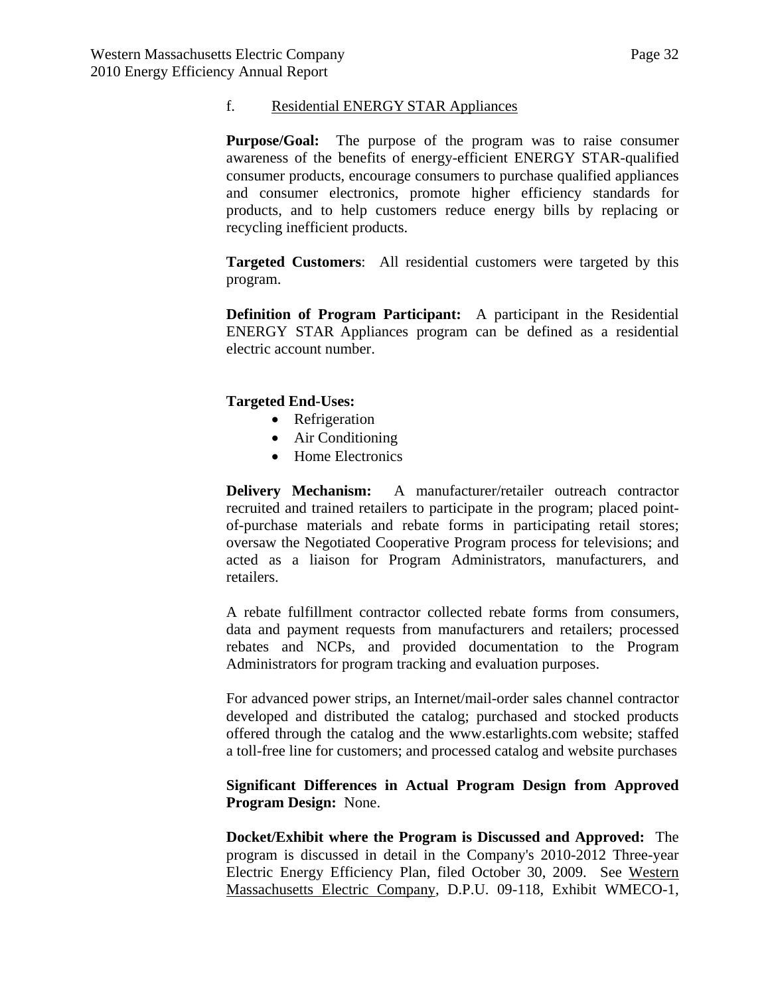#### f. Residential ENERGY STAR Appliances

**Purpose/Goal:** The purpose of the program was to raise consumer awareness of the benefits of energy-efficient ENERGY STAR-qualified consumer products, encourage consumers to purchase qualified appliances and consumer electronics, promote higher efficiency standards for products, and to help customers reduce energy bills by replacing or recycling inefficient products.

**Targeted Customers**: All residential customers were targeted by this program.

**Definition of Program Participant:** A participant in the Residential ENERGY STAR Appliances program can be defined as a residential electric account number.

## **Targeted End-Uses:**

- Refrigeration
- Air Conditioning
- Home Electronics

**Delivery Mechanism:** A manufacturer/retailer outreach contractor recruited and trained retailers to participate in the program; placed pointof-purchase materials and rebate forms in participating retail stores; oversaw the Negotiated Cooperative Program process for televisions; and acted as a liaison for Program Administrators, manufacturers, and retailers.

A rebate fulfillment contractor collected rebate forms from consumers, data and payment requests from manufacturers and retailers; processed rebates and NCPs, and provided documentation to the Program Administrators for program tracking and evaluation purposes.

For advanced power strips, an Internet/mail-order sales channel contractor developed and distributed the catalog; purchased and stocked products offered through the catalog and the www.estarlights.com website; staffed a toll-free line for customers; and processed catalog and website purchases

### **Significant Differences in Actual Program Design from Approved Program Design:** None.

**Docket/Exhibit where the Program is Discussed and Approved:** The program is discussed in detail in the Company's 2010-2012 Three-year Electric Energy Efficiency Plan, filed October 30, 2009. See Western Massachusetts Electric Company, D.P.U. 09-118, Exhibit WMECO-1,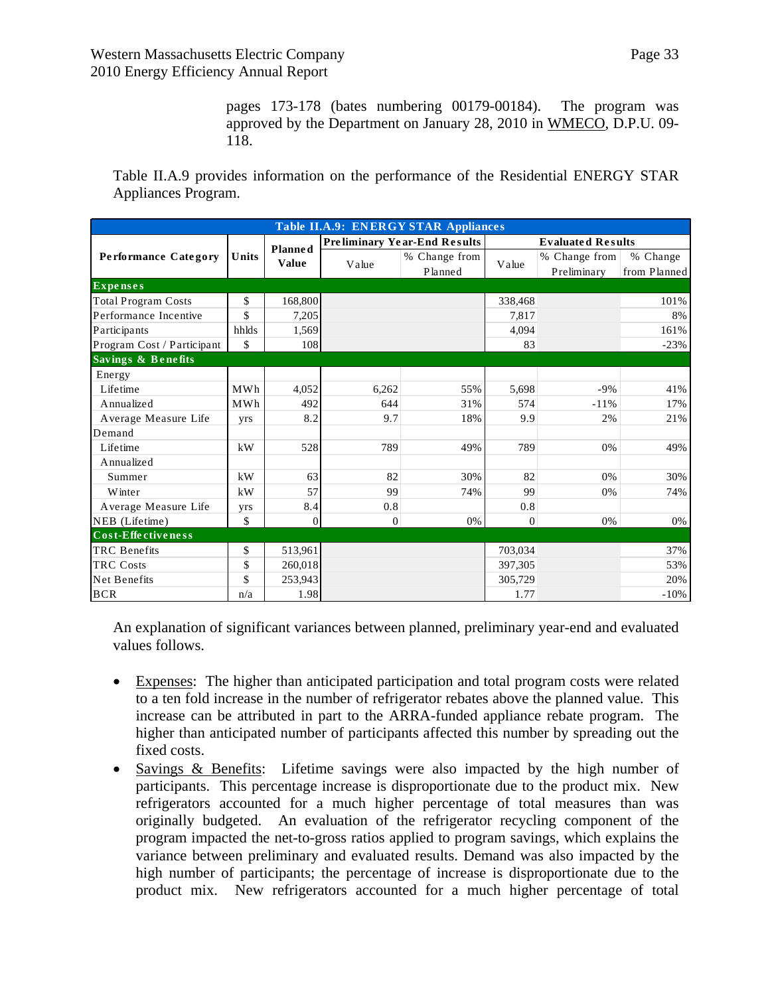pages 173-178 (bates numbering 00179-00184). The program was approved by the Department on January 28, 2010 in WMECO, D.P.U. 09- 118.

Table II.A.9 provides information on the performance of the Residential ENERGY STAR Appliances Program.

| <b>Table II.A.9: ENERGY STAR Appliances</b> |       |                                |                                     |                          |                          |                              |                          |
|---------------------------------------------|-------|--------------------------------|-------------------------------------|--------------------------|--------------------------|------------------------------|--------------------------|
|                                             | Units | <b>Planned</b><br><b>Value</b> | <b>Preliminary Year-End Results</b> |                          | <b>Evaluated Results</b> |                              |                          |
| <b>Performance Category</b>                 |       |                                | Value                               | % Change from<br>Planned | Value                    | % Change from<br>Preliminary | % Change<br>from Planned |
| <b>Expenses</b>                             |       |                                |                                     |                          |                          |                              |                          |
| <b>Total Program Costs</b>                  | \$    | 168,800                        |                                     |                          | 338,468                  |                              | 101%                     |
| Performance Incentive                       | \$    | 7,205                          |                                     |                          | 7,817                    |                              | 8%                       |
| Participants                                | hhlds | 1,569                          |                                     |                          | 4.094                    |                              | 161%                     |
| Program Cost / Participant                  | \$    | 108                            |                                     |                          | 83                       |                              | $-23%$                   |
| <b>Savings &amp; Benefits</b>               |       |                                |                                     |                          |                          |                              |                          |
| Energy                                      |       |                                |                                     |                          |                          |                              |                          |
| Lifetime                                    | MWh   | 4,052                          | 6,262                               | 55%                      | 5,698                    | $-9%$                        | 41%                      |
| Annualized                                  | MWh   | 492                            | 644                                 | 31%                      | 574                      | $-11%$                       | 17%                      |
| Average Measure Life                        | yrs   | 8.2                            | 9.7                                 | 18%                      | 9.9                      | 2%                           | 21%                      |
| Demand                                      |       |                                |                                     |                          |                          |                              |                          |
| Lifetime                                    | kW    | 528                            | 789                                 | 49%                      | 789                      | 0%                           | 49%                      |
| Annualized                                  |       |                                |                                     |                          |                          |                              |                          |
| Summer                                      | kW    | 63                             | 82                                  | 30%                      | 82                       | 0%                           | 30%                      |
| Winter                                      | kW    | 57                             | 99                                  | 74%                      | 99                       | 0%                           | 74%                      |
| Average Measure Life                        | yrs   | 8.4                            | 0.8                                 |                          | 0.8                      |                              |                          |
| NEB (Lifetime)                              | \$    | $\mathbf{0}$                   | $\mathbf{0}$                        | 0%                       | $\Omega$                 | 0%                           | 0%                       |
| Cost-Effectiveness                          |       |                                |                                     |                          |                          |                              |                          |
| <b>TRC</b> Benefits                         | \$    | 513,961                        |                                     |                          | 703,034                  |                              | 37%                      |
| <b>TRC Costs</b>                            | \$    | 260,018                        |                                     |                          | 397,305                  |                              | 53%                      |
| Net Benefits                                | \$    | 253,943                        |                                     |                          | 305,729                  |                              | 20%                      |
| <b>BCR</b>                                  | n/a   | 1.98                           |                                     |                          | 1.77                     |                              | $-10%$                   |

An explanation of significant variances between planned, preliminary year-end and evaluated values follows.

- Expenses: The higher than anticipated participation and total program costs were related to a ten fold increase in the number of refrigerator rebates above the planned value. This increase can be attributed in part to the ARRA-funded appliance rebate program. The higher than anticipated number of participants affected this number by spreading out the fixed costs.
- Savings & Benefits: Lifetime savings were also impacted by the high number of participants. This percentage increase is disproportionate due to the product mix. New refrigerators accounted for a much higher percentage of total measures than was originally budgeted. An evaluation of the refrigerator recycling component of the program impacted the net-to-gross ratios applied to program savings, which explains the variance between preliminary and evaluated results. Demand was also impacted by the high number of participants; the percentage of increase is disproportionate due to the product mix. New refrigerators accounted for a much higher percentage of total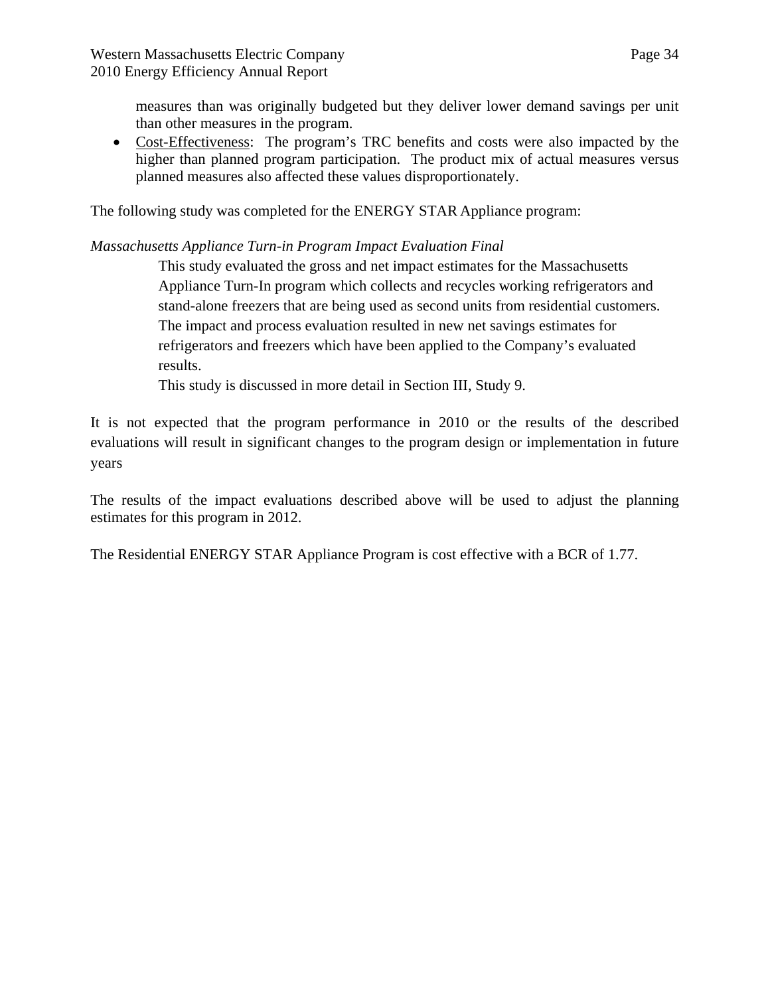measures than was originally budgeted but they deliver lower demand savings per unit than other measures in the program.

 Cost-Effectiveness: The program's TRC benefits and costs were also impacted by the higher than planned program participation. The product mix of actual measures versus planned measures also affected these values disproportionately.

The following study was completed for the ENERGY STAR Appliance program:

# *Massachusetts Appliance Turn-in Program Impact Evaluation Final*

This study evaluated the gross and net impact estimates for the Massachusetts Appliance Turn-In program which collects and recycles working refrigerators and stand-alone freezers that are being used as second units from residential customers. The impact and process evaluation resulted in new net savings estimates for refrigerators and freezers which have been applied to the Company's evaluated results.

This study is discussed in more detail in Section III, Study 9.

It is not expected that the program performance in 2010 or the results of the described evaluations will result in significant changes to the program design or implementation in future years

The results of the impact evaluations described above will be used to adjust the planning estimates for this program in 2012.

The Residential ENERGY STAR Appliance Program is cost effective with a BCR of 1.77.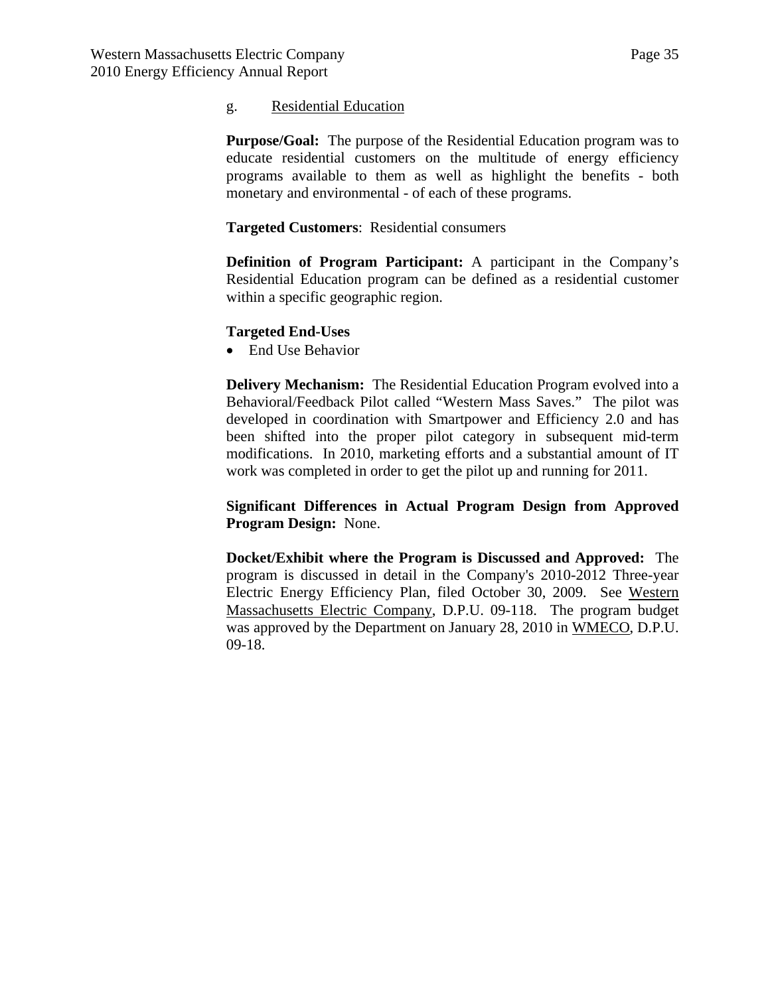#### g. Residential Education

**Purpose/Goal:** The purpose of the Residential Education program was to educate residential customers on the multitude of energy efficiency programs available to them as well as highlight the benefits - both monetary and environmental - of each of these programs.

**Targeted Customers**: Residential consumers

**Definition of Program Participant:** A participant in the Company's Residential Education program can be defined as a residential customer within a specific geographic region.

#### **Targeted End-Uses**

• End Use Behavior

**Delivery Mechanism:** The Residential Education Program evolved into a Behavioral/Feedback Pilot called "Western Mass Saves." The pilot was developed in coordination with Smartpower and Efficiency 2.0 and has been shifted into the proper pilot category in subsequent mid-term modifications. In 2010, marketing efforts and a substantial amount of IT work was completed in order to get the pilot up and running for 2011.

**Significant Differences in Actual Program Design from Approved Program Design:** None.

**Docket/Exhibit where the Program is Discussed and Approved:** The program is discussed in detail in the Company's 2010-2012 Three-year Electric Energy Efficiency Plan, filed October 30, 2009. See Western Massachusetts Electric Company, D.P.U. 09-118. The program budget was approved by the Department on January 28, 2010 in WMECO, D.P.U. 09-18.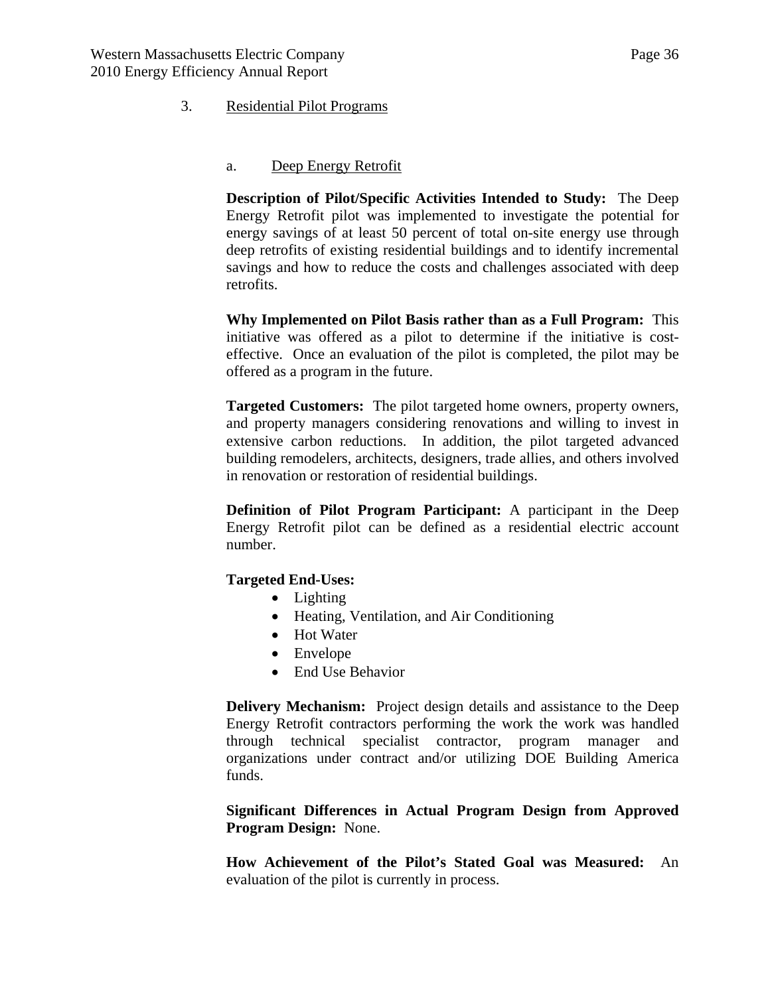### <span id="page-35-0"></span>3. Residential Pilot Programs

#### a. Deep Energy Retrofit

**Description of Pilot/Specific Activities Intended to Study:** The Deep Energy Retrofit pilot was implemented to investigate the potential for energy savings of at least 50 percent of total on-site energy use through deep retrofits of existing residential buildings and to identify incremental savings and how to reduce the costs and challenges associated with deep retrofits.

**Why Implemented on Pilot Basis rather than as a Full Program:** This initiative was offered as a pilot to determine if the initiative is costeffective. Once an evaluation of the pilot is completed, the pilot may be offered as a program in the future.

**Targeted Customers:** The pilot targeted home owners, property owners, and property managers considering renovations and willing to invest in extensive carbon reductions. In addition, the pilot targeted advanced building remodelers, architects, designers, trade allies, and others involved in renovation or restoration of residential buildings.

**Definition of Pilot Program Participant:** A participant in the Deep Energy Retrofit pilot can be defined as a residential electric account number.

#### **Targeted End-Uses:**

- Lighting
- Heating, Ventilation, and Air Conditioning
- Hot Water
- Envelope
- End Use Behavior

**Delivery Mechanism:** Project design details and assistance to the Deep Energy Retrofit contractors performing the work the work was handled through technical specialist contractor, program manager and organizations under contract and/or utilizing DOE Building America funds.

**Significant Differences in Actual Program Design from Approved Program Design:** None.

**How Achievement of the Pilot's Stated Goal was Measured:** An evaluation of the pilot is currently in process.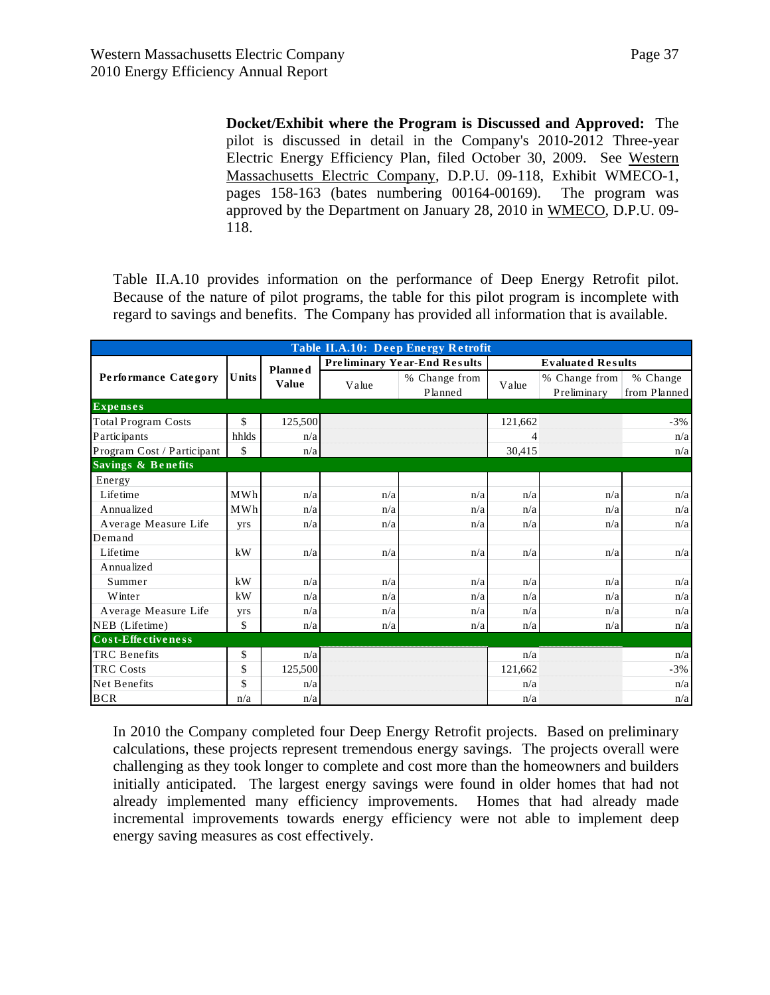**Docket/Exhibit where the Program is Discussed and Approved:** The pilot is discussed in detail in the Company's 2010-2012 Three-year Electric Energy Efficiency Plan, filed October 30, 2009. See Western Massachusetts Electric Company, D.P.U. 09-118, Exhibit WMECO-1, pages 158-163 (bates numbering 00164-00169). The program was approved by the Department on January 28, 2010 in WMECO, D.P.U. 09- 118.

Table II.A.10 provides information on the performance of Deep Energy Retrofit pilot. Because of the nature of pilot programs, the table for this pilot program is incomplete with regard to savings and benefits. The Company has provided all information that is available.

| <b>Table II.A.10: Deep Energy Retrofit</b> |            |                |       |                                     |         |                              |                          |  |
|--------------------------------------------|------------|----------------|-------|-------------------------------------|---------|------------------------------|--------------------------|--|
|                                            |            | <b>Planned</b> |       | <b>Preliminary Year-End Results</b> |         | <b>Evaluated Results</b>     |                          |  |
| <b>Performance Category</b>                | Units      | <b>Value</b>   | Value | % Change from<br>Planned            | Value   | % Change from<br>Preliminary | % Change<br>from Planned |  |
| <b>Expenses</b>                            |            |                |       |                                     |         |                              |                          |  |
| <b>Total Program Costs</b>                 | \$         | 125,500        |       |                                     | 121,662 |                              | $-3%$                    |  |
| Participants                               | hhlds      | n/a            |       |                                     | 4       |                              | n/a                      |  |
| Program Cost / Participant                 | \$         | n/a            |       |                                     | 30,415  |                              | n/a                      |  |
| <b>Savings &amp; Benefits</b>              |            |                |       |                                     |         |                              |                          |  |
| Energy                                     |            |                |       |                                     |         |                              |                          |  |
| Lifetime                                   | MWh        | n/a            | n/a   | n/a                                 | n/a     | n/a                          | n/a                      |  |
| Annualized                                 | <b>MWh</b> | n/a            | n/a   | n/a                                 | n/a     | n/a                          | n/a                      |  |
| Average Measure Life                       | yrs        | n/a            | n/a   | n/a                                 | n/a     | n/a                          | n/a                      |  |
| Demand                                     |            |                |       |                                     |         |                              |                          |  |
| Lifetime                                   | kW         | n/a            | n/a   | n/a                                 | n/a     | n/a                          | n/a                      |  |
| Annualized                                 |            |                |       |                                     |         |                              |                          |  |
| Summer                                     | kW         | n/a            | n/a   | n/a                                 | n/a     | n/a                          | n/a                      |  |
| Winter                                     | kW         | n/a            | n/a   | n/a                                 | n/a     | n/a                          | n/a                      |  |
| Average Measure Life                       | <b>yrs</b> | n/a            | n/a   | n/a                                 | n/a     | n/a                          | n/a                      |  |
| NEB (Lifetime)                             | \$         | n/a            | n/a   | n/a                                 | n/a     | n/a                          | n/a                      |  |
| Cost-Effectiveness                         |            |                |       |                                     |         |                              |                          |  |
| <b>TRC</b> Benefits                        | \$         | n/a            |       |                                     | n/a     |                              | n/a                      |  |
| <b>TRC Costs</b>                           | \$         | 125,500        |       |                                     | 121,662 |                              | $-3%$                    |  |
| Net Benefits                               | \$         | n/a            |       |                                     | n/a     |                              | n/a                      |  |
| <b>BCR</b>                                 | n/a        | n/a            |       |                                     | n/a     |                              | n/a                      |  |

In 2010 the Company completed four Deep Energy Retrofit projects. Based on preliminary calculations, these projects represent tremendous energy savings. The projects overall were challenging as they took longer to complete and cost more than the homeowners and builders initially anticipated. The largest energy savings were found in older homes that had not already implemented many efficiency improvements. Homes that had already made incremental improvements towards energy efficiency were not able to implement deep energy saving measures as cost effectively.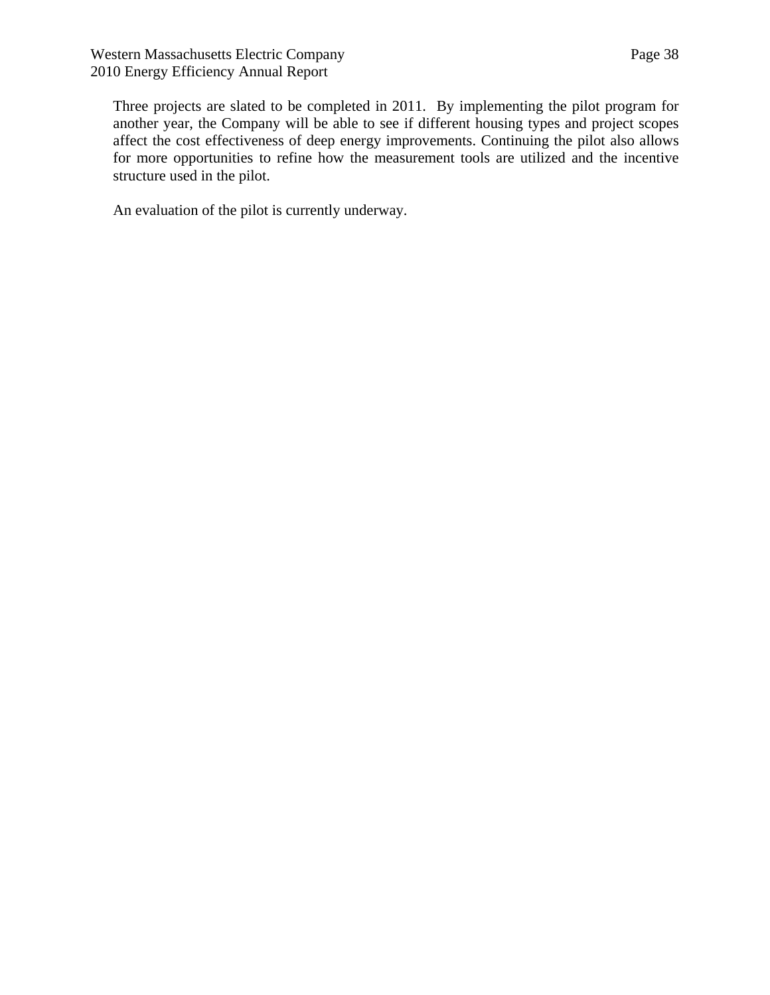Three projects are slated to be completed in 2011. By implementing the pilot program for another year, the Company will be able to see if different housing types and project scopes affect the cost effectiveness of deep energy improvements. Continuing the pilot also allows for more opportunities to refine how the measurement tools are utilized and the incentive structure used in the pilot.

An evaluation of the pilot is currently underway.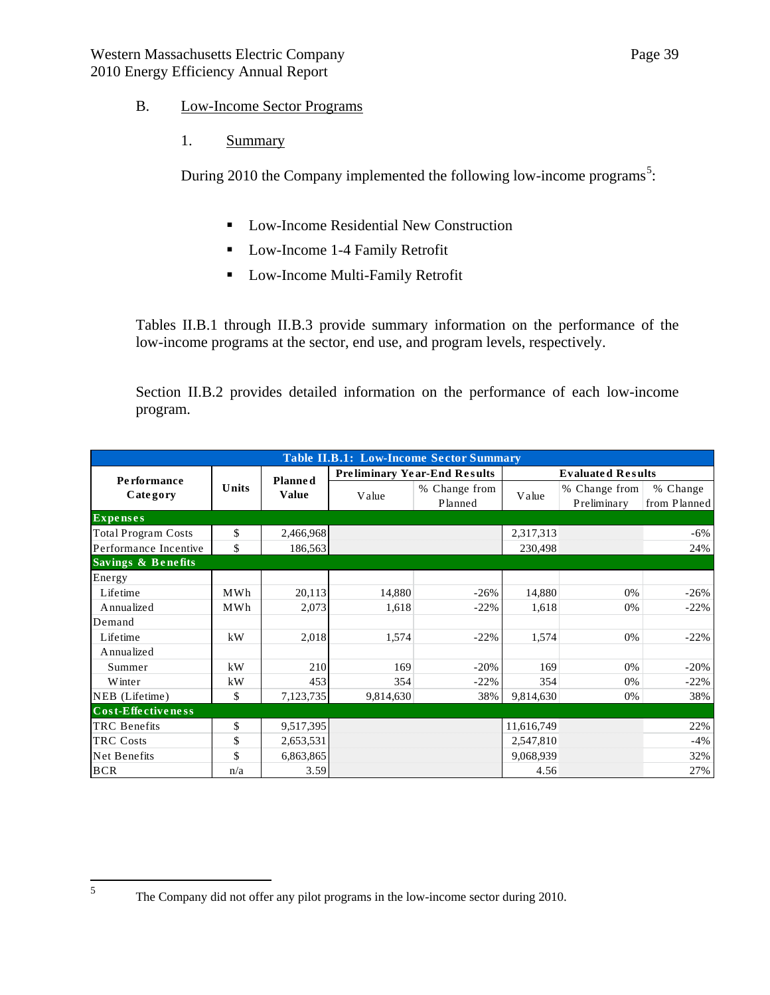### B. Low-Income Sector Programs

1. Summary

During 2010 the Company implemented the following low-income programs<sup>[5](#page-38-0)</sup>:

- **Low-Income Residential New Construction**
- Low-Income 1-4 Family Retrofit
- **Low-Income Multi-Family Retrofit**

Tables II.B.1 through II.B.3 provide summary information on the performance of the low-income programs at the sector, end use, and program levels, respectively.

Section II.B.2 provides detailed information on the performance of each low-income program.

| <b>Table II.B.1: Low-Income Sector Summary</b> |       |                |           |                                     |            |                              |                          |  |  |
|------------------------------------------------|-------|----------------|-----------|-------------------------------------|------------|------------------------------|--------------------------|--|--|
| <b>Performance</b>                             |       | <b>Planned</b> |           | <b>Preliminary Year-End Results</b> |            | <b>Evaluated Results</b>     |                          |  |  |
| Category                                       | Units | <b>Value</b>   | Value     | % Change from<br>Planned            | Value      | % Change from<br>Preliminary | % Change<br>from Planned |  |  |
| <b>Expenses</b>                                |       |                |           |                                     |            |                              |                          |  |  |
| <b>Total Program Costs</b>                     | \$    | 2,466,968      |           |                                     | 2,317,313  |                              | $-6%$                    |  |  |
| Performance Incentive                          | \$    | 186,563        |           |                                     | 230,498    |                              | 24%                      |  |  |
| <b>Savings &amp; Benefits</b>                  |       |                |           |                                     |            |                              |                          |  |  |
| Energy                                         |       |                |           |                                     |            |                              |                          |  |  |
| Lifetime                                       | MWh   | 20,113         | 14,880    | $-26%$                              | 14,880     | 0%                           | $-26%$                   |  |  |
| Annualized                                     | MWh   | 2,073          | 1,618     | $-22%$                              | 1,618      | 0%                           | $-22%$                   |  |  |
| Demand                                         |       |                |           |                                     |            |                              |                          |  |  |
| Lifetime                                       | kW    | 2,018          | 1,574     | $-22%$                              | 1,574      | 0%                           | $-22%$                   |  |  |
| Annualized                                     |       |                |           |                                     |            |                              |                          |  |  |
| Summer                                         | kW    | 210            | 169       | $-20%$                              | 169        | $0\%$                        | $-20%$                   |  |  |
| Winter                                         | kW    | 453            | 354       | $-22%$                              | 354        | 0%                           | $-22%$                   |  |  |
| NEB (Lifetime)                                 | \$    | 7,123,735      | 9,814,630 | 38%                                 | 9,814,630  | 0%                           | 38%                      |  |  |
| Cost-Effectiveness                             |       |                |           |                                     |            |                              |                          |  |  |
| TRC Benefits                                   | \$    | 9,517,395      |           |                                     | 11,616,749 |                              | 22%                      |  |  |
| <b>TRC</b> Costs                               | \$    | 2,653,531      |           |                                     | 2,547,810  |                              | $-4%$                    |  |  |
| Net Benefits                                   | \$    | 6,863,865      |           |                                     | 9,068,939  |                              | 32%                      |  |  |
| <b>BCR</b>                                     | n/a   | 3.59           |           |                                     | 4.56       |                              | 27%                      |  |  |

<span id="page-38-0"></span>5

The Company did not offer any pilot programs in the low-income sector during 2010.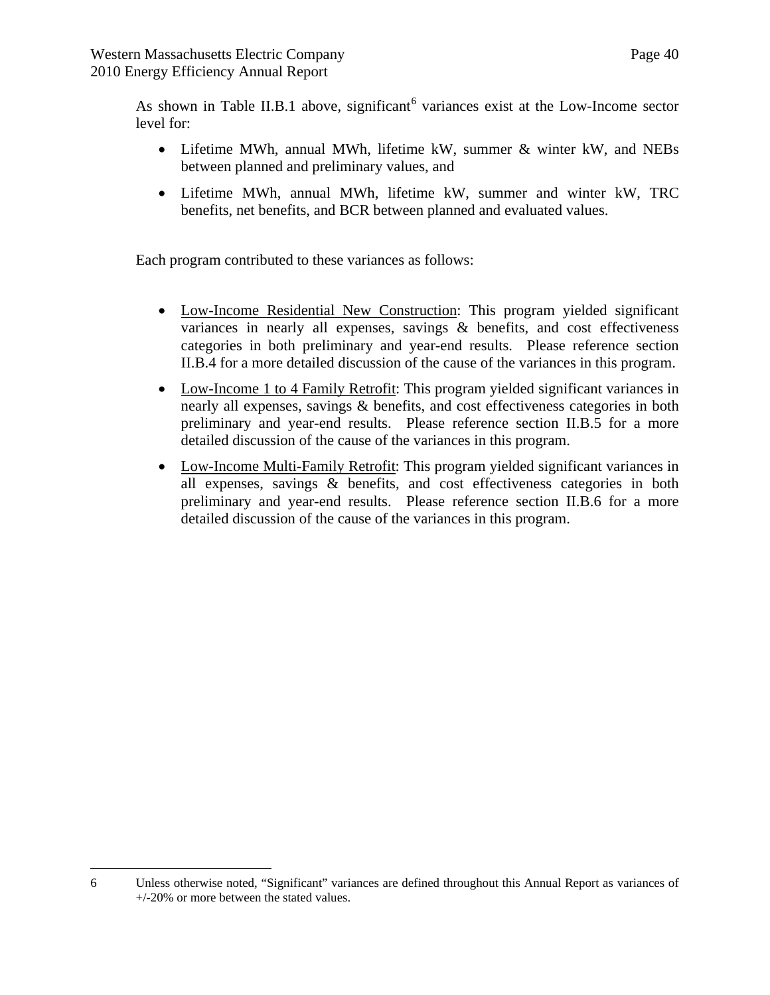As shown in Table II.B.1 above, significant<sup>[6](#page-39-0)</sup> variances exist at the Low-Income sector level for:

- Lifetime MWh, annual MWh, lifetime kW, summer & winter kW, and NEBs between planned and preliminary values, and
- Lifetime MWh, annual MWh, lifetime kW, summer and winter kW, TRC benefits, net benefits, and BCR between planned and evaluated values.

Each program contributed to these variances as follows:

- Low-Income Residential New Construction: This program yielded significant variances in nearly all expenses, savings & benefits, and cost effectiveness categories in both preliminary and year-end results. Please reference section II.B.4 for a more detailed discussion of the cause of the variances in this program.
- Low-Income 1 to 4 Family Retrofit: This program yielded significant variances in nearly all expenses, savings & benefits, and cost effectiveness categories in both preliminary and year-end results. Please reference section II.B.5 for a more detailed discussion of the cause of the variances in this program.
- Low-Income Multi-Family Retrofit: This program yielded significant variances in all expenses, savings & benefits, and cost effectiveness categories in both preliminary and year-end results. Please reference section II.B.6 for a more detailed discussion of the cause of the variances in this program.

<span id="page-39-0"></span> $\overline{a}$ 6 Unless otherwise noted, "Significant" variances are defined throughout this Annual Report as variances of +/-20% or more between the stated values.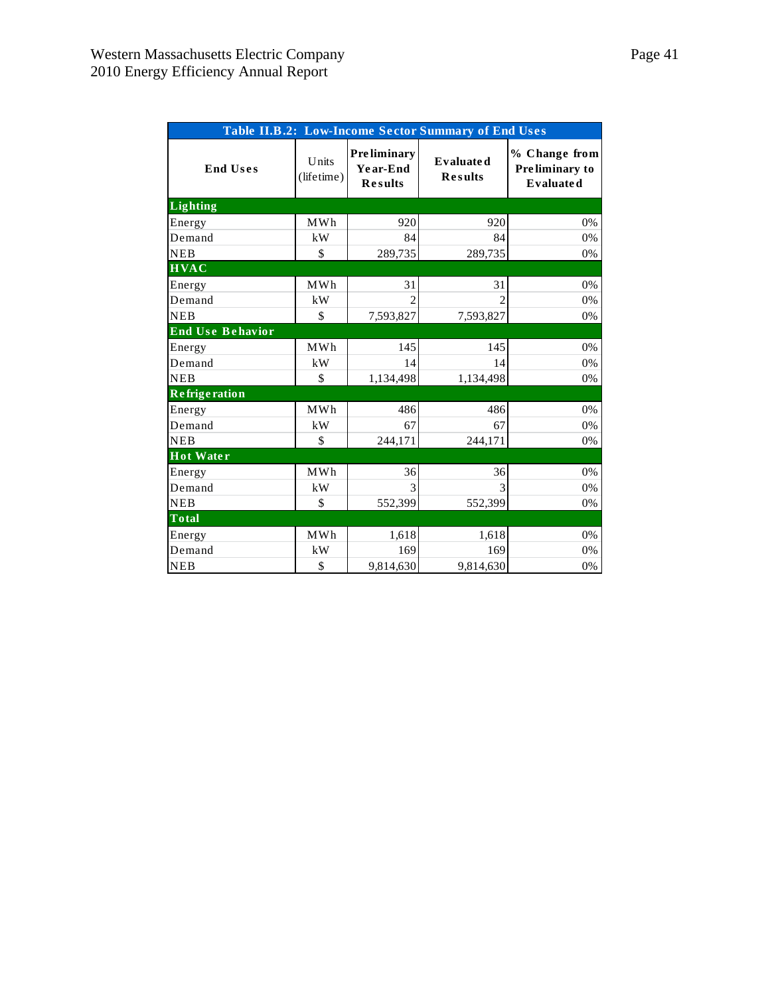| Table II.B.2: Low-Income Sector Summary of End Uses |                     |                                                  |                                    |                                                     |  |  |  |  |  |  |
|-----------------------------------------------------|---------------------|--------------------------------------------------|------------------------------------|-----------------------------------------------------|--|--|--|--|--|--|
| <b>End Uses</b>                                     | Units<br>(lifetime) | <b>Preliminary</b><br>Year-End<br><b>Results</b> | <b>Evaluated</b><br><b>Results</b> | % Change from<br>Preliminary to<br><b>Evaluated</b> |  |  |  |  |  |  |
| <b>Lighting</b>                                     |                     |                                                  |                                    |                                                     |  |  |  |  |  |  |
| Energy                                              | <b>MWh</b>          | 920                                              | 920                                | 0%                                                  |  |  |  |  |  |  |
| Demand                                              | kW                  | 84                                               | 84                                 | 0%                                                  |  |  |  |  |  |  |
| <b>NEB</b>                                          | \$                  | 289,735                                          | 289,735                            | 0%                                                  |  |  |  |  |  |  |
| <b>HVAC</b>                                         |                     |                                                  |                                    |                                                     |  |  |  |  |  |  |
| Energy                                              | MWh                 | 31                                               | 31                                 | 0%                                                  |  |  |  |  |  |  |
| Demand                                              | kW                  | $\mathfrak{D}$                                   | $\mathfrak{D}$                     | 0%                                                  |  |  |  |  |  |  |
| <b>NEB</b>                                          | \$                  | 7,593,827                                        | 7,593,827                          | 0%                                                  |  |  |  |  |  |  |
| <b>End Use Behavior</b>                             |                     |                                                  |                                    |                                                     |  |  |  |  |  |  |
| Energy                                              | MWh                 | 145                                              | 145                                | 0%                                                  |  |  |  |  |  |  |
| Demand                                              | kW                  | 14                                               | 14                                 | 0%                                                  |  |  |  |  |  |  |
| <b>NEB</b>                                          | \$                  | 1,134,498                                        | 1,134,498                          | 0%                                                  |  |  |  |  |  |  |
| <b>Refrigeration</b>                                |                     |                                                  |                                    |                                                     |  |  |  |  |  |  |
| Energy                                              | MWh                 | 486                                              | 486                                | 0%                                                  |  |  |  |  |  |  |
| Demand                                              | kW                  | 67                                               | 67                                 | 0%                                                  |  |  |  |  |  |  |
| <b>NEB</b>                                          | \$                  | 244,171                                          | 244,171                            | 0%                                                  |  |  |  |  |  |  |
| Hot Water                                           |                     |                                                  |                                    |                                                     |  |  |  |  |  |  |
| Energy                                              | <b>MWh</b>          | 36                                               | 36                                 | 0%                                                  |  |  |  |  |  |  |
| Demand                                              | kW                  | 3                                                | 3                                  | 0%                                                  |  |  |  |  |  |  |
| <b>NEB</b>                                          | \$                  | 552,399                                          | 552,399                            | 0%                                                  |  |  |  |  |  |  |
| <b>Total</b>                                        |                     |                                                  |                                    |                                                     |  |  |  |  |  |  |
| Energy                                              | MWh                 | 1,618                                            | 1,618                              | 0%                                                  |  |  |  |  |  |  |
| Demand                                              | kW                  | 169                                              | 169                                | 0%                                                  |  |  |  |  |  |  |
| <b>NEB</b>                                          | \$                  | 9,814,630                                        | 9,814,630                          | $0\%$                                               |  |  |  |  |  |  |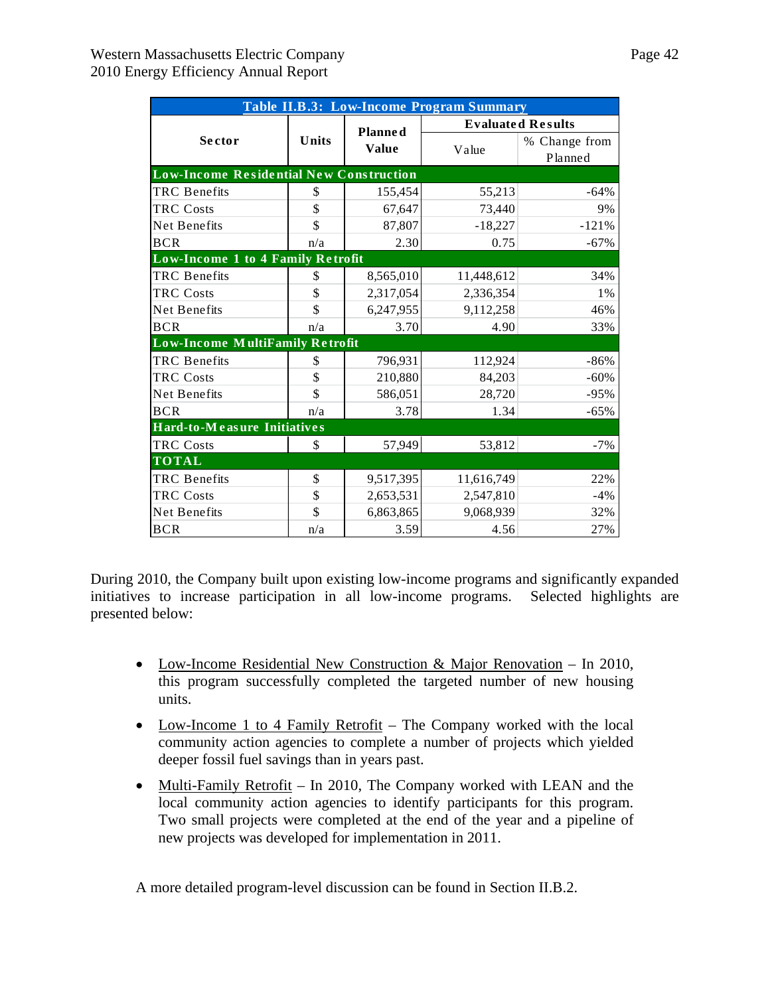| Table II.B.3: Low-Income Program Summary       |       |                |            |                          |  |  |  |  |  |  |
|------------------------------------------------|-------|----------------|------------|--------------------------|--|--|--|--|--|--|
|                                                |       | <b>Planned</b> |            | <b>Evaluated Results</b> |  |  |  |  |  |  |
| Sector                                         | Units | <b>Value</b>   | Value      | % Change from            |  |  |  |  |  |  |
|                                                |       |                |            | Planned                  |  |  |  |  |  |  |
| <b>Low-Income Residential New Construction</b> |       |                |            |                          |  |  |  |  |  |  |
| <b>TRC</b> Benefits                            | \$    | 155,454        | 55,213     | $-64%$                   |  |  |  |  |  |  |
| <b>TRC Costs</b>                               | \$    | 67,647         | 73,440     | 9%                       |  |  |  |  |  |  |
| Net Benefits                                   | \$    | 87,807         | $-18,227$  | $-121%$                  |  |  |  |  |  |  |
| <b>BCR</b>                                     | n/a   | 2.30           | 0.75       | $-67%$                   |  |  |  |  |  |  |
| Low-Income 1 to 4 Family Retrofit              |       |                |            |                          |  |  |  |  |  |  |
| <b>TRC</b> Benefits                            | \$    | 8,565,010      | 11,448,612 | 34%                      |  |  |  |  |  |  |
| <b>TRC Costs</b>                               | \$    | 2,317,054      | 2,336,354  | 1%                       |  |  |  |  |  |  |
| Net Benefits                                   | \$    | 6,247,955      | 9,112,258  | 46%                      |  |  |  |  |  |  |
| <b>BCR</b>                                     | n/a   | 3.70           | 4.90       | 33%                      |  |  |  |  |  |  |
| Low-Income MultiFamily Retrofit                |       |                |            |                          |  |  |  |  |  |  |
| <b>TRC</b> Benefits                            | \$    | 796,931        | 112,924    | $-86%$                   |  |  |  |  |  |  |
| <b>TRC Costs</b>                               | \$    | 210,880        | 84,203     | $-60%$                   |  |  |  |  |  |  |
| Net Benefits                                   | \$    | 586,051        | 28,720     | $-95%$                   |  |  |  |  |  |  |
| <b>BCR</b>                                     | n/a   | 3.78           | 1.34       | $-65%$                   |  |  |  |  |  |  |
| Hard-to-Measure Initiatives                    |       |                |            |                          |  |  |  |  |  |  |
| <b>TRC Costs</b>                               | \$    | 57,949         | 53,812     | $-7%$                    |  |  |  |  |  |  |
| <b>TOTAL</b>                                   |       |                |            |                          |  |  |  |  |  |  |
| <b>TRC</b> Benefits                            | \$    | 9,517,395      | 11,616,749 | 22%                      |  |  |  |  |  |  |
| <b>TRC Costs</b>                               | \$    | 2,653,531      | 2,547,810  | $-4%$                    |  |  |  |  |  |  |
| Net Benefits                                   | \$    | 6,863,865      | 9,068,939  | 32%                      |  |  |  |  |  |  |
| <b>BCR</b>                                     | n/a   | 3.59           | 4.56       | 27%                      |  |  |  |  |  |  |

During 2010, the Company built upon existing low-income programs and significantly expanded initiatives to increase participation in all low-income programs. Selected highlights are presented below:

- Low-Income Residential New Construction & Major Renovation In 2010, this program successfully completed the targeted number of new housing units.
- Low-Income 1 to 4 Family Retrofit The Company worked with the local community action agencies to complete a number of projects which yielded deeper fossil fuel savings than in years past.
- Multi-Family Retrofit In 2010, The Company worked with LEAN and the local community action agencies to identify participants for this program. Two small projects were completed at the end of the year and a pipeline of new projects was developed for implementation in 2011.

A more detailed program-level discussion can be found in Section II.B.2.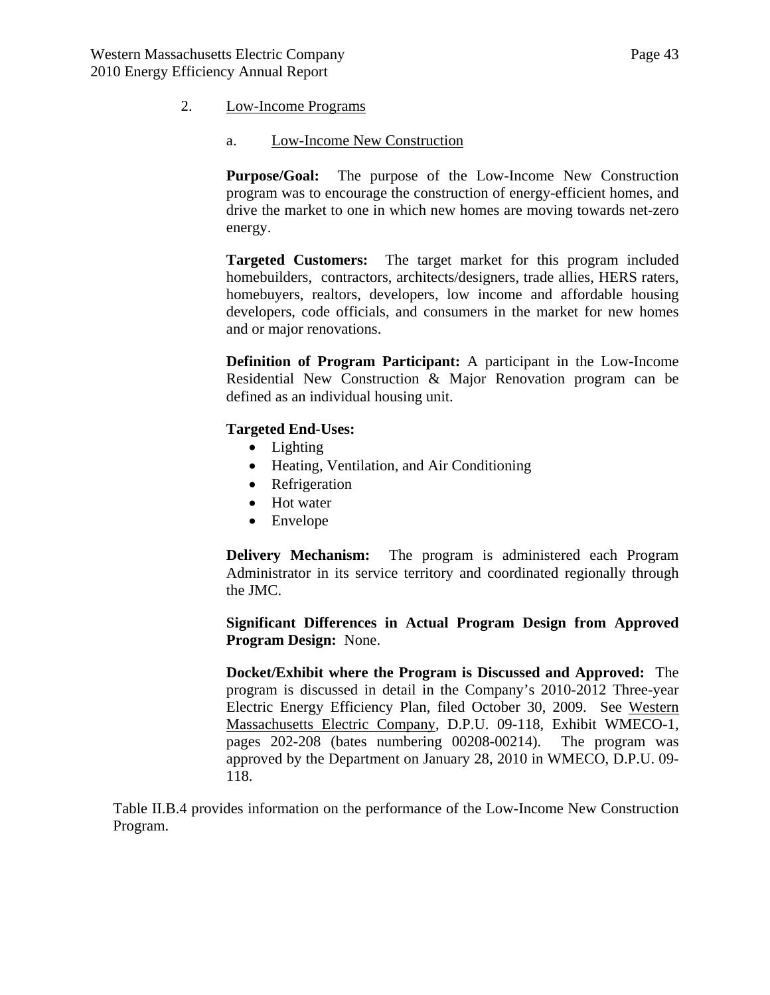### 2. Low-Income Programs

### a. Low-Income New Construction

**Purpose/Goal:** The purpose of the Low-Income New Construction program was to encourage the construction of energy-efficient homes, and drive the market to one in which new homes are moving towards net-zero energy.

**Targeted Customers:** The target market for this program included homebuilders, contractors, architects/designers, trade allies, HERS raters, homebuyers, realtors, developers, low income and affordable housing developers, code officials, and consumers in the market for new homes and or major renovations.

**Definition of Program Participant:** A participant in the Low-Income Residential New Construction & Major Renovation program can be defined as an individual housing unit.

### **Targeted End-Uses:**

- Lighting
- Heating, Ventilation, and Air Conditioning
- Refrigeration
- Hot water
- Envelope

**Delivery Mechanism:** The program is administered each Program Administrator in its service territory and coordinated regionally through the JMC.

**Significant Differences in Actual Program Design from Approved Program Design:** None.

**Docket/Exhibit where the Program is Discussed and Approved:** The program is discussed in detail in the Company's 2010-2012 Three-year Electric Energy Efficiency Plan, filed October 30, 2009. See Western Massachusetts Electric Company, D.P.U. 09-118, Exhibit WMECO-1, pages 202-208 (bates numbering 00208-00214). The program was approved by the Department on January 28, 2010 in WMECO, D.P.U. 09- 118.

Table II.B.4 provides information on the performance of the Low-Income New Construction Program.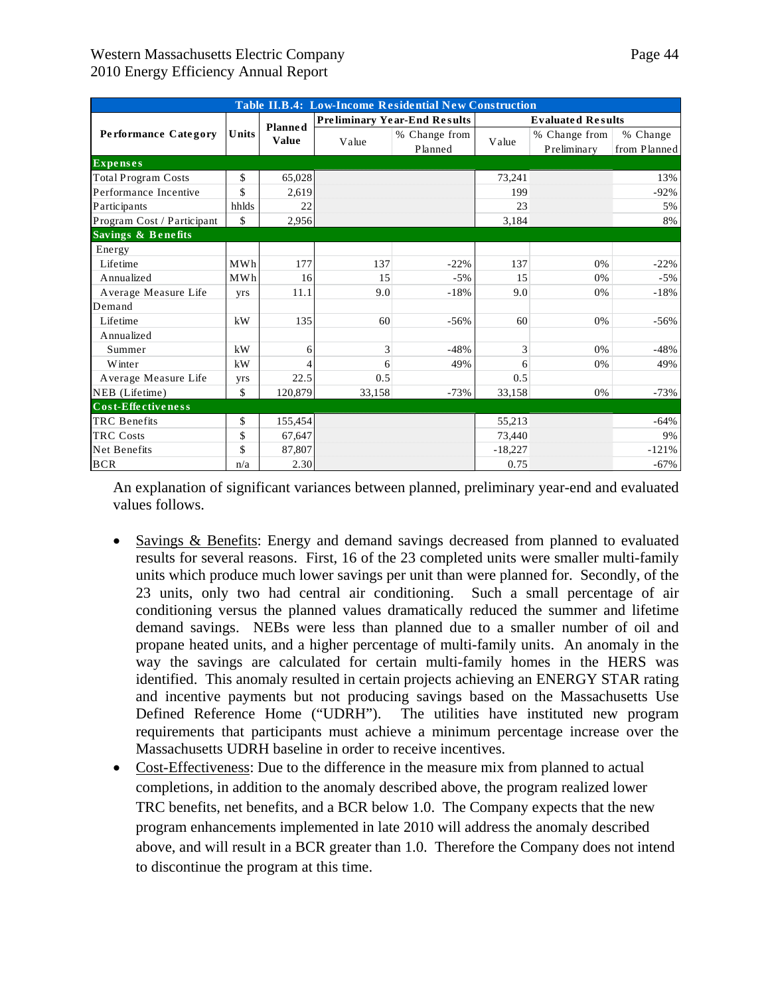| Table II.B.4: Low-Income Residential New Construction |                    |                |        |                                     |           |                              |                          |  |
|-------------------------------------------------------|--------------------|----------------|--------|-------------------------------------|-----------|------------------------------|--------------------------|--|
|                                                       |                    | <b>Planned</b> |        | <b>Preliminary Year-End Results</b> |           | <b>Evaluated Results</b>     |                          |  |
| <b>Performance Category</b>                           | Units              | <b>Value</b>   | Value  | % Change from<br>Planned            | Value     | % Change from<br>Preliminary | % Change<br>from Planned |  |
| <b>Expenses</b>                                       |                    |                |        |                                     |           |                              |                          |  |
| <b>Total Program Costs</b>                            | \$                 | 65,028         |        |                                     | 73,241    |                              | 13%                      |  |
| Performance Incentive                                 | $\mathbf{\hat{S}}$ | 2,619          |        |                                     | 199       |                              | $-92%$                   |  |
| Participants                                          | hhlds              | 22             |        |                                     | 23        |                              | 5%                       |  |
| Program Cost / Participant                            | \$                 | 2,956          |        |                                     | 3,184     |                              | 8%                       |  |
| Savings & Benefits                                    |                    |                |        |                                     |           |                              |                          |  |
| Energy                                                |                    |                |        |                                     |           |                              |                          |  |
| Lifetime                                              | MWh                | 177            | 137    | $-22%$                              | 137       | 0%                           | $-22%$                   |  |
| Annualized                                            | MWh                | 16             | 15     | $-5%$                               | 15        | 0%                           | $-5%$                    |  |
| Average Measure Life                                  | yrs                | 11.1           | 9.0    | $-18%$                              | 9.0       | 0%                           | $-18%$                   |  |
| Demand                                                |                    |                |        |                                     |           |                              |                          |  |
| Lifetime                                              | kW                 | 135            | 60     | $-56%$                              | 60        | 0%                           | $-56%$                   |  |
| Annualized                                            |                    |                |        |                                     |           |                              |                          |  |
| Summer                                                | kW                 | 6              | 3      | $-48%$                              | 3         | 0%                           | $-48%$                   |  |
| Winter                                                | kW                 |                | 6      | 49%                                 | 6         | 0%                           | 49%                      |  |
| Average Measure Life                                  | yrs                | 22.5           | 0.5    |                                     | 0.5       |                              |                          |  |
| NEB (Lifetime)                                        | \$                 | 120,879        | 33,158 | $-73%$                              | 33,158    | 0%                           | $-73%$                   |  |
| Cost-Effectiveness                                    |                    |                |        |                                     |           |                              |                          |  |
| <b>TRC</b> Benefits                                   | \$                 | 155,454        |        |                                     | 55,213    |                              | $-64%$                   |  |
| <b>TRC Costs</b>                                      | \$                 | 67,647         |        |                                     | 73,440    |                              | 9%                       |  |
| Net Benefits                                          | \$                 | 87,807         |        |                                     | $-18,227$ |                              | $-121%$                  |  |
| <b>BCR</b>                                            | n/a                | 2.30           |        |                                     | 0.75      |                              | $-67%$                   |  |

An explanation of significant variances between planned, preliminary year-end and evaluated values follows.

- Savings & Benefits: Energy and demand savings decreased from planned to evaluated results for several reasons. First, 16 of the 23 completed units were smaller multi-family units which produce much lower savings per unit than were planned for. Secondly, of the 23 units, only two had central air conditioning. Such a small percentage of air conditioning versus the planned values dramatically reduced the summer and lifetime demand savings. NEBs were less than planned due to a smaller number of oil and propane heated units, and a higher percentage of multi-family units. An anomaly in the way the savings are calculated for certain multi-family homes in the HERS was identified. This anomaly resulted in certain projects achieving an ENERGY STAR rating and incentive payments but not producing savings based on the Massachusetts Use Defined Reference Home ("UDRH"). The utilities have instituted new program requirements that participants must achieve a minimum percentage increase over the Massachusetts UDRH baseline in order to receive incentives.
- Cost-Effectiveness: Due to the difference in the measure mix from planned to actual completions, in addition to the anomaly described above, the program realized lower TRC benefits, net benefits, and a BCR below 1.0. The Company expects that the new program enhancements implemented in late 2010 will address the anomaly described above, and will result in a BCR greater than 1.0. Therefore the Company does not intend to discontinue the program at this time.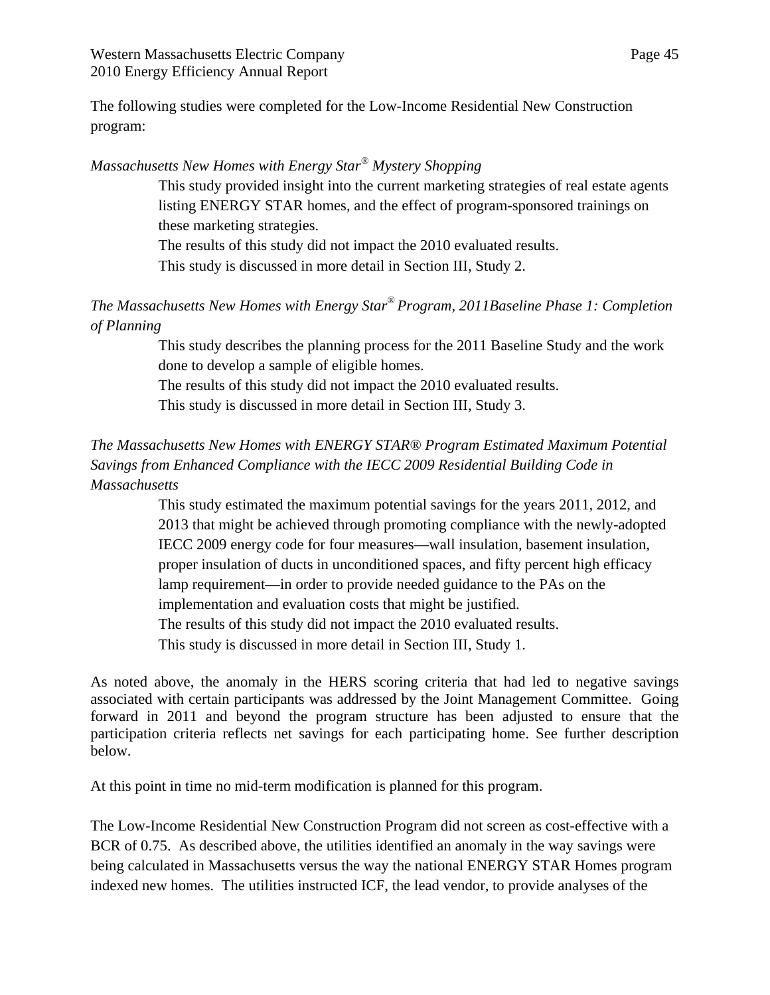Western Massachusetts Electric Company Page 45 2010 Energy Efficiency Annual Report

The following studies were completed for the Low-Income Residential New Construction program:

## *Massachusetts New Homes with Energy Star® Mystery Shopping*

This study provided insight into the current marketing strategies of real estate agents listing ENERGY STAR homes, and the effect of program-sponsored trainings on these marketing strategies.

The results of this study did not impact the 2010 evaluated results. This study is discussed in more detail in Section III, Study 2.

*The Massachusetts New Homes with Energy Star® Program, 2011Baseline Phase 1: Completion of Planning* 

> This study describes the planning process for the 2011 Baseline Study and the work done to develop a sample of eligible homes.

The results of this study did not impact the 2010 evaluated results.

This study is discussed in more detail in Section III, Study 3.

# *The Massachusetts New Homes with ENERGY STAR® Program Estimated Maximum Potential Savings from Enhanced Compliance with the IECC 2009 Residential Building Code in Massachusetts*

This study estimated the maximum potential savings for the years 2011, 2012, and 2013 that might be achieved through promoting compliance with the newly-adopted IECC 2009 energy code for four measures—wall insulation, basement insulation, proper insulation of ducts in unconditioned spaces, and fifty percent high efficacy lamp requirement—in order to provide needed guidance to the PAs on the implementation and evaluation costs that might be justified. The results of this study did not impact the 2010 evaluated results. This study is discussed in more detail in Section III, Study 1.

As noted above, the anomaly in the HERS scoring criteria that had led to negative savings associated with certain participants was addressed by the Joint Management Committee. Going forward in 2011 and beyond the program structure has been adjusted to ensure that the participation criteria reflects net savings for each participating home. See further description below.

At this point in time no mid-term modification is planned for this program.

The Low-Income Residential New Construction Program did not screen as cost-effective with a BCR of 0.75. As described above, the utilities identified an anomaly in the way savings were being calculated in Massachusetts versus the way the national ENERGY STAR Homes program indexed new homes. The utilities instructed ICF, the lead vendor, to provide analyses of the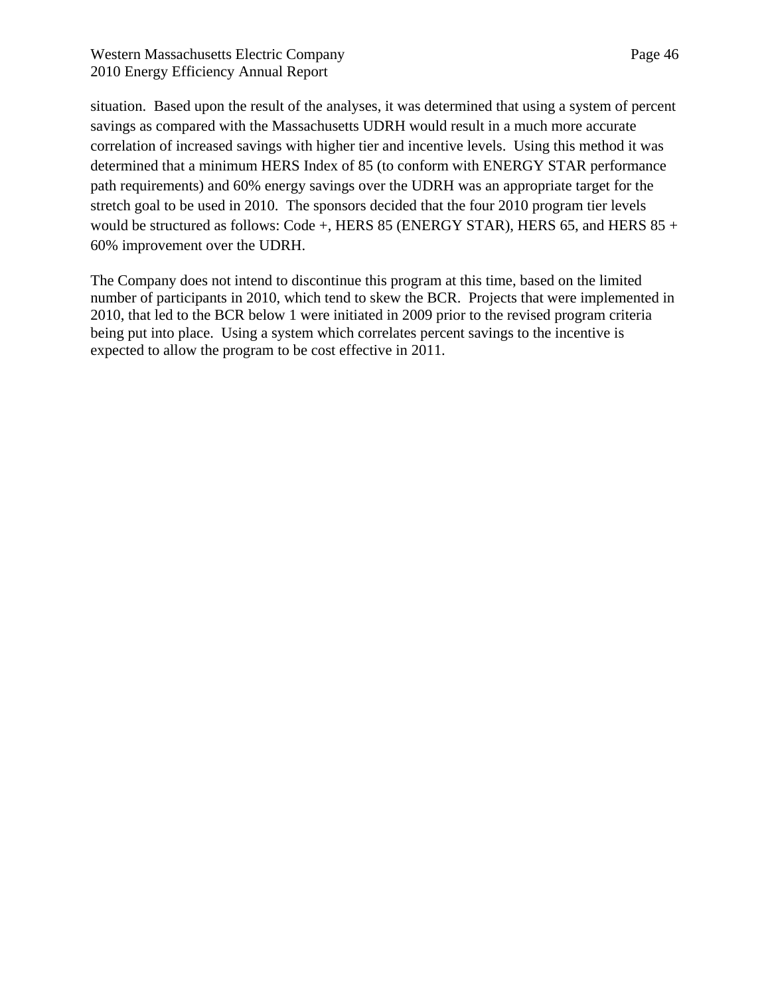## Western Massachusetts Electric Company Page 46 2010 Energy Efficiency Annual Report

situation. Based upon the result of the analyses, it was determined that using a system of percent savings as compared with the Massachusetts UDRH would result in a much more accurate correlation of increased savings with higher tier and incentive levels. Using this method it was determined that a minimum HERS Index of 85 (to conform with ENERGY STAR performance path requirements) and 60% energy savings over the UDRH was an appropriate target for the stretch goal to be used in 2010. The sponsors decided that the four 2010 program tier levels would be structured as follows: Code +, HERS 85 (ENERGY STAR), HERS 65, and HERS 85 + 60% improvement over the UDRH.

The Company does not intend to discontinue this program at this time, based on the limited number of participants in 2010, which tend to skew the BCR. Projects that were implemented in 2010, that led to the BCR below 1 were initiated in 2009 prior to the revised program criteria being put into place. Using a system which correlates percent savings to the incentive is expected to allow the program to be cost effective in 2011.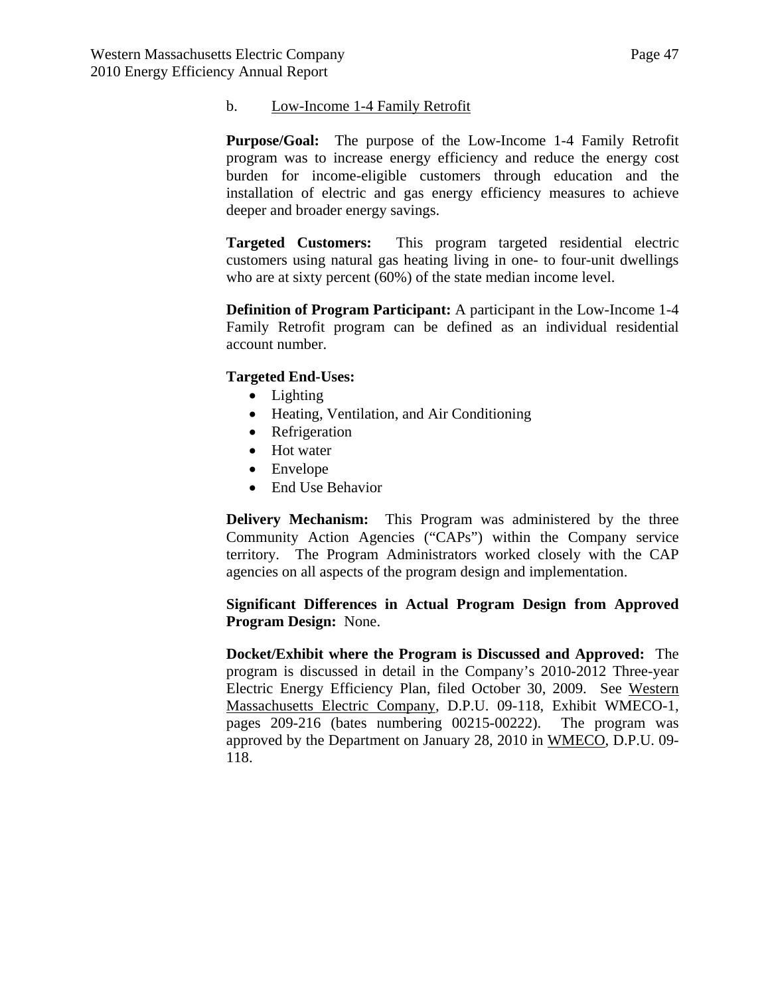#### b. Low-Income 1-4 Family Retrofit

**Purpose/Goal:** The purpose of the Low-Income 1-4 Family Retrofit program was to increase energy efficiency and reduce the energy cost burden for income-eligible customers through education and the installation of electric and gas energy efficiency measures to achieve deeper and broader energy savings.

**Targeted Customers:** This program targeted residential electric customers using natural gas heating living in one- to four-unit dwellings who are at sixty percent (60%) of the state median income level.

**Definition of Program Participant:** A participant in the Low-Income 1-4 Family Retrofit program can be defined as an individual residential account number.

### **Targeted End-Uses:**

- Lighting
- Heating, Ventilation, and Air Conditioning
- Refrigeration
- Hot water
- Envelope
- End Use Behavior

**Delivery Mechanism:** This Program was administered by the three Community Action Agencies ("CAPs") within the Company service territory. The Program Administrators worked closely with the CAP agencies on all aspects of the program design and implementation.

### **Significant Differences in Actual Program Design from Approved Program Design:** None.

**Docket/Exhibit where the Program is Discussed and Approved:** The program is discussed in detail in the Company's 2010-2012 Three-year Electric Energy Efficiency Plan, filed October 30, 2009. See Western Massachusetts Electric Company, D.P.U. 09-118, Exhibit WMECO-1, pages 209-216 (bates numbering 00215-00222). The program was approved by the Department on January 28, 2010 in WMECO, D.P.U. 09- 118.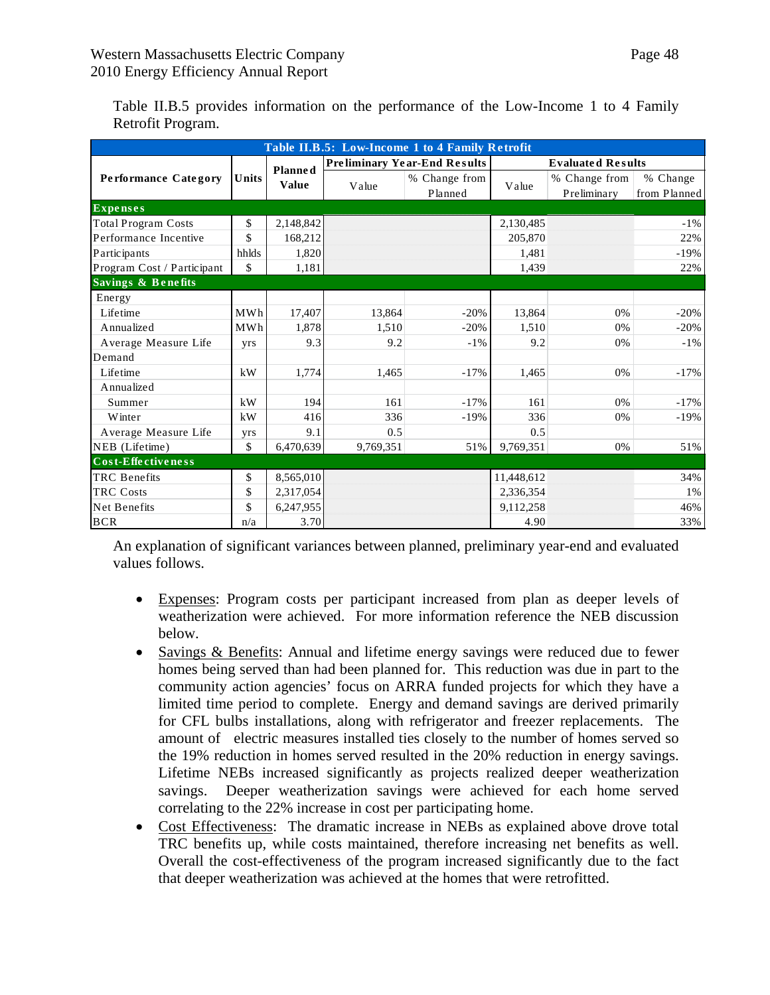Table II.B.5 provides information on the performance of the Low-Income 1 to 4 Family Retrofit Program.

| Table II.B.5: Low-Income 1 to 4 Family Retrofit |            |                |                                   |                                     |            |                              |                          |  |
|-------------------------------------------------|------------|----------------|-----------------------------------|-------------------------------------|------------|------------------------------|--------------------------|--|
|                                                 |            | <b>Planned</b> |                                   | <b>Preliminary Year-End Results</b> |            | <b>Evaluated Results</b>     |                          |  |
| Performance Category                            | Units      | Value          | % Change from<br>Value<br>Planned |                                     | Value      | % Change from<br>Preliminary | % Change<br>from Planned |  |
| <b>Expenses</b>                                 |            |                |                                   |                                     |            |                              |                          |  |
| <b>Total Program Costs</b>                      | \$         | 2,148,842      |                                   |                                     | 2,130,485  |                              | $-1\%$                   |  |
| Performance Incentive                           | \$         | 168,212        |                                   |                                     | 205,870    |                              | 22%                      |  |
| Participants                                    | hhlds      | 1,820          |                                   |                                     | 1,481      |                              | $-19%$                   |  |
| Program Cost / Participant                      | \$         | 1,181          |                                   |                                     | 1,439      |                              | 22%                      |  |
| Savings & Benefits                              |            |                |                                   |                                     |            |                              |                          |  |
| Energy                                          |            |                |                                   |                                     |            |                              |                          |  |
| Lifetime                                        | <b>MWh</b> | 17,407         | 13,864                            | $-20%$                              | 13,864     | 0%                           | $-20%$                   |  |
| Annualized                                      | MWh        | 1,878          | 1,510                             | $-20%$                              | 1,510      | $0\%$                        | $-20%$                   |  |
| Average Measure Life                            | yrs        | 9.3            | 9.2                               | $-1\%$                              | 9.2        | 0%                           | $-1\%$                   |  |
| Demand                                          |            |                |                                   |                                     |            |                              |                          |  |
| Lifetime                                        | kW         | 1,774          | 1.465                             | $-17\%$                             | 1.465      | 0%                           | $-17%$                   |  |
| Annualized                                      |            |                |                                   |                                     |            |                              |                          |  |
| Summer                                          | kW         | 194            | 161                               | $-17\%$                             | 161        | 0%                           | $-17%$                   |  |
| Winter                                          | kW         | 416            | 336                               | $-19%$                              | 336        | 0%                           | $-19%$                   |  |
| Average Measure Life                            | yrs        | 9.1            | 0.5                               |                                     | 0.5        |                              |                          |  |
| NEB (Lifetime)                                  | \$         | 6,470,639      | 9,769,351                         | 51%                                 | 9,769,351  | 0%                           | 51%                      |  |
| Cost-Effectiveness                              |            |                |                                   |                                     |            |                              |                          |  |
| <b>TRC</b> Benefits                             | \$         | 8,565,010      |                                   |                                     | 11,448,612 |                              | 34%                      |  |
| <b>TRC</b> Costs                                | \$         | 2,317,054      |                                   |                                     | 2,336,354  |                              | 1%                       |  |
| Net Benefits                                    | \$         | 6,247,955      |                                   |                                     | 9,112,258  |                              | 46%                      |  |
| <b>BCR</b>                                      | n/a        | 3.70           |                                   |                                     | 4.90       |                              | 33%                      |  |

An explanation of significant variances between planned, preliminary year-end and evaluated values follows.

- Expenses: Program costs per participant increased from plan as deeper levels of weatherization were achieved. For more information reference the NEB discussion below.
- Savings & Benefits: Annual and lifetime energy savings were reduced due to fewer homes being served than had been planned for. This reduction was due in part to the community action agencies' focus on ARRA funded projects for which they have a limited time period to complete. Energy and demand savings are derived primarily for CFL bulbs installations, along with refrigerator and freezer replacements. The amount of electric measures installed ties closely to the number of homes served so the 19% reduction in homes served resulted in the 20% reduction in energy savings. Lifetime NEBs increased significantly as projects realized deeper weatherization savings. Deeper weatherization savings were achieved for each home served correlating to the 22% increase in cost per participating home.
- Cost Effectiveness: The dramatic increase in NEBs as explained above drove total TRC benefits up, while costs maintained, therefore increasing net benefits as well. Overall the cost-effectiveness of the program increased significantly due to the fact that deeper weatherization was achieved at the homes that were retrofitted.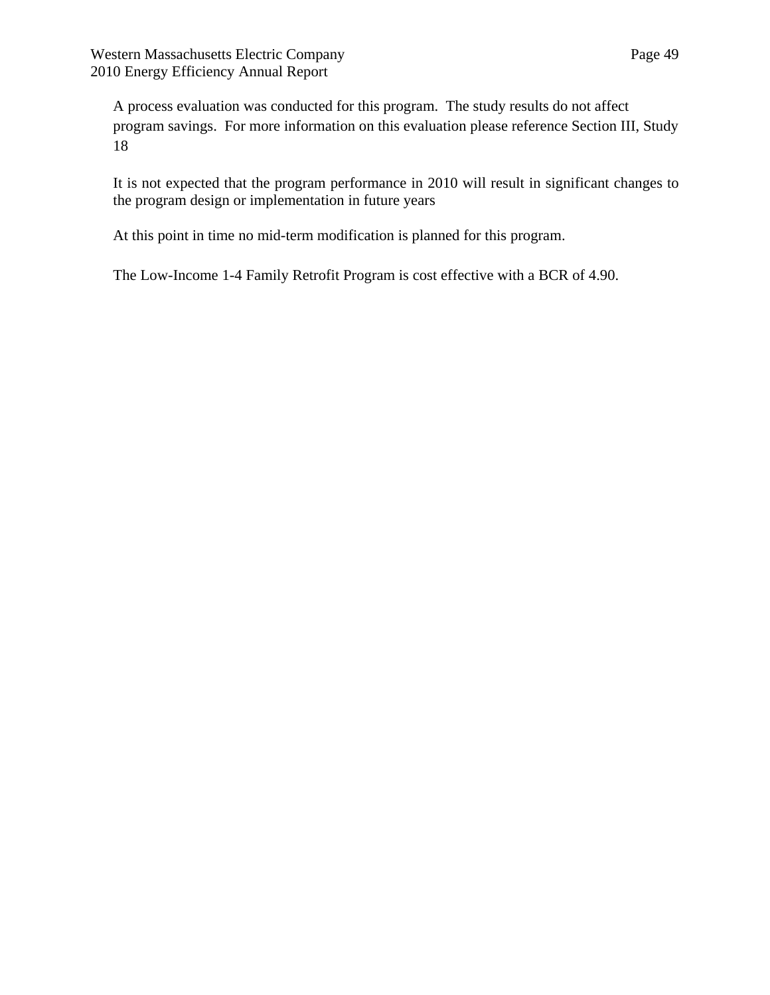A process evaluation was conducted for this program. The study results do not affect program savings. For more information on this evaluation please reference Section III, Study 18

It is not expected that the program performance in 2010 will result in significant changes to the program design or implementation in future years

At this point in time no mid-term modification is planned for this program.

The Low-Income 1-4 Family Retrofit Program is cost effective with a BCR of 4.90.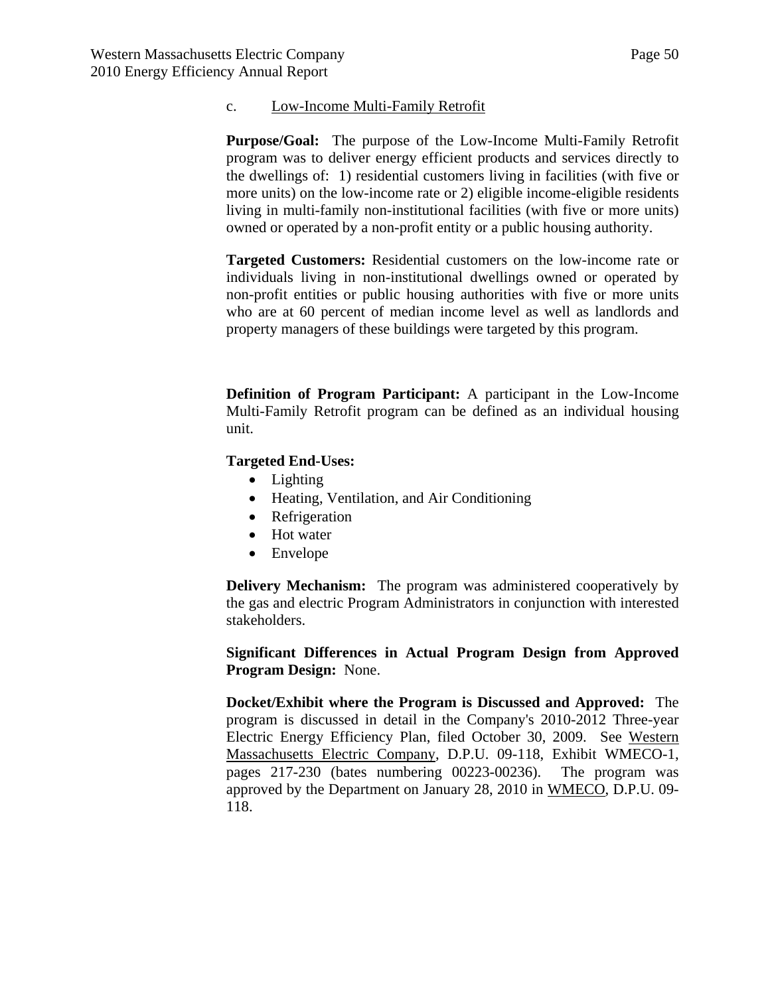#### c. Low-Income Multi-Family Retrofit

**Purpose/Goal:** The purpose of the Low-Income Multi-Family Retrofit program was to deliver energy efficient products and services directly to the dwellings of: 1) residential customers living in facilities (with five or more units) on the low-income rate or 2) eligible income-eligible residents living in multi-family non-institutional facilities (with five or more units) owned or operated by a non-profit entity or a public housing authority.

**Targeted Customers:** Residential customers on the low-income rate or individuals living in non-institutional dwellings owned or operated by non-profit entities or public housing authorities with five or more units who are at 60 percent of median income level as well as landlords and property managers of these buildings were targeted by this program.

**Definition of Program Participant:** A participant in the Low-Income Multi-Family Retrofit program can be defined as an individual housing unit.

### **Targeted End-Uses:**

- Lighting
- Heating, Ventilation, and Air Conditioning
- Refrigeration
- Hot water
- Envelope

**Delivery Mechanism:** The program was administered cooperatively by the gas and electric Program Administrators in conjunction with interested stakeholders.

**Significant Differences in Actual Program Design from Approved Program Design:** None.

**Docket/Exhibit where the Program is Discussed and Approved:** The program is discussed in detail in the Company's 2010-2012 Three-year Electric Energy Efficiency Plan, filed October 30, 2009. See Western Massachusetts Electric Company, D.P.U. 09-118, Exhibit WMECO-1, pages 217-230 (bates numbering 00223-00236). The program was approved by the Department on January 28, 2010 in WMECO, D.P.U. 09- 118.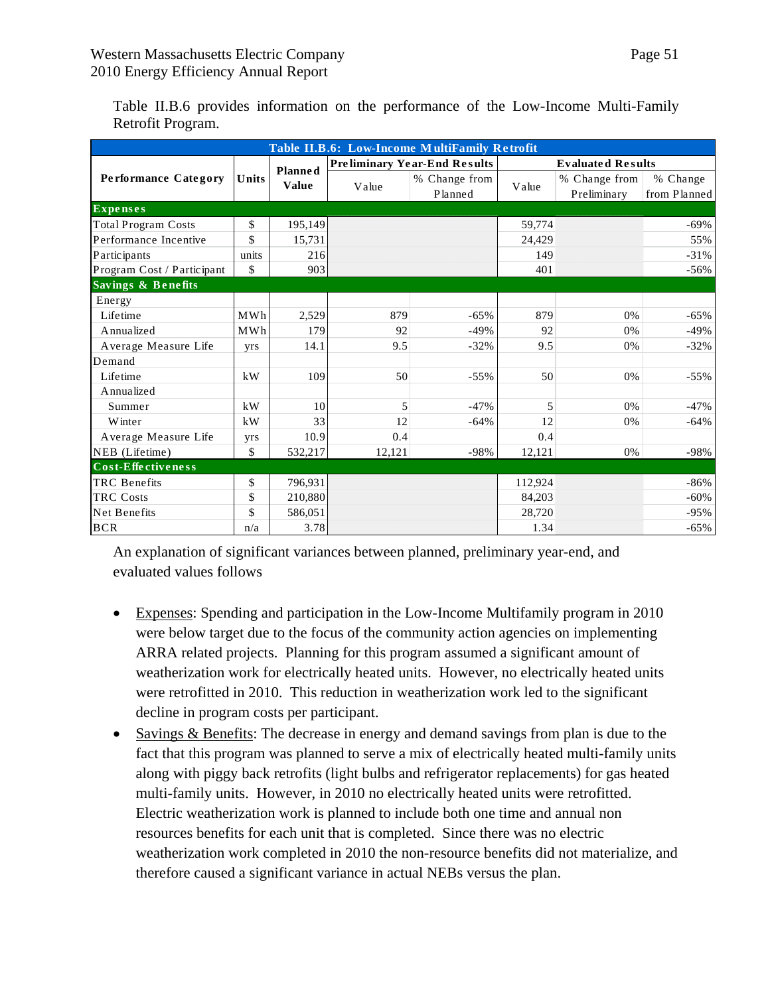| Table II.B.6: Low-Income MultiFamily Retrofit |       |                |        |                                     |         |                              |                          |  |  |
|-----------------------------------------------|-------|----------------|--------|-------------------------------------|---------|------------------------------|--------------------------|--|--|
|                                               |       | <b>Planned</b> |        | <b>Preliminary Year-End Results</b> |         | <b>Evaluated Results</b>     |                          |  |  |
| Performance Category                          | Units | <b>Value</b>   | Value  | % Change from<br>Planned            | Value   | % Change from<br>Preliminary | % Change<br>from Planned |  |  |
| <b>Expenses</b>                               |       |                |        |                                     |         |                              |                          |  |  |
| <b>Total Program Costs</b>                    | \$    | 195,149        |        |                                     | 59,774  |                              | $-69\%$                  |  |  |
| Performance Incentive                         | \$    | 15,731         |        |                                     | 24,429  |                              | 55%                      |  |  |
| Participants                                  | units | 216            |        |                                     | 149     |                              | $-31%$                   |  |  |
| Program Cost / Participant                    | \$    | 903            |        |                                     | 401     |                              | $-56%$                   |  |  |
| Savings & Benefits                            |       |                |        |                                     |         |                              |                          |  |  |
| Energy                                        |       |                |        |                                     |         |                              |                          |  |  |
| Lifetime                                      | MWh   | 2,529          | 879    | $-65%$                              | 879     | 0%                           | $-65%$                   |  |  |
| Annualized                                    | MWh   | 179            | 92     | $-49%$                              | 92      | 0%                           | $-49%$                   |  |  |
| Average Measure Life                          | yrs   | 14.1           | 9.5    | $-32%$                              | 9.5     | 0%                           | $-32%$                   |  |  |
| Demand                                        |       |                |        |                                     |         |                              |                          |  |  |
| Lifetime                                      | kW    | 109            | 50     | $-55%$                              | 50      | 0%                           | $-55%$                   |  |  |
| Annualized                                    |       |                |        |                                     |         |                              |                          |  |  |
| Summer                                        | kW    | 10             | 5      | $-47%$                              | 5       | $0\%$                        | $-47%$                   |  |  |
| Winter                                        | kW    | 33             | 12     | $-64%$                              | 12      | 0%                           | $-64%$                   |  |  |
| Average Measure Life                          | yrs   | 10.9           | 0.4    |                                     | 0.4     |                              |                          |  |  |
| NEB (Lifetime)                                | \$    | 532,217        | 12,121 | $-98%$                              | 12,121  | 0%                           | $-98%$                   |  |  |
| Cost-Effectiveness                            |       |                |        |                                     |         |                              |                          |  |  |
| <b>TRC</b> Benefits                           | \$    | 796,931        |        |                                     | 112,924 |                              | $-86%$                   |  |  |
| TRC Costs                                     | \$    | 210,880        |        |                                     | 84,203  |                              | $-60%$                   |  |  |
| Net Benefits                                  | \$    | 586,051        |        |                                     | 28,720  |                              | $-95%$                   |  |  |
| <b>BCR</b>                                    | n/a   | 3.78           |        |                                     | 1.34    |                              | $-65%$                   |  |  |

Table II.B.6 provides information on the performance of the Low-Income Multi-Family Retrofit Program.

An explanation of significant variances between planned, preliminary year-end, and evaluated values follows

- Expenses: Spending and participation in the Low-Income Multifamily program in 2010 were below target due to the focus of the community action agencies on implementing ARRA related projects. Planning for this program assumed a significant amount of weatherization work for electrically heated units. However, no electrically heated units were retrofitted in 2010. This reduction in weatherization work led to the significant decline in program costs per participant.
- Savings & Benefits: The decrease in energy and demand savings from plan is due to the fact that this program was planned to serve a mix of electrically heated multi-family units along with piggy back retrofits (light bulbs and refrigerator replacements) for gas heated multi-family units. However, in 2010 no electrically heated units were retrofitted. Electric weatherization work is planned to include both one time and annual non resources benefits for each unit that is completed. Since there was no electric weatherization work completed in 2010 the non-resource benefits did not materialize, and therefore caused a significant variance in actual NEBs versus the plan.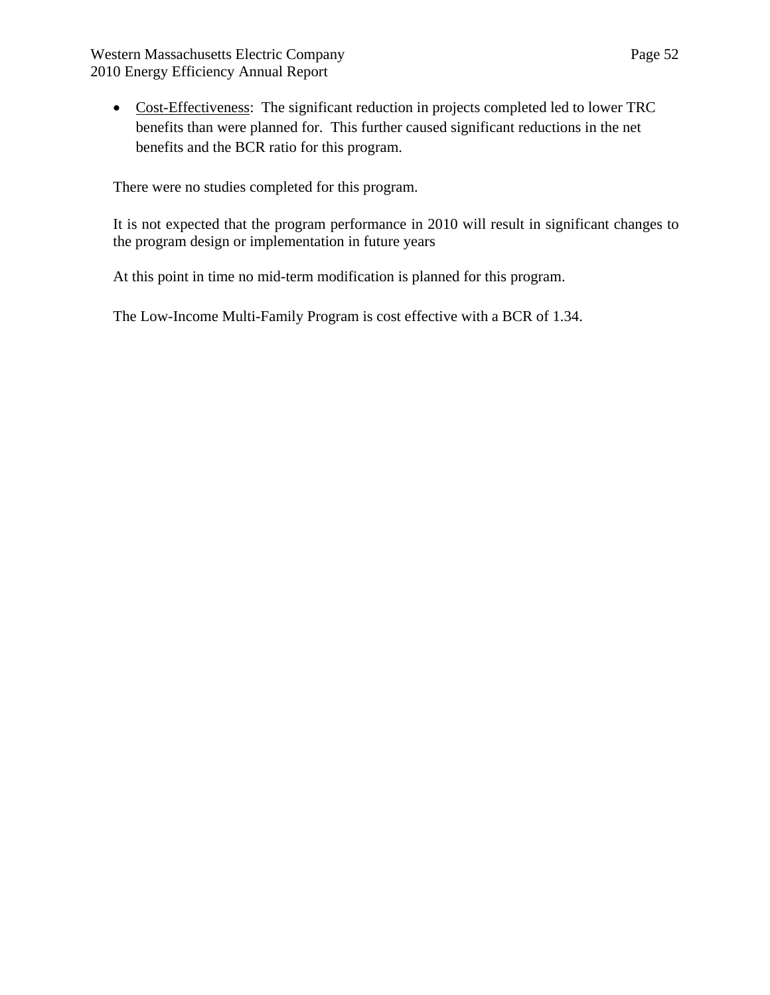Western Massachusetts Electric Company Page 52 2010 Energy Efficiency Annual Report

 Cost-Effectiveness: The significant reduction in projects completed led to lower TRC benefits than were planned for. This further caused significant reductions in the net benefits and the BCR ratio for this program.

There were no studies completed for this program.

It is not expected that the program performance in 2010 will result in significant changes to the program design or implementation in future years

At this point in time no mid-term modification is planned for this program.

The Low-Income Multi-Family Program is cost effective with a BCR of 1.34.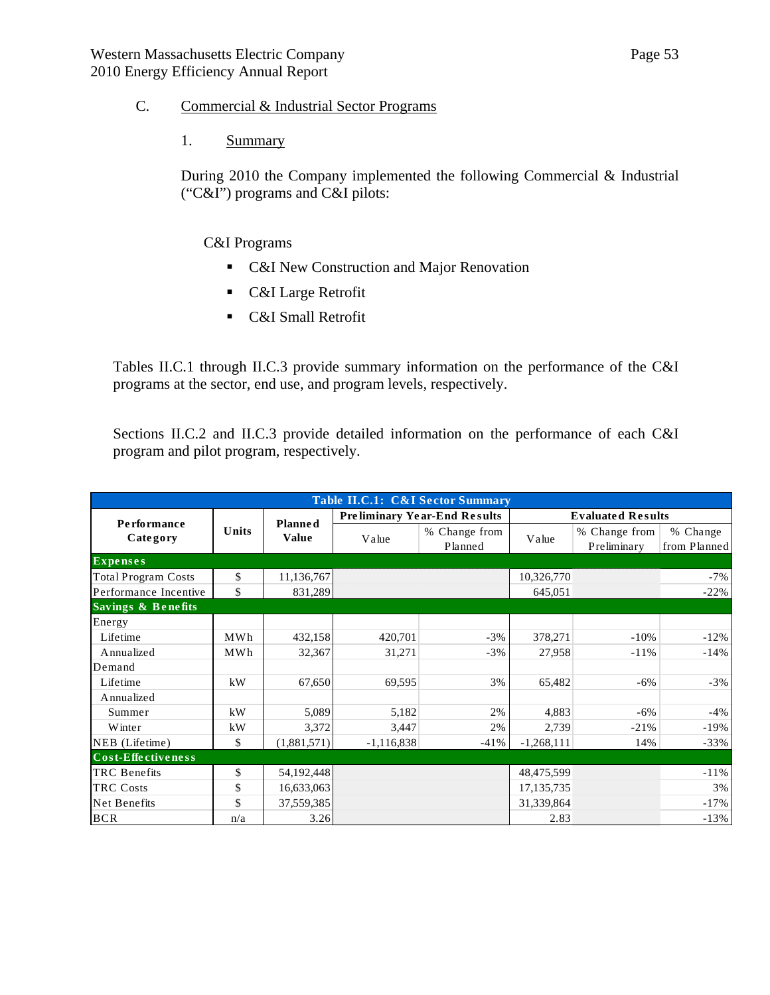## C. Commercial & Industrial Sector Programs

1. Summary

During 2010 the Company implemented the following Commercial & Industrial ("C&I") programs and C&I pilots:

### C&I Programs

- C&I New Construction and Major Renovation
- **C&I** Large Retrofit
- **C&I** Small Retrofit

Tables II.C.1 through II.C.3 provide summary information on the performance of the C&I programs at the sector, end use, and program levels, respectively.

Sections II.C.2 and II.C.3 provide detailed information on the performance of each C&I program and pilot program, respectively.

| Table II.C.1: C&I Sector Summary |       |                |              |                                     |              |                              |                          |  |
|----------------------------------|-------|----------------|--------------|-------------------------------------|--------------|------------------------------|--------------------------|--|
| Performance                      |       | <b>Planned</b> |              | <b>Preliminary Year-End Results</b> |              | <b>Evaluated Results</b>     |                          |  |
| Category                         | Units | <b>Value</b>   | Value        | % Change from<br>Planned            | Value        | % Change from<br>Preliminary | % Change<br>from Planned |  |
| <b>Expenses</b>                  |       |                |              |                                     |              |                              |                          |  |
| <b>Total Program Costs</b>       | \$    | 11,136,767     |              |                                     | 10,326,770   |                              | $-7%$                    |  |
| Performance Incentive            | \$    | 831,289        |              |                                     | 645,051      |                              | $-22%$                   |  |
| Savings & Benefits               |       |                |              |                                     |              |                              |                          |  |
| Energy                           |       |                |              |                                     |              |                              |                          |  |
| Lifetime                         | MWh   | 432,158        | 420,701      | $-3\%$                              | 378,271      | $-10%$                       | $-12\%$                  |  |
| Annualized                       | MWh   | 32,367         | 31,271       | $-3%$                               | 27,958       | $-11\%$                      | $-14%$                   |  |
| Demand                           |       |                |              |                                     |              |                              |                          |  |
| Lifetime                         | kW    | 67,650         | 69,595       | 3%                                  | 65,482       | $-6%$                        | $-3%$                    |  |
| Annualized                       |       |                |              |                                     |              |                              |                          |  |
| Summer                           | kW    | 5,089          | 5,182        | 2%                                  | 4,883        | $-6\%$                       | $-4%$                    |  |
| Winter                           | kW    | 3,372          | 3,447        | 2%                                  | 2,739        | $-21%$                       | $-19%$                   |  |
| NEB (Lifetime)                   | \$    | (1,881,571)    | $-1,116,838$ | $-41%$                              | $-1,268,111$ | 14%                          | $-33%$                   |  |
| Cost-Effectiveness               |       |                |              |                                     |              |                              |                          |  |
| <b>TRC</b> Benefits              | \$    | 54,192,448     |              |                                     | 48,475,599   |                              | $-11\%$                  |  |
| <b>TRC</b> Costs                 | \$    | 16,633,063     |              |                                     | 17,135,735   |                              | 3%                       |  |
| Net Benefits                     | \$    | 37,559,385     |              |                                     | 31,339,864   |                              | $-17%$                   |  |
| <b>BCR</b>                       | n/a   | 3.26           |              |                                     | 2.83         |                              | $-13%$                   |  |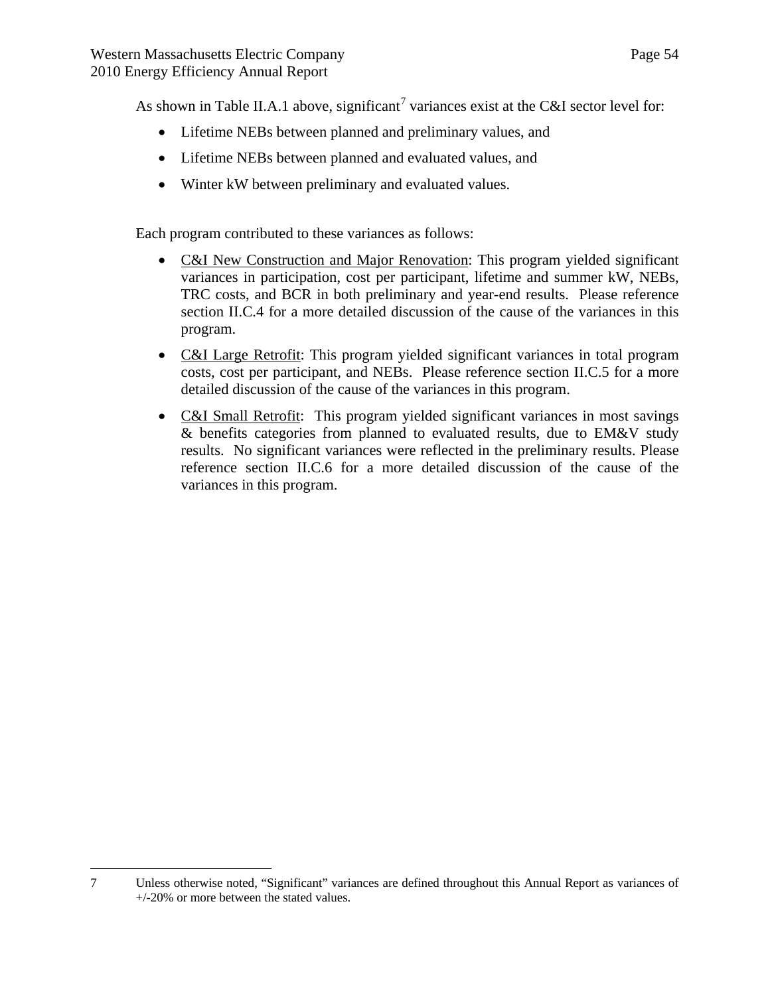As shown in Table II.A.1 above, significant<sup>[7](#page-53-0)</sup> variances exist at the C&I sector level for:

- Lifetime NEBs between planned and preliminary values, and
- Lifetime NEBs between planned and evaluated values, and
- Winter kW between preliminary and evaluated values.

Each program contributed to these variances as follows:

- C&I New Construction and Major Renovation: This program yielded significant variances in participation, cost per participant, lifetime and summer kW, NEBs, TRC costs, and BCR in both preliminary and year-end results. Please reference section II.C.4 for a more detailed discussion of the cause of the variances in this program.
- C&I Large Retrofit: This program yielded significant variances in total program costs, cost per participant, and NEBs. Please reference section II.C.5 for a more detailed discussion of the cause of the variances in this program.
- C&I Small Retrofit: This program yielded significant variances in most savings & benefits categories from planned to evaluated results, due to EM&V study results. No significant variances were reflected in the preliminary results. Please reference section II.C.6 for a more detailed discussion of the cause of the variances in this program.

<span id="page-53-0"></span><sup>1</sup> 7 Unless otherwise noted, "Significant" variances are defined throughout this Annual Report as variances of +/-20% or more between the stated values.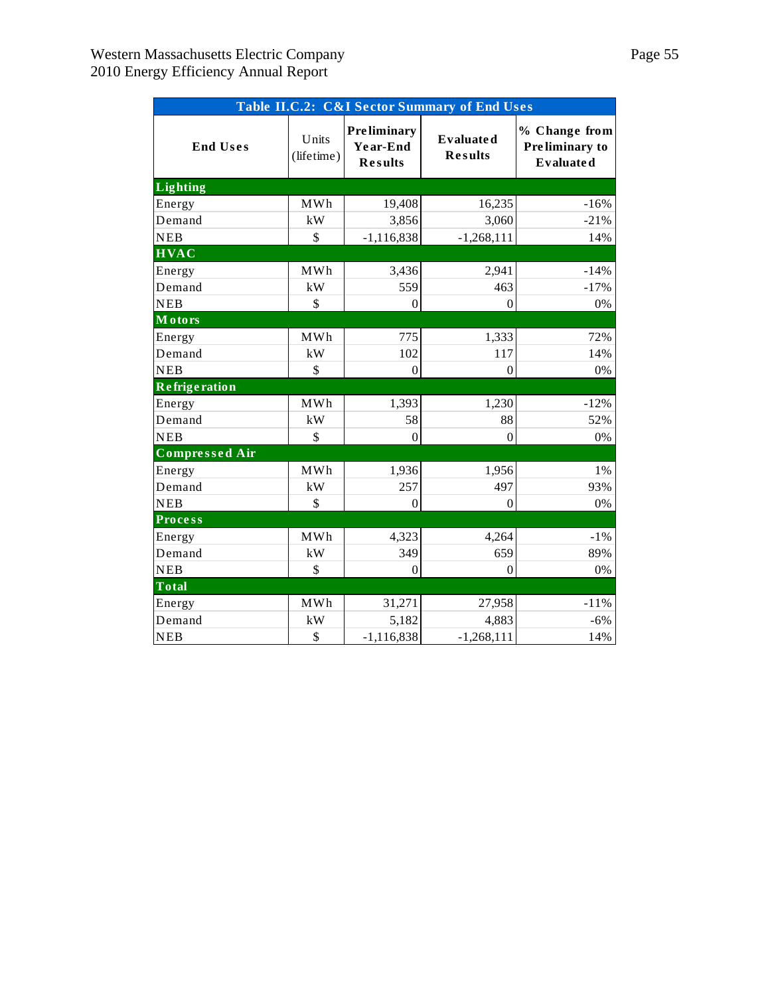| Table II.C.2: C&I Sector Summary of End Uses |                        |                                                  |                                    |                                                     |  |  |  |  |  |  |
|----------------------------------------------|------------------------|--------------------------------------------------|------------------------------------|-----------------------------------------------------|--|--|--|--|--|--|
| <b>End Uses</b>                              | Units<br>(lifetime)    | <b>Preliminary</b><br>Year-End<br><b>Results</b> | <b>Evaluated</b><br><b>Results</b> | % Change from<br>Preliminary to<br><b>Evaluated</b> |  |  |  |  |  |  |
| <b>Lighting</b>                              |                        |                                                  |                                    |                                                     |  |  |  |  |  |  |
| Energy                                       | <b>MWh</b>             | 19,408                                           | 16,235                             | $-16%$                                              |  |  |  |  |  |  |
| Demand                                       | kW                     | 3,856                                            | 3,060                              | $-21%$                                              |  |  |  |  |  |  |
| <b>NEB</b>                                   | \$                     | $-1,116,838$                                     | $-1,268,111$                       | 14%                                                 |  |  |  |  |  |  |
| <b>HVAC</b>                                  |                        |                                                  |                                    |                                                     |  |  |  |  |  |  |
| Energy                                       | <b>MWh</b>             | 3,436                                            | 2,941                              | $-14%$                                              |  |  |  |  |  |  |
| Demand                                       | kW                     | 559                                              | 463                                | $-17%$                                              |  |  |  |  |  |  |
| <b>NEB</b>                                   | \$                     | $\theta$                                         | $\Omega$                           | 0%                                                  |  |  |  |  |  |  |
| <b>Motors</b>                                |                        |                                                  |                                    |                                                     |  |  |  |  |  |  |
| Energy                                       | <b>MWh</b>             | 775                                              | 1,333                              | 72%                                                 |  |  |  |  |  |  |
| Demand                                       | kW                     | 102                                              | 117                                | 14%                                                 |  |  |  |  |  |  |
| <b>NEB</b>                                   | \$                     | $\theta$                                         | $\Omega$                           | 0%                                                  |  |  |  |  |  |  |
| <b>Refrige ration</b>                        |                        |                                                  |                                    |                                                     |  |  |  |  |  |  |
| Energy                                       | MWh                    | 1,393                                            | 1,230                              | $-12%$                                              |  |  |  |  |  |  |
| Demand                                       | kW                     | 58                                               | 88                                 | 52%                                                 |  |  |  |  |  |  |
| <b>NEB</b>                                   | \$                     | $\theta$                                         | $\Omega$                           | 0%                                                  |  |  |  |  |  |  |
| <b>Compressed Air</b>                        |                        |                                                  |                                    |                                                     |  |  |  |  |  |  |
| Energy                                       | <b>MWh</b>             | 1,936                                            | 1,956                              | 1%                                                  |  |  |  |  |  |  |
| Demand                                       | $\mathbf{k}\mathbf{W}$ | 257                                              | 497                                | 93%                                                 |  |  |  |  |  |  |
| <b>NEB</b>                                   | \$                     | $\theta$                                         | $\theta$                           | 0%                                                  |  |  |  |  |  |  |
| <b>Process</b>                               |                        |                                                  |                                    |                                                     |  |  |  |  |  |  |
| Energy                                       | MWh                    | 4,323                                            | 4,264                              | $-1\%$                                              |  |  |  |  |  |  |
| Demand                                       | kW                     | 349                                              | 659                                | 89%                                                 |  |  |  |  |  |  |
| <b>NEB</b>                                   | \$                     | 0                                                | $\Omega$                           | 0%                                                  |  |  |  |  |  |  |
| <b>Total</b>                                 |                        |                                                  |                                    |                                                     |  |  |  |  |  |  |
| Energy                                       | <b>MWh</b>             | 31,271                                           | 27,958                             | $-11%$                                              |  |  |  |  |  |  |
| Demand                                       | $\mathbf{k}\mathbf{W}$ | 5,182                                            | 4,883                              | $-6%$                                               |  |  |  |  |  |  |
| ${\bf NEB}$                                  | \$                     | $-1,116,838$                                     | $-1,268,111$                       | 14%                                                 |  |  |  |  |  |  |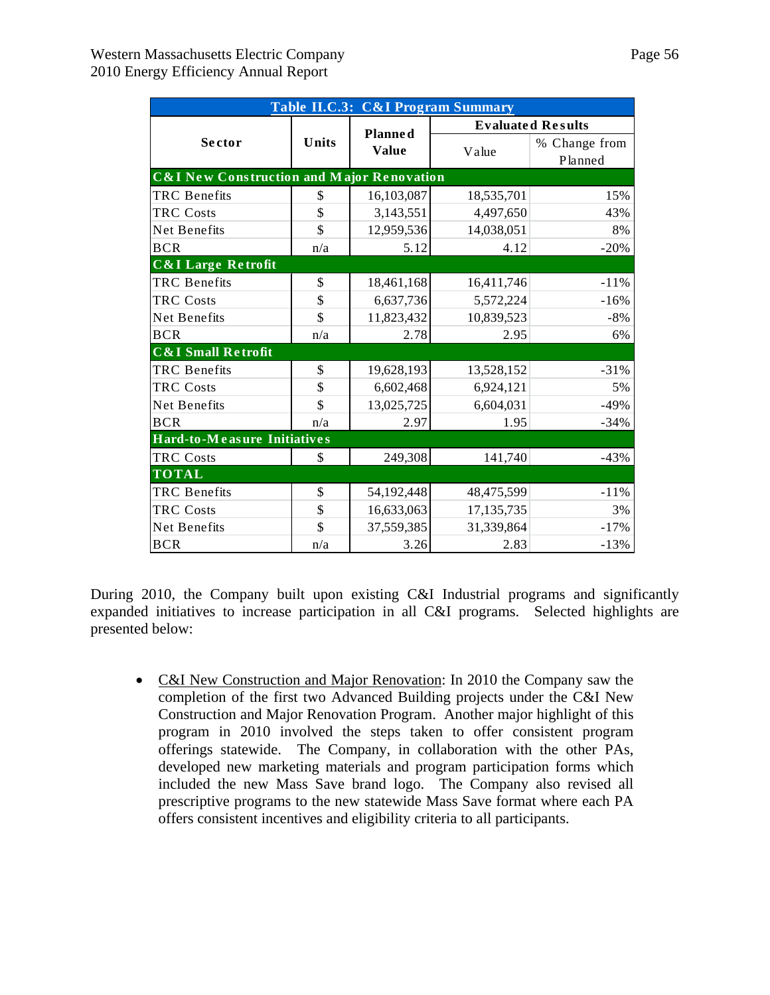| Table II.C.3: C&I Program Summary                    |       |                |            |                          |  |  |  |  |  |  |
|------------------------------------------------------|-------|----------------|------------|--------------------------|--|--|--|--|--|--|
|                                                      |       | <b>Planned</b> |            | <b>Evaluated Results</b> |  |  |  |  |  |  |
| <b>Sector</b>                                        | Units | Value          |            | % Change from            |  |  |  |  |  |  |
|                                                      |       |                | Value      | Planned                  |  |  |  |  |  |  |
| <b>C&amp;I New Construction and Major Renovation</b> |       |                |            |                          |  |  |  |  |  |  |
| <b>TRC</b> Benefits                                  | \$    | 16,103,087     | 18,535,701 | 15%                      |  |  |  |  |  |  |
| <b>TRC Costs</b>                                     | \$    | 3,143,551      | 4,497,650  | 43%                      |  |  |  |  |  |  |
| Net Benefits                                         | \$    | 12,959,536     | 14,038,051 | 8%                       |  |  |  |  |  |  |
| <b>BCR</b>                                           | n/a   | 5.12           | 4.12       | $-20%$                   |  |  |  |  |  |  |
| <b>C&amp;I Large Retrofit</b>                        |       |                |            |                          |  |  |  |  |  |  |
| <b>TRC</b> Benefits                                  | \$    | 18,461,168     | 16,411,746 | $-11%$                   |  |  |  |  |  |  |
| <b>TRC Costs</b>                                     | \$    | 6,637,736      | 5,572,224  | $-16%$                   |  |  |  |  |  |  |
| Net Benefits                                         | \$    | 11,823,432     | 10,839,523 | $-8%$                    |  |  |  |  |  |  |
| <b>BCR</b>                                           | n/a   | 2.78           | 2.95       | 6%                       |  |  |  |  |  |  |
| <b>C&amp;I Small Retrofit</b>                        |       |                |            |                          |  |  |  |  |  |  |
| <b>TRC</b> Benefits                                  | \$    | 19,628,193     | 13,528,152 | $-31%$                   |  |  |  |  |  |  |
| <b>TRC Costs</b>                                     | \$    | 6,602,468      | 6,924,121  | 5%                       |  |  |  |  |  |  |
| Net Benefits                                         | \$    | 13,025,725     | 6,604,031  | $-49%$                   |  |  |  |  |  |  |
| <b>BCR</b>                                           | n/a   | 2.97           | 1.95       | $-34%$                   |  |  |  |  |  |  |
| Hard-to-Measure Initiatives                          |       |                |            |                          |  |  |  |  |  |  |
| <b>TRC Costs</b>                                     | \$    | 249,308        | 141,740    | $-43%$                   |  |  |  |  |  |  |
| <b>TOTAL</b>                                         |       |                |            |                          |  |  |  |  |  |  |
| <b>TRC</b> Benefits                                  | \$    | 54,192,448     | 48,475,599 | $-11%$                   |  |  |  |  |  |  |
| <b>TRC Costs</b>                                     | \$    | 16,633,063     | 17,135,735 | 3%                       |  |  |  |  |  |  |
| Net Benefits                                         | \$    | 37,559,385     | 31,339,864 | $-17%$                   |  |  |  |  |  |  |
| <b>BCR</b>                                           | n/a   | 3.26           | 2.83       | $-13%$                   |  |  |  |  |  |  |

During 2010, the Company built upon existing C&I Industrial programs and significantly expanded initiatives to increase participation in all C&I programs. Selected highlights are presented below:

• C&I New Construction and Major Renovation: In 2010 the Company saw the completion of the first two Advanced Building projects under the C&I New Construction and Major Renovation Program. Another major highlight of this program in 2010 involved the steps taken to offer consistent program offerings statewide. The Company, in collaboration with the other PAs, developed new marketing materials and program participation forms which included the new Mass Save brand logo. The Company also revised all prescriptive programs to the new statewide Mass Save format where each PA offers consistent incentives and eligibility criteria to all participants.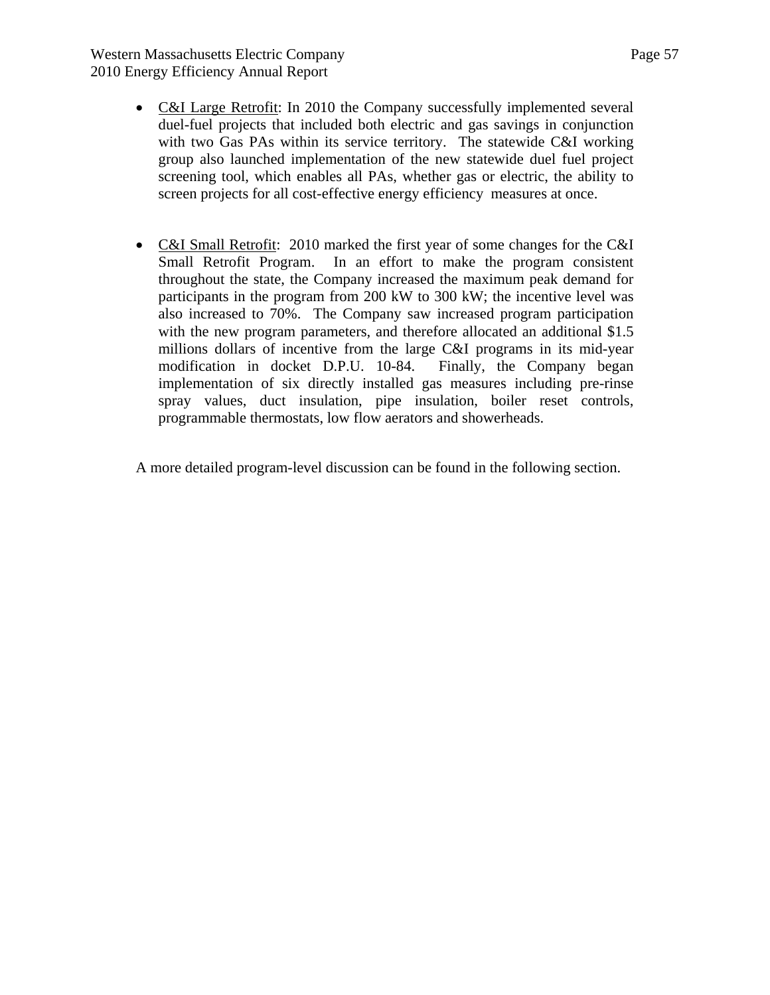Western Massachusetts Electric Company Page 57 2010 Energy Efficiency Annual Report

- C&I Large Retrofit: In 2010 the Company successfully implemented several duel-fuel projects that included both electric and gas savings in conjunction with two Gas PAs within its service territory. The statewide C&I working group also launched implementation of the new statewide duel fuel project screening tool, which enables all PAs, whether gas or electric, the ability to screen projects for all cost-effective energy efficiency measures at once.
- C&I Small Retrofit: 2010 marked the first year of some changes for the C&I Small Retrofit Program. In an effort to make the program consistent throughout the state, the Company increased the maximum peak demand for participants in the program from 200 kW to 300 kW; the incentive level was also increased to 70%. The Company saw increased program participation with the new program parameters, and therefore allocated an additional \$1.5 millions dollars of incentive from the large C&I programs in its mid-year modification in docket D.P.U. 10-84. Finally, the Company began implementation of six directly installed gas measures including pre-rinse spray values, duct insulation, pipe insulation, boiler reset controls, programmable thermostats, low flow aerators and showerheads.

A more detailed program-level discussion can be found in the following section.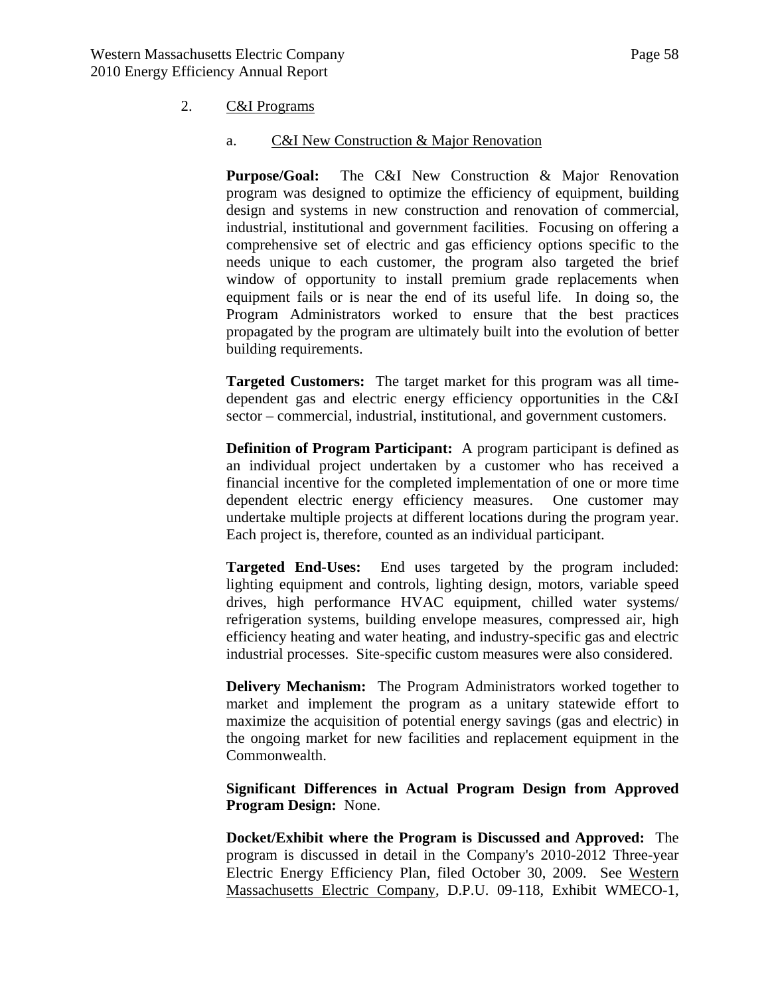#### 2. C&I Programs

#### a. C&I New Construction & Major Renovation

**Purpose/Goal:** The C&I New Construction & Major Renovation program was designed to optimize the efficiency of equipment, building design and systems in new construction and renovation of commercial, industrial, institutional and government facilities. Focusing on offering a comprehensive set of electric and gas efficiency options specific to the needs unique to each customer, the program also targeted the brief window of opportunity to install premium grade replacements when equipment fails or is near the end of its useful life. In doing so, the Program Administrators worked to ensure that the best practices propagated by the program are ultimately built into the evolution of better building requirements.

**Targeted Customers:** The target market for this program was all timedependent gas and electric energy efficiency opportunities in the C&I sector – commercial, industrial, institutional, and government customers.

**Definition of Program Participant:** A program participant is defined as an individual project undertaken by a customer who has received a financial incentive for the completed implementation of one or more time dependent electric energy efficiency measures. One customer may undertake multiple projects at different locations during the program year. Each project is, therefore, counted as an individual participant.

**Targeted End-Uses:** End uses targeted by the program included: lighting equipment and controls, lighting design, motors, variable speed drives, high performance HVAC equipment, chilled water systems/ refrigeration systems, building envelope measures, compressed air, high efficiency heating and water heating, and industry-specific gas and electric industrial processes. Site-specific custom measures were also considered.

**Delivery Mechanism:** The Program Administrators worked together to market and implement the program as a unitary statewide effort to maximize the acquisition of potential energy savings (gas and electric) in the ongoing market for new facilities and replacement equipment in the Commonwealth.

**Significant Differences in Actual Program Design from Approved Program Design:** None.

**Docket/Exhibit where the Program is Discussed and Approved:** The program is discussed in detail in the Company's 2010-2012 Three-year Electric Energy Efficiency Plan, filed October 30, 2009. See Western Massachusetts Electric Company, D.P.U. 09-118, Exhibit WMECO-1,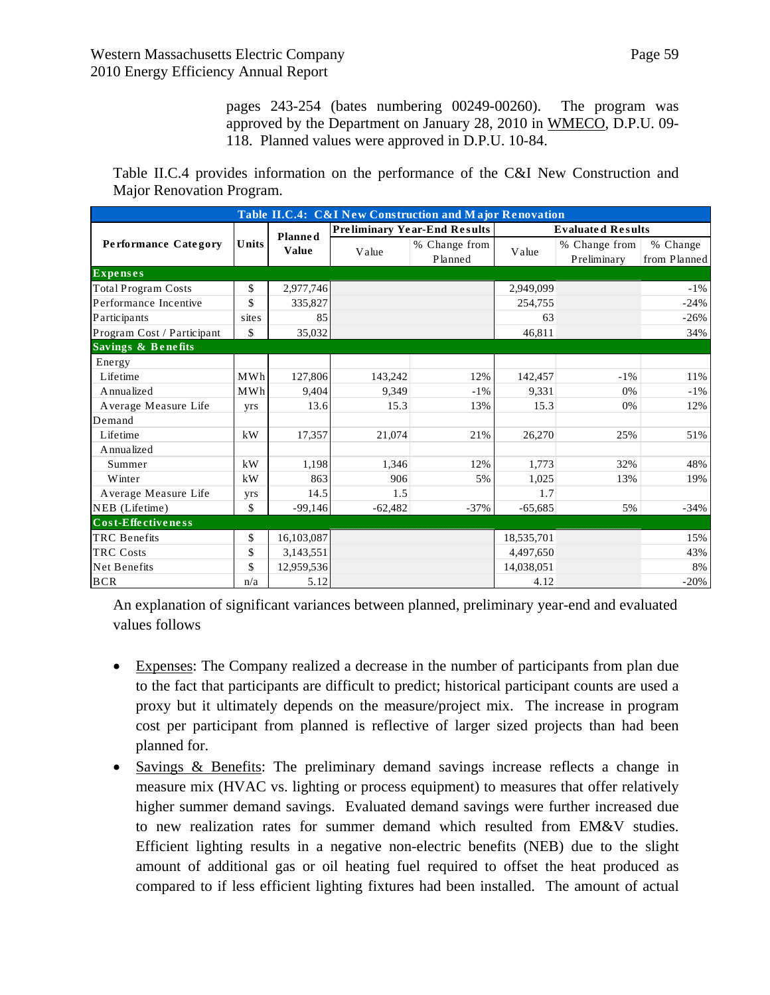pages 243-254 (bates numbering 00249-00260). The program was approved by the Department on January 28, 2010 in WMECO, D.P.U. 09- 118. Planned values were approved in D.P.U. 10-84.

Table II.C.4 provides information on the performance of the C&I New Construction and Major Renovation Program.

| Table II.C.4: C&I New Construction and Major Renovation |       |                |           |                                     |            |                              |                          |  |  |
|---------------------------------------------------------|-------|----------------|-----------|-------------------------------------|------------|------------------------------|--------------------------|--|--|
|                                                         |       | <b>Planned</b> |           | <b>Preliminary Year-End Results</b> |            | <b>Evaluated Results</b>     |                          |  |  |
| <b>Performance Category</b>                             | Units | <b>Value</b>   | Value     | % Change from<br>Planned            | Value      | % Change from<br>Preliminary | % Change<br>from Planned |  |  |
| <b>Expenses</b>                                         |       |                |           |                                     |            |                              |                          |  |  |
| <b>Total Program Costs</b>                              | \$    | 2,977,746      |           |                                     | 2,949,099  |                              | $-1\%$                   |  |  |
| Performance Incentive                                   | \$    | 335,827        |           |                                     | 254,755    |                              | $-24%$                   |  |  |
| Participants                                            | sites | 85             |           |                                     | 63         |                              | $-26%$                   |  |  |
| Program Cost / Participant                              | \$    | 35,032         |           |                                     | 46,811     |                              | 34%                      |  |  |
| Savings & Benefits                                      |       |                |           |                                     |            |                              |                          |  |  |
| Energy                                                  |       |                |           |                                     |            |                              |                          |  |  |
| Lifetime                                                | MWh   | 127,806        | 143.242   | 12%                                 | 142.457    | $-1\%$                       | 11%                      |  |  |
| Annualized                                              | MWh   | 9,404          | 9,349     | $-1\%$                              | 9,331      | 0%                           | $-1\%$                   |  |  |
| Average Measure Life                                    | yrs   | 13.6           | 15.3      | 13%                                 | 15.3       | 0%                           | 12%                      |  |  |
| Demand                                                  |       |                |           |                                     |            |                              |                          |  |  |
| Lifetime                                                | kW    | 17,357         | 21,074    | 21%                                 | 26,270     | 25%                          | 51%                      |  |  |
| Annualized                                              |       |                |           |                                     |            |                              |                          |  |  |
| Summer                                                  | kW    | 1,198          | 1,346     | 12%                                 | 1.773      | 32%                          | 48%                      |  |  |
| Winter                                                  | kW    | 863            | 906       | 5%                                  | 1,025      | 13%                          | 19%                      |  |  |
| Average Measure Life                                    | yrs   | 14.5           | 1.5       |                                     | 1.7        |                              |                          |  |  |
| NEB (Lifetime)                                          | \$    | $-99,146$      | $-62,482$ | $-37%$                              | $-65,685$  | 5%                           | $-34%$                   |  |  |
| Cost-Effectiveness                                      |       |                |           |                                     |            |                              |                          |  |  |
| <b>TRC</b> Benefits                                     | \$    | 16,103,087     |           |                                     | 18,535,701 |                              | 15%                      |  |  |
| <b>TRC</b> Costs                                        | \$    | 3,143,551      |           |                                     | 4,497,650  |                              | 43%                      |  |  |
| <b>Net Benefits</b>                                     | \$    | 12,959,536     |           |                                     | 14,038,051 |                              | 8%                       |  |  |
| <b>BCR</b>                                              | n/a   | 5.12           |           |                                     | 4.12       |                              | $-20%$                   |  |  |

An explanation of significant variances between planned, preliminary year-end and evaluated values follows

- Expenses: The Company realized a decrease in the number of participants from plan due to the fact that participants are difficult to predict; historical participant counts are used a proxy but it ultimately depends on the measure/project mix. The increase in program cost per participant from planned is reflective of larger sized projects than had been planned for.
- Savings & Benefits: The preliminary demand savings increase reflects a change in measure mix (HVAC vs. lighting or process equipment) to measures that offer relatively higher summer demand savings. Evaluated demand savings were further increased due to new realization rates for summer demand which resulted from EM&V studies. Efficient lighting results in a negative non-electric benefits (NEB) due to the slight amount of additional gas or oil heating fuel required to offset the heat produced as compared to if less efficient lighting fixtures had been installed. The amount of actual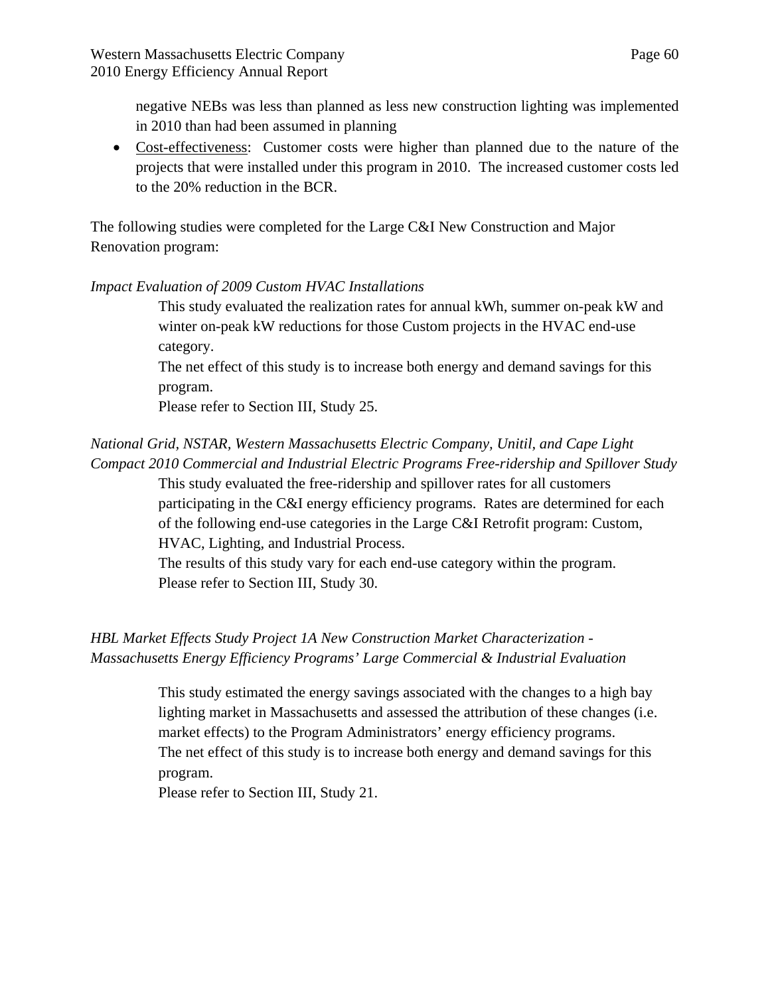negative NEBs was less than planned as less new construction lighting was implemented in 2010 than had been assumed in planning

 Cost-effectiveness: Customer costs were higher than planned due to the nature of the projects that were installed under this program in 2010. The increased customer costs led to the 20% reduction in the BCR.

The following studies were completed for the Large C&I New Construction and Major Renovation program:

## *Impact Evaluation of 2009 Custom HVAC Installations*

This study evaluated the realization rates for annual kWh, summer on-peak kW and winter on-peak kW reductions for those Custom projects in the HVAC end-use category.

The net effect of this study is to increase both energy and demand savings for this program.

Please refer to Section III, Study 25.

# *National Grid, NSTAR, Western Massachusetts Electric Company, Unitil, and Cape Light Compact 2010 Commercial and Industrial Electric Programs Free-ridership and Spillover Study*

This study evaluated the free-ridership and spillover rates for all customers participating in the C&I energy efficiency programs. Rates are determined for each of the following end-use categories in the Large C&I Retrofit program: Custom, HVAC, Lighting, and Industrial Process.

The results of this study vary for each end-use category within the program. Please refer to Section III, Study 30.

# *HBL Market Effects Study Project 1A New Construction Market Characterization - Massachusetts Energy Efficiency Programs' Large Commercial & Industrial Evaluation*

This study estimated the energy savings associated with the changes to a high bay lighting market in Massachusetts and assessed the attribution of these changes (i.e. market effects) to the Program Administrators' energy efficiency programs. The net effect of this study is to increase both energy and demand savings for this program.

Please refer to Section III, Study 21.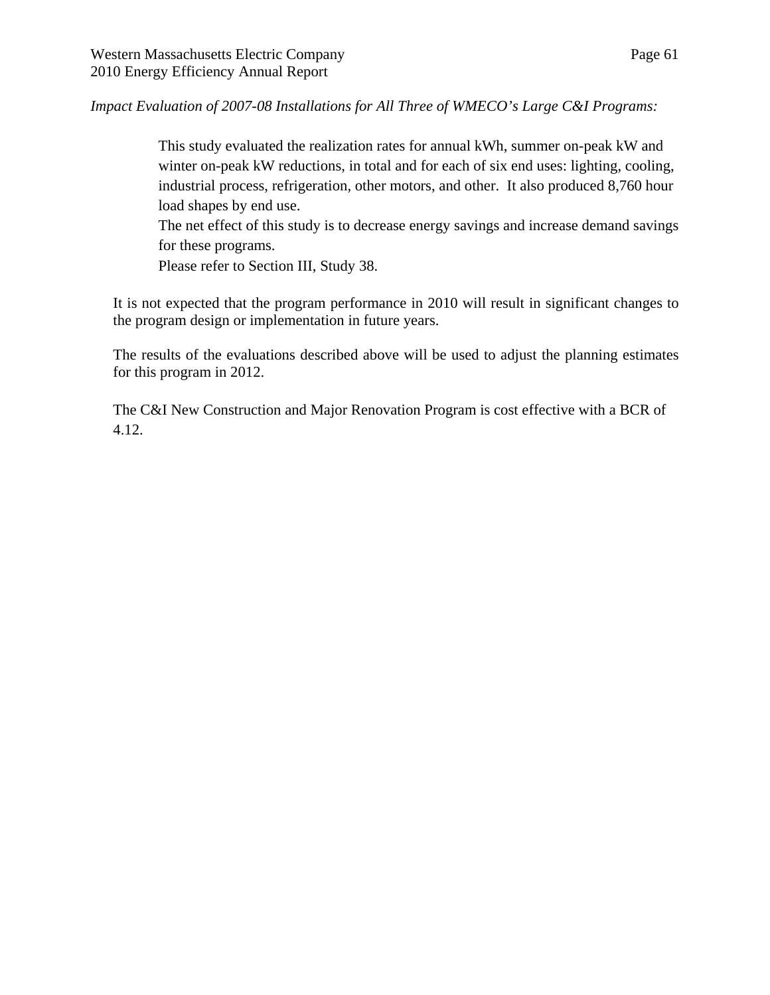*Impact Evaluation of 2007-08 Installations for All Three of WMECO's Large C&I Programs:* 

This study evaluated the realization rates for annual kWh, summer on-peak kW and winter on-peak kW reductions, in total and for each of six end uses: lighting, cooling, industrial process, refrigeration, other motors, and other. It also produced 8,760 hour load shapes by end use.

The net effect of this study is to decrease energy savings and increase demand savings for these programs.

Please refer to Section III, Study 38.

It is not expected that the program performance in 2010 will result in significant changes to the program design or implementation in future years.

The results of the evaluations described above will be used to adjust the planning estimates for this program in 2012.

The C&I New Construction and Major Renovation Program is cost effective with a BCR of 4.12.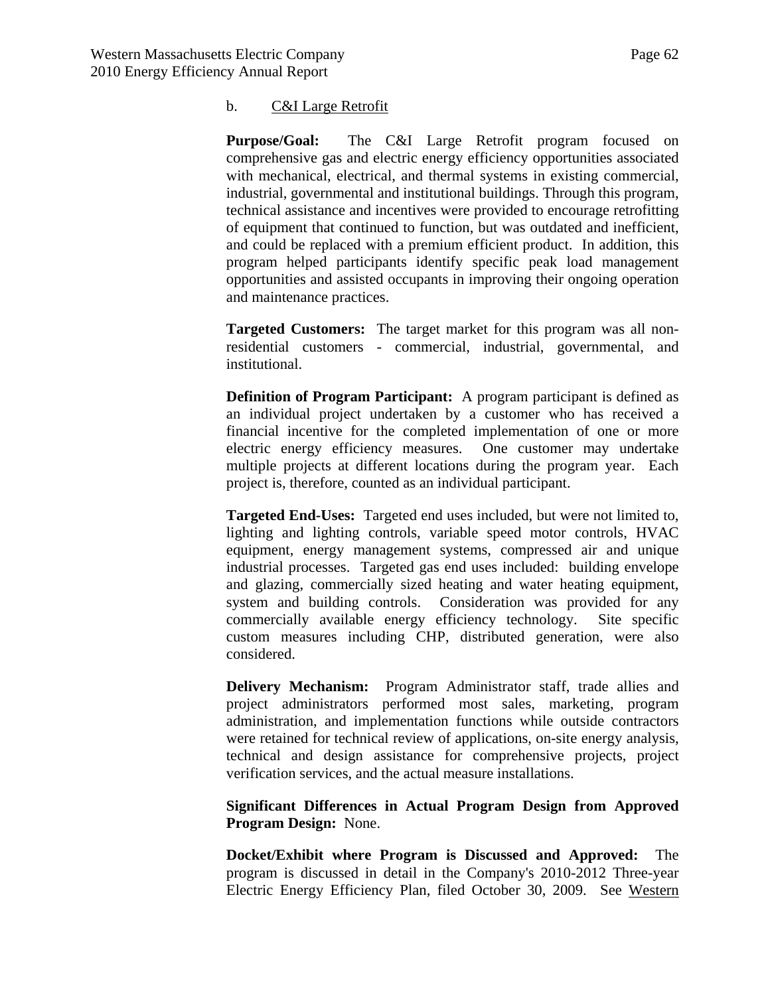### b. C&I Large Retrofit

**Purpose/Goal:** The C&I Large Retrofit program focused on comprehensive gas and electric energy efficiency opportunities associated with mechanical, electrical, and thermal systems in existing commercial, industrial, governmental and institutional buildings. Through this program, technical assistance and incentives were provided to encourage retrofitting of equipment that continued to function, but was outdated and inefficient, and could be replaced with a premium efficient product. In addition, this program helped participants identify specific peak load management opportunities and assisted occupants in improving their ongoing operation and maintenance practices.

**Targeted Customers:** The target market for this program was all nonresidential customers - commercial, industrial, governmental, and institutional.

**Definition of Program Participant:** A program participant is defined as an individual project undertaken by a customer who has received a financial incentive for the completed implementation of one or more electric energy efficiency measures. One customer may undertake multiple projects at different locations during the program year. Each project is, therefore, counted as an individual participant.

**Targeted End-Uses:** Targeted end uses included, but were not limited to, lighting and lighting controls, variable speed motor controls, HVAC equipment, energy management systems, compressed air and unique industrial processes. Targeted gas end uses included: building envelope and glazing, commercially sized heating and water heating equipment, system and building controls. Consideration was provided for any commercially available energy efficiency technology. Site specific custom measures including CHP, distributed generation, were also considered.

**Delivery Mechanism:** Program Administrator staff, trade allies and project administrators performed most sales, marketing, program administration, and implementation functions while outside contractors were retained for technical review of applications, on-site energy analysis, technical and design assistance for comprehensive projects, project verification services, and the actual measure installations.

**Significant Differences in Actual Program Design from Approved Program Design:** None.

**Docket/Exhibit where Program is Discussed and Approved:** The program is discussed in detail in the Company's 2010-2012 Three-year Electric Energy Efficiency Plan, filed October 30, 2009. See Western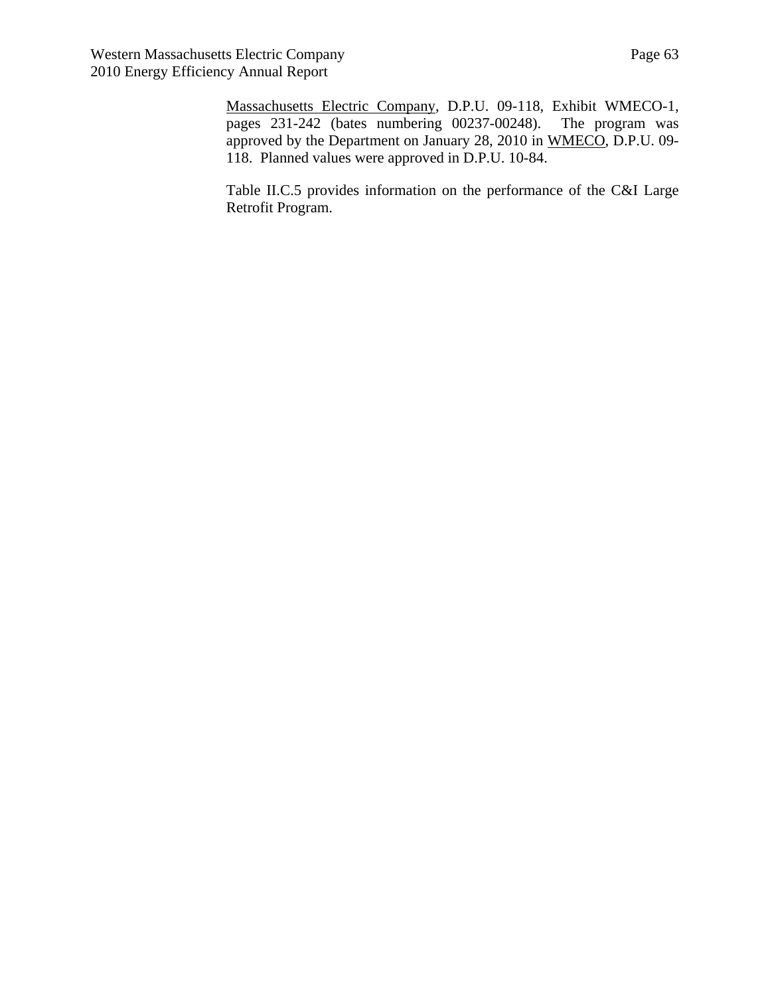Massachusetts Electric Company, D.P.U. 09-118, Exhibit WMECO-1, pages 231-242 (bates numbering 00237-00248). The program was approved by the Department on January 28, 2010 in WMECO, D.P.U. 09- 118. Planned values were approved in D.P.U. 10-84.

Table II.C.5 provides information on the performance of the C&I Large Retrofit Program.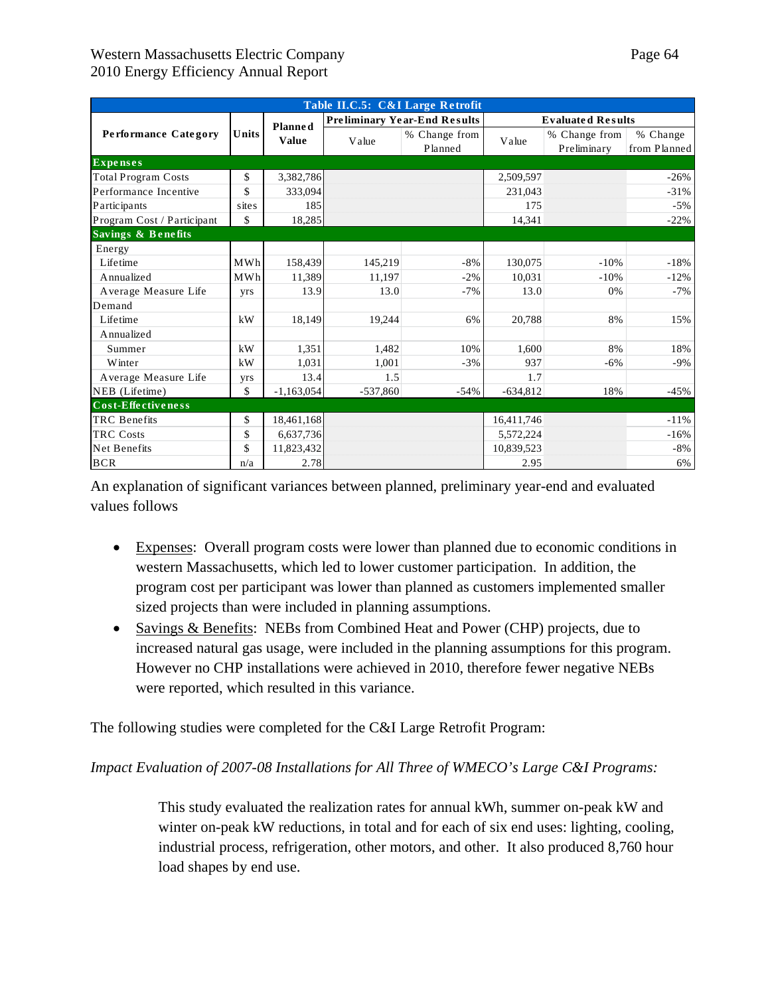| Table II.C.5: C&I Large Retrofit |            |                |                                   |                                     |            |                              |                          |  |  |
|----------------------------------|------------|----------------|-----------------------------------|-------------------------------------|------------|------------------------------|--------------------------|--|--|
|                                  |            | <b>Planned</b> |                                   | <b>Preliminary Year-End Results</b> |            | <b>Evaluated Results</b>     |                          |  |  |
| Performance Category             | Units      | <b>Value</b>   | % Change from<br>Value<br>Planned |                                     | Value      | % Change from<br>Preliminary | % Change<br>from Planned |  |  |
| <b>Expenses</b>                  |            |                |                                   |                                     |            |                              |                          |  |  |
| <b>Total Program Costs</b>       | \$         | 3,382,786      |                                   |                                     | 2,509,597  |                              | $-26%$                   |  |  |
| Performance Incentive            | \$         | 333,094        |                                   |                                     | 231.043    |                              | $-31%$                   |  |  |
| Participants                     | sites      | 185            |                                   |                                     | 175        |                              | $-5%$                    |  |  |
| Program Cost / Participant       | \$         | 18,285         |                                   |                                     | 14.341     |                              | $-22%$                   |  |  |
| Savings & Benefits               |            |                |                                   |                                     |            |                              |                          |  |  |
| Energy                           |            |                |                                   |                                     |            |                              |                          |  |  |
| Lifetime                         | MWh        | 158,439        | 145,219                           | $-8%$                               | 130,075    | $-10%$                       | $-18%$                   |  |  |
| Annualized                       | <b>MWh</b> | 11,389         | 11.197                            | $-2%$                               | 10.031     | $-10%$                       | $-12%$                   |  |  |
| Average Measure Life             | yrs        | 13.9           | 13.0                              | $-7%$                               | 13.0       | 0%                           | $-7%$                    |  |  |
| Demand                           |            |                |                                   |                                     |            |                              |                          |  |  |
| Lifetime                         | kW         | 18,149         | 19,244                            | 6%                                  | 20,788     | 8%                           | 15%                      |  |  |
| A nnualized                      |            |                |                                   |                                     |            |                              |                          |  |  |
| Summer                           | kW         | 1,351          | 1,482                             | 10%                                 | 1,600      | 8%                           | 18%                      |  |  |
| Winter                           | kW         | 1,031          | 1,001                             | $-3%$                               | 937        | $-6\%$                       | $-9%$                    |  |  |
| Average Measure Life             | yrs        | 13.4           | 1.5                               |                                     | 1.7        |                              |                          |  |  |
| NEB (Lifetime)                   | \$         | $-1,163,054$   | $-537,860$                        | $-54%$                              | $-634,812$ | 18%                          | $-45%$                   |  |  |
| Cost-Effectiveness               |            |                |                                   |                                     |            |                              |                          |  |  |
| <b>TRC</b> Benefits              | \$         | 18,461,168     |                                   |                                     | 16,411,746 |                              | $-11%$                   |  |  |
| <b>TRC</b> Costs                 | \$         | 6,637,736      |                                   |                                     | 5,572,224  |                              | $-16%$                   |  |  |
| Net Benefits                     | \$         | 11,823,432     |                                   |                                     | 10,839,523 |                              | $-8%$                    |  |  |
| <b>BCR</b>                       | n/a        | 2.78           |                                   |                                     | 2.95       |                              | 6%                       |  |  |

An explanation of significant variances between planned, preliminary year-end and evaluated values follows

- Expenses: Overall program costs were lower than planned due to economic conditions in western Massachusetts, which led to lower customer participation. In addition, the program cost per participant was lower than planned as customers implemented smaller sized projects than were included in planning assumptions.
- Savings & Benefits: NEBs from Combined Heat and Power (CHP) projects, due to increased natural gas usage, were included in the planning assumptions for this program. However no CHP installations were achieved in 2010, therefore fewer negative NEBs were reported, which resulted in this variance.

The following studies were completed for the C&I Large Retrofit Program:

*Impact Evaluation of 2007-08 Installations for All Three of WMECO's Large C&I Programs:* 

This study evaluated the realization rates for annual kWh, summer on-peak kW and winter on-peak kW reductions, in total and for each of six end uses: lighting, cooling, industrial process, refrigeration, other motors, and other. It also produced 8,760 hour load shapes by end use.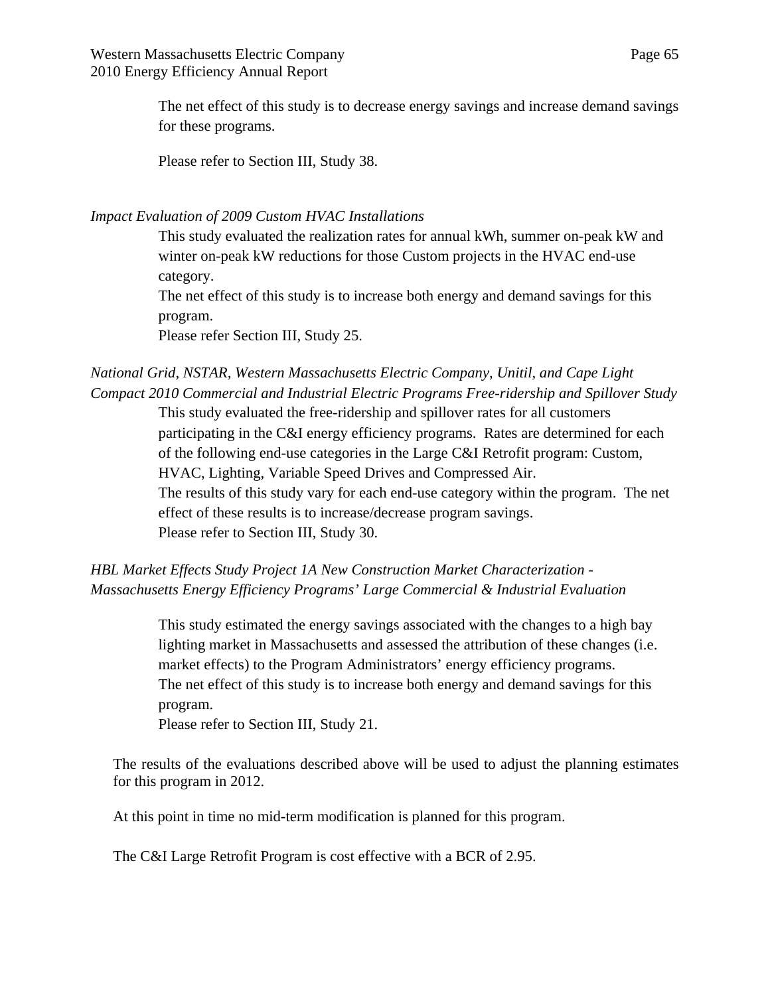The net effect of this study is to decrease energy savings and increase demand savings for these programs.

Please refer to Section III, Study 38.

*Impact Evaluation of 2009 Custom HVAC Installations* 

This study evaluated the realization rates for annual kWh, summer on-peak kW and winter on-peak kW reductions for those Custom projects in the HVAC end-use category.

The net effect of this study is to increase both energy and demand savings for this program.

Please refer Section III, Study 25.

# *National Grid, NSTAR, Western Massachusetts Electric Company, Unitil, and Cape Light Compact 2010 Commercial and Industrial Electric Programs Free-ridership and Spillover Study*

This study evaluated the free-ridership and spillover rates for all customers participating in the C&I energy efficiency programs. Rates are determined for each of the following end-use categories in the Large C&I Retrofit program: Custom, HVAC, Lighting, Variable Speed Drives and Compressed Air. The results of this study vary for each end-use category within the program. The net effect of these results is to increase/decrease program savings. Please refer to Section III, Study 30.

*HBL Market Effects Study Project 1A New Construction Market Characterization - Massachusetts Energy Efficiency Programs' Large Commercial & Industrial Evaluation* 

> This study estimated the energy savings associated with the changes to a high bay lighting market in Massachusetts and assessed the attribution of these changes (i.e. market effects) to the Program Administrators' energy efficiency programs. The net effect of this study is to increase both energy and demand savings for this program.

Please refer to Section III, Study 21.

The results of the evaluations described above will be used to adjust the planning estimates for this program in 2012.

At this point in time no mid-term modification is planned for this program.

The C&I Large Retrofit Program is cost effective with a BCR of 2.95.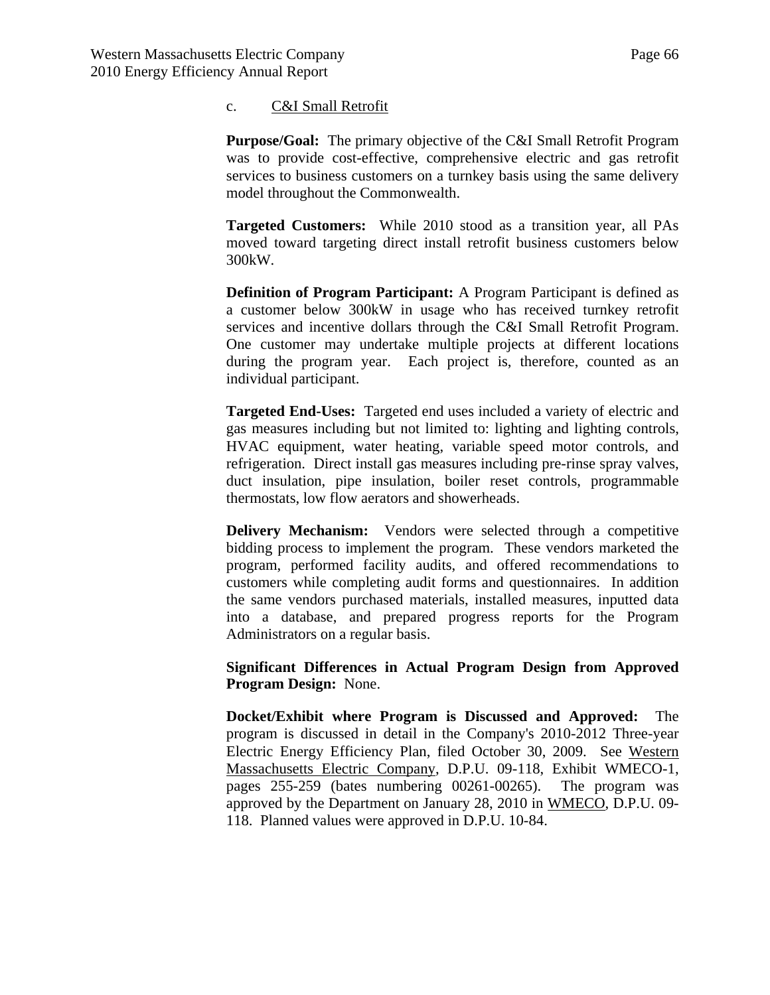#### c. C&I Small Retrofit

**Purpose/Goal:** The primary objective of the C&I Small Retrofit Program was to provide cost-effective, comprehensive electric and gas retrofit services to business customers on a turnkey basis using the same delivery model throughout the Commonwealth.

**Targeted Customers:** While 2010 stood as a transition year, all PAs moved toward targeting direct install retrofit business customers below 300kW.

**Definition of Program Participant:** A Program Participant is defined as a customer below 300kW in usage who has received turnkey retrofit services and incentive dollars through the C&I Small Retrofit Program. One customer may undertake multiple projects at different locations during the program year. Each project is, therefore, counted as an individual participant.

**Targeted End-Uses:** Targeted end uses included a variety of electric and gas measures including but not limited to: lighting and lighting controls, HVAC equipment, water heating, variable speed motor controls, and refrigeration. Direct install gas measures including pre-rinse spray valves, duct insulation, pipe insulation, boiler reset controls, programmable thermostats, low flow aerators and showerheads.

**Delivery Mechanism:** Vendors were selected through a competitive bidding process to implement the program. These vendors marketed the program, performed facility audits, and offered recommendations to customers while completing audit forms and questionnaires. In addition the same vendors purchased materials, installed measures, inputted data into a database, and prepared progress reports for the Program Administrators on a regular basis.

**Significant Differences in Actual Program Design from Approved Program Design:** None.

**Docket/Exhibit where Program is Discussed and Approved:** The program is discussed in detail in the Company's 2010-2012 Three-year Electric Energy Efficiency Plan, filed October 30, 2009. See Western Massachusetts Electric Company, D.P.U. 09-118, Exhibit WMECO-1, pages 255-259 (bates numbering 00261-00265). The program was approved by the Department on January 28, 2010 in WMECO, D.P.U. 09- 118. Planned values were approved in D.P.U. 10-84.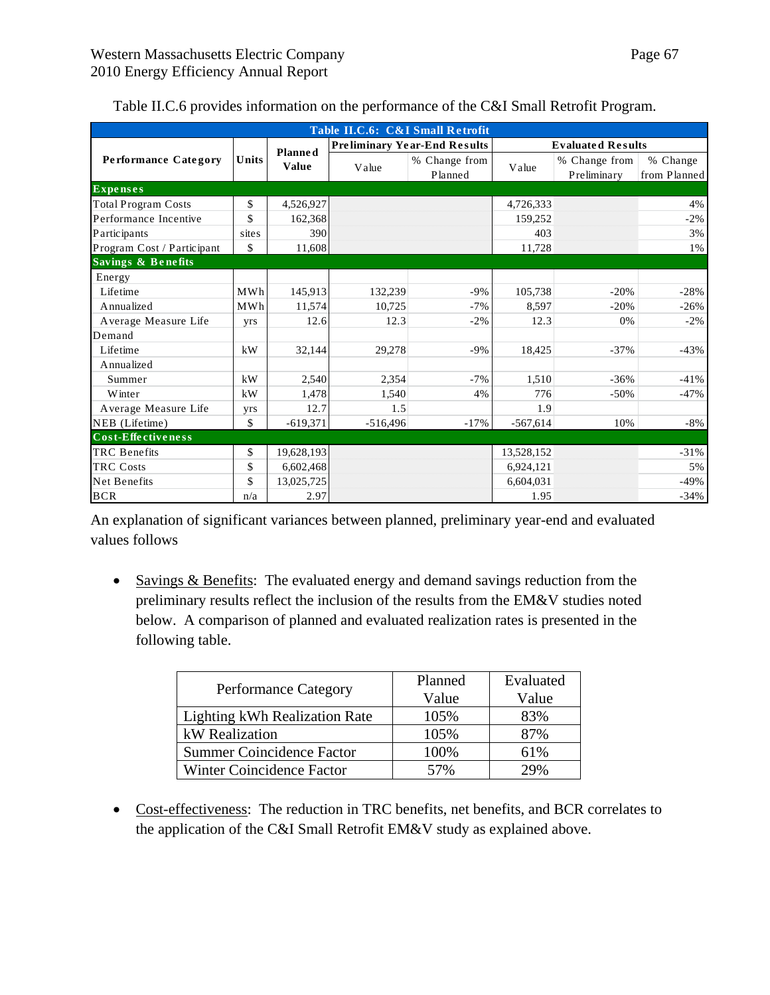| Table II.C.6: C&I Small Retrofit |       |                         |                                     |                          |                          |                              |                          |
|----------------------------------|-------|-------------------------|-------------------------------------|--------------------------|--------------------------|------------------------------|--------------------------|
|                                  | Units | Planned<br><b>Value</b> | <b>Preliminary Year-End Results</b> |                          | <b>Evaluated Results</b> |                              |                          |
| Performance Category             |       |                         | Value                               | % Change from<br>Planned | Value                    | % Change from<br>Preliminary | % Change<br>from Planned |
| <b>Expenses</b>                  |       |                         |                                     |                          |                          |                              |                          |
| <b>Total Program Costs</b>       | \$    | 4,526,927               |                                     |                          | 4,726,333                |                              | 4%                       |
| Performance Incentive            | \$    | 162,368                 |                                     |                          | 159,252                  |                              | $-2\%$                   |
| Participants                     | sites | 390                     |                                     |                          | 403                      |                              | 3%                       |
| Program Cost / Participant       | \$    | 11,608                  |                                     |                          | 11,728                   |                              | $1\%$                    |
| <b>Savings &amp; Benefits</b>    |       |                         |                                     |                          |                          |                              |                          |
| Energy                           |       |                         |                                     |                          |                          |                              |                          |
| Lifetime                         | MWh   | 145,913                 | 132,239                             | $-9%$                    | 105,738                  | $-20%$                       | $-28%$                   |
| Annualized                       | MWh   | 11,574                  | 10.725                              | $-7%$                    | 8,597                    | $-20%$                       | $-26%$                   |
| Average Measure Life             | yrs   | 12.6                    | 12.3                                | $-2\%$                   | 12.3                     | 0%                           | $-2\%$                   |
| Demand                           |       |                         |                                     |                          |                          |                              |                          |
| Lifetime                         | kW    | 32,144                  | 29,278                              | $-9%$                    | 18,425                   | $-37%$                       | $-43%$                   |
| Annualized                       |       |                         |                                     |                          |                          |                              |                          |
| Summer                           | kW    | 2,540                   | 2,354                               | $-7%$                    | 1,510                    | $-36%$                       | $-41%$                   |
| <b>W</b> inter                   | kW    | 1,478                   | 1,540                               | 4%                       | 776                      | $-50%$                       | $-47%$                   |
| Average Measure Life             | yrs   | 12.7                    | 1.5                                 |                          | 1.9                      |                              |                          |
| NEB (Lifetime)                   | \$    | $-619,371$              | $-516,496$                          | $-17%$                   | $-567,614$               | 10%                          | $-8%$                    |
| Cost-Effectiveness               |       |                         |                                     |                          |                          |                              |                          |
| <b>TRC</b> Benefits              | \$    | 19,628,193              |                                     |                          | 13,528,152               |                              | $-31%$                   |
| <b>TRC</b> Costs                 | \$    | 6,602,468               |                                     |                          | 6,924,121                |                              | 5%                       |
| Net Benefits                     | \$    | 13,025,725              |                                     |                          | 6,604,031                |                              | $-49%$                   |
| <b>BCR</b>                       | n/a   | 2.97                    |                                     |                          | 1.95                     |                              | $-34%$                   |

| Table II.C.6 provides information on the performance of the C&I Small Retrofit Program. |  |  |
|-----------------------------------------------------------------------------------------|--|--|
|-----------------------------------------------------------------------------------------|--|--|

An explanation of significant variances between planned, preliminary year-end and evaluated values follows

• Savings & Benefits: The evaluated energy and demand savings reduction from the preliminary results reflect the inclusion of the results from the EM&V studies noted below. A comparison of planned and evaluated realization rates is presented in the following table.

| <b>Performance Category</b>      | Planned<br>Value | Evaluated<br>Value |  |
|----------------------------------|------------------|--------------------|--|
| Lighting kWh Realization Rate    | 105%             | 83%                |  |
| kW Realization                   | 105%             | 87%                |  |
| <b>Summer Coincidence Factor</b> | 100%             | 61%                |  |
| Winter Coincidence Factor        | 57%              | 29%                |  |

• Cost-effectiveness: The reduction in TRC benefits, net benefits, and BCR correlates to the application of the C&I Small Retrofit EM&V study as explained above.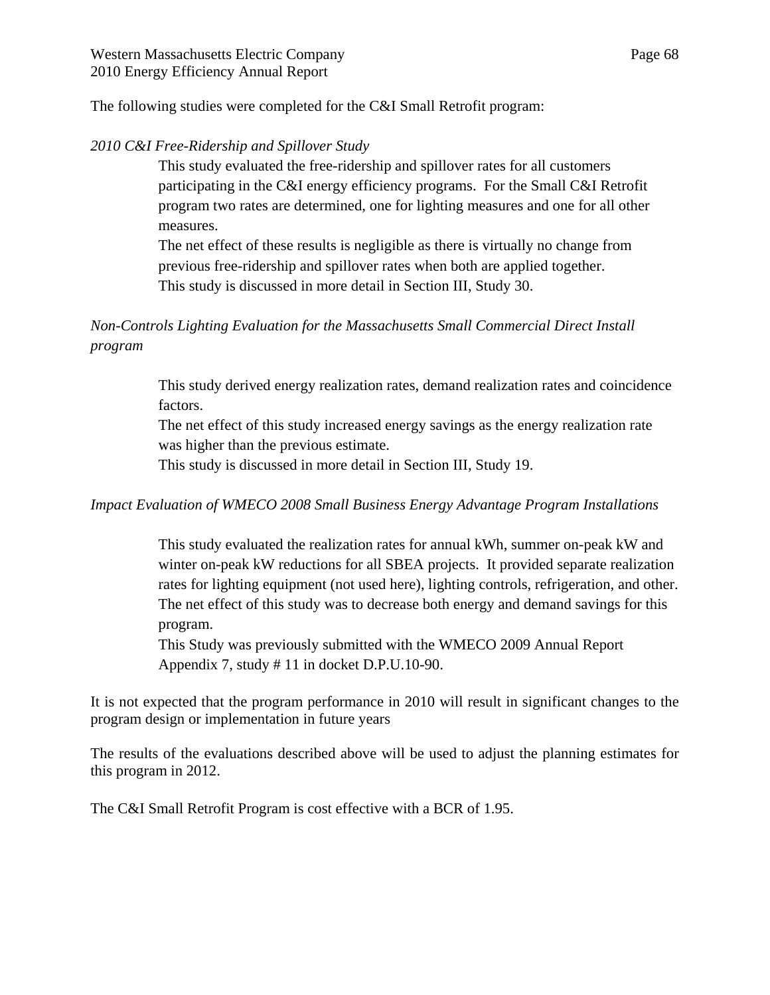The following studies were completed for the C&I Small Retrofit program:

## *2010 C&I Free-Ridership and Spillover Study*

This study evaluated the free-ridership and spillover rates for all customers participating in the C&I energy efficiency programs. For the Small C&I Retrofit program two rates are determined, one for lighting measures and one for all other measures.

The net effect of these results is negligible as there is virtually no change from previous free-ridership and spillover rates when both are applied together. This study is discussed in more detail in Section III, Study 30.

# *Non-Controls Lighting Evaluation for the Massachusetts Small Commercial Direct Install program*

This study derived energy realization rates, demand realization rates and coincidence factors.

The net effect of this study increased energy savings as the energy realization rate was higher than the previous estimate.

This study is discussed in more detail in Section III, Study 19.

## *Impact Evaluation of WMECO 2008 Small Business Energy Advantage Program Installations*

This study evaluated the realization rates for annual kWh, summer on-peak kW and winter on-peak kW reductions for all SBEA projects. It provided separate realization rates for lighting equipment (not used here), lighting controls, refrigeration, and other. The net effect of this study was to decrease both energy and demand savings for this program.

This Study was previously submitted with the WMECO 2009 Annual Report Appendix 7, study # 11 in docket D.P.U.10-90.

It is not expected that the program performance in 2010 will result in significant changes to the program design or implementation in future years

The results of the evaluations described above will be used to adjust the planning estimates for this program in 2012.

The C&I Small Retrofit Program is cost effective with a BCR of 1.95.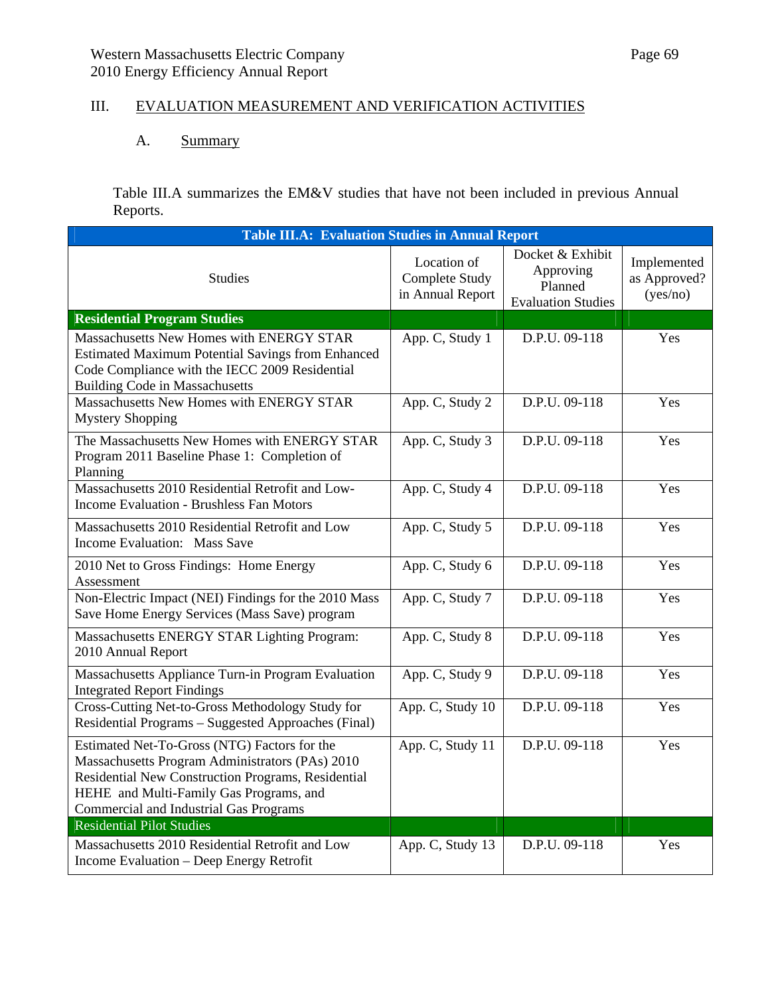# III. EVALUATION MEASUREMENT AND VERIFICATION ACTIVITIES

## A. Summary

Table III.A summarizes the EM&V studies that have not been included in previous Annual Reports.

| <b>Table III.A: Evaluation Studies in Annual Report</b>                                                                                                                                                                                           |                                                   |                                                                       |                                         |  |  |
|---------------------------------------------------------------------------------------------------------------------------------------------------------------------------------------------------------------------------------------------------|---------------------------------------------------|-----------------------------------------------------------------------|-----------------------------------------|--|--|
| <b>Studies</b>                                                                                                                                                                                                                                    | Location of<br>Complete Study<br>in Annual Report | Docket & Exhibit<br>Approving<br>Planned<br><b>Evaluation Studies</b> | Implemented<br>as Approved?<br>(yes/no) |  |  |
| <b>Residential Program Studies</b>                                                                                                                                                                                                                |                                                   |                                                                       |                                         |  |  |
| Massachusetts New Homes with ENERGY STAR<br><b>Estimated Maximum Potential Savings from Enhanced</b><br>Code Compliance with the IECC 2009 Residential<br><b>Building Code in Massachusetts</b>                                                   | App. C, Study 1                                   | D.P.U. 09-118                                                         | Yes                                     |  |  |
| Massachusetts New Homes with ENERGY STAR<br><b>Mystery Shopping</b>                                                                                                                                                                               | App. C, Study 2                                   | D.P.U. 09-118                                                         | Yes                                     |  |  |
| The Massachusetts New Homes with ENERGY STAR<br>Program 2011 Baseline Phase 1: Completion of<br>Planning                                                                                                                                          | App. C, Study 3                                   | D.P.U. 09-118                                                         | Yes                                     |  |  |
| Massachusetts 2010 Residential Retrofit and Low-<br><b>Income Evaluation - Brushless Fan Motors</b>                                                                                                                                               | App. C, Study 4                                   | D.P.U. 09-118                                                         | Yes                                     |  |  |
| Massachusetts 2010 Residential Retrofit and Low<br>Income Evaluation: Mass Save                                                                                                                                                                   | App. C, Study 5                                   | D.P.U. 09-118                                                         | Yes                                     |  |  |
| 2010 Net to Gross Findings: Home Energy<br>Assessment                                                                                                                                                                                             | App. C, Study 6                                   | D.P.U. 09-118                                                         | Yes                                     |  |  |
| Non-Electric Impact (NEI) Findings for the 2010 Mass<br>Save Home Energy Services (Mass Save) program                                                                                                                                             | App. C, Study 7                                   | D.P.U. 09-118                                                         | Yes                                     |  |  |
| Massachusetts ENERGY STAR Lighting Program:<br>2010 Annual Report                                                                                                                                                                                 | App. C, Study 8                                   | D.P.U. 09-118                                                         | Yes                                     |  |  |
| Massachusetts Appliance Turn-in Program Evaluation<br><b>Integrated Report Findings</b>                                                                                                                                                           | App. C, Study 9                                   | D.P.U. 09-118                                                         | Yes                                     |  |  |
| Cross-Cutting Net-to-Gross Methodology Study for<br>Residential Programs - Suggested Approaches (Final)                                                                                                                                           | App. C, Study 10                                  | D.P.U. 09-118                                                         | Yes                                     |  |  |
| Estimated Net-To-Gross (NTG) Factors for the<br>Massachusetts Program Administrators (PAs) 2010<br>Residential New Construction Programs, Residential<br>HEHE and Multi-Family Gas Programs, and<br><b>Commercial and Industrial Gas Programs</b> | App. C, Study 11                                  | D.P.U. 09-118                                                         | Yes                                     |  |  |
| <b>Residential Pilot Studies</b>                                                                                                                                                                                                                  |                                                   |                                                                       |                                         |  |  |
| Massachusetts 2010 Residential Retrofit and Low<br>Income Evaluation - Deep Energy Retrofit                                                                                                                                                       | App. C, Study 13                                  | D.P.U. 09-118                                                         | Yes                                     |  |  |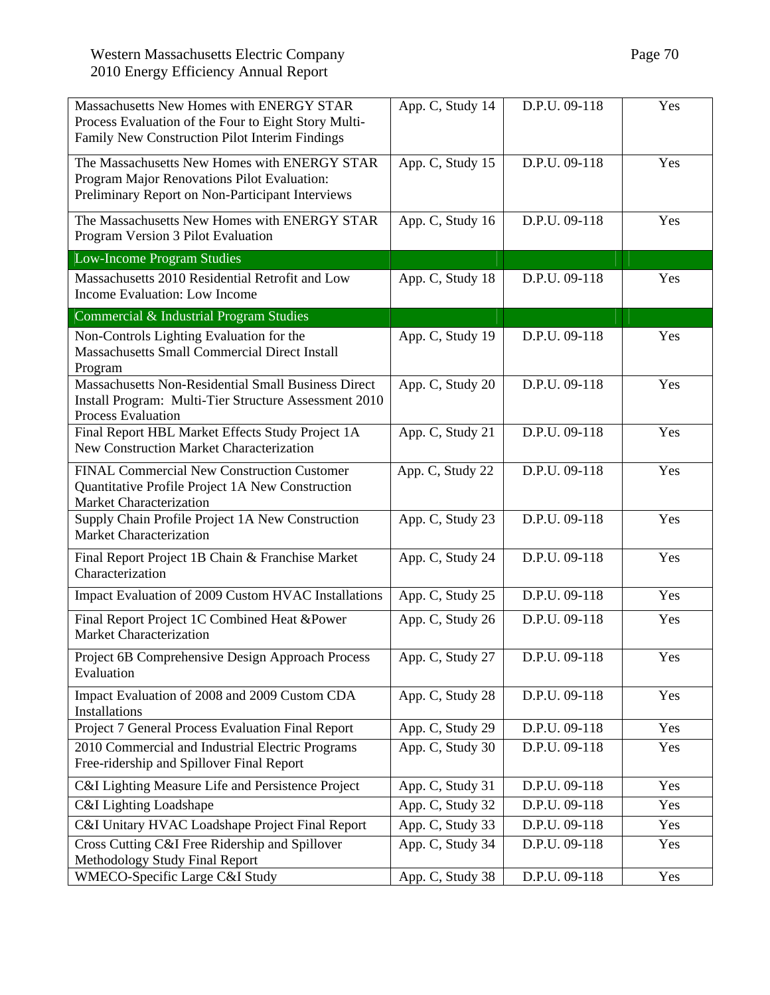| Massachusetts New Homes with ENERGY STAR<br>Process Evaluation of the Four to Eight Story Multi-<br>Family New Construction Pilot Interim Findings | App. C, Study 14 | D.P.U. 09-118 | Yes |
|----------------------------------------------------------------------------------------------------------------------------------------------------|------------------|---------------|-----|
| The Massachusetts New Homes with ENERGY STAR<br>Program Major Renovations Pilot Evaluation:<br>Preliminary Report on Non-Participant Interviews    | App. C, Study 15 | D.P.U. 09-118 | Yes |
| The Massachusetts New Homes with ENERGY STAR<br>Program Version 3 Pilot Evaluation                                                                 | App. C, Study 16 | D.P.U. 09-118 | Yes |
| Low-Income Program Studies                                                                                                                         |                  |               |     |
| Massachusetts 2010 Residential Retrofit and Low<br>Income Evaluation: Low Income                                                                   | App. C, Study 18 | D.P.U. 09-118 | Yes |
| Commercial & Industrial Program Studies                                                                                                            |                  |               |     |
| Non-Controls Lighting Evaluation for the<br><b>Massachusetts Small Commercial Direct Install</b><br>Program                                        | App. C, Study 19 | D.P.U. 09-118 | Yes |
| Massachusetts Non-Residential Small Business Direct<br>Install Program: Multi-Tier Structure Assessment 2010<br><b>Process Evaluation</b>          | App. C, Study 20 | D.P.U. 09-118 | Yes |
| Final Report HBL Market Effects Study Project 1A<br>New Construction Market Characterization                                                       | App. C, Study 21 | D.P.U. 09-118 | Yes |
| <b>FINAL Commercial New Construction Customer</b><br>Quantitative Profile Project 1A New Construction<br><b>Market Characterization</b>            | App. C, Study 22 | D.P.U. 09-118 | Yes |
| Supply Chain Profile Project 1A New Construction<br><b>Market Characterization</b>                                                                 | App. C, Study 23 | D.P.U. 09-118 | Yes |
| Final Report Project 1B Chain & Franchise Market<br>Characterization                                                                               | App. C, Study 24 | D.P.U. 09-118 | Yes |
| Impact Evaluation of 2009 Custom HVAC Installations                                                                                                | App. C, Study 25 | D.P.U. 09-118 | Yes |
| Final Report Project 1C Combined Heat &Power<br><b>Market Characterization</b>                                                                     | App. C, Study 26 | D.P.U. 09-118 | Yes |
| Project 6B Comprehensive Design Approach Process<br>Evaluation                                                                                     | App. C, Study 27 | D.P.U. 09-118 | Yes |
| Impact Evaluation of 2008 and 2009 Custom CDA<br>Installations                                                                                     | App. C, Study 28 | D.P.U. 09-118 | Yes |
| Project 7 General Process Evaluation Final Report                                                                                                  | App. C, Study 29 | D.P.U. 09-118 | Yes |
| 2010 Commercial and Industrial Electric Programs<br>Free-ridership and Spillover Final Report                                                      | App. C, Study 30 | D.P.U. 09-118 | Yes |
| C&I Lighting Measure Life and Persistence Project                                                                                                  | App. C, Study 31 | D.P.U. 09-118 | Yes |
| C&I Lighting Loadshape                                                                                                                             | App. C, Study 32 | D.P.U. 09-118 | Yes |
| C&I Unitary HVAC Loadshape Project Final Report                                                                                                    | App. C, Study 33 | D.P.U. 09-118 | Yes |
| Cross Cutting C&I Free Ridership and Spillover<br>Methodology Study Final Report                                                                   | App. C, Study 34 | D.P.U. 09-118 | Yes |
| WMECO-Specific Large C&I Study                                                                                                                     | App. C, Study 38 | D.P.U. 09-118 | Yes |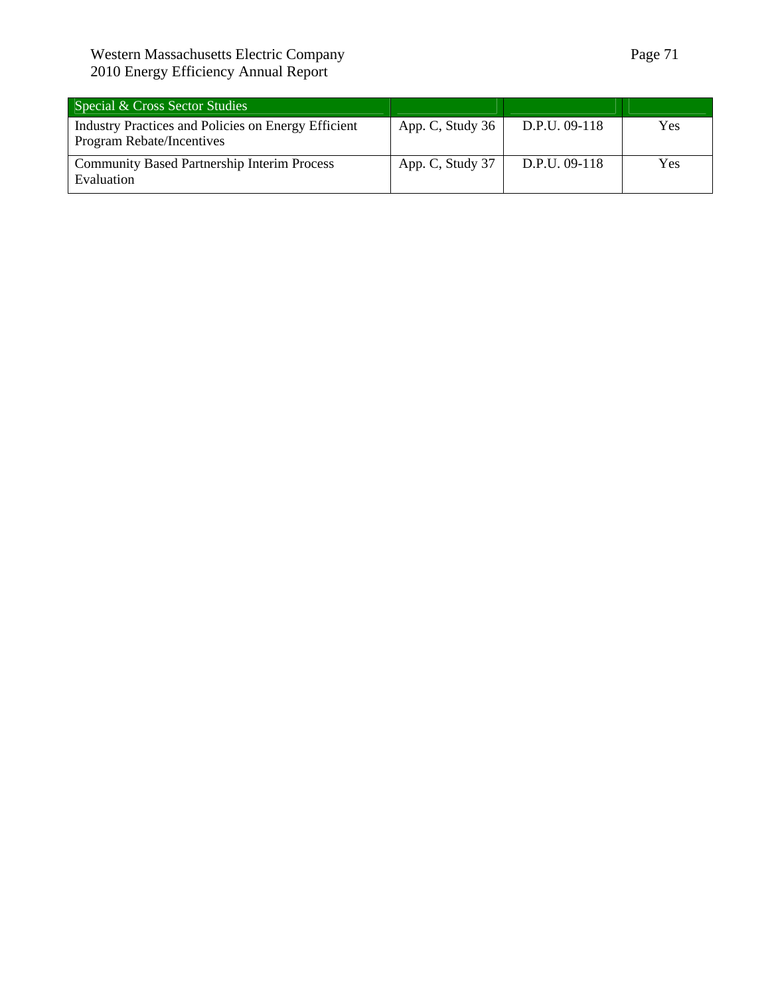## Western Massachusetts Electric Company **Page 71** 2010 Energy Efficiency Annual Report

| Special & Cross Sector Studies                                                   |                  |               |     |
|----------------------------------------------------------------------------------|------------------|---------------|-----|
| Industry Practices and Policies on Energy Efficient<br>Program Rebate/Incentives | App. C, Study 36 | D.P.U. 09-118 | Yes |
| <b>Community Based Partnership Interim Process</b><br>Evaluation                 | App. C, Study 37 | D.P.U. 09-118 | Yes |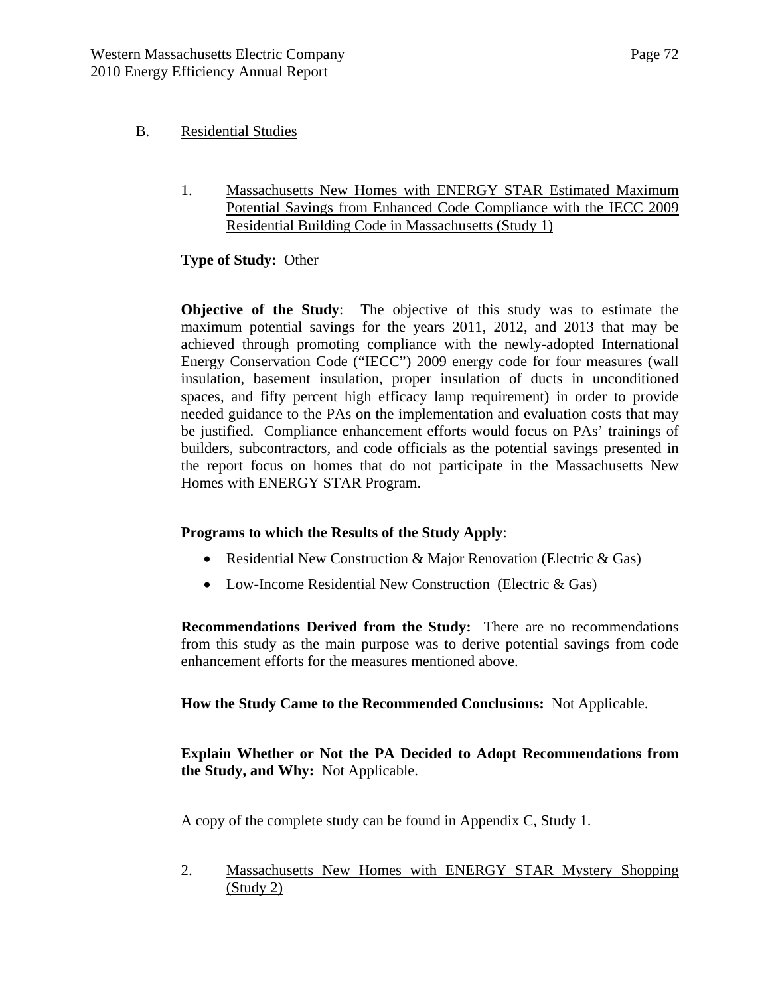## B. Residential Studies

1. Massachusetts New Homes with ENERGY STAR Estimated Maximum Potential Savings from Enhanced Code Compliance with the IECC 2009 Residential Building Code in Massachusetts (Study 1)

## **Type of Study:** Other

**Objective of the Study**: The objective of this study was to estimate the maximum potential savings for the years 2011, 2012, and 2013 that may be achieved through promoting compliance with the newly-adopted International Energy Conservation Code ("IECC") 2009 energy code for four measures (wall insulation, basement insulation, proper insulation of ducts in unconditioned spaces, and fifty percent high efficacy lamp requirement) in order to provide needed guidance to the PAs on the implementation and evaluation costs that may be justified. Compliance enhancement efforts would focus on PAs' trainings of builders, subcontractors, and code officials as the potential savings presented in the report focus on homes that do not participate in the Massachusetts New Homes with ENERGY STAR Program.

## **Programs to which the Results of the Study Apply**:

- Residential New Construction & Major Renovation (Electric & Gas)
- Low-Income Residential New Construction (Electric & Gas)

**Recommendations Derived from the Study:** There are no recommendations from this study as the main purpose was to derive potential savings from code enhancement efforts for the measures mentioned above.

**How the Study Came to the Recommended Conclusions:** Not Applicable.

**Explain Whether or Not the PA Decided to Adopt Recommendations from the Study, and Why:** Not Applicable.

A copy of the complete study can be found in Appendix C, Study 1.

2. Massachusetts New Homes with ENERGY STAR Mystery Shopping (Study 2)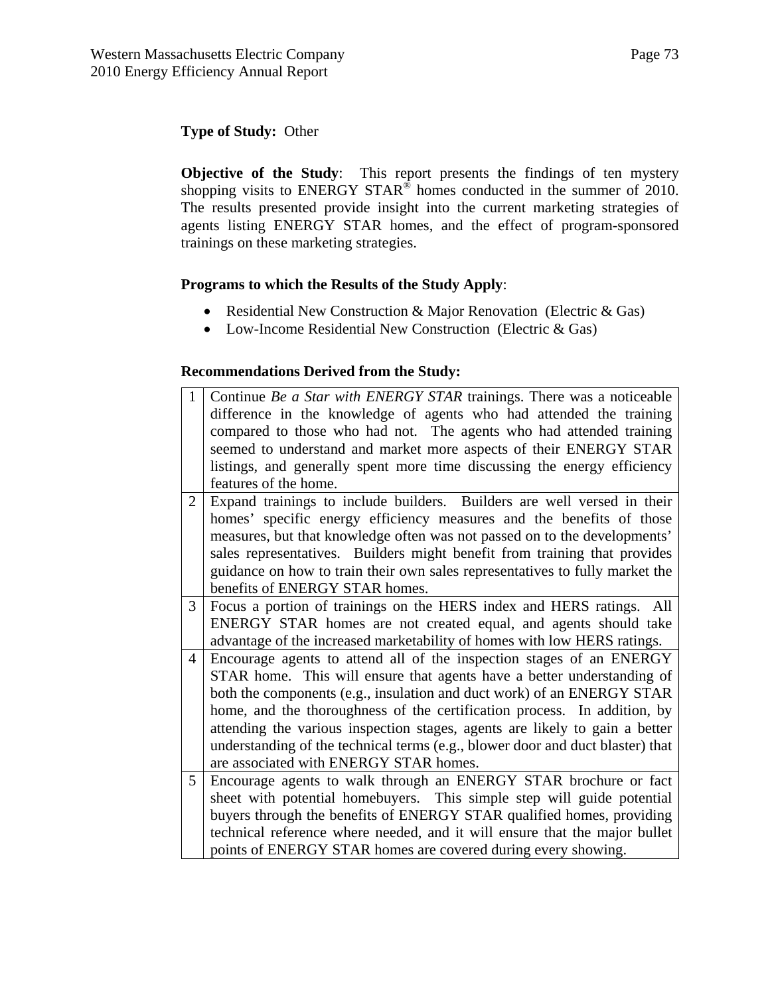## **Type of Study:** Other

**Objective of the Study**: This report presents the findings of ten mystery shopping visits to ENERGY STAR<sup>®</sup> homes conducted in the summer of 2010. The results presented provide insight into the current marketing strategies of agents listing ENERGY STAR homes, and the effect of program-sponsored trainings on these marketing strategies.

### **Programs to which the Results of the Study Apply**:

- Residential New Construction & Major Renovation (Electric & Gas)
- Low-Income Residential New Construction (Electric & Gas)

## **Recommendations Derived from the Study:**

| $\mathbf{1}$ | Continue Be a Star with ENERGY STAR trainings. There was a noticeable          |
|--------------|--------------------------------------------------------------------------------|
|              | difference in the knowledge of agents who had attended the training            |
|              | compared to those who had not. The agents who had attended training            |
|              | seemed to understand and market more aspects of their ENERGY STAR              |
|              | listings, and generally spent more time discussing the energy efficiency       |
|              | features of the home.                                                          |
| 2            | Expand trainings to include builders. Builders are well versed in their        |
|              | homes' specific energy efficiency measures and the benefits of those           |
|              | measures, but that knowledge often was not passed on to the developments'      |
|              | sales representatives. Builders might benefit from training that provides      |
|              | guidance on how to train their own sales representatives to fully market the   |
|              | benefits of ENERGY STAR homes.                                                 |
| 3            | Focus a portion of trainings on the HERS index and HERS ratings. All           |
|              | ENERGY STAR homes are not created equal, and agents should take                |
|              | advantage of the increased marketability of homes with low HERS ratings.       |
| 4            | Encourage agents to attend all of the inspection stages of an ENERGY           |
|              | STAR home. This will ensure that agents have a better understanding of         |
|              | both the components (e.g., insulation and duct work) of an ENERGY STAR         |
|              | home, and the thoroughness of the certification process. In addition, by       |
|              | attending the various inspection stages, agents are likely to gain a better    |
|              | understanding of the technical terms (e.g., blower door and duct blaster) that |
|              | are associated with ENERGY STAR homes.                                         |
| 5            | Encourage agents to walk through an ENERGY STAR brochure or fact               |
|              | sheet with potential homebuyers. This simple step will guide potential         |
|              | buyers through the benefits of ENERGY STAR qualified homes, providing          |
|              | technical reference where needed, and it will ensure that the major bullet     |
|              | points of ENERGY STAR homes are covered during every showing.                  |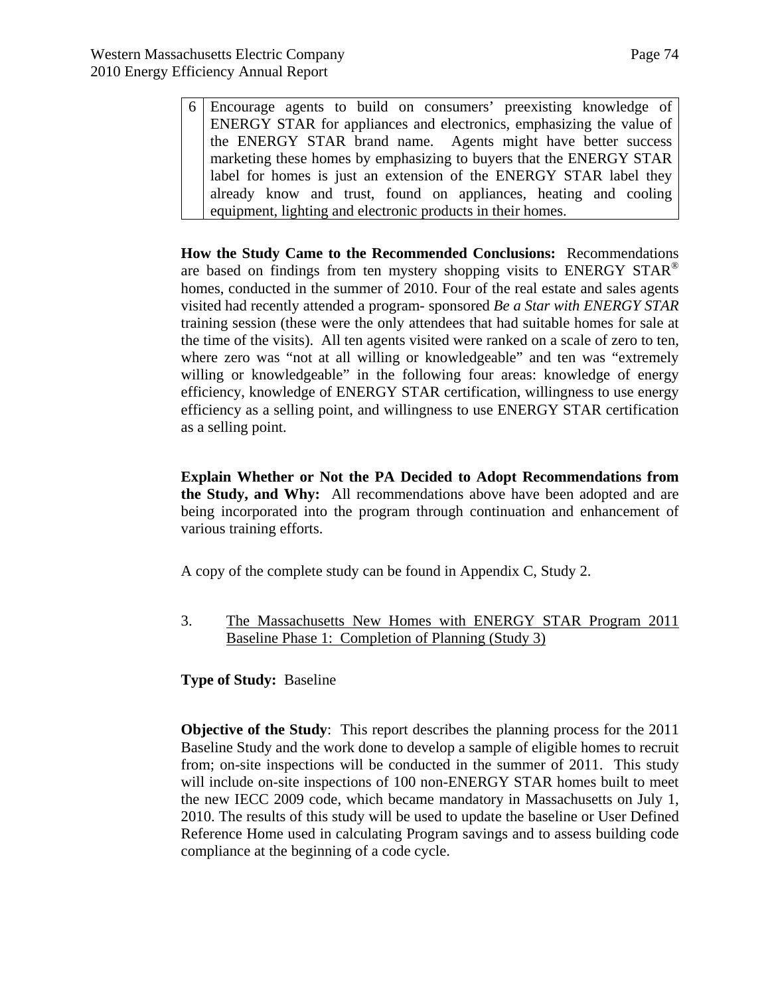6 Encourage agents to build on consumers' preexisting knowledge of ENERGY STAR for appliances and electronics, emphasizing the value of the ENERGY STAR brand name.Agents might have better success marketing these homes by emphasizing to buyers that the ENERGY STAR label for homes is just an extension of the ENERGY STAR label they already know and trust, found on appliances, heating and cooling equipment, lighting and electronic products in their homes.

**How the Study Came to the Recommended Conclusions:** Recommendations are based on findings from ten mystery shopping visits to ENERGY STAR<sup>®</sup> homes, conducted in the summer of 2010. Four of the real estate and sales agents visited had recently attended a program- sponsored *Be a Star with ENERGY STAR* training session (these were the only attendees that had suitable homes for sale at the time of the visits). All ten agents visited were ranked on a scale of zero to ten, where zero was "not at all willing or knowledgeable" and ten was "extremely willing or knowledgeable" in the following four areas: knowledge of energy efficiency, knowledge of ENERGY STAR certification, willingness to use energy efficiency as a selling point, and willingness to use ENERGY STAR certification as a selling point.

**Explain Whether or Not the PA Decided to Adopt Recommendations from the Study, and Why:** All recommendations above have been adopted and are being incorporated into the program through continuation and enhancement of various training efforts.

A copy of the complete study can be found in Appendix C, Study 2.

3. The Massachusetts New Homes with ENERGY STAR Program 2011 Baseline Phase 1: Completion of Planning (Study 3)

**Type of Study:** Baseline

**Objective of the Study**: This report describes the planning process for the 2011 Baseline Study and the work done to develop a sample of eligible homes to recruit from; on-site inspections will be conducted in the summer of 2011. This study will include on-site inspections of 100 non-ENERGY STAR homes built to meet the new IECC 2009 code, which became mandatory in Massachusetts on July 1, 2010. The results of this study will be used to update the baseline or User Defined Reference Home used in calculating Program savings and to assess building code compliance at the beginning of a code cycle.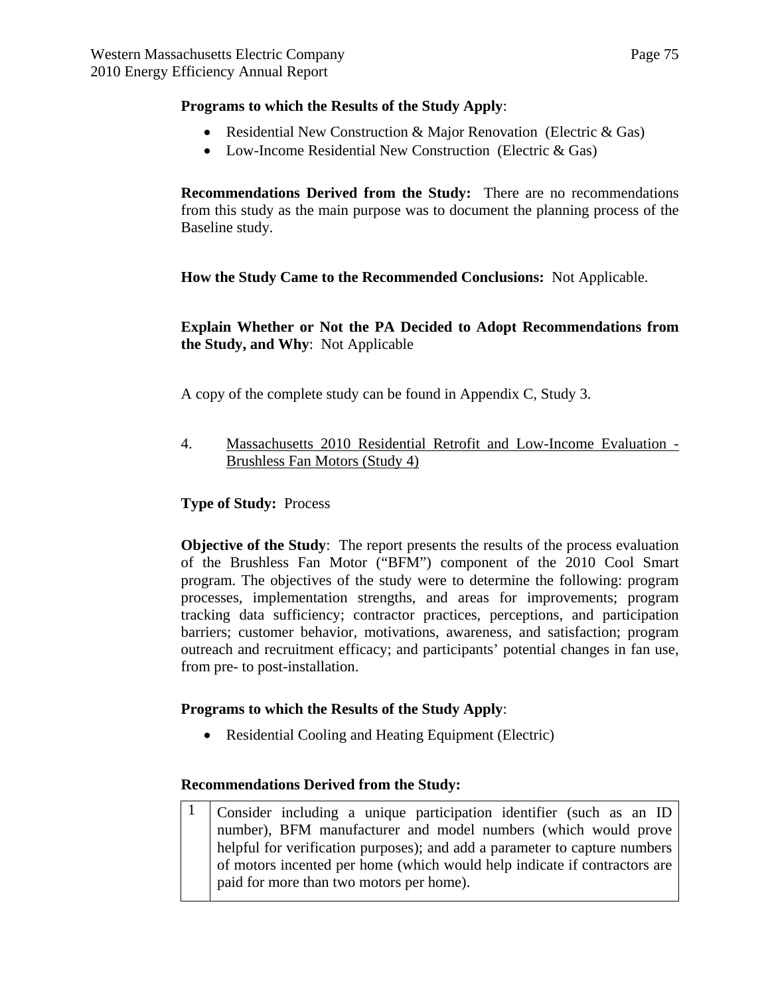### **Programs to which the Results of the Study Apply**:

- Residential New Construction & Major Renovation (Electric & Gas)
- Low-Income Residential New Construction (Electric & Gas)

**Recommendations Derived from the Study:** There are no recommendations from this study as the main purpose was to document the planning process of the Baseline study.

**How the Study Came to the Recommended Conclusions:** Not Applicable.

**Explain Whether or Not the PA Decided to Adopt Recommendations from the Study, and Why**: Not Applicable

A copy of the complete study can be found in Appendix C, Study 3.

4. Massachusetts 2010 Residential Retrofit and Low-Income Evaluation - Brushless Fan Motors (Study 4)

### **Type of Study:** Process

**Objective of the Study**: The report presents the results of the process evaluation of the Brushless Fan Motor ("BFM") component of the 2010 Cool Smart program. The objectives of the study were to determine the following: program processes, implementation strengths, and areas for improvements; program tracking data sufficiency; contractor practices, perceptions, and participation barriers; customer behavior, motivations, awareness, and satisfaction; program outreach and recruitment efficacy; and participants' potential changes in fan use, from pre- to post-installation.

#### **Programs to which the Results of the Study Apply**:

• Residential Cooling and Heating Equipment (Electric)

#### **Recommendations Derived from the Study:**

1 Consider including a unique participation identifier (such as an ID number), BFM manufacturer and model numbers (which would prove helpful for verification purposes); and add a parameter to capture numbers of motors incented per home (which would help indicate if contractors are paid for more than two motors per home).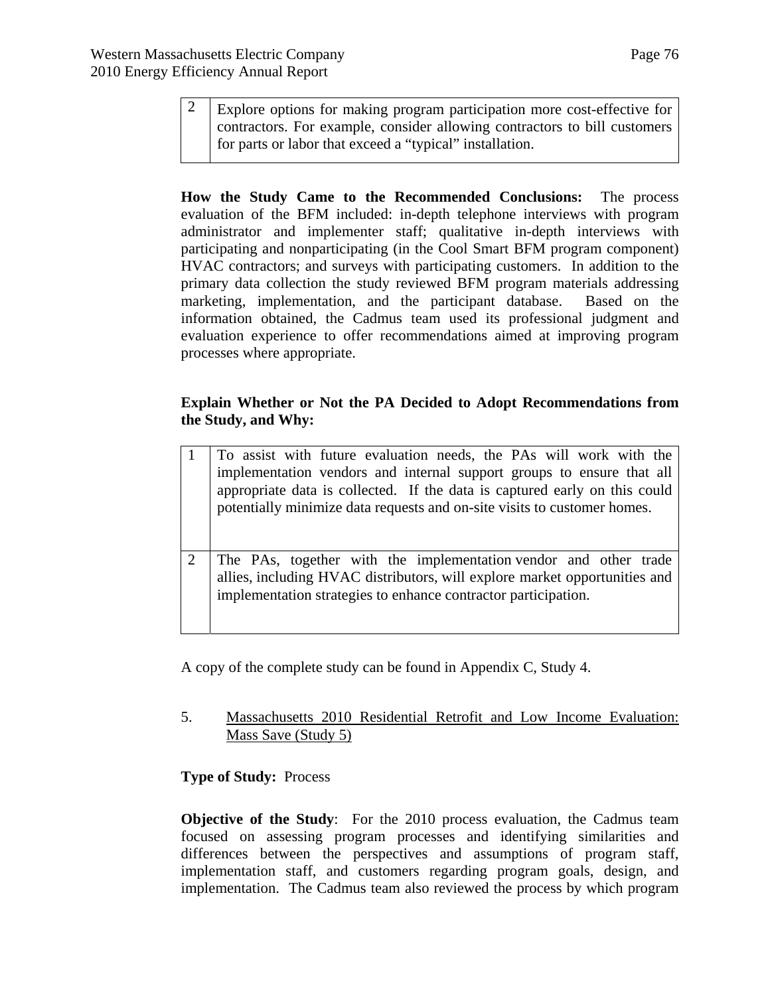2 Explore options for making program participation more cost-effective for contractors. For example, consider allowing contractors to bill customers for parts or labor that exceed a "typical" installation.

**How the Study Came to the Recommended Conclusions:** The process evaluation of the BFM included: in-depth telephone interviews with program administrator and implementer staff; qualitative in-depth interviews with participating and nonparticipating (in the Cool Smart BFM program component) HVAC contractors; and surveys with participating customers. In addition to the primary data collection the study reviewed BFM program materials addressing marketing, implementation, and the participant database. Based on the information obtained, the Cadmus team used its professional judgment and evaluation experience to offer recommendations aimed at improving program processes where appropriate.

### **Explain Whether or Not the PA Decided to Adopt Recommendations from the Study, and Why:**

|                             | To assist with future evaluation needs, the PAs will work with the<br>implementation vendors and internal support groups to ensure that all<br>appropriate data is collected. If the data is captured early on this could<br>potentially minimize data requests and on-site visits to customer homes. |
|-----------------------------|-------------------------------------------------------------------------------------------------------------------------------------------------------------------------------------------------------------------------------------------------------------------------------------------------------|
| $\mathcal{D}_{\mathcal{L}}$ | The PAs, together with the implementation vendor and other trade<br>allies, including HVAC distributors, will explore market opportunities and<br>implementation strategies to enhance contractor participation.                                                                                      |

A copy of the complete study can be found in Appendix C, Study 4.

5. Massachusetts 2010 Residential Retrofit and Low Income Evaluation: Mass Save (Study 5)

## **Type of Study:** Process

**Objective of the Study**: For the 2010 process evaluation, the Cadmus team focused on assessing program processes and identifying similarities and differences between the perspectives and assumptions of program staff, implementation staff, and customers regarding program goals, design, and implementation. The Cadmus team also reviewed the process by which program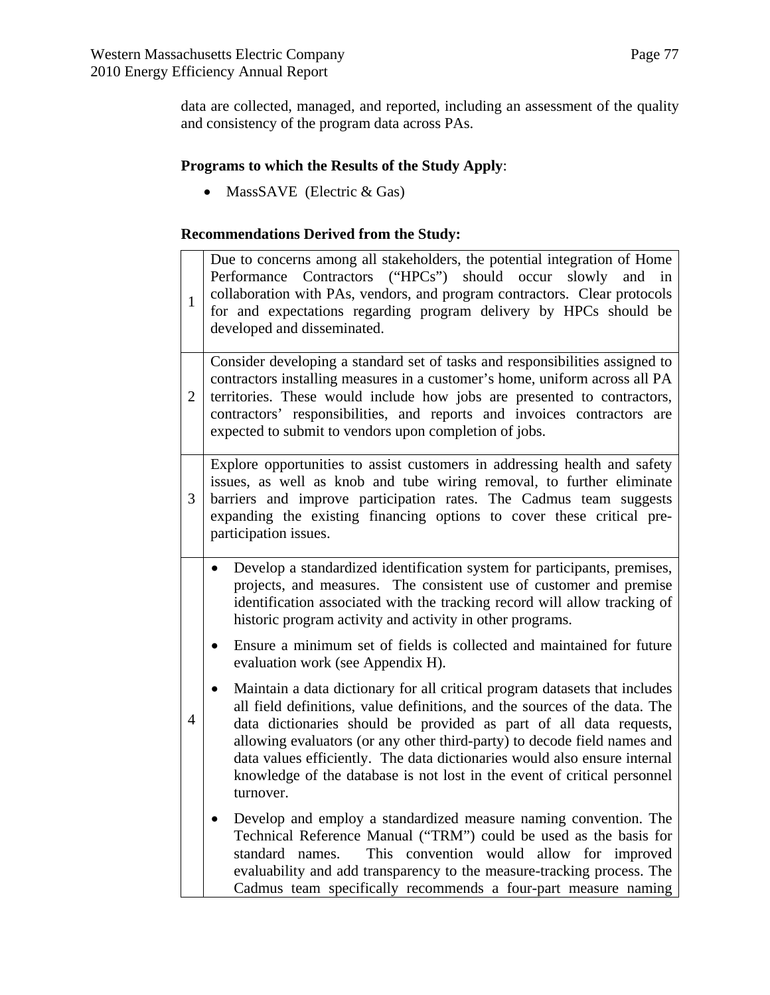data are collected, managed, and reported, including an assessment of the quality and consistency of the program data across PAs.

## **Programs to which the Results of the Study Apply**:

• MassSAVE (Electric & Gas)

## **Recommendations Derived from the Study:**

| $\mathbf{1}$   | Due to concerns among all stakeholders, the potential integration of Home<br>Contractors ("HPCs") should occur slowly<br>Performance<br>and in<br>collaboration with PAs, vendors, and program contractors. Clear protocols<br>for and expectations regarding program delivery by HPCs should be<br>developed and disseminated.                                                                                                                                                               |
|----------------|-----------------------------------------------------------------------------------------------------------------------------------------------------------------------------------------------------------------------------------------------------------------------------------------------------------------------------------------------------------------------------------------------------------------------------------------------------------------------------------------------|
| $\overline{2}$ | Consider developing a standard set of tasks and responsibilities assigned to<br>contractors installing measures in a customer's home, uniform across all PA<br>territories. These would include how jobs are presented to contractors,<br>contractors' responsibilities, and reports and invoices contractors are<br>expected to submit to vendors upon completion of jobs.                                                                                                                   |
| 3              | Explore opportunities to assist customers in addressing health and safety<br>issues, as well as knob and tube wiring removal, to further eliminate<br>barriers and improve participation rates. The Cadmus team suggests<br>expanding the existing financing options to cover these critical pre-<br>participation issues.                                                                                                                                                                    |
|                | Develop a standardized identification system for participants, premises,<br>$\bullet$<br>projects, and measures. The consistent use of customer and premise<br>identification associated with the tracking record will allow tracking of<br>historic program activity and activity in other programs.                                                                                                                                                                                         |
|                | Ensure a minimum set of fields is collected and maintained for future<br>$\bullet$<br>evaluation work (see Appendix H).                                                                                                                                                                                                                                                                                                                                                                       |
| 4              | Maintain a data dictionary for all critical program datasets that includes<br>$\bullet$<br>all field definitions, value definitions, and the sources of the data. The<br>data dictionaries should be provided as part of all data requests,<br>allowing evaluators (or any other third-party) to decode field names and<br>data values efficiently. The data dictionaries would also ensure internal<br>knowledge of the database is not lost in the event of critical personnel<br>turnover. |
|                | Develop and employ a standardized measure naming convention. The<br>$\bullet$<br>Technical Reference Manual ("TRM") could be used as the basis for<br>This convention would allow for improved<br>standard names.<br>evaluability and add transparency to the measure-tracking process. The<br>Cadmus team specifically recommends a four-part measure naming                                                                                                                                 |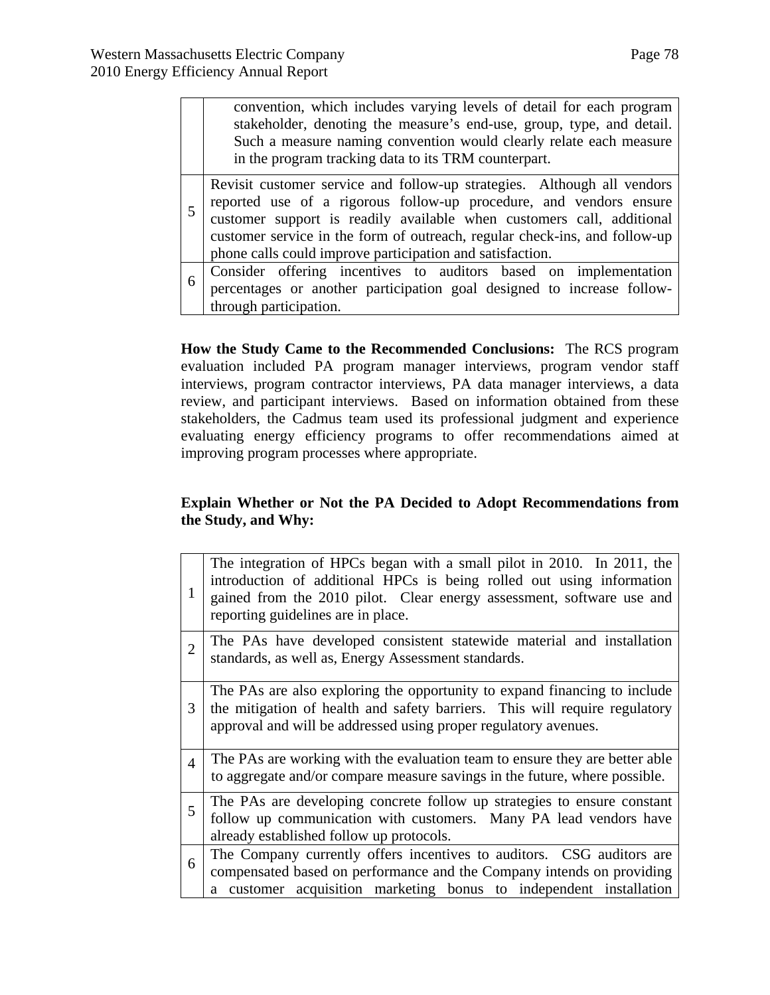|    | convention, which includes varying levels of detail for each program<br>stakeholder, denoting the measure's end-use, group, type, and detail.<br>Such a measure naming convention would clearly relate each measure<br>in the program tracking data to its TRM counterpart.                                                                                       |
|----|-------------------------------------------------------------------------------------------------------------------------------------------------------------------------------------------------------------------------------------------------------------------------------------------------------------------------------------------------------------------|
|    | Revisit customer service and follow-up strategies. Although all vendors<br>reported use of a rigorous follow-up procedure, and vendors ensure<br>customer support is readily available when customers call, additional<br>customer service in the form of outreach, regular check-ins, and follow-up<br>phone calls could improve participation and satisfaction. |
| -6 | Consider offering incentives to auditors based on implementation<br>percentages or another participation goal designed to increase follow-<br>through participation.                                                                                                                                                                                              |

**How the Study Came to the Recommended Conclusions:** The RCS program evaluation included PA program manager interviews, program vendor staff interviews, program contractor interviews, PA data manager interviews, a data review, and participant interviews. Based on information obtained from these stakeholders, the Cadmus team used its professional judgment and experience evaluating energy efficiency programs to offer recommendations aimed at improving program processes where appropriate.

### **Explain Whether or Not the PA Decided to Adopt Recommendations from the Study, and Why:**

| 1                           | The integration of HPCs began with a small pilot in 2010. In 2011, the<br>introduction of additional HPCs is being rolled out using information<br>gained from the 2010 pilot. Clear energy assessment, software use and<br>reporting guidelines are in place. |
|-----------------------------|----------------------------------------------------------------------------------------------------------------------------------------------------------------------------------------------------------------------------------------------------------------|
| $\mathcal{D}_{\mathcal{L}}$ | The PAs have developed consistent statewide material and installation<br>standards, as well as, Energy Assessment standards.                                                                                                                                   |
| 3                           | The PAs are also exploring the opportunity to expand financing to include<br>the mitigation of health and safety barriers. This will require regulatory<br>approval and will be addressed using proper regulatory avenues.                                     |
| $\boldsymbol{\Lambda}$      | The PAs are working with the evaluation team to ensure they are better able<br>to aggregate and/or compare measure savings in the future, where possible.                                                                                                      |
| $\overline{\mathbf{5}}$     | The PAs are developing concrete follow up strategies to ensure constant<br>follow up communication with customers. Many PA lead vendors have<br>already established follow up protocols.                                                                       |
| 6                           | The Company currently offers incentives to auditors. CSG auditors are<br>compensated based on performance and the Company intends on providing<br>a customer acquisition marketing bonus to independent installation                                           |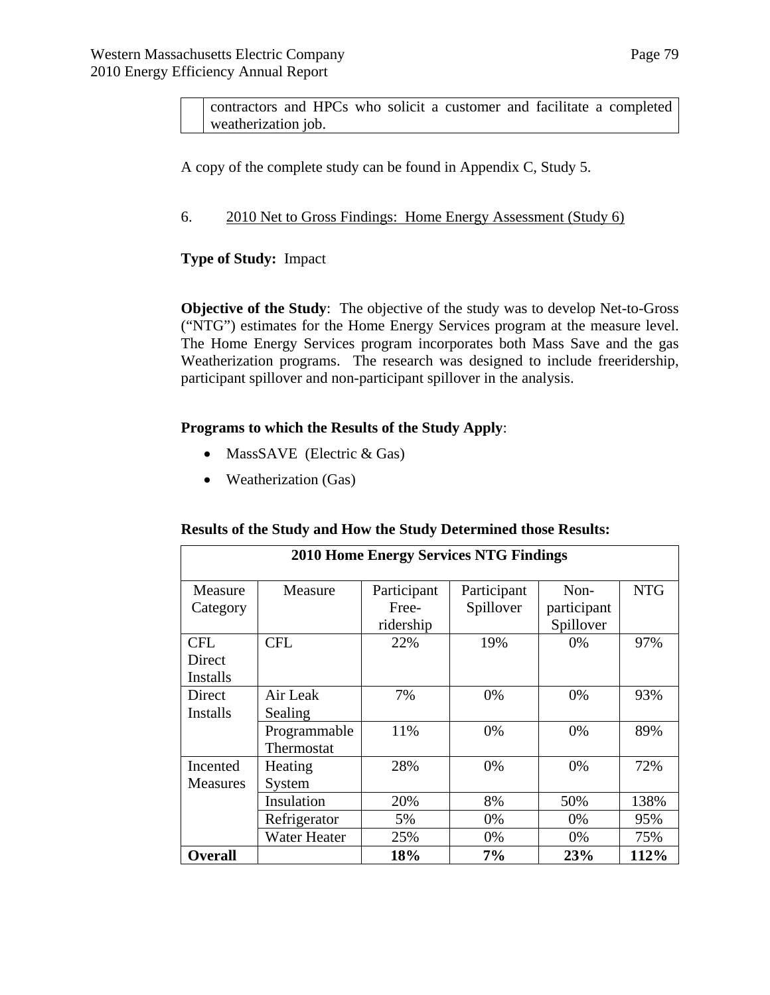contractors and HPCs who solicit a customer and facilitate a completed weatherization job.

A copy of the complete study can be found in Appendix C, Study 5.

### 6. 2010 Net to Gross Findings: Home Energy Assessment (Study 6)

### **Type of Study:** Impact

**Objective of the Study**: The objective of the study was to develop Net-to-Gross ("NTG") estimates for the Home Energy Services program at the measure level. The Home Energy Services program incorporates both Mass Save and the gas Weatherization programs. The research was designed to include freeridership, participant spillover and non-participant spillover in the analysis.

#### **Programs to which the Results of the Study Apply**:

- MassSAVE (Electric  $& Gas$ )
- Weatherization (Gas)

#### **Results of the Study and How the Study Determined those Results:**

| <b>2010 Home Energy Services NTG Findings</b> |                            |                                   |                          |                                  |            |
|-----------------------------------------------|----------------------------|-----------------------------------|--------------------------|----------------------------------|------------|
| Measure<br>Category                           | Measure                    | Participant<br>Free-<br>ridership | Participant<br>Spillover | Non-<br>participant<br>Spillover | <b>NTG</b> |
| <b>CFL</b><br>Direct<br>Installs              | <b>CFL</b>                 | 22%                               | 19%                      | $0\%$                            | 97%        |
| Direct<br><b>Installs</b>                     | Air Leak<br>Sealing        | 7%                                | 0%                       | 0%                               | 93%        |
|                                               | Programmable<br>Thermostat | 11%                               | 0%                       | 0%                               | 89%        |
| Incented<br><b>Measures</b>                   | Heating<br>System          | 28%                               | 0%                       | 0%                               | 72%        |
|                                               | Insulation                 | 20%                               | 8%                       | 50%                              | 138%       |
|                                               | Refrigerator               | 5%                                | 0%                       | 0%                               | 95%        |
|                                               | <b>Water Heater</b>        | 25%                               | 0%                       | 0%                               | 75%        |
| <b>Overall</b>                                |                            | 18%                               | 7%                       | 23%                              | 112%       |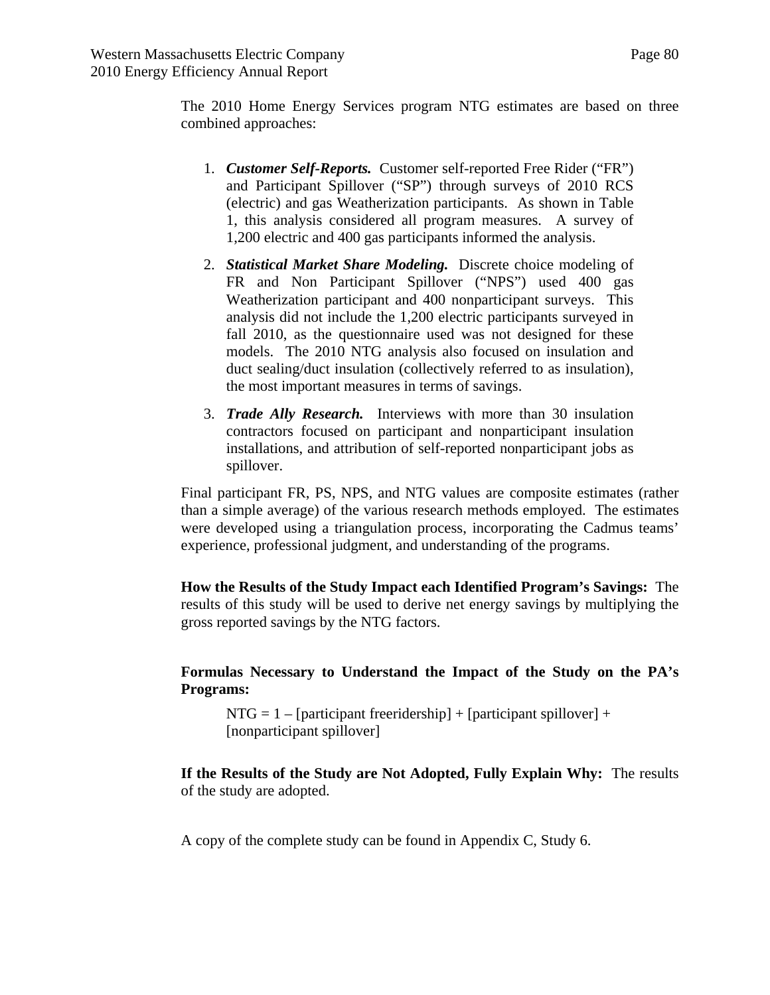The 2010 Home Energy Services program NTG estimates are based on three combined approaches:

- 1. *Customer Self-Reports.* Customer self-reported Free Rider ("FR") and Participant Spillover ("SP") through surveys of 2010 RCS (electric) and gas Weatherization participants. As shown in Table 1, this analysis considered all program measures. A survey of 1,200 electric and 400 gas participants informed the analysis.
- 2. *Statistical Market Share Modeling.* Discrete choice modeling of FR and Non Participant Spillover ("NPS") used 400 gas Weatherization participant and 400 nonparticipant surveys. This analysis did not include the 1,200 electric participants surveyed in fall 2010, as the questionnaire used was not designed for these models. The 2010 NTG analysis also focused on insulation and duct sealing/duct insulation (collectively referred to as insulation), the most important measures in terms of savings.
- 3. *Trade Ally Research.* Interviews with more than 30 insulation contractors focused on participant and nonparticipant insulation installations, and attribution of self-reported nonparticipant jobs as spillover.

Final participant FR, PS, NPS, and NTG values are composite estimates (rather than a simple average) of the various research methods employed. The estimates were developed using a triangulation process, incorporating the Cadmus teams' experience, professional judgment, and understanding of the programs.

**How the Results of the Study Impact each Identified Program's Savings:** The results of this study will be used to derive net energy savings by multiplying the gross reported savings by the NTG factors.

**Formulas Necessary to Understand the Impact of the Study on the PA's Programs:** 

 $NTG = 1 - [participant freeridership] + [participant spillover] +$ [nonparticipant spillover]

**If the Results of the Study are Not Adopted, Fully Explain Why:** The results of the study are adopted.

A copy of the complete study can be found in Appendix C, Study 6.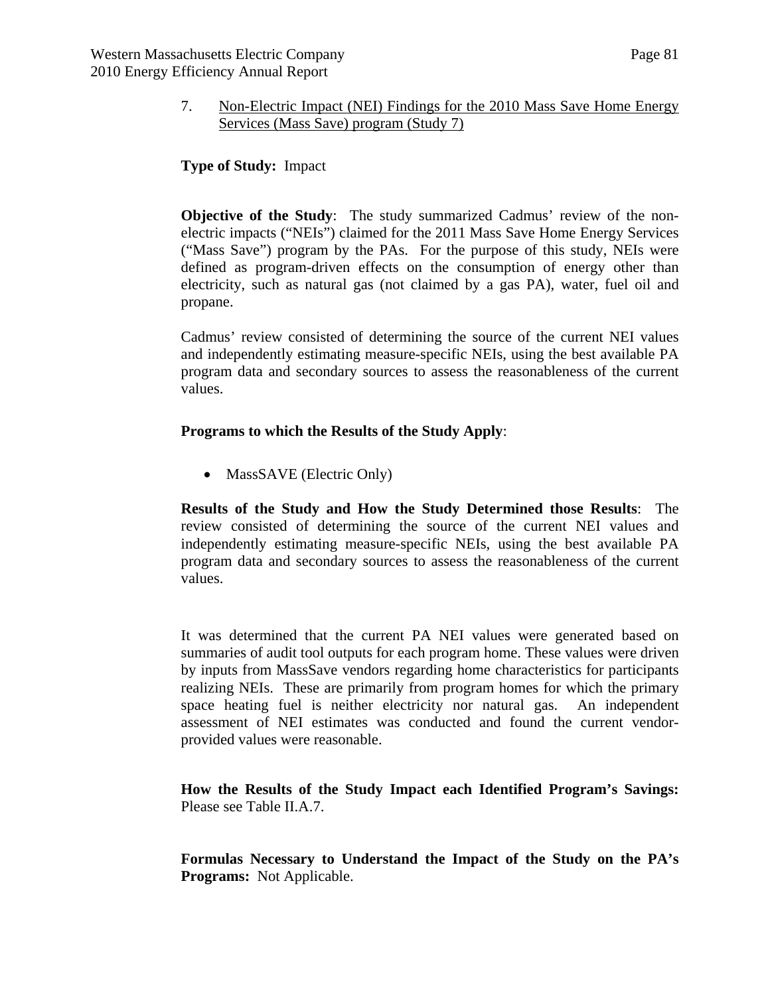#### 7. Non-Electric Impact (NEI) Findings for the 2010 Mass Save Home Energy Services (Mass Save) program (Study 7)

### **Type of Study:** Impact

**Objective of the Study:** The study summarized Cadmus' review of the nonelectric impacts ("NEIs") claimed for the 2011 Mass Save Home Energy Services ("Mass Save") program by the PAs. For the purpose of this study, NEIs were defined as program-driven effects on the consumption of energy other than electricity, such as natural gas (not claimed by a gas PA), water, fuel oil and propane.

Cadmus' review consisted of determining the source of the current NEI values and independently estimating measure-specific NEIs, using the best available PA program data and secondary sources to assess the reasonableness of the current values.

#### **Programs to which the Results of the Study Apply**:

• MassSAVE (Electric Only)

**Results of the Study and How the Study Determined those Results**: The review consisted of determining the source of the current NEI values and independently estimating measure-specific NEIs, using the best available PA program data and secondary sources to assess the reasonableness of the current values.

It was determined that the current PA NEI values were generated based on summaries of audit tool outputs for each program home. These values were driven by inputs from MassSave vendors regarding home characteristics for participants realizing NEIs. These are primarily from program homes for which the primary space heating fuel is neither electricity nor natural gas. An independent assessment of NEI estimates was conducted and found the current vendorprovided values were reasonable.

**How the Results of the Study Impact each Identified Program's Savings:**  Please see Table II.A.7.

**Formulas Necessary to Understand the Impact of the Study on the PA's Programs:** Not Applicable.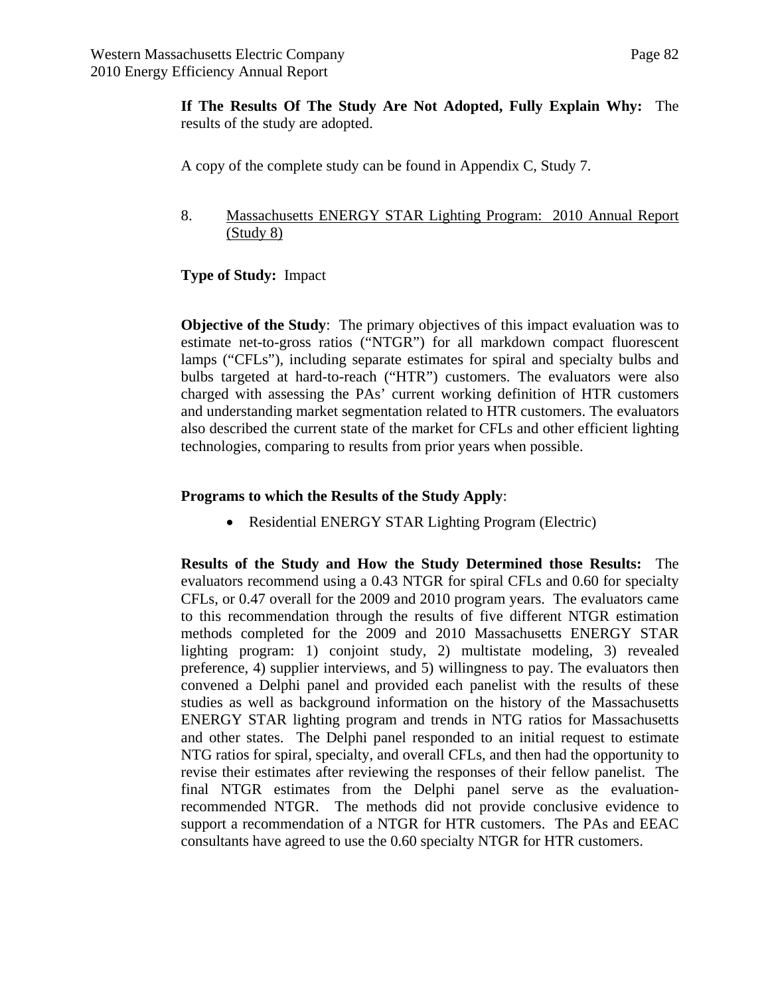**If The Results Of The Study Are Not Adopted, Fully Explain Why:** The results of the study are adopted.

A copy of the complete study can be found in Appendix C, Study 7.

8. Massachusetts ENERGY STAR Lighting Program: 2010 Annual Report (Study 8)

#### **Type of Study:** Impact

**Objective of the Study:** The primary objectives of this impact evaluation was to estimate net-to-gross ratios ("NTGR") for all markdown compact fluorescent lamps ("CFLs"), including separate estimates for spiral and specialty bulbs and bulbs targeted at hard-to-reach ("HTR") customers. The evaluators were also charged with assessing the PAs' current working definition of HTR customers and understanding market segmentation related to HTR customers. The evaluators also described the current state of the market for CFLs and other efficient lighting technologies, comparing to results from prior years when possible.

### **Programs to which the Results of the Study Apply**:

• Residential ENERGY STAR Lighting Program (Electric)

**Results of the Study and How the Study Determined those Results:** The evaluators recommend using a 0.43 NTGR for spiral CFLs and 0.60 for specialty CFLs, or 0.47 overall for the 2009 and 2010 program years. The evaluators came to this recommendation through the results of five different NTGR estimation methods completed for the 2009 and 2010 Massachusetts ENERGY STAR lighting program: 1) conjoint study, 2) multistate modeling, 3) revealed preference, 4) supplier interviews, and 5) willingness to pay. The evaluators then convened a Delphi panel and provided each panelist with the results of these studies as well as background information on the history of the Massachusetts ENERGY STAR lighting program and trends in NTG ratios for Massachusetts and other states. The Delphi panel responded to an initial request to estimate NTG ratios for spiral, specialty, and overall CFLs, and then had the opportunity to revise their estimates after reviewing the responses of their fellow panelist. The final NTGR estimates from the Delphi panel serve as the evaluationrecommended NTGR. The methods did not provide conclusive evidence to support a recommendation of a NTGR for HTR customers. The PAs and EEAC consultants have agreed to use the 0.60 specialty NTGR for HTR customers.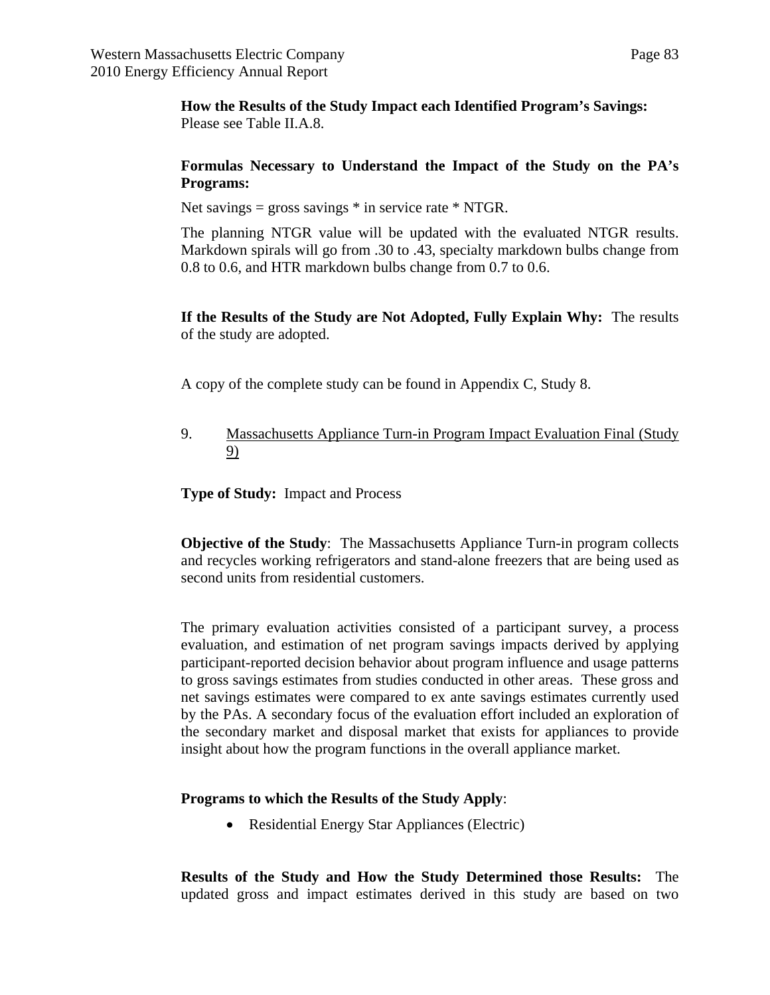**How the Results of the Study Impact each Identified Program's Savings:**  Please see Table II.A.8.

### **Formulas Necessary to Understand the Impact of the Study on the PA's Programs:**

Net savings = gross savings  $*$  in service rate  $*$  NTGR.

The planning NTGR value will be updated with the evaluated NTGR results. Markdown spirals will go from .30 to .43, specialty markdown bulbs change from 0.8 to 0.6, and HTR markdown bulbs change from 0.7 to 0.6.

### **If the Results of the Study are Not Adopted, Fully Explain Why:** The results of the study are adopted.

A copy of the complete study can be found in Appendix C, Study 8.

9. Massachusetts Appliance Turn-in Program Impact Evaluation Final (Study 9)

**Type of Study:** Impact and Process

**Objective of the Study**: The Massachusetts Appliance Turn-in program collects and recycles working refrigerators and stand-alone freezers that are being used as second units from residential customers.

The primary evaluation activities consisted of a participant survey, a process evaluation, and estimation of net program savings impacts derived by applying participant-reported decision behavior about program influence and usage patterns to gross savings estimates from studies conducted in other areas. These gross and net savings estimates were compared to ex ante savings estimates currently used by the PAs. A secondary focus of the evaluation effort included an exploration of the secondary market and disposal market that exists for appliances to provide insight about how the program functions in the overall appliance market.

## **Programs to which the Results of the Study Apply**:

• Residential Energy Star Appliances (Electric)

**Results of the Study and How the Study Determined those Results:** The updated gross and impact estimates derived in this study are based on two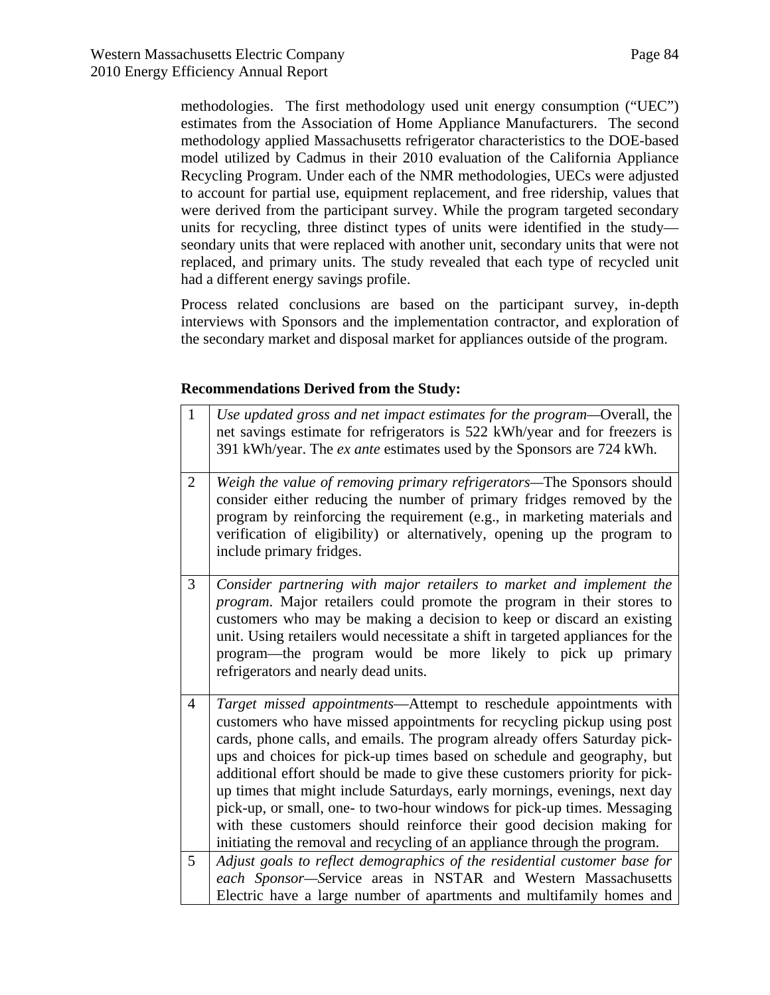methodologies. The first methodology used unit energy consumption ("UEC") estimates from the Association of Home Appliance Manufacturers. The second methodology applied Massachusetts refrigerator characteristics to the DOE-based model utilized by Cadmus in their 2010 evaluation of the California Appliance Recycling Program. Under each of the NMR methodologies, UECs were adjusted to account for partial use, equipment replacement, and free ridership, values that were derived from the participant survey. While the program targeted secondary units for recycling, three distinct types of units were identified in the study seondary units that were replaced with another unit, secondary units that were not replaced, and primary units. The study revealed that each type of recycled unit had a different energy savings profile.

Process related conclusions are based on the participant survey, in-depth interviews with Sponsors and the implementation contractor, and exploration of the secondary market and disposal market for appliances outside of the program.

### **Recommendations Derived from the Study:**

| $\mathbf{1}$   | Use updated gross and net impact estimates for the program-Overall, the<br>net savings estimate for refrigerators is 522 kWh/year and for freezers is<br>391 kWh/year. The ex ante estimates used by the Sponsors are 724 kWh.                                                                                                                                                                                                                                                                                                                                                                                                                                                                   |
|----------------|--------------------------------------------------------------------------------------------------------------------------------------------------------------------------------------------------------------------------------------------------------------------------------------------------------------------------------------------------------------------------------------------------------------------------------------------------------------------------------------------------------------------------------------------------------------------------------------------------------------------------------------------------------------------------------------------------|
| $\overline{2}$ | Weigh the value of removing primary refrigerators-The Sponsors should<br>consider either reducing the number of primary fridges removed by the<br>program by reinforcing the requirement (e.g., in marketing materials and<br>verification of eligibility) or alternatively, opening up the program to<br>include primary fridges.                                                                                                                                                                                                                                                                                                                                                               |
| 3              | Consider partnering with major retailers to market and implement the<br>program. Major retailers could promote the program in their stores to<br>customers who may be making a decision to keep or discard an existing<br>unit. Using retailers would necessitate a shift in targeted appliances for the<br>program—the program would be more likely to pick up primary<br>refrigerators and nearly dead units.                                                                                                                                                                                                                                                                                  |
| 4              | Target missed appointments—Attempt to reschedule appointments with<br>customers who have missed appointments for recycling pickup using post<br>cards, phone calls, and emails. The program already offers Saturday pick-<br>ups and choices for pick-up times based on schedule and geography, but<br>additional effort should be made to give these customers priority for pick-<br>up times that might include Saturdays, early mornings, evenings, next day<br>pick-up, or small, one- to two-hour windows for pick-up times. Messaging<br>with these customers should reinforce their good decision making for<br>initiating the removal and recycling of an appliance through the program. |
| 5              | Adjust goals to reflect demographics of the residential customer base for<br>each Sponsor-Service areas in NSTAR and Western Massachusetts<br>Electric have a large number of apartments and multifamily homes and                                                                                                                                                                                                                                                                                                                                                                                                                                                                               |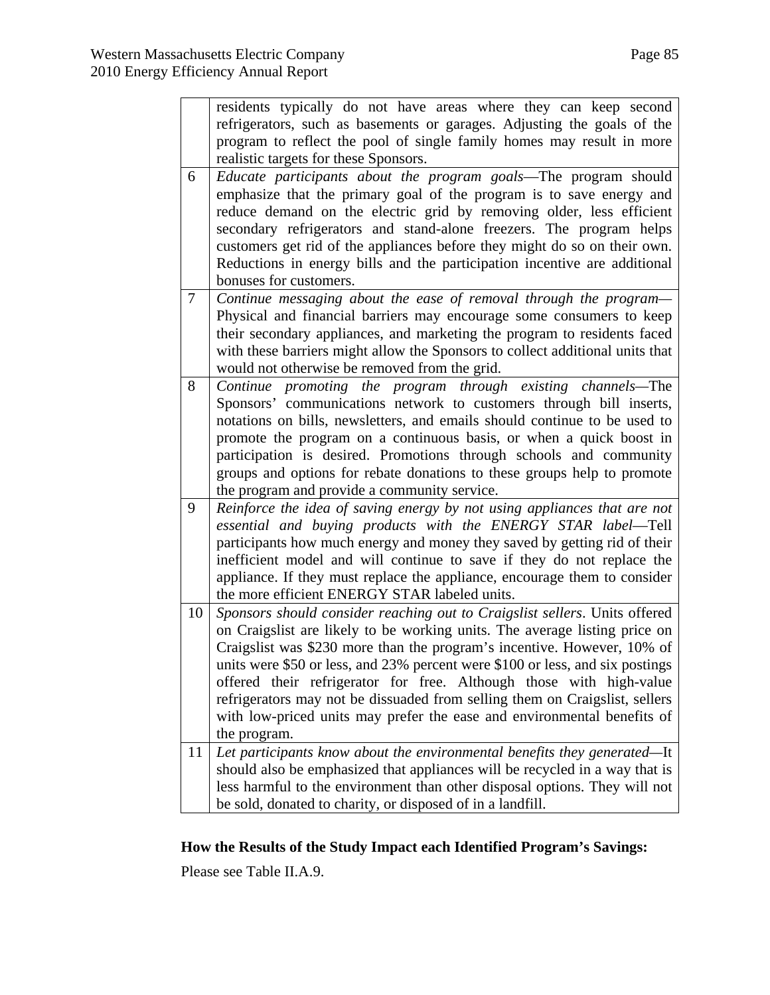|                | refrigerators, such as basements or garages. Adjusting the goals of the<br>program to reflect the pool of single family homes may result in more<br>realistic targets for these Sponsors.                                                                                                                                                                                                                                                                                                                                                                             |
|----------------|-----------------------------------------------------------------------------------------------------------------------------------------------------------------------------------------------------------------------------------------------------------------------------------------------------------------------------------------------------------------------------------------------------------------------------------------------------------------------------------------------------------------------------------------------------------------------|
| 6              | Educate participants about the program goals—The program should<br>emphasize that the primary goal of the program is to save energy and<br>reduce demand on the electric grid by removing older, less efficient<br>secondary refrigerators and stand-alone freezers. The program helps<br>customers get rid of the appliances before they might do so on their own.<br>Reductions in energy bills and the participation incentive are additional<br>bonuses for customers.                                                                                            |
| $\overline{7}$ | Continue messaging about the ease of removal through the program-<br>Physical and financial barriers may encourage some consumers to keep<br>their secondary appliances, and marketing the program to residents faced<br>with these barriers might allow the Sponsors to collect additional units that<br>would not otherwise be removed from the grid.                                                                                                                                                                                                               |
| 8              | Continue promoting the program through existing channels—The<br>Sponsors' communications network to customers through bill inserts,<br>notations on bills, newsletters, and emails should continue to be used to<br>promote the program on a continuous basis, or when a quick boost in<br>participation is desired. Promotions through schools and community<br>groups and options for rebate donations to these groups help to promote<br>the program and provide a community service.                                                                              |
| 9              | Reinforce the idea of saving energy by not using appliances that are not<br>essential and buying products with the ENERGY STAR label-Tell<br>participants how much energy and money they saved by getting rid of their<br>inefficient model and will continue to save if they do not replace the<br>appliance. If they must replace the appliance, encourage them to consider<br>the more efficient ENERGY STAR labeled units.                                                                                                                                        |
| 10             | Sponsors should consider reaching out to Craigslist sellers. Units offered<br>on Craigslist are likely to be working units. The average listing price on<br>Craigslist was \$230 more than the program's incentive. However, 10% of<br>units were \$50 or less, and 23% percent were \$100 or less, and six postings<br>offered their refrigerator for free. Although those with high-value<br>refrigerators may not be dissuaded from selling them on Craigslist, sellers<br>with low-priced units may prefer the ease and environmental benefits of<br>the program. |
| 11             | Let participants know about the environmental benefits they generated—It<br>should also be emphasized that appliances will be recycled in a way that is<br>less harmful to the environment than other disposal options. They will not<br>be sold, donated to charity, or disposed of in a landfill.                                                                                                                                                                                                                                                                   |

residents typically do not have areas where they can keep second

### **How the Results of the Study Impact each Identified Program's Savings:**

Please see Table II.A.9.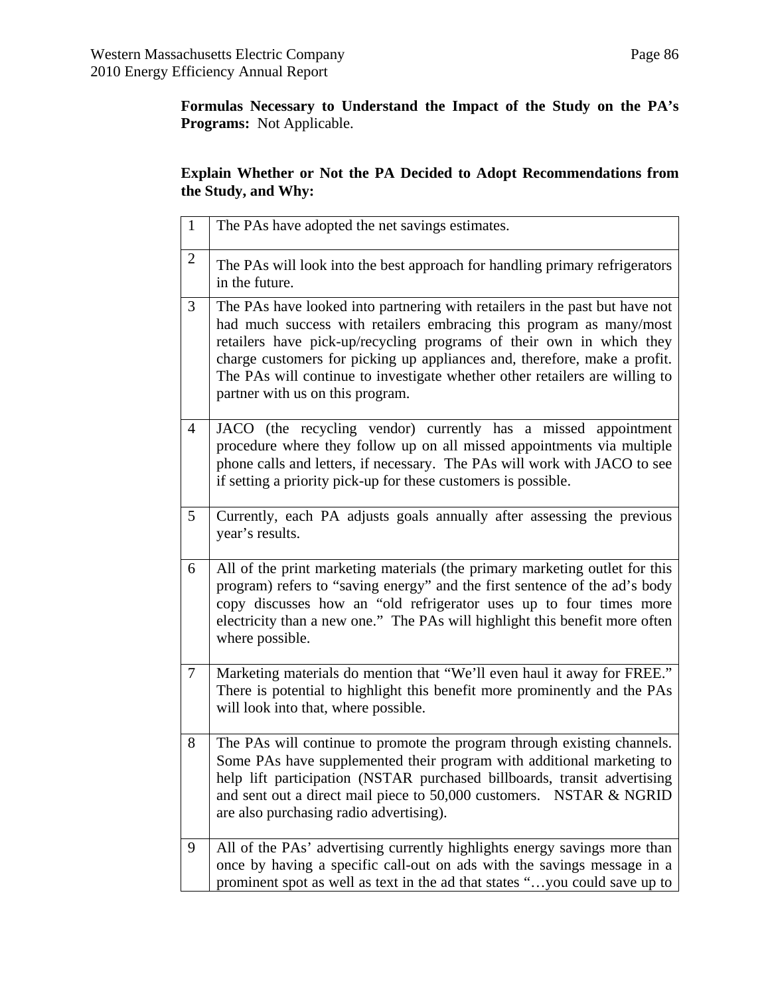**Formulas Necessary to Understand the Impact of the Study on the PA's Programs:** Not Applicable.

# **Explain Whether or Not the PA Decided to Adopt Recommendations from the Study, and Why:**

| $\mathbf{1}$   | The PAs have adopted the net savings estimates.                                                                                                                                                                                                                                                                                                                                                                            |
|----------------|----------------------------------------------------------------------------------------------------------------------------------------------------------------------------------------------------------------------------------------------------------------------------------------------------------------------------------------------------------------------------------------------------------------------------|
| $\mathbf{2}$   | The PAs will look into the best approach for handling primary refrigerators<br>in the future.                                                                                                                                                                                                                                                                                                                              |
| 3              | The PAs have looked into partnering with retailers in the past but have not<br>had much success with retailers embracing this program as many/most<br>retailers have pick-up/recycling programs of their own in which they<br>charge customers for picking up appliances and, therefore, make a profit.<br>The PAs will continue to investigate whether other retailers are willing to<br>partner with us on this program. |
| $\overline{4}$ | JACO (the recycling vendor) currently has a missed appointment<br>procedure where they follow up on all missed appointments via multiple<br>phone calls and letters, if necessary. The PAs will work with JACO to see<br>if setting a priority pick-up for these customers is possible.                                                                                                                                    |
| 5              | Currently, each PA adjusts goals annually after assessing the previous<br>year's results.                                                                                                                                                                                                                                                                                                                                  |
| 6              | All of the print marketing materials (the primary marketing outlet for this<br>program) refers to "saving energy" and the first sentence of the ad's body<br>copy discusses how an "old refrigerator uses up to four times more<br>electricity than a new one." The PAs will highlight this benefit more often<br>where possible.                                                                                          |
| $\tau$         | Marketing materials do mention that "We'll even haul it away for FREE."<br>There is potential to highlight this benefit more prominently and the PAs<br>will look into that, where possible.                                                                                                                                                                                                                               |
| 8              | The PAs will continue to promote the program through existing channels.<br>Some PAs have supplemented their program with additional marketing to<br>help lift participation (NSTAR purchased billboards, transit advertising<br>and sent out a direct mail piece to 50,000 customers. NSTAR & NGRID<br>are also purchasing radio advertising).                                                                             |
| 9              | All of the PAs' advertising currently highlights energy savings more than<br>once by having a specific call-out on ads with the savings message in a<br>prominent spot as well as text in the ad that states "you could save up to                                                                                                                                                                                         |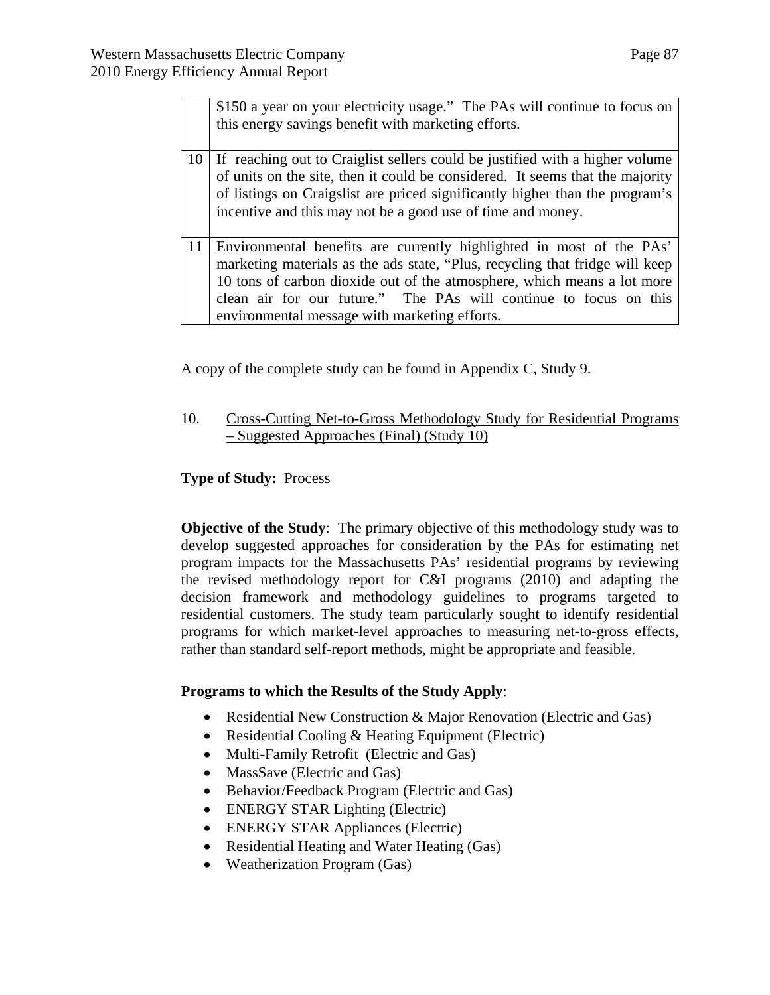|    | \$150 a year on your electricity usage." The PAs will continue to focus on<br>this energy savings benefit with marketing efforts.                                                                                                                                                                                                                     |
|----|-------------------------------------------------------------------------------------------------------------------------------------------------------------------------------------------------------------------------------------------------------------------------------------------------------------------------------------------------------|
| 10 | If reaching out to Craiglist sellers could be justified with a higher volume<br>of units on the site, then it could be considered. It seems that the majority<br>of listings on Craigslist are priced significantly higher than the program's<br>incentive and this may not be a good use of time and money.                                          |
| 11 | Environmental benefits are currently highlighted in most of the PAs'<br>marketing materials as the ads state, "Plus, recycling that fridge will keep<br>10 tons of carbon dioxide out of the atmosphere, which means a lot more<br>clean air for our future." The PAs will continue to focus on this<br>environmental message with marketing efforts. |

A copy of the complete study can be found in Appendix C, Study 9.

10. Cross-Cutting Net-to-Gross Methodology Study for Residential Programs – Suggested Approaches (Final) (Study 10)

#### **Type of Study:** Process

**Objective of the Study:** The primary objective of this methodology study was to develop suggested approaches for consideration by the PAs for estimating net program impacts for the Massachusetts PAs' residential programs by reviewing the revised methodology report for C&I programs (2010) and adapting the decision framework and methodology guidelines to programs targeted to residential customers. The study team particularly sought to identify residential programs for which market-level approaches to measuring net-to-gross effects, rather than standard self-report methods, might be appropriate and feasible.

#### **Programs to which the Results of the Study Apply**:

- Residential New Construction & Major Renovation (Electric and Gas)
- Residential Cooling & Heating Equipment (Electric)
- Multi-Family Retrofit (Electric and Gas)
- MassSave (Electric and Gas)
- Behavior/Feedback Program (Electric and Gas)
- ENERGY STAR Lighting (Electric)
- ENERGY STAR Appliances (Electric)
- Residential Heating and Water Heating (Gas)
- Weatherization Program (Gas)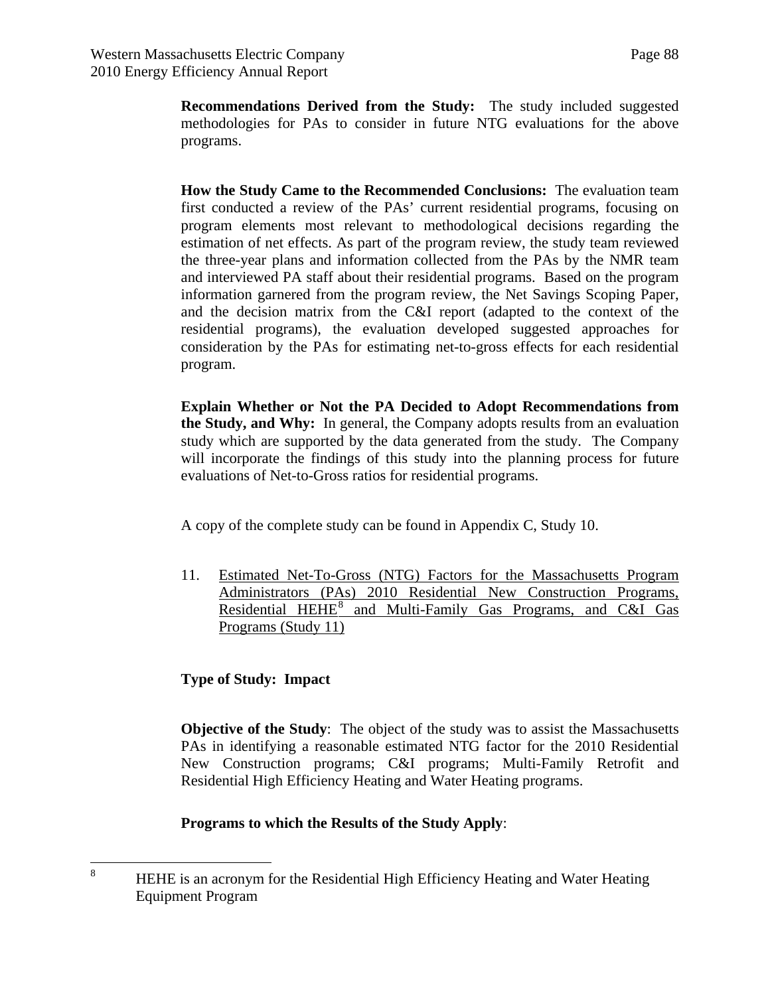**Recommendations Derived from the Study:** The study included suggested methodologies for PAs to consider in future NTG evaluations for the above programs.

**How the Study Came to the Recommended Conclusions:** The evaluation team first conducted a review of the PAs' current residential programs, focusing on program elements most relevant to methodological decisions regarding the estimation of net effects. As part of the program review, the study team reviewed the three-year plans and information collected from the PAs by the NMR team and interviewed PA staff about their residential programs. Based on the program information garnered from the program review, the Net Savings Scoping Paper, and the decision matrix from the C&I report (adapted to the context of the residential programs), the evaluation developed suggested approaches for consideration by the PAs for estimating net-to-gross effects for each residential program.

**Explain Whether or Not the PA Decided to Adopt Recommendations from the Study, and Why:** In general, the Company adopts results from an evaluation study which are supported by the data generated from the study. The Company will incorporate the findings of this study into the planning process for future evaluations of Net-to-Gross ratios for residential programs.

A copy of the complete study can be found in Appendix C, Study 10.

11. Estimated Net-To-Gross (NTG) Factors for the Massachusetts Program Administrators (PAs) 2010 Residential New Construction Programs, Residential HEHE<sup>[8](#page-87-0)</sup> and Multi-Family Gas Programs, and C&I Gas Programs (Study 11)

## **Type of Study: Impact**

**Objective of the Study**: The object of the study was to assist the Massachusetts PAs in identifying a reasonable estimated NTG factor for the 2010 Residential New Construction programs; C&I programs; Multi-Family Retrofit and Residential High Efficiency Heating and Water Heating programs.

## **Programs to which the Results of the Study Apply**:

<span id="page-87-0"></span> 8 HEHE is an acronym for the Residential High Efficiency Heating and Water Heating Equipment Program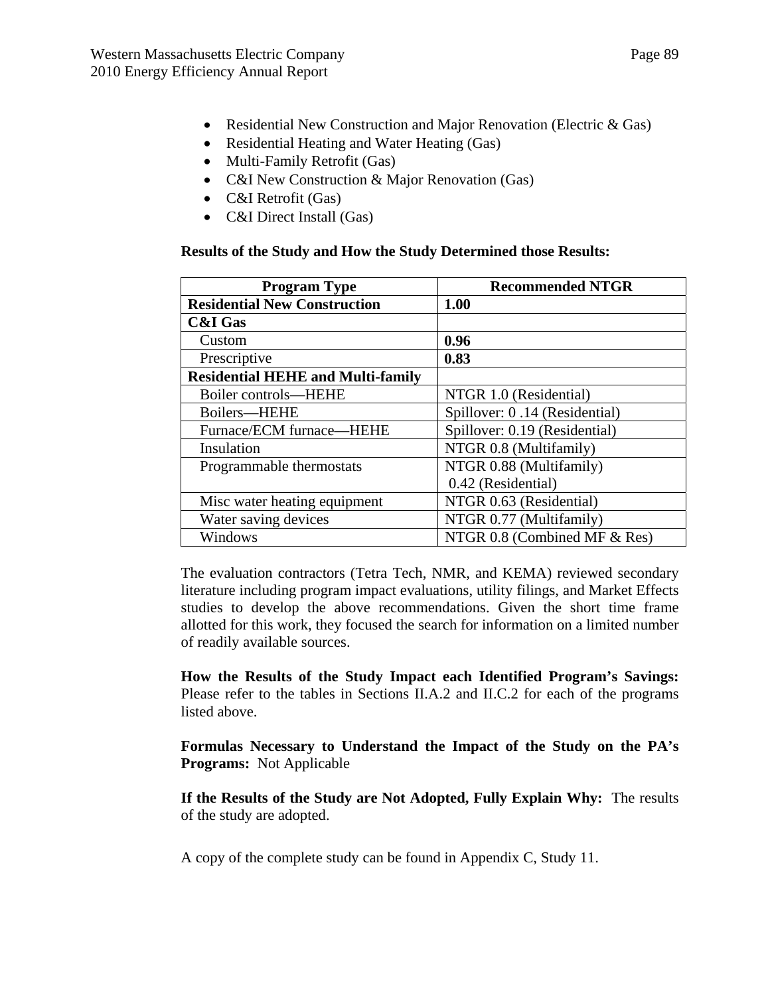- Residential New Construction and Major Renovation (Electric & Gas)
- Residential Heating and Water Heating (Gas)
- Multi-Family Retrofit (Gas)
- C&I New Construction & Major Renovation (Gas)
- C&I Retrofit (Gas)
- C&I Direct Install (Gas)

### **Results of the Study and How the Study Determined those Results:**

| <b>Program Type</b>                      | <b>Recommended NTGR</b>       |  |
|------------------------------------------|-------------------------------|--|
| <b>Residential New Construction</b>      | 1.00                          |  |
| <b>C&amp;I Gas</b>                       |                               |  |
| Custom                                   | 0.96                          |  |
| Prescriptive                             | 0.83                          |  |
| <b>Residential HEHE and Multi-family</b> |                               |  |
| Boiler controls-HEHE                     | NTGR 1.0 (Residential)        |  |
| Boilers-HEHE                             | Spillover: 0.14 (Residential) |  |
| Furnace/ECM furnace—HEHE                 | Spillover: 0.19 (Residential) |  |
| Insulation                               | NTGR 0.8 (Multifamily)        |  |
| Programmable thermostats                 | NTGR 0.88 (Multifamily)       |  |
|                                          | 0.42 (Residential)            |  |
| Misc water heating equipment             | NTGR 0.63 (Residential)       |  |
| Water saving devices                     | NTGR 0.77 (Multifamily)       |  |
| Windows                                  | NTGR 0.8 (Combined MF & Res)  |  |

The evaluation contractors (Tetra Tech, NMR, and KEMA) reviewed secondary literature including program impact evaluations, utility filings, and Market Effects studies to develop the above recommendations. Given the short time frame allotted for this work, they focused the search for information on a limited number of readily available sources.

**How the Results of the Study Impact each Identified Program's Savings:**  Please refer to the tables in Sections II.A.2 and II.C.2 for each of the programs listed above.

**Formulas Necessary to Understand the Impact of the Study on the PA's Programs:** Not Applicable

**If the Results of the Study are Not Adopted, Fully Explain Why:** The results of the study are adopted.

A copy of the complete study can be found in Appendix C, Study 11.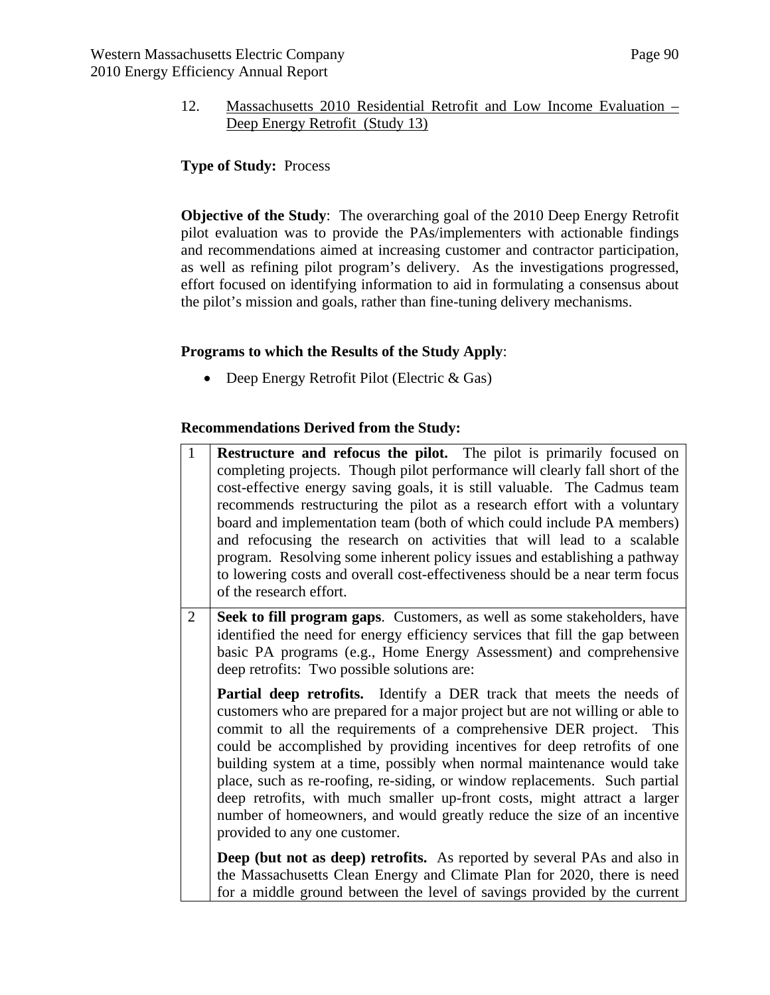### 12. Massachusetts 2010 Residential Retrofit and Low Income Evaluation – Deep Energy Retrofit (Study 13)

## **Type of Study:** Process

**Objective of the Study**: The overarching goal of the 2010 Deep Energy Retrofit pilot evaluation was to provide the PAs/implementers with actionable findings and recommendations aimed at increasing customer and contractor participation, as well as refining pilot program's delivery. As the investigations progressed, effort focused on identifying information to aid in formulating a consensus about the pilot's mission and goals, rather than fine-tuning delivery mechanisms.

## **Programs to which the Results of the Study Apply**:

• Deep Energy Retrofit Pilot (Electric & Gas)

### **Recommendations Derived from the Study:**

1 **Restructure and refocus the pilot.** The pilot is primarily focused on completing projects. Though pilot performance will clearly fall short of the cost-effective energy saving goals, it is still valuable. The Cadmus team recommends restructuring the pilot as a research effort with a voluntary board and implementation team (both of which could include PA members) and refocusing the research on activities that will lead to a scalable program. Resolving some inherent policy issues and establishing a pathway to lowering costs and overall cost-effectiveness should be a near term focus of the research effort. 2 **Seek to fill program gaps**. Customers, as well as some stakeholders, have identified the need for energy efficiency services that fill the gap between basic PA programs (e.g., Home Energy Assessment) and comprehensive deep retrofits: Two possible solutions are: **Partial deep retrofits.** Identify a DER track that meets the needs of customers who are prepared for a major project but are not willing or able to commit to all the requirements of a comprehensive DER project. This could be accomplished by providing incentives for deep retrofits of one building system at a time, possibly when normal maintenance would take place, such as re-roofing, re-siding, or window replacements. Such partial deep retrofits, with much smaller up-front costs, might attract a larger number of homeowners, and would greatly reduce the size of an incentive provided to any one customer. **Deep (but not as deep) retrofits.** As reported by several PAs and also in the Massachusetts Clean Energy and Climate Plan for 2020, there is need for a middle ground between the level of savings provided by the current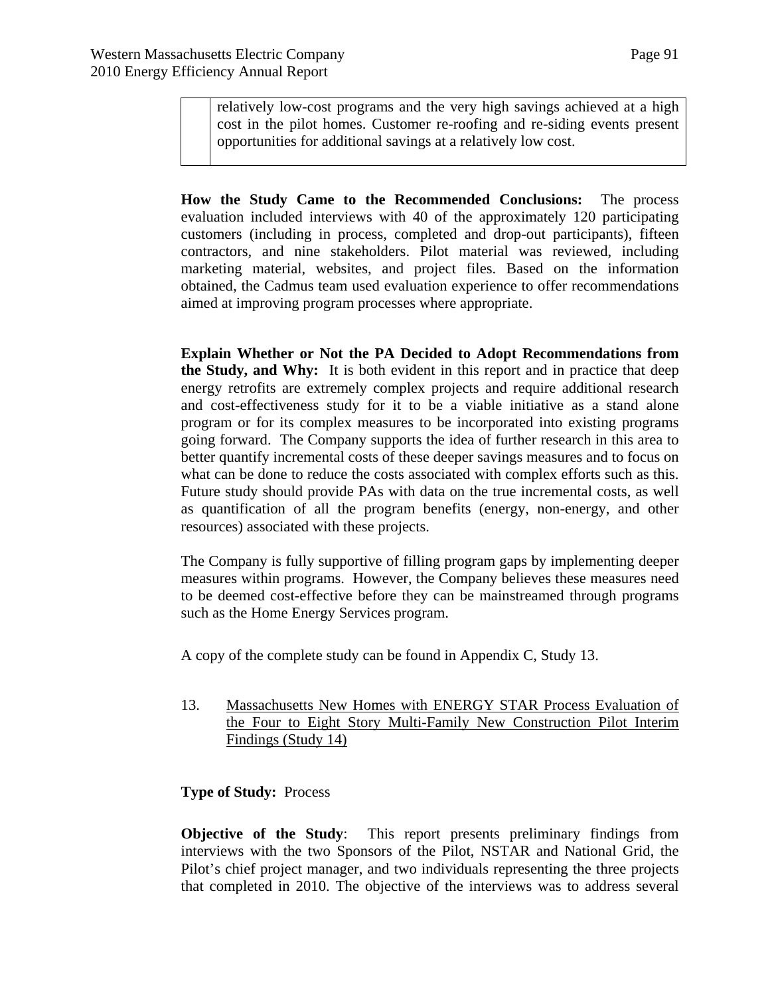relatively low-cost programs and the very high savings achieved at a high cost in the pilot homes. Customer re-roofing and re-siding events present opportunities for additional savings at a relatively low cost.

**How the Study Came to the Recommended Conclusions:** The process evaluation included interviews with 40 of the approximately 120 participating customers (including in process, completed and drop-out participants), fifteen contractors, and nine stakeholders. Pilot material was reviewed, including marketing material, websites, and project files. Based on the information obtained, the Cadmus team used evaluation experience to offer recommendations aimed at improving program processes where appropriate.

**Explain Whether or Not the PA Decided to Adopt Recommendations from the Study, and Why:** It is both evident in this report and in practice that deep energy retrofits are extremely complex projects and require additional research and cost-effectiveness study for it to be a viable initiative as a stand alone program or for its complex measures to be incorporated into existing programs going forward. The Company supports the idea of further research in this area to better quantify incremental costs of these deeper savings measures and to focus on what can be done to reduce the costs associated with complex efforts such as this. Future study should provide PAs with data on the true incremental costs, as well as quantification of all the program benefits (energy, non-energy, and other resources) associated with these projects.

The Company is fully supportive of filling program gaps by implementing deeper measures within programs. However, the Company believes these measures need to be deemed cost-effective before they can be mainstreamed through programs such as the Home Energy Services program.

A copy of the complete study can be found in Appendix C, Study 13.

13. Massachusetts New Homes with ENERGY STAR Process Evaluation of the Four to Eight Story Multi-Family New Construction Pilot Interim Findings (Study 14)

#### **Type of Study:** Process

**Objective of the Study**: This report presents preliminary findings from interviews with the two Sponsors of the Pilot, NSTAR and National Grid, the Pilot's chief project manager, and two individuals representing the three projects that completed in 2010. The objective of the interviews was to address several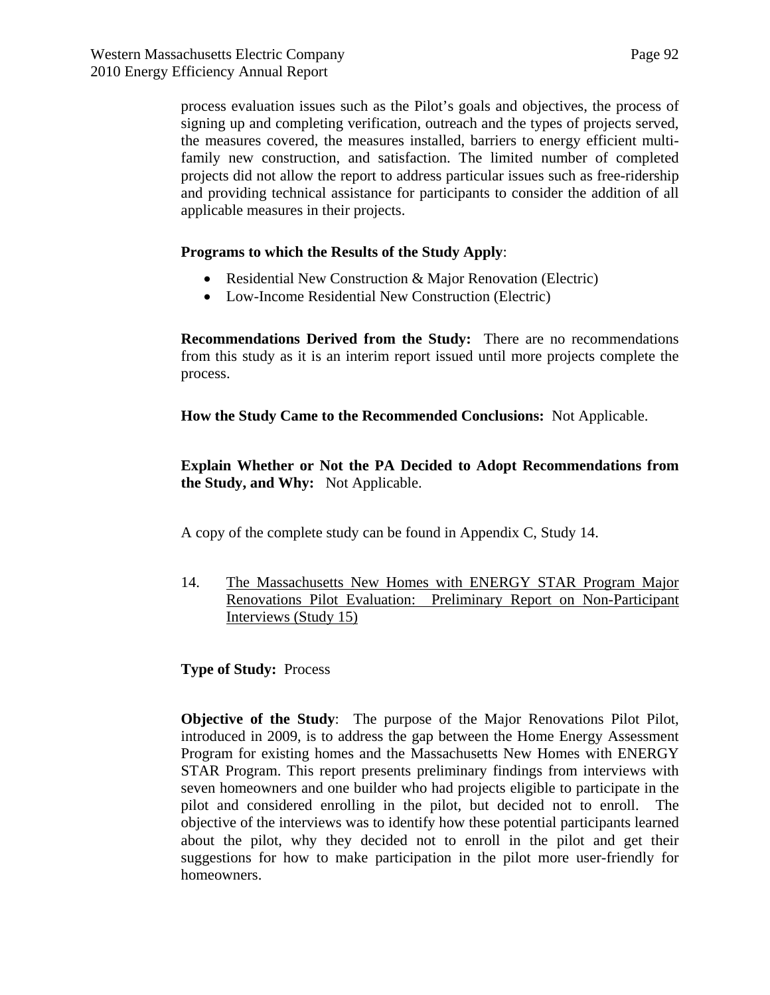process evaluation issues such as the Pilot's goals and objectives, the process of signing up and completing verification, outreach and the types of projects served, the measures covered, the measures installed, barriers to energy efficient multifamily new construction, and satisfaction. The limited number of completed projects did not allow the report to address particular issues such as free-ridership and providing technical assistance for participants to consider the addition of all applicable measures in their projects.

#### **Programs to which the Results of the Study Apply**:

- Residential New Construction & Major Renovation (Electric)
- Low-Income Residential New Construction (Electric)

**Recommendations Derived from the Study:** There are no recommendations from this study as it is an interim report issued until more projects complete the process.

**How the Study Came to the Recommended Conclusions:** Not Applicable.

**Explain Whether or Not the PA Decided to Adopt Recommendations from the Study, and Why:** Not Applicable.

A copy of the complete study can be found in Appendix C, Study 14.

14. The Massachusetts New Homes with ENERGY STAR Program Major Renovations Pilot Evaluation: Preliminary Report on Non-Participant Interviews (Study 15)

**Type of Study:** Process

**Objective of the Study:** The purpose of the Major Renovations Pilot Pilot, introduced in 2009, is to address the gap between the Home Energy Assessment Program for existing homes and the Massachusetts New Homes with ENERGY STAR Program. This report presents preliminary findings from interviews with seven homeowners and one builder who had projects eligible to participate in the pilot and considered enrolling in the pilot, but decided not to enroll. The objective of the interviews was to identify how these potential participants learned about the pilot, why they decided not to enroll in the pilot and get their suggestions for how to make participation in the pilot more user-friendly for homeowners.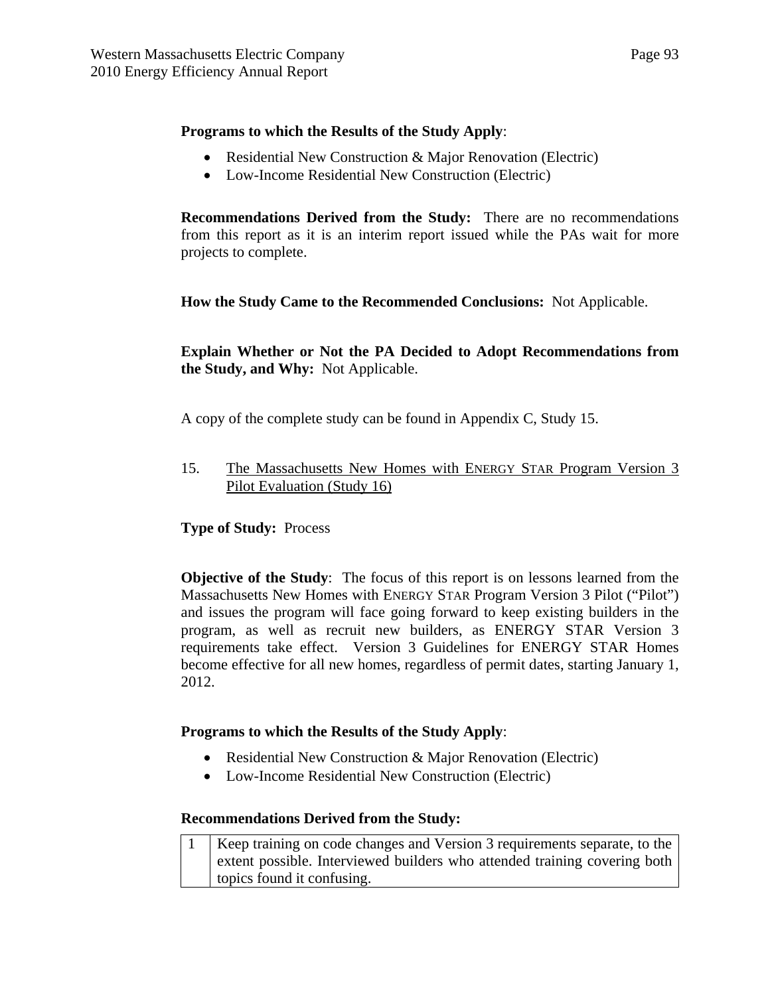### **Programs to which the Results of the Study Apply**:

- Residential New Construction & Major Renovation (Electric)
- Low-Income Residential New Construction (Electric)

**Recommendations Derived from the Study:** There are no recommendations from this report as it is an interim report issued while the PAs wait for more projects to complete.

**How the Study Came to the Recommended Conclusions:** Not Applicable.

**Explain Whether or Not the PA Decided to Adopt Recommendations from the Study, and Why:** Not Applicable.

A copy of the complete study can be found in Appendix C, Study 15.

15. The Massachusetts New Homes with ENERGY STAR Program Version 3 Pilot Evaluation (Study 16)

**Type of Study:** Process

**Objective of the Study**: The focus of this report is on lessons learned from the Massachusetts New Homes with ENERGY STAR Program Version 3 Pilot ("Pilot") and issues the program will face going forward to keep existing builders in the program, as well as recruit new builders, as ENERGY STAR Version 3 requirements take effect. Version 3 Guidelines for ENERGY STAR Homes become effective for all new homes, regardless of permit dates, starting January 1, 2012.

## **Programs to which the Results of the Study Apply**:

- Residential New Construction & Major Renovation (Electric)
- Low-Income Residential New Construction (Electric)

#### **Recommendations Derived from the Study:**

| Keep training on code changes and Version 3 requirements separate, to the |
|---------------------------------------------------------------------------|
| extent possible. Interviewed builders who attended training covering both |
| topics found it confusing.                                                |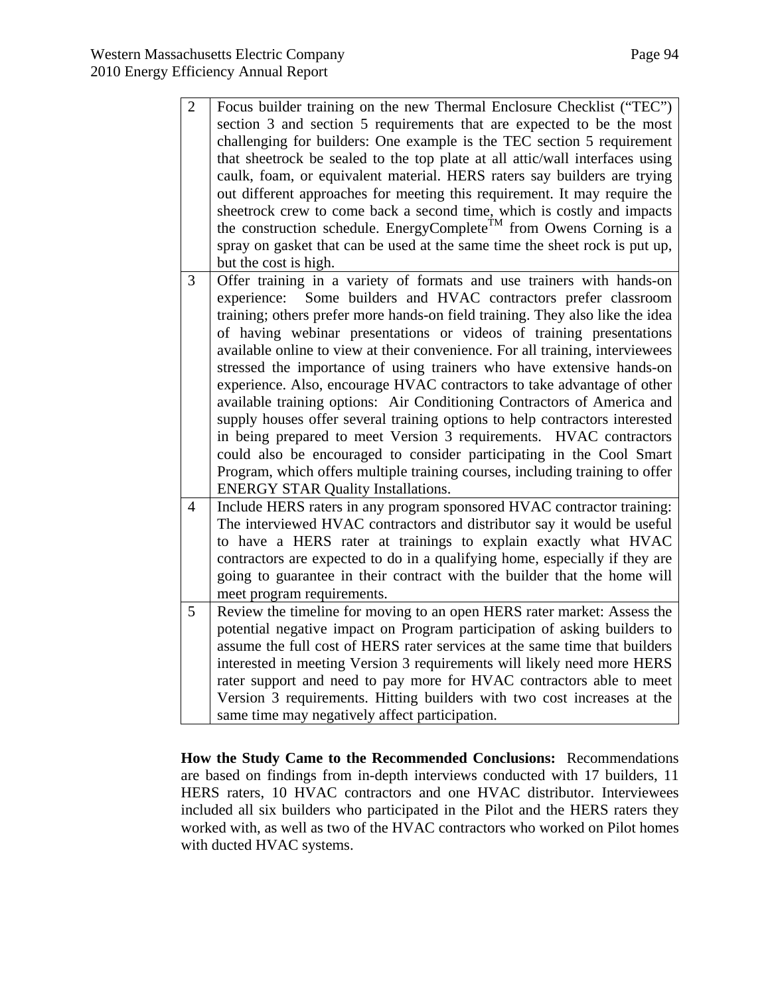| $\overline{2}$ | Focus builder training on the new Thermal Enclosure Checklist ("TEC")<br>section 3 and section 5 requirements that are expected to be the most<br>challenging for builders: One example is the TEC section 5 requirement<br>that sheetrock be sealed to the top plate at all attic/wall interfaces using<br>caulk, foam, or equivalent material. HERS raters say builders are trying<br>out different approaches for meeting this requirement. It may require the<br>sheetrock crew to come back a second time, which is costly and impacts<br>the construction schedule. EnergyComplete <sup>TM</sup> from Owens Corning is a<br>spray on gasket that can be used at the same time the sheet rock is put up,<br>but the cost is high.                                                                                                                                                                                                                                                  |
|----------------|-----------------------------------------------------------------------------------------------------------------------------------------------------------------------------------------------------------------------------------------------------------------------------------------------------------------------------------------------------------------------------------------------------------------------------------------------------------------------------------------------------------------------------------------------------------------------------------------------------------------------------------------------------------------------------------------------------------------------------------------------------------------------------------------------------------------------------------------------------------------------------------------------------------------------------------------------------------------------------------------|
| $\overline{3}$ | Offer training in a variety of formats and use trainers with hands-on<br>Some builders and HVAC contractors prefer classroom<br>experience:<br>training; others prefer more hands-on field training. They also like the idea<br>of having webinar presentations or videos of training presentations<br>available online to view at their convenience. For all training, interviewees<br>stressed the importance of using trainers who have extensive hands-on<br>experience. Also, encourage HVAC contractors to take advantage of other<br>available training options: Air Conditioning Contractors of America and<br>supply houses offer several training options to help contractors interested<br>in being prepared to meet Version 3 requirements.<br><b>HVAC</b> contractors<br>could also be encouraged to consider participating in the Cool Smart<br>Program, which offers multiple training courses, including training to offer<br><b>ENERGY STAR Quality Installations.</b> |
| $\overline{4}$ | Include HERS raters in any program sponsored HVAC contractor training:<br>The interviewed HVAC contractors and distributor say it would be useful<br>to have a HERS rater at trainings to explain exactly what HVAC<br>contractors are expected to do in a qualifying home, especially if they are<br>going to guarantee in their contract with the builder that the home will<br>meet program requirements.                                                                                                                                                                                                                                                                                                                                                                                                                                                                                                                                                                            |
| 5              | Review the timeline for moving to an open HERS rater market: Assess the<br>potential negative impact on Program participation of asking builders to<br>assume the full cost of HERS rater services at the same time that builders<br>interested in meeting Version 3 requirements will likely need more HERS<br>rater support and need to pay more for HVAC contractors able to meet<br>Version 3 requirements. Hitting builders with two cost increases at the<br>same time may negatively affect participation.                                                                                                                                                                                                                                                                                                                                                                                                                                                                       |

**How the Study Came to the Recommended Conclusions:** Recommendations are based on findings from in-depth interviews conducted with 17 builders, 11 HERS raters, 10 HVAC contractors and one HVAC distributor. Interviewees included all six builders who participated in the Pilot and the HERS raters they worked with, as well as two of the HVAC contractors who worked on Pilot homes with ducted HVAC systems.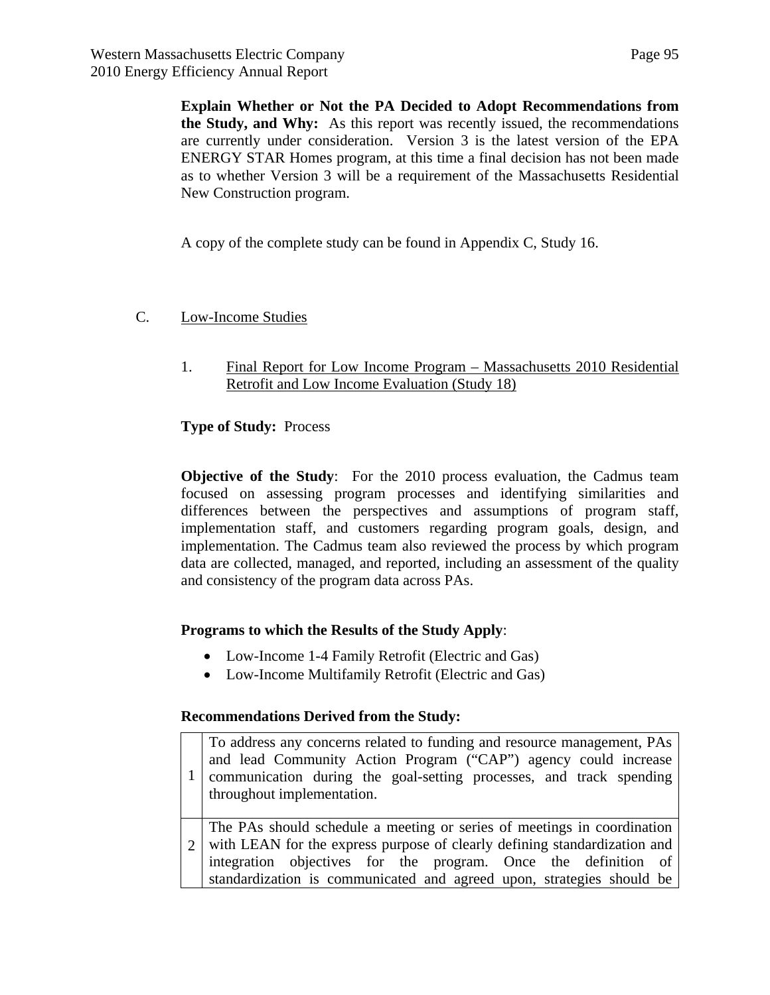**Explain Whether or Not the PA Decided to Adopt Recommendations from the Study, and Why:** As this report was recently issued, the recommendations are currently under consideration. Version 3 is the latest version of the EPA ENERGY STAR Homes program, at this time a final decision has not been made as to whether Version 3 will be a requirement of the Massachusetts Residential New Construction program.

A copy of the complete study can be found in Appendix C, Study 16.

# C. Low-Income Studies

1. Final Report for Low Income Program – Massachusetts 2010 Residential Retrofit and Low Income Evaluation (Study 18)

## **Type of Study:** Process

**Objective of the Study**: For the 2010 process evaluation, the Cadmus team focused on assessing program processes and identifying similarities and differences between the perspectives and assumptions of program staff, implementation staff, and customers regarding program goals, design, and implementation. The Cadmus team also reviewed the process by which program data are collected, managed, and reported, including an assessment of the quality and consistency of the program data across PAs.

## **Programs to which the Results of the Study Apply**:

- Low-Income 1-4 Family Retrofit (Electric and Gas)
- Low-Income Multifamily Retrofit (Electric and Gas)

#### **Recommendations Derived from the Study:**

| $\mathbf{1}$                | To address any concerns related to funding and resource management, PAs<br>and lead Community Action Program ("CAP") agency could increase<br>communication during the goal-setting processes, and track spending<br>throughout implementation.                                                 |
|-----------------------------|-------------------------------------------------------------------------------------------------------------------------------------------------------------------------------------------------------------------------------------------------------------------------------------------------|
| $\mathcal{D}_{\mathcal{L}}$ | The PAs should schedule a meeting or series of meetings in coordination<br>with LEAN for the express purpose of clearly defining standardization and<br>integration objectives for the program. Once the definition of<br>standardization is communicated and agreed upon, strategies should be |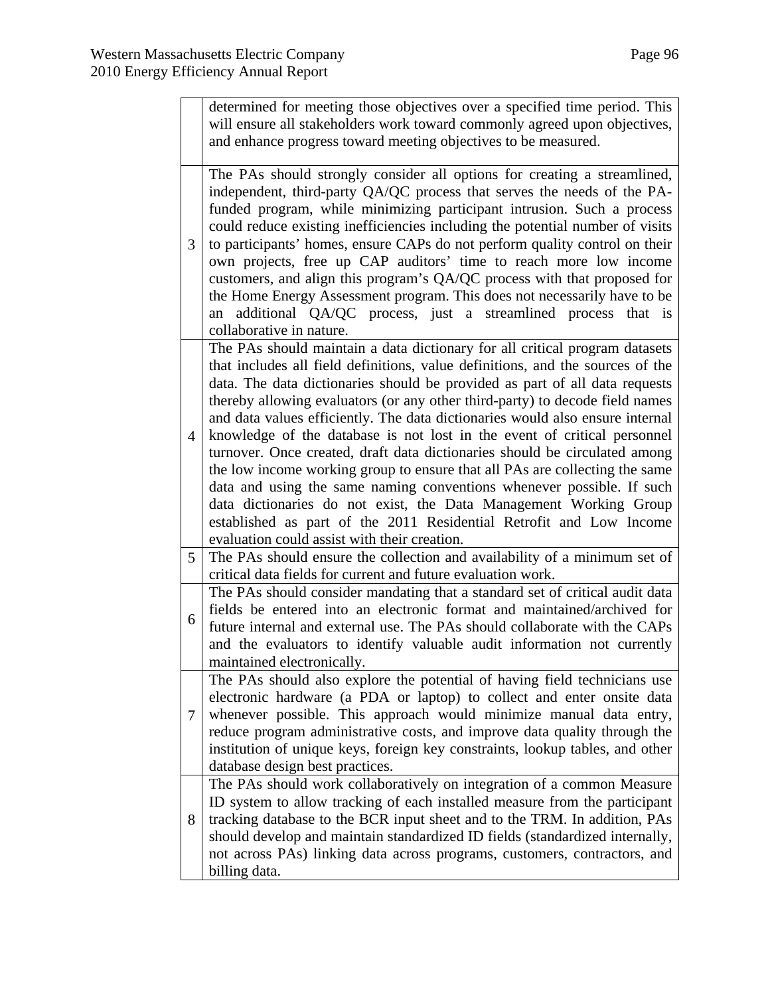|                | determined for meeting those objectives over a specified time period. This<br>will ensure all stakeholders work toward commonly agreed upon objectives,<br>and enhance progress toward meeting objectives to be measured.                                                                                                                                                                                                                                                                                                                                                                                                                                                                                                                                                                                                                                                                                                   |
|----------------|-----------------------------------------------------------------------------------------------------------------------------------------------------------------------------------------------------------------------------------------------------------------------------------------------------------------------------------------------------------------------------------------------------------------------------------------------------------------------------------------------------------------------------------------------------------------------------------------------------------------------------------------------------------------------------------------------------------------------------------------------------------------------------------------------------------------------------------------------------------------------------------------------------------------------------|
| 3              | The PAs should strongly consider all options for creating a streamlined,<br>independent, third-party QA/QC process that serves the needs of the PA-<br>funded program, while minimizing participant intrusion. Such a process<br>could reduce existing inefficiencies including the potential number of visits<br>to participants' homes, ensure CAPs do not perform quality control on their<br>own projects, free up CAP auditors' time to reach more low income<br>customers, and align this program's QA/QC process with that proposed for<br>the Home Energy Assessment program. This does not necessarily have to be<br>additional QA/QC process, just a streamlined process that is<br>an<br>collaborative in nature.                                                                                                                                                                                                |
| $\overline{4}$ | The PAs should maintain a data dictionary for all critical program datasets<br>that includes all field definitions, value definitions, and the sources of the<br>data. The data dictionaries should be provided as part of all data requests<br>thereby allowing evaluators (or any other third-party) to decode field names<br>and data values efficiently. The data dictionaries would also ensure internal<br>knowledge of the database is not lost in the event of critical personnel<br>turnover. Once created, draft data dictionaries should be circulated among<br>the low income working group to ensure that all PAs are collecting the same<br>data and using the same naming conventions whenever possible. If such<br>data dictionaries do not exist, the Data Management Working Group<br>established as part of the 2011 Residential Retrofit and Low Income<br>evaluation could assist with their creation. |
| 5              | The PAs should ensure the collection and availability of a minimum set of<br>critical data fields for current and future evaluation work.                                                                                                                                                                                                                                                                                                                                                                                                                                                                                                                                                                                                                                                                                                                                                                                   |
| 6              | The PAs should consider mandating that a standard set of critical audit data<br>fields be entered into an electronic format and maintained/archived for<br>future internal and external use. The PAs should collaborate with the CAPs<br>and the evaluators to identify valuable audit information not currently<br>maintained electronically.                                                                                                                                                                                                                                                                                                                                                                                                                                                                                                                                                                              |
| 7              | The PAs should also explore the potential of having field technicians use<br>electronic hardware (a PDA or laptop) to collect and enter onsite data<br>whenever possible. This approach would minimize manual data entry,<br>reduce program administrative costs, and improve data quality through the<br>institution of unique keys, foreign key constraints, lookup tables, and other<br>database design best practices.                                                                                                                                                                                                                                                                                                                                                                                                                                                                                                  |
| 8              | The PAs should work collaboratively on integration of a common Measure<br>ID system to allow tracking of each installed measure from the participant<br>tracking database to the BCR input sheet and to the TRM. In addition, PAs<br>should develop and maintain standardized ID fields (standardized internally,<br>not across PAs) linking data across programs, customers, contractors, and<br>billing data.                                                                                                                                                                                                                                                                                                                                                                                                                                                                                                             |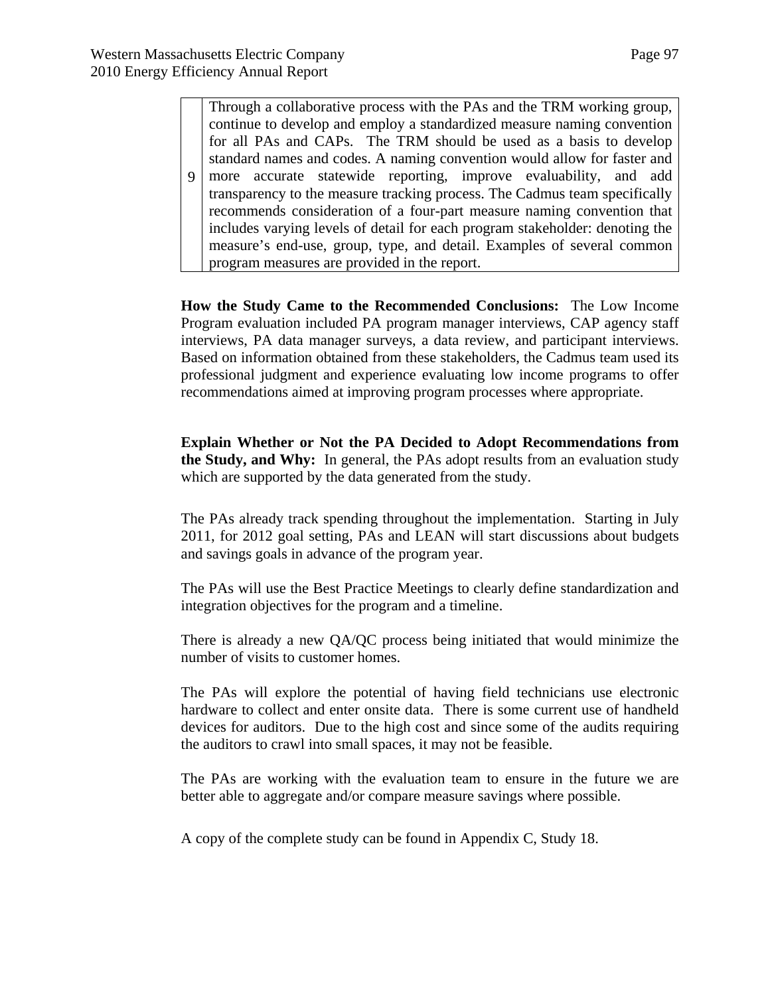$\mathbf{Q}$ Through a collaborative process with the PAs and the TRM working group, continue to develop and employ a standardized measure naming convention for all PAs and CAPs. The TRM should be used as a basis to develop standard names and codes. A naming convention would allow for faster and more accurate statewide reporting, improve evaluability, and add transparency to the measure tracking process. The Cadmus team specifically recommends consideration of a four-part measure naming convention that includes varying levels of detail for each program stakeholder: denoting the measure's end-use, group, type, and detail. Examples of several common program measures are provided in the report.

**How the Study Came to the Recommended Conclusions:** The Low Income Program evaluation included PA program manager interviews, CAP agency staff interviews, PA data manager surveys, a data review, and participant interviews. Based on information obtained from these stakeholders, the Cadmus team used its professional judgment and experience evaluating low income programs to offer recommendations aimed at improving program processes where appropriate.

**Explain Whether or Not the PA Decided to Adopt Recommendations from the Study, and Why:** In general, the PAs adopt results from an evaluation study which are supported by the data generated from the study.

The PAs already track spending throughout the implementation. Starting in July 2011, for 2012 goal setting, PAs and LEAN will start discussions about budgets and savings goals in advance of the program year.

The PAs will use the Best Practice Meetings to clearly define standardization and integration objectives for the program and a timeline.

There is already a new QA/QC process being initiated that would minimize the number of visits to customer homes.

The PAs will explore the potential of having field technicians use electronic hardware to collect and enter onsite data. There is some current use of handheld devices for auditors. Due to the high cost and since some of the audits requiring the auditors to crawl into small spaces, it may not be feasible.

The PAs are working with the evaluation team to ensure in the future we are better able to aggregate and/or compare measure savings where possible.

A copy of the complete study can be found in Appendix C, Study 18.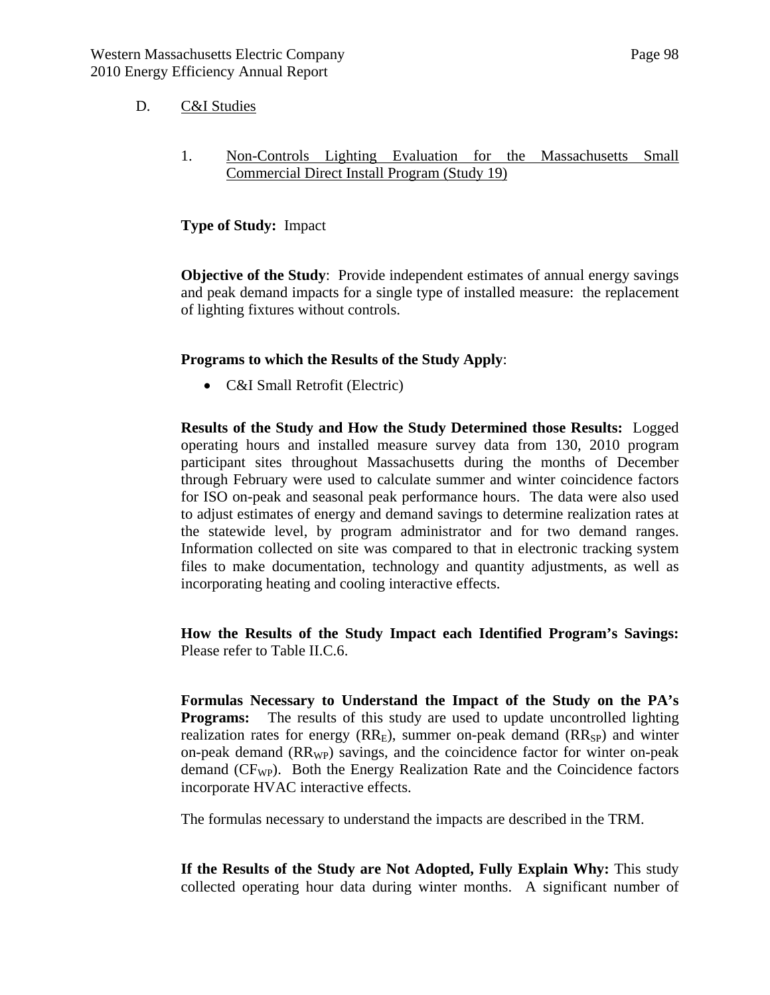#### D. C&I Studies

1. Non-Controls Lighting Evaluation for the Massachusetts Small Commercial Direct Install Program (Study 19)

#### **Type of Study:** Impact

**Objective of the Study**: Provide independent estimates of annual energy savings and peak demand impacts for a single type of installed measure: the replacement of lighting fixtures without controls.

#### **Programs to which the Results of the Study Apply**:

• C&I Small Retrofit (Electric)

**Results of the Study and How the Study Determined those Results:** Logged operating hours and installed measure survey data from 130, 2010 program participant sites throughout Massachusetts during the months of December through February were used to calculate summer and winter coincidence factors for ISO on-peak and seasonal peak performance hours. The data were also used to adjust estimates of energy and demand savings to determine realization rates at the statewide level, by program administrator and for two demand ranges. Information collected on site was compared to that in electronic tracking system files to make documentation, technology and quantity adjustments, as well as incorporating heating and cooling interactive effects.

**How the Results of the Study Impact each Identified Program's Savings:**  Please refer to Table II.C.6.

**Formulas Necessary to Understand the Impact of the Study on the PA's Programs:** The results of this study are used to update uncontrolled lighting realization rates for energy  $(RR<sub>E</sub>)$ , summer on-peak demand  $(RR<sub>SP</sub>)$  and winter on-peak demand  $(RR_{WP})$  savings, and the coincidence factor for winter on-peak demand (CF<sub>WP</sub>). Both the Energy Realization Rate and the Coincidence factors incorporate HVAC interactive effects.

The formulas necessary to understand the impacts are described in the TRM.

**If the Results of the Study are Not Adopted, Fully Explain Why:** This study collected operating hour data during winter months. A significant number of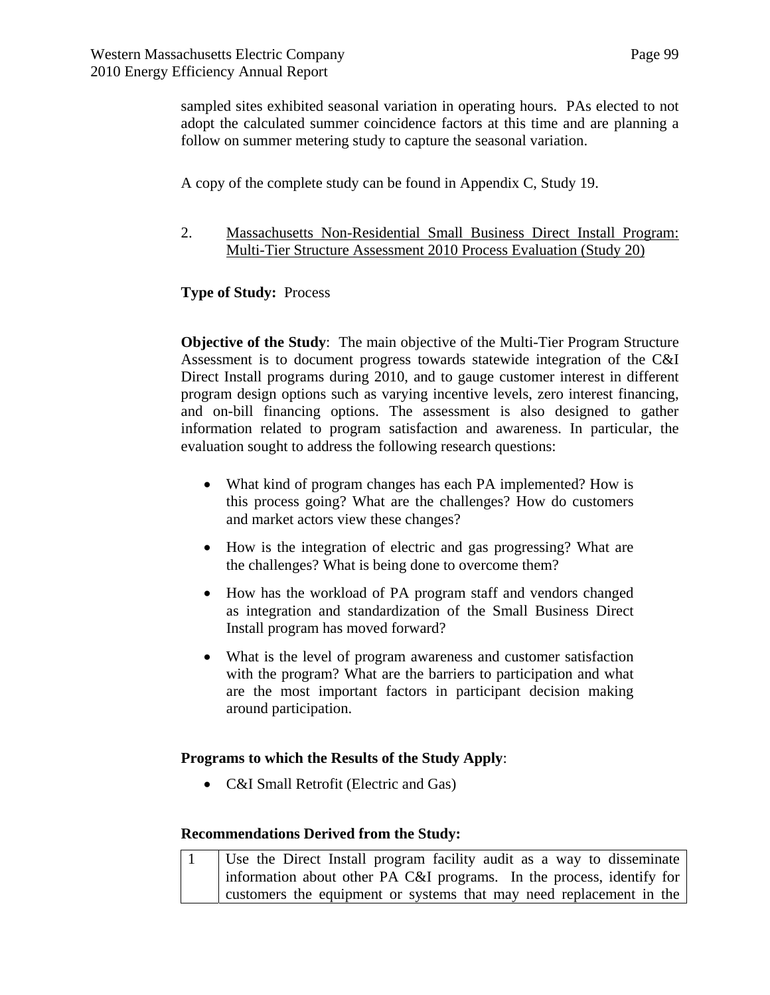sampled sites exhibited seasonal variation in operating hours. PAs elected to not adopt the calculated summer coincidence factors at this time and are planning a follow on summer metering study to capture the seasonal variation.

A copy of the complete study can be found in Appendix C, Study 19.

2. Massachusetts Non-Residential Small Business Direct Install Program: Multi-Tier Structure Assessment 2010 Process Evaluation (Study 20)

# **Type of Study:** Process

**Objective of the Study**: The main objective of the Multi-Tier Program Structure Assessment is to document progress towards statewide integration of the C&I Direct Install programs during 2010, and to gauge customer interest in different program design options such as varying incentive levels, zero interest financing, and on-bill financing options. The assessment is also designed to gather information related to program satisfaction and awareness. In particular, the evaluation sought to address the following research questions:

- What kind of program changes has each PA implemented? How is this process going? What are the challenges? How do customers and market actors view these changes?
- How is the integration of electric and gas progressing? What are the challenges? What is being done to overcome them?
- How has the workload of PA program staff and vendors changed as integration and standardization of the Small Business Direct Install program has moved forward?
- What is the level of program awareness and customer satisfaction with the program? What are the barriers to participation and what are the most important factors in participant decision making around participation.

## **Programs to which the Results of the Study Apply**:

• C&I Small Retrofit (Electric and Gas)

## **Recommendations Derived from the Study:**

|  | Use the Direct Install program facility audit as a way to disseminate |
|--|-----------------------------------------------------------------------|
|  | information about other PA C&I programs. In the process, identify for |
|  | customers the equipment or systems that may need replacement in the   |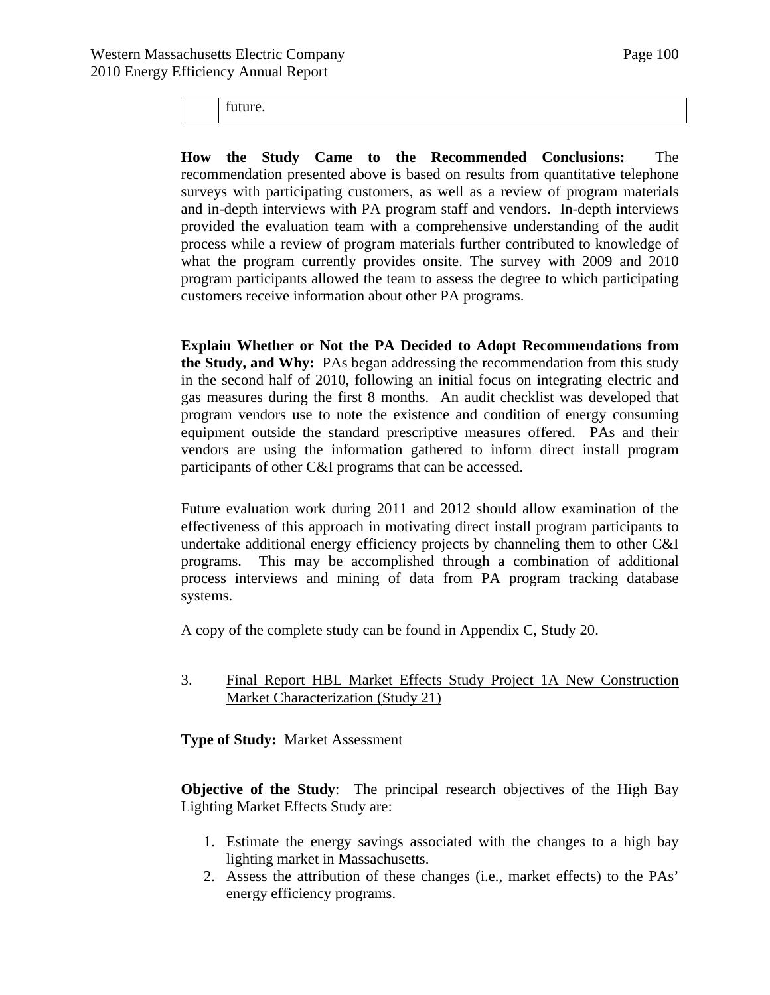future.

**How the Study Came to the Recommended Conclusions:** The recommendation presented above is based on results from quantitative telephone surveys with participating customers, as well as a review of program materials and in-depth interviews with PA program staff and vendors. In-depth interviews provided the evaluation team with a comprehensive understanding of the audit process while a review of program materials further contributed to knowledge of what the program currently provides onsite. The survey with 2009 and 2010 program participants allowed the team to assess the degree to which participating customers receive information about other PA programs.

**Explain Whether or Not the PA Decided to Adopt Recommendations from the Study, and Why:** PAs began addressing the recommendation from this study in the second half of 2010, following an initial focus on integrating electric and gas measures during the first 8 months. An audit checklist was developed that program vendors use to note the existence and condition of energy consuming equipment outside the standard prescriptive measures offered. PAs and their vendors are using the information gathered to inform direct install program participants of other C&I programs that can be accessed.

Future evaluation work during 2011 and 2012 should allow examination of the effectiveness of this approach in motivating direct install program participants to undertake additional energy efficiency projects by channeling them to other C&I programs. This may be accomplished through a combination of additional process interviews and mining of data from PA program tracking database systems.

A copy of the complete study can be found in Appendix C, Study 20.

3. Final Report HBL Market Effects Study Project 1A New Construction Market Characterization (Study 21)

**Type of Study:** Market Assessment

**Objective of the Study**: The principal research objectives of the High Bay Lighting Market Effects Study are:

- 1. Estimate the energy savings associated with the changes to a high bay lighting market in Massachusetts.
- 2. Assess the attribution of these changes (i.e., market effects) to the PAs' energy efficiency programs.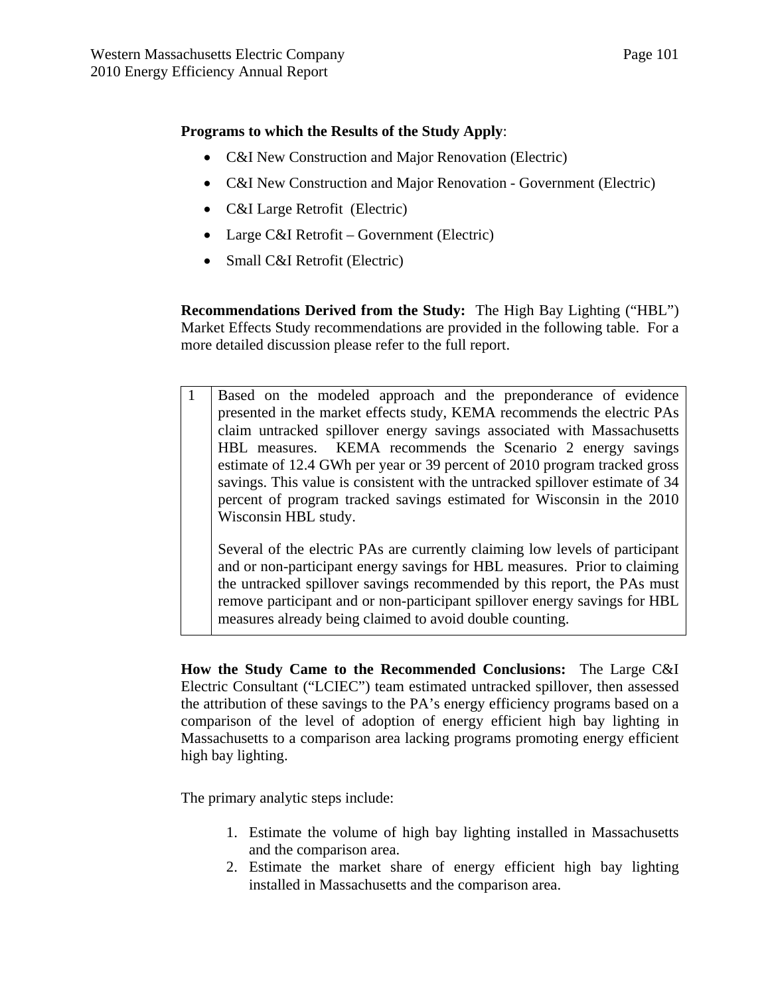### **Programs to which the Results of the Study Apply**:

- C&I New Construction and Major Renovation (Electric)
- C&I New Construction and Major Renovation Government (Electric)
- C&I Large Retrofit (Electric)
- Large C&I Retrofit Government (Electric)
- Small C&I Retrofit (Electric)

**Recommendations Derived from the Study:** The High Bay Lighting ("HBL") Market Effects Study recommendations are provided in the following table. For a more detailed discussion please refer to the full report.

1 Based on the modeled approach and the preponderance of evidence presented in the market effects study, KEMA recommends the electric PAs claim untracked spillover energy savings associated with Massachusetts HBL measures. KEMA recommends the Scenario 2 energy savings estimate of 12.4 GWh per year or 39 percent of 2010 program tracked gross savings. This value is consistent with the untracked spillover estimate of 34 percent of program tracked savings estimated for Wisconsin in the 2010 Wisconsin HBL study.

Several of the electric PAs are currently claiming low levels of participant and or non-participant energy savings for HBL measures. Prior to claiming the untracked spillover savings recommended by this report, the PAs must remove participant and or non-participant spillover energy savings for HBL measures already being claimed to avoid double counting.

**How the Study Came to the Recommended Conclusions:** The Large C&I Electric Consultant ("LCIEC") team estimated untracked spillover, then assessed the attribution of these savings to the PA's energy efficiency programs based on a comparison of the level of adoption of energy efficient high bay lighting in Massachusetts to a comparison area lacking programs promoting energy efficient high bay lighting.

The primary analytic steps include:

- 1. Estimate the volume of high bay lighting installed in Massachusetts and the comparison area.
- 2. Estimate the market share of energy efficient high bay lighting installed in Massachusetts and the comparison area.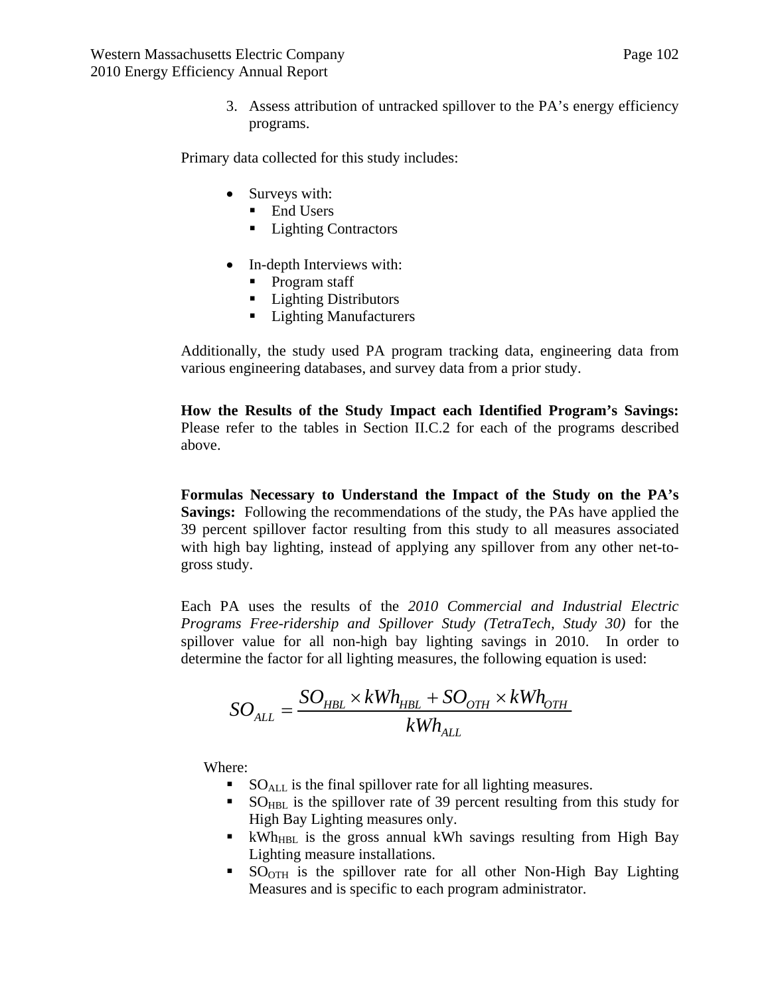3. Assess attribution of untracked spillover to the PA's energy efficiency programs.

Primary data collected for this study includes:

- Surveys with:
	- $\blacksquare$  End Users
	- Lighting Contractors
- In-depth Interviews with:
	- Program staff
	- Lighting Distributors
	- Lighting Manufacturers

Additionally, the study used PA program tracking data, engineering data from various engineering databases, and survey data from a prior study.

**How the Results of the Study Impact each Identified Program's Savings:**  Please refer to the tables in Section II.C.2 for each of the programs described above.

**Formulas Necessary to Understand the Impact of the Study on the PA's Savings:** Following the recommendations of the study, the PAs have applied the 39 percent spillover factor resulting from this study to all measures associated with high bay lighting, instead of applying any spillover from any other net-togross study.

Each PA uses the results of the *2010 Commercial and Industrial Electric Programs Free-ridership and Spillover Study (TetraTech, Study 30)* for the spillover value for all non-high bay lighting savings in 2010. In order to determine the factor for all lighting measures, the following equation is used:

$$
SO_{ALL} = \frac{SO_{HBL} \times kWh_{HBL} + SO_{OTH} \times kWh_{OTH}}{kWh_{ALL}}
$$

Where:

- $\bullet$  SO<sub>ALL</sub> is the final spillover rate for all lighting measures.
- SO<sub>HBL</sub> is the spillover rate of 39 percent resulting from this study for High Bay Lighting measures only.
- KWh<sub>HBL</sub> is the gross annual kWh savings resulting from High Bay Lighting measure installations.
- SO<sub>OTH</sub> is the spillover rate for all other Non-High Bay Lighting Measures and is specific to each program administrator.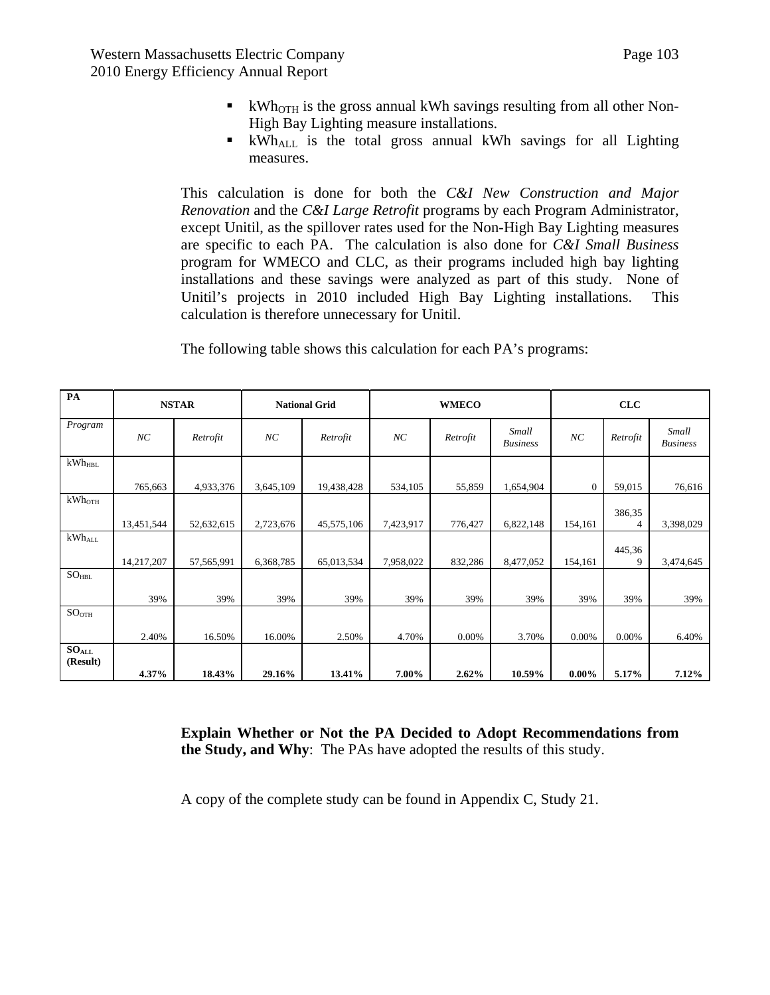- KWh<sub>OTH</sub> is the gross annual kWh savings resulting from all other Non-High Bay Lighting measure installations.
- KWh<sub>ALL</sub> is the total gross annual kWh savings for all Lighting measures.

This calculation is done for both the *C&I New Construction and Major Renovation* and the *C&I Large Retrofit* programs by each Program Administrator, except Unitil, as the spillover rates used for the Non-High Bay Lighting measures are specific to each PA. The calculation is also done for *C&I Small Business* program for WMECO and CLC, as their programs included high bay lighting installations and these savings were analyzed as part of this study. None of Unitil's projects in 2010 included High Bay Lighting installations. This calculation is therefore unnecessary for Unitil.

The following table shows this calculation for each PA's programs:

| PA                            | <b>NSTAR</b> |            | <b>National Grid</b> |            | <b>WMECO</b> |          |                          | CLC            |             |                          |
|-------------------------------|--------------|------------|----------------------|------------|--------------|----------|--------------------------|----------------|-------------|--------------------------|
| Program                       | NC           | Retrofit   | NC                   | Retrofit   | NC           | Retrofit | Small<br><b>Business</b> | NC             | Retrofit    | Small<br><b>Business</b> |
| $kWh_{HBL}$                   |              |            |                      |            |              |          |                          |                |             |                          |
|                               | 765,663      | 4,933,376  | 3,645,109            | 19,438,428 | 534,105      | 55,859   | 1,654,904                | $\overline{0}$ | 59,015      | 76,616                   |
| $kWh$ <sub>OTH</sub>          |              |            |                      |            |              |          |                          |                |             |                          |
|                               | 13,451,544   | 52,632,615 | 2,723,676            | 45,575,106 | 7,423,917    | 776,427  | 6,822,148                | 154,161        | 386,35<br>4 | 3,398,029                |
| $kWh_{ALL}$                   |              |            |                      |            |              |          |                          |                |             |                          |
|                               | 14,217,207   | 57,565,991 | 6,368,785            | 65,013,534 | 7,958,022    | 832,286  | 8,477,052                | 154,161        | 445,36<br>9 | 3,474,645                |
| $SO_{HBL}$                    |              |            |                      |            |              |          |                          |                |             |                          |
|                               | 39%          | 39%        | 39%                  | 39%        | 39%          | 39%      | 39%                      | 39%            | 39%         | 39%                      |
| SO <sub>OTH</sub>             |              |            |                      |            |              |          |                          |                |             |                          |
|                               | 2.40%        | 16.50%     | 16.00%               | 2.50%      | 4.70%        | 0.00%    | 3.70%                    | 0.00%          | 0.00%       | 6.40%                    |
| SO <sub>ALL</sub><br>(Result) |              |            |                      |            |              |          |                          |                |             |                          |
|                               | 4.37%        | 18.43%     | 29.16%               | 13.41%     | 7.00%        | 2.62%    | 10.59%                   | $0.00\%$       | 5.17%       | 7.12%                    |

**Explain Whether or Not the PA Decided to Adopt Recommendations from the Study, and Why**: The PAs have adopted the results of this study.

A copy of the complete study can be found in Appendix C, Study 21.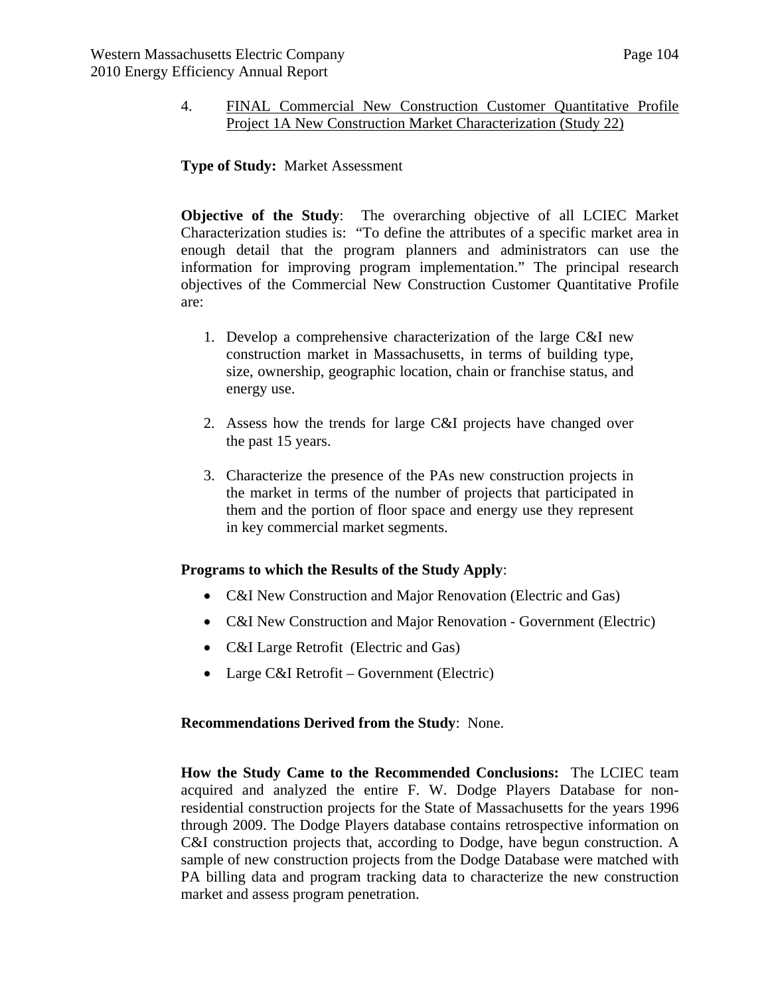### 4. FINAL Commercial New Construction Customer Quantitative Profile Project 1A New Construction Market Characterization (Study 22)

### **Type of Study:** Market Assessment

**Objective of the Study**: The overarching objective of all LCIEC Market Characterization studies is: "To define the attributes of a specific market area in enough detail that the program planners and administrators can use the information for improving program implementation." The principal research objectives of the Commercial New Construction Customer Quantitative Profile are:

- 1. Develop a comprehensive characterization of the large C&I new construction market in Massachusetts, in terms of building type, size, ownership, geographic location, chain or franchise status, and energy use.
- 2. Assess how the trends for large C&I projects have changed over the past 15 years.
- 3. Characterize the presence of the PAs new construction projects in the market in terms of the number of projects that participated in them and the portion of floor space and energy use they represent in key commercial market segments.

#### **Programs to which the Results of the Study Apply**:

- C&I New Construction and Major Renovation (Electric and Gas)
- C&I New Construction and Major Renovation Government (Electric)
- C&I Large Retrofit (Electric and Gas)
- Large C&I Retrofit Government (Electric)

#### **Recommendations Derived from the Study**: None.

**How the Study Came to the Recommended Conclusions:** The LCIEC team acquired and analyzed the entire F. W. Dodge Players Database for nonresidential construction projects for the State of Massachusetts for the years 1996 through 2009. The Dodge Players database contains retrospective information on C&I construction projects that, according to Dodge, have begun construction. A sample of new construction projects from the Dodge Database were matched with PA billing data and program tracking data to characterize the new construction market and assess program penetration.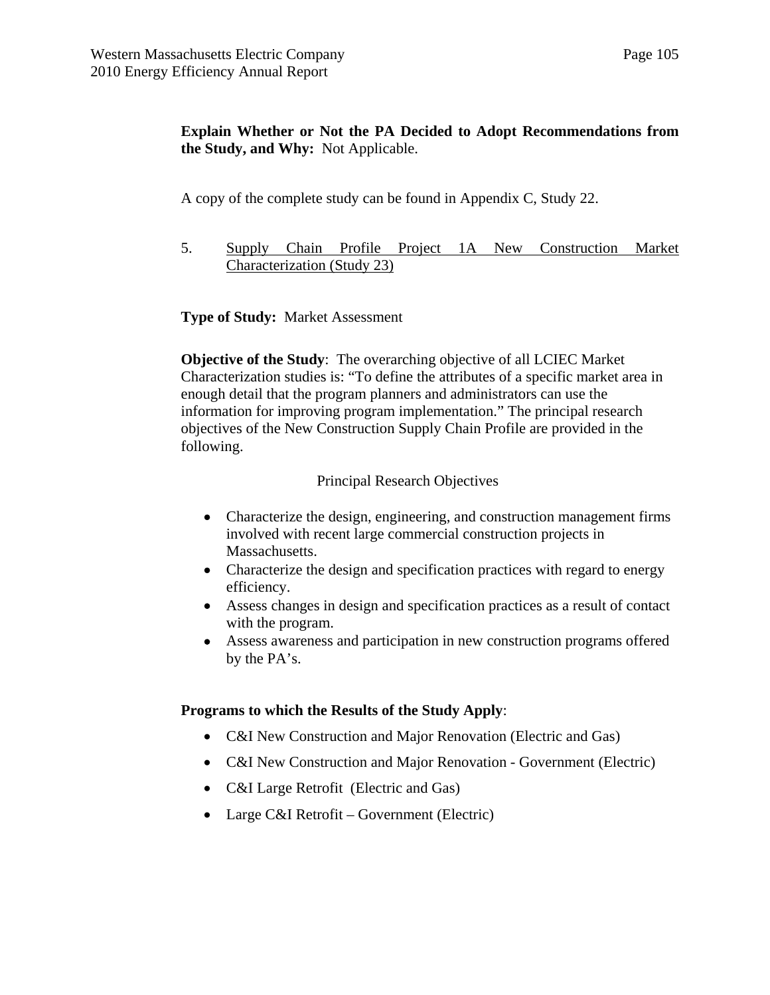# **Explain Whether or Not the PA Decided to Adopt Recommendations from the Study, and Why:** Not Applicable.

A copy of the complete study can be found in Appendix C, Study 22.

5. Supply Chain Profile Project 1A New Construction Market Characterization (Study 23)

## **Type of Study:** Market Assessment

**Objective of the Study**: The overarching objective of all LCIEC Market Characterization studies is: "To define the attributes of a specific market area in enough detail that the program planners and administrators can use the information for improving program implementation." The principal research objectives of the New Construction Supply Chain Profile are provided in the following.

#### Principal Research Objectives

- Characterize the design, engineering, and construction management firms involved with recent large commercial construction projects in Massachusetts.
- Characterize the design and specification practices with regard to energy efficiency.
- Assess changes in design and specification practices as a result of contact with the program.
- Assess awareness and participation in new construction programs offered by the PA's.

## **Programs to which the Results of the Study Apply**:

- C&I New Construction and Major Renovation (Electric and Gas)
- C&I New Construction and Major Renovation Government (Electric)
- C&I Large Retrofit (Electric and Gas)
- Large C&I Retrofit Government (Electric)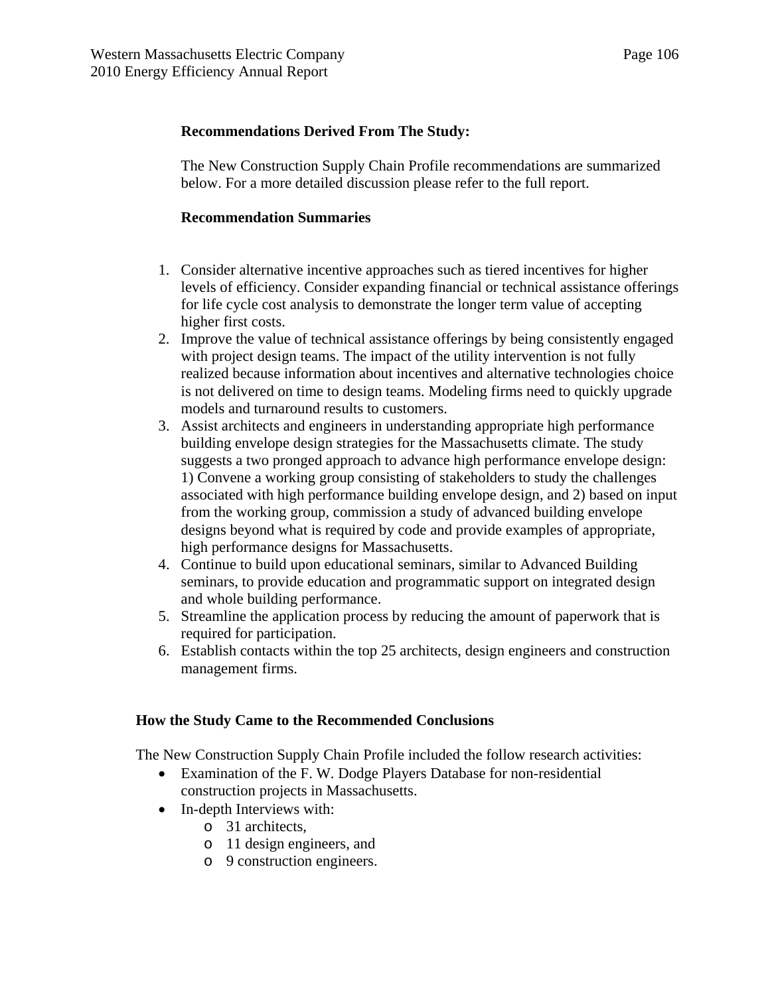### **Recommendations Derived From The Study:**

The New Construction Supply Chain Profile recommendations are summarized below. For a more detailed discussion please refer to the full report.

### **Recommendation Summaries**

- 1. Consider alternative incentive approaches such as tiered incentives for higher levels of efficiency. Consider expanding financial or technical assistance offerings for life cycle cost analysis to demonstrate the longer term value of accepting higher first costs.
- 2. Improve the value of technical assistance offerings by being consistently engaged with project design teams. The impact of the utility intervention is not fully realized because information about incentives and alternative technologies choice is not delivered on time to design teams. Modeling firms need to quickly upgrade models and turnaround results to customers.
- 3. Assist architects and engineers in understanding appropriate high performance building envelope design strategies for the Massachusetts climate. The study suggests a two pronged approach to advance high performance envelope design: 1) Convene a working group consisting of stakeholders to study the challenges associated with high performance building envelope design, and 2) based on input from the working group, commission a study of advanced building envelope designs beyond what is required by code and provide examples of appropriate, high performance designs for Massachusetts.
- 4. Continue to build upon educational seminars, similar to Advanced Building seminars, to provide education and programmatic support on integrated design and whole building performance.
- 5. Streamline the application process by reducing the amount of paperwork that is required for participation.
- 6. Establish contacts within the top 25 architects, design engineers and construction management firms.

#### **How the Study Came to the Recommended Conclusions**

The New Construction Supply Chain Profile included the follow research activities:

- Examination of the F. W. Dodge Players Database for non-residential construction projects in Massachusetts.
- In-depth Interviews with:
	- o 31 architects,
	- o 11 design engineers, and
	- o 9 construction engineers.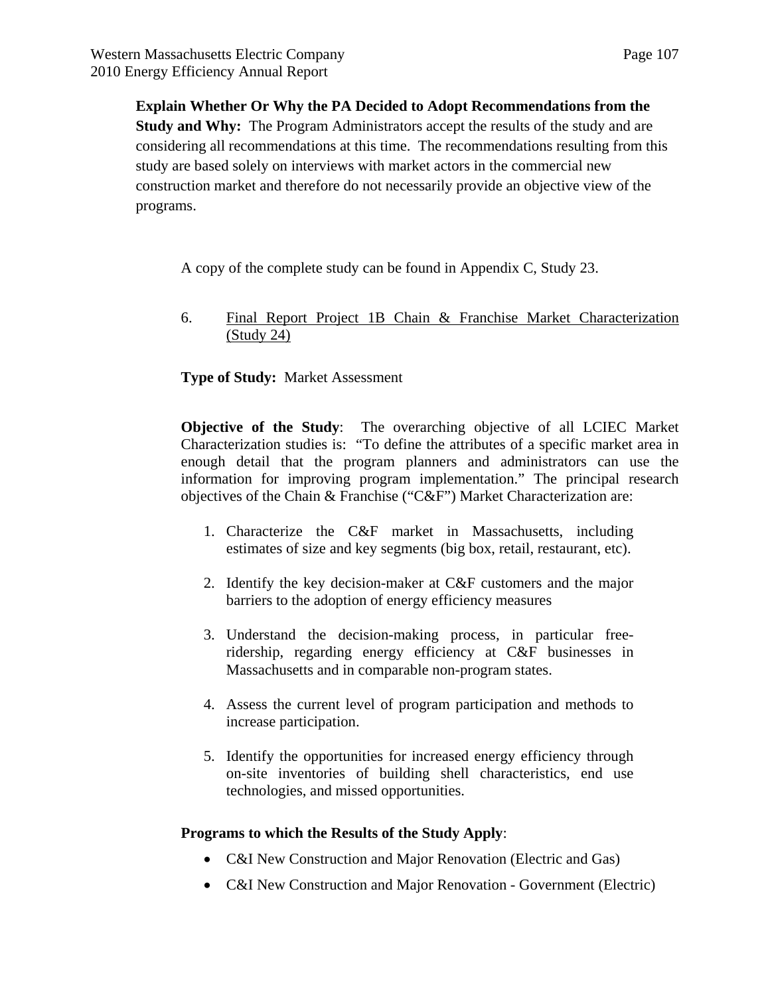**Explain Whether Or Why the PA Decided to Adopt Recommendations from the Study and Why:** The Program Administrators accept the results of the study and are considering all recommendations at this time. The recommendations resulting from this study are based solely on interviews with market actors in the commercial new construction market and therefore do not necessarily provide an objective view of the programs.

A copy of the complete study can be found in Appendix C, Study 23.

6. Final Report Project 1B Chain & Franchise Market Characterization (Study 24)

## **Type of Study:** Market Assessment

**Objective of the Study**: The overarching objective of all LCIEC Market Characterization studies is: "To define the attributes of a specific market area in enough detail that the program planners and administrators can use the information for improving program implementation." The principal research objectives of the Chain & Franchise ("C&F") Market Characterization are:

- 1. Characterize the C&F market in Massachusetts, including estimates of size and key segments (big box, retail, restaurant, etc).
- 2. Identify the key decision-maker at C&F customers and the major barriers to the adoption of energy efficiency measures
- 3. Understand the decision-making process, in particular freeridership, regarding energy efficiency at C&F businesses in Massachusetts and in comparable non-program states.
- 4. Assess the current level of program participation and methods to increase participation.
- 5. Identify the opportunities for increased energy efficiency through on-site inventories of building shell characteristics, end use technologies, and missed opportunities.

#### **Programs to which the Results of the Study Apply**:

- C&I New Construction and Major Renovation (Electric and Gas)
- C&I New Construction and Major Renovation Government (Electric)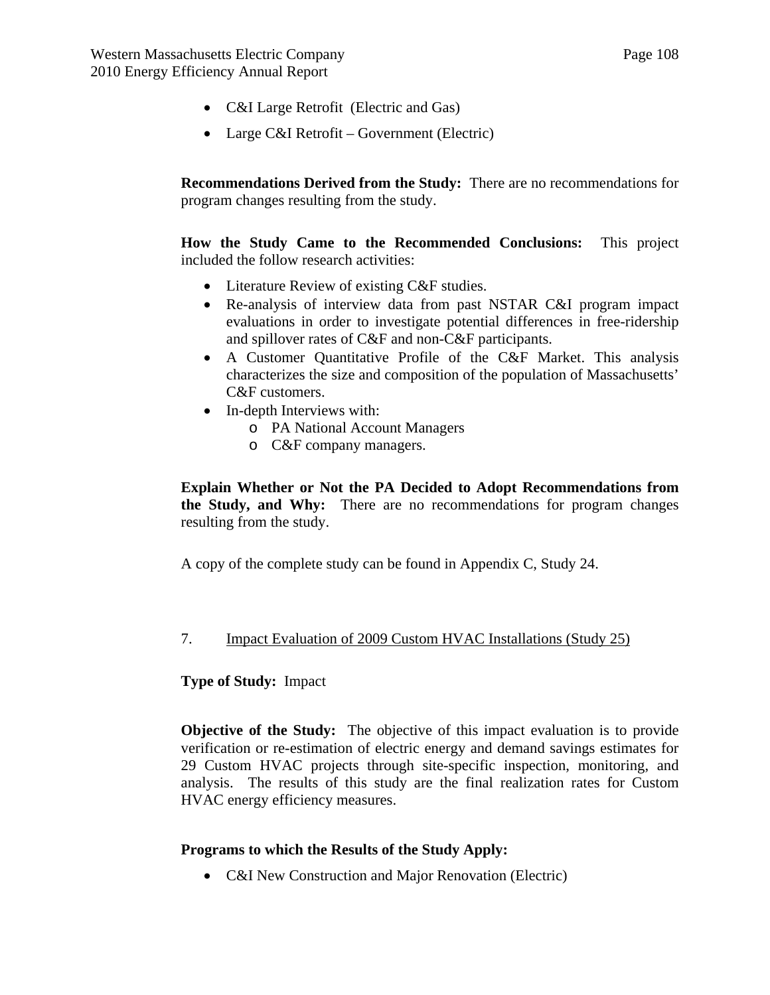- C&I Large Retrofit (Electric and Gas)
- Large C&I Retrofit Government (Electric)

**Recommendations Derived from the Study:** There are no recommendations for program changes resulting from the study.

**How the Study Came to the Recommended Conclusions:** This project included the follow research activities:

- Literature Review of existing C&F studies.
- Re-analysis of interview data from past NSTAR C&I program impact evaluations in order to investigate potential differences in free-ridership and spillover rates of C&F and non-C&F participants.
- A Customer Quantitative Profile of the C&F Market. This analysis characterizes the size and composition of the population of Massachusetts' C&F customers.
- In-depth Interviews with:
	- o PA National Account Managers
	- o C&F company managers.

**Explain Whether or Not the PA Decided to Adopt Recommendations from the Study, and Why:** There are no recommendations for program changes resulting from the study.

A copy of the complete study can be found in Appendix C, Study 24.

#### 7. Impact Evaluation of 2009 Custom HVAC Installations (Study 25)

#### **Type of Study:** Impact

**Objective of the Study:** The objective of this impact evaluation is to provide verification or re-estimation of electric energy and demand savings estimates for 29 Custom HVAC projects through site-specific inspection, monitoring, and analysis. The results of this study are the final realization rates for Custom HVAC energy efficiency measures.

#### **Programs to which the Results of the Study Apply:**

• C&I New Construction and Major Renovation (Electric)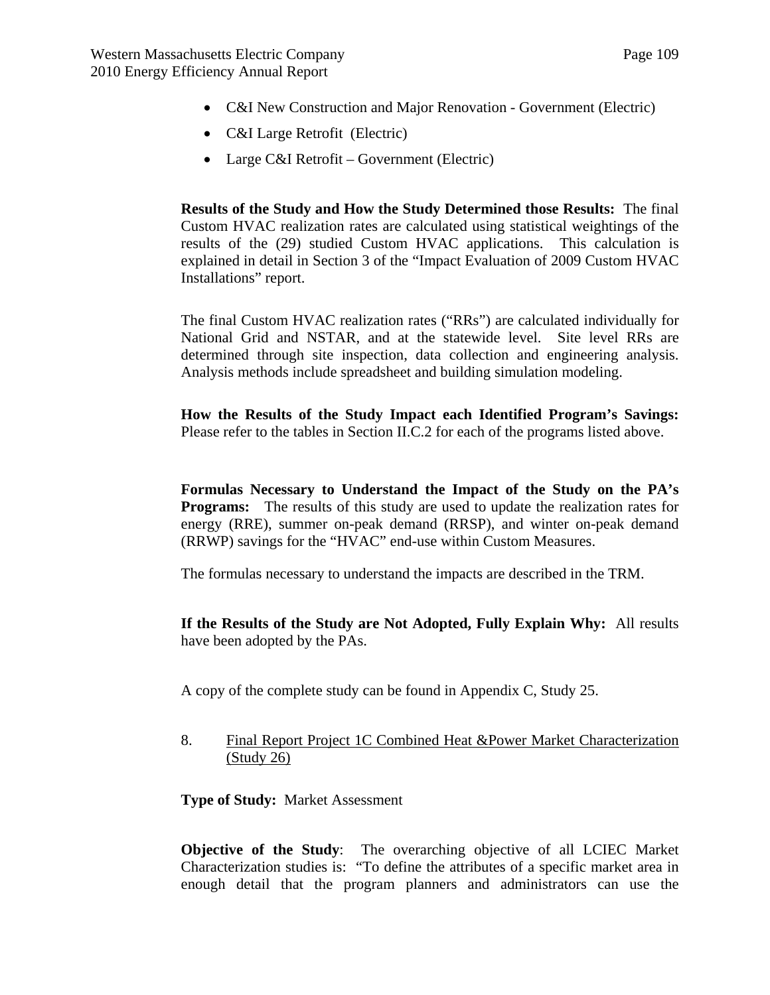- C&I New Construction and Major Renovation Government (Electric)
- C&I Large Retrofit (Electric)
- Large C&I Retrofit Government (Electric)

**Results of the Study and How the Study Determined those Results:** The final Custom HVAC realization rates are calculated using statistical weightings of the results of the (29) studied Custom HVAC applications. This calculation is explained in detail in Section 3 of the "Impact Evaluation of 2009 Custom HVAC Installations" report.

The final Custom HVAC realization rates ("RRs") are calculated individually for National Grid and NSTAR, and at the statewide level. Site level RRs are determined through site inspection, data collection and engineering analysis. Analysis methods include spreadsheet and building simulation modeling.

**How the Results of the Study Impact each Identified Program's Savings:** Please refer to the tables in Section II.C.2 for each of the programs listed above.

**Formulas Necessary to Understand the Impact of the Study on the PA's Programs:** The results of this study are used to update the realization rates for energy (RRE), summer on-peak demand (RRSP), and winter on-peak demand (RRWP) savings for the "HVAC" end-use within Custom Measures.

The formulas necessary to understand the impacts are described in the TRM.

**If the Results of the Study are Not Adopted, Fully Explain Why:** All results have been adopted by the PAs.

A copy of the complete study can be found in Appendix C, Study 25.

8. Final Report Project 1C Combined Heat &Power Market Characterization (Study 26)

**Type of Study:** Market Assessment

**Objective of the Study**: The overarching objective of all LCIEC Market Characterization studies is: "To define the attributes of a specific market area in enough detail that the program planners and administrators can use the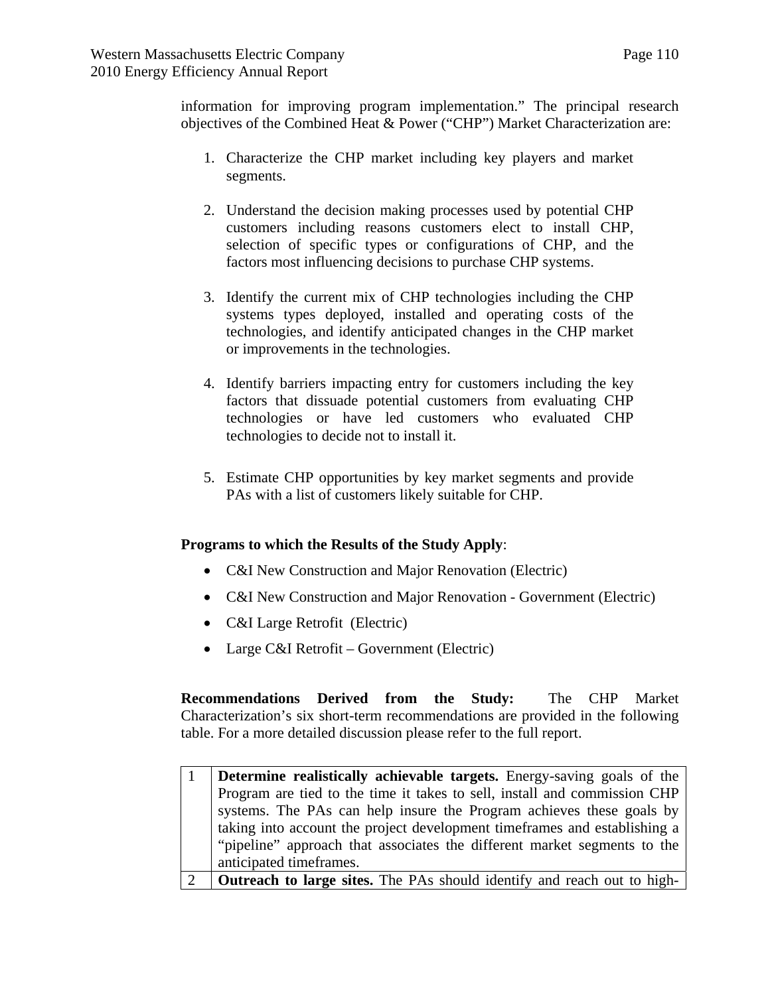information for improving program implementation." The principal research objectives of the Combined Heat & Power ("CHP") Market Characterization are:

- 1. Characterize the CHP market including key players and market segments.
- 2. Understand the decision making processes used by potential CHP customers including reasons customers elect to install CHP, selection of specific types or configurations of CHP, and the factors most influencing decisions to purchase CHP systems.
- 3. Identify the current mix of CHP technologies including the CHP systems types deployed, installed and operating costs of the technologies, and identify anticipated changes in the CHP market or improvements in the technologies.
- 4. Identify barriers impacting entry for customers including the key factors that dissuade potential customers from evaluating CHP technologies or have led customers who evaluated CHP technologies to decide not to install it.
- 5. Estimate CHP opportunities by key market segments and provide PAs with a list of customers likely suitable for CHP.

## **Programs to which the Results of the Study Apply**:

- C&I New Construction and Major Renovation (Electric)
- C&I New Construction and Major Renovation Government (Electric)
- C&I Large Retrofit (Electric)
- Large C&I Retrofit Government (Electric)

**Recommendations Derived from the Study:** The CHP Market Characterization's six short-term recommendations are provided in the following table. For a more detailed discussion please refer to the full report.

| <b>Determine realistically achievable targets.</b> Energy-saving goals of the  |
|--------------------------------------------------------------------------------|
| Program are tied to the time it takes to sell, install and commission CHP      |
| systems. The PAs can help insure the Program achieves these goals by           |
| taking into account the project development timeframes and establishing a      |
| "pipeline" approach that associates the different market segments to the       |
| anticipated timeframes.                                                        |
| <b>Outreach to large sites.</b> The PAs should identify and reach out to high- |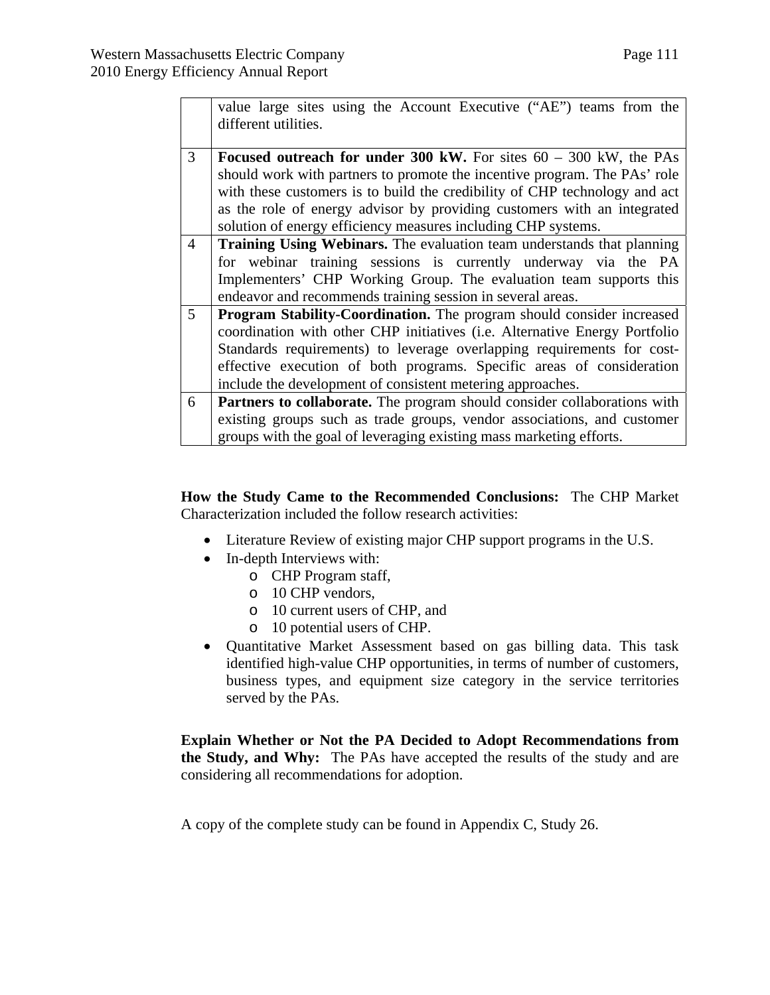$\blacksquare$ 

|                | value large sites using the Account Executive ("AE") teams from the<br>different utilities. |  |  |  |  |
|----------------|---------------------------------------------------------------------------------------------|--|--|--|--|
| 3              |                                                                                             |  |  |  |  |
|                | Focused outreach for under 300 kW. For sites $60 - 300$ kW, the PAs                         |  |  |  |  |
|                | should work with partners to promote the incentive program. The PAs' role                   |  |  |  |  |
|                | with these customers is to build the credibility of CHP technology and act                  |  |  |  |  |
|                | as the role of energy advisor by providing customers with an integrated                     |  |  |  |  |
|                | solution of energy efficiency measures including CHP systems.                               |  |  |  |  |
| $\overline{4}$ | Training Using Webinars. The evaluation team understands that planning                      |  |  |  |  |
|                | for webinar training sessions is currently underway via the PA                              |  |  |  |  |
|                | Implementers' CHP Working Group. The evaluation team supports this                          |  |  |  |  |
|                | endeavor and recommends training session in several areas.                                  |  |  |  |  |
| $\mathfrak{S}$ | Program Stability-Coordination. The program should consider increased                       |  |  |  |  |
|                | coordination with other CHP initiatives (i.e. Alternative Energy Portfolio                  |  |  |  |  |
|                | Standards requirements) to leverage overlapping requirements for cost-                      |  |  |  |  |
|                | effective execution of both programs. Specific areas of consideration                       |  |  |  |  |
|                | include the development of consistent metering approaches.                                  |  |  |  |  |
| 6              | Partners to collaborate. The program should consider collaborations with                    |  |  |  |  |
|                | existing groups such as trade groups, vendor associations, and customer                     |  |  |  |  |
|                | groups with the goal of leveraging existing mass marketing efforts.                         |  |  |  |  |

**How the Study Came to the Recommended Conclusions:** The CHP Market Characterization included the follow research activities:

- Literature Review of existing major CHP support programs in the U.S.
- In-depth Interviews with:
	- o CHP Program staff,
		- o 10 CHP vendors,
		- o 10 current users of CHP, and
		- o 10 potential users of CHP.
- Quantitative Market Assessment based on gas billing data. This task identified high-value CHP opportunities, in terms of number of customers, business types, and equipment size category in the service territories served by the PAs.

**Explain Whether or Not the PA Decided to Adopt Recommendations from the Study, and Why:** The PAs have accepted the results of the study and are considering all recommendations for adoption.

A copy of the complete study can be found in Appendix C, Study 26.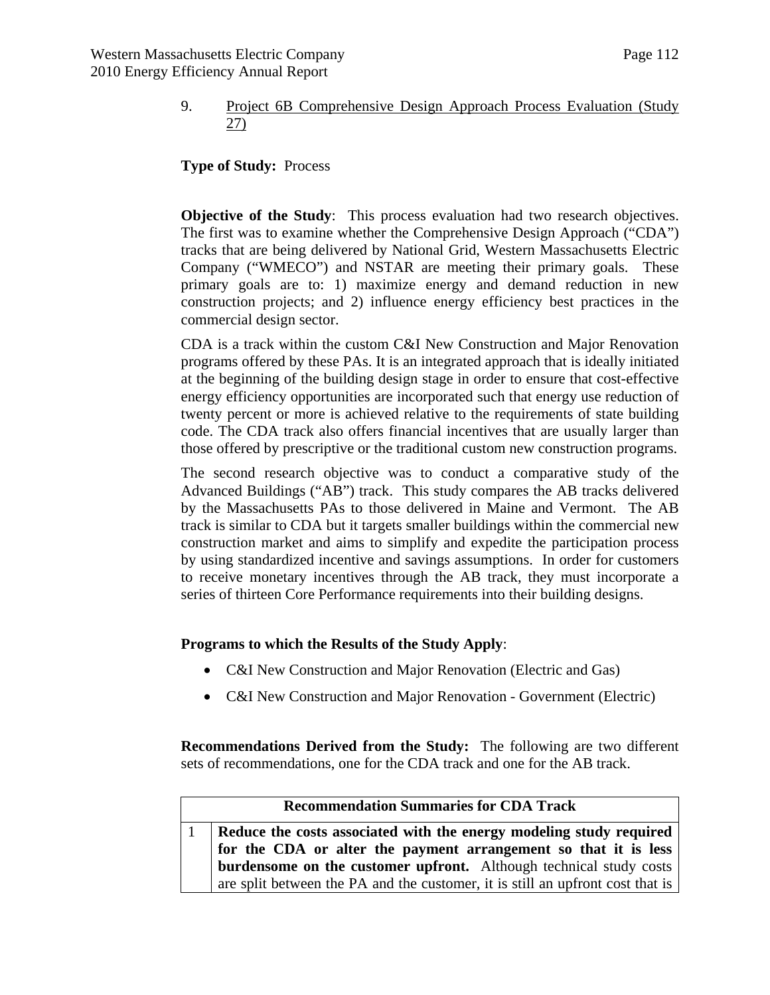## 9. Project 6B Comprehensive Design Approach Process Evaluation (Study 27)

**Type of Study:** Process

**Objective of the Study:** This process evaluation had two research objectives. The first was to examine whether the Comprehensive Design Approach ("CDA") tracks that are being delivered by National Grid, Western Massachusetts Electric Company ("WMECO") and NSTAR are meeting their primary goals. These primary goals are to: 1) maximize energy and demand reduction in new construction projects; and 2) influence energy efficiency best practices in the commercial design sector.

CDA is a track within the custom C&I New Construction and Major Renovation programs offered by these PAs. It is an integrated approach that is ideally initiated at the beginning of the building design stage in order to ensure that cost-effective energy efficiency opportunities are incorporated such that energy use reduction of twenty percent or more is achieved relative to the requirements of state building code. The CDA track also offers financial incentives that are usually larger than those offered by prescriptive or the traditional custom new construction programs.

The second research objective was to conduct a comparative study of the Advanced Buildings ("AB") track. This study compares the AB tracks delivered by the Massachusetts PAs to those delivered in Maine and Vermont. The AB track is similar to CDA but it targets smaller buildings within the commercial new construction market and aims to simplify and expedite the participation process by using standardized incentive and savings assumptions. In order for customers to receive monetary incentives through the AB track, they must incorporate a series of thirteen Core Performance requirements into their building designs.

## **Programs to which the Results of the Study Apply**:

- C&I New Construction and Major Renovation (Electric and Gas)
- C&I New Construction and Major Renovation Government (Electric)

**Recommendations Derived from the Study:** The following are two different sets of recommendations, one for the CDA track and one for the AB track.

| <b>Recommendation Summaries for CDA Track</b>                                  |  |  |  |
|--------------------------------------------------------------------------------|--|--|--|
| Reduce the costs associated with the energy modeling study required            |  |  |  |
| for the CDA or alter the payment arrangement so that it is less                |  |  |  |
| burdensome on the customer upfront. Although technical study costs             |  |  |  |
| are split between the PA and the customer, it is still an upfront cost that is |  |  |  |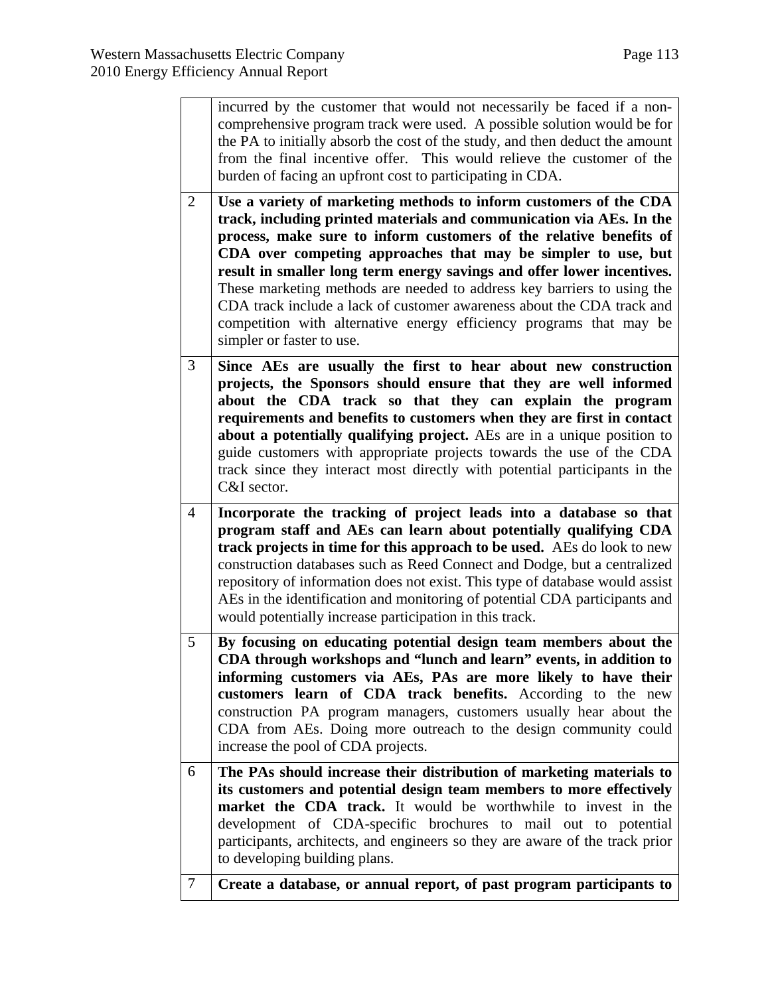|                | incurred by the customer that would not necessarily be faced if a non-<br>comprehensive program track were used. A possible solution would be for<br>the PA to initially absorb the cost of the study, and then deduct the amount<br>from the final incentive offer. This would relieve the customer of the<br>burden of facing an upfront cost to participating in CDA.                                                                                                                                                                                                                                            |
|----------------|---------------------------------------------------------------------------------------------------------------------------------------------------------------------------------------------------------------------------------------------------------------------------------------------------------------------------------------------------------------------------------------------------------------------------------------------------------------------------------------------------------------------------------------------------------------------------------------------------------------------|
| $\overline{2}$ | Use a variety of marketing methods to inform customers of the CDA<br>track, including printed materials and communication via AEs. In the<br>process, make sure to inform customers of the relative benefits of<br>CDA over competing approaches that may be simpler to use, but<br>result in smaller long term energy savings and offer lower incentives.<br>These marketing methods are needed to address key barriers to using the<br>CDA track include a lack of customer awareness about the CDA track and<br>competition with alternative energy efficiency programs that may be<br>simpler or faster to use. |
| 3              | Since AEs are usually the first to hear about new construction<br>projects, the Sponsors should ensure that they are well informed<br>about the CDA track so that they can explain the program<br>requirements and benefits to customers when they are first in contact<br>about a potentially qualifying project. AEs are in a unique position to<br>guide customers with appropriate projects towards the use of the CDA<br>track since they interact most directly with potential participants in the<br>C&I sector.                                                                                             |
| $\overline{4}$ | Incorporate the tracking of project leads into a database so that<br>program staff and AEs can learn about potentially qualifying CDA<br>track projects in time for this approach to be used. AEs do look to new<br>construction databases such as Reed Connect and Dodge, but a centralized<br>repository of information does not exist. This type of database would assist<br>AEs in the identification and monitoring of potential CDA participants and<br>would potentially increase participation in this track.                                                                                               |
| 5              | By focusing on educating potential design team members about the<br>CDA through workshops and "lunch and learn" events, in addition to<br>informing customers via AEs, PAs are more likely to have their<br>customers learn of CDA track benefits. According to the new<br>construction PA program managers, customers usually hear about the<br>CDA from AEs. Doing more outreach to the design community could<br>increase the pool of CDA projects.                                                                                                                                                              |
| 6              | The PAs should increase their distribution of marketing materials to<br>its customers and potential design team members to more effectively<br>market the CDA track. It would be worthwhile to invest in the<br>development of CDA-specific brochures to mail out to potential<br>participants, architects, and engineers so they are aware of the track prior<br>to developing building plans.                                                                                                                                                                                                                     |
| $\tau$         | Create a database, or annual report, of past program participants to                                                                                                                                                                                                                                                                                                                                                                                                                                                                                                                                                |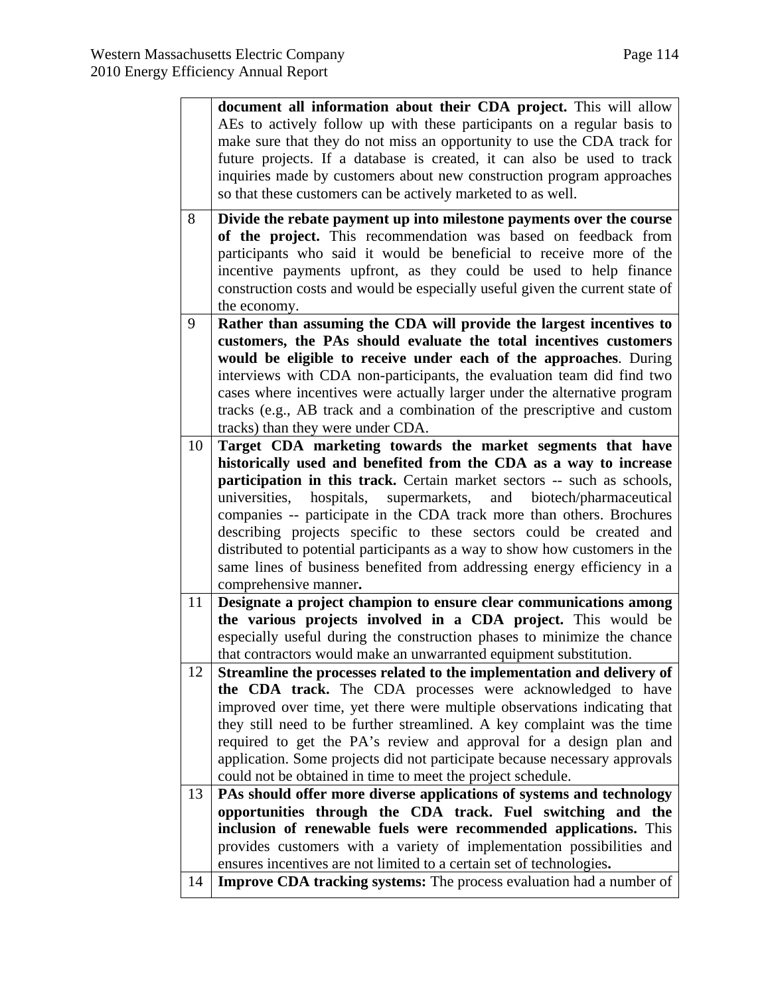|    | document all information about their CDA project. This will allow                                                                                      |
|----|--------------------------------------------------------------------------------------------------------------------------------------------------------|
|    | AEs to actively follow up with these participants on a regular basis to                                                                                |
|    | make sure that they do not miss an opportunity to use the CDA track for                                                                                |
|    | future projects. If a database is created, it can also be used to track                                                                                |
|    | inquiries made by customers about new construction program approaches                                                                                  |
|    | so that these customers can be actively marketed to as well.                                                                                           |
| 8  | Divide the rebate payment up into milestone payments over the course                                                                                   |
|    | of the project. This recommendation was based on feedback from                                                                                         |
|    | participants who said it would be beneficial to receive more of the                                                                                    |
|    | incentive payments upfront, as they could be used to help finance                                                                                      |
|    | construction costs and would be especially useful given the current state of<br>the economy.                                                           |
| 9  | Rather than assuming the CDA will provide the largest incentives to                                                                                    |
|    | customers, the PAs should evaluate the total incentives customers                                                                                      |
|    | would be eligible to receive under each of the approaches. During                                                                                      |
|    | interviews with CDA non-participants, the evaluation team did find two                                                                                 |
|    | cases where incentives were actually larger under the alternative program                                                                              |
|    | tracks (e.g., AB track and a combination of the prescriptive and custom                                                                                |
|    | tracks) than they were under CDA.                                                                                                                      |
| 10 | Target CDA marketing towards the market segments that have                                                                                             |
|    | historically used and benefited from the CDA as a way to increase                                                                                      |
|    | participation in this track. Certain market sectors -- such as schools,                                                                                |
|    | universities, hospitals, supermarkets, and biotech/pharmaceutical                                                                                      |
|    | companies -- participate in the CDA track more than others. Brochures                                                                                  |
|    | describing projects specific to these sectors could be created and                                                                                     |
|    | distributed to potential participants as a way to show how customers in the<br>same lines of business benefited from addressing energy efficiency in a |
|    | comprehensive manner.                                                                                                                                  |
| 11 | Designate a project champion to ensure clear communications among                                                                                      |
|    | the various projects involved in a CDA project. This would be                                                                                          |
|    | especially useful during the construction phases to minimize the chance                                                                                |
|    | that contractors would make an unwarranted equipment substitution.                                                                                     |
| 12 | Streamline the processes related to the implementation and delivery of                                                                                 |
|    | the CDA track. The CDA processes were acknowledged to have                                                                                             |
|    | improved over time, yet there were multiple observations indicating that                                                                               |
|    | they still need to be further streamlined. A key complaint was the time                                                                                |
|    | required to get the PA's review and approval for a design plan and                                                                                     |
|    | application. Some projects did not participate because necessary approvals                                                                             |
|    | could not be obtained in time to meet the project schedule.                                                                                            |
| 13 | PAs should offer more diverse applications of systems and technology<br>opportunities through the CDA track. Fuel switching and the                    |
|    | inclusion of renewable fuels were recommended applications. This                                                                                       |
|    | provides customers with a variety of implementation possibilities and                                                                                  |
|    | ensures incentives are not limited to a certain set of technologies.                                                                                   |
| 14 | <b>Improve CDA tracking systems:</b> The process evaluation had a number of                                                                            |
|    |                                                                                                                                                        |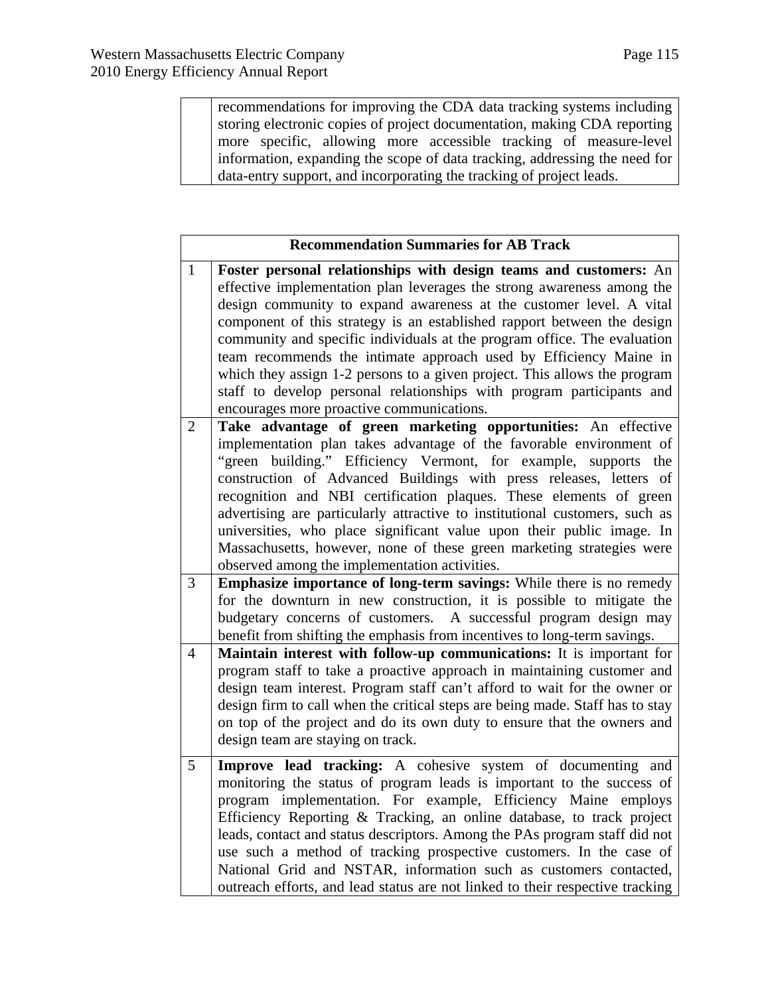recommendations for improving the CDA data tracking systems including storing electronic copies of project documentation, making CDA reporting more specific, allowing more accessible tracking of measure-level information, expanding the scope of data tracking, addressing the need for data-entry support, and incorporating the tracking of project leads.

|                | <b>Recommendation Summaries for AB Track</b>                                                                                                                                                                                                                                                                                                                                                                                                                                                                                                                                                                                                      |  |  |  |
|----------------|---------------------------------------------------------------------------------------------------------------------------------------------------------------------------------------------------------------------------------------------------------------------------------------------------------------------------------------------------------------------------------------------------------------------------------------------------------------------------------------------------------------------------------------------------------------------------------------------------------------------------------------------------|--|--|--|
| $\mathbf{1}$   | Foster personal relationships with design teams and customers: An<br>effective implementation plan leverages the strong awareness among the<br>design community to expand awareness at the customer level. A vital<br>component of this strategy is an established rapport between the design<br>community and specific individuals at the program office. The evaluation<br>team recommends the intimate approach used by Efficiency Maine in<br>which they assign 1-2 persons to a given project. This allows the program<br>staff to develop personal relationships with program participants and<br>encourages more proactive communications. |  |  |  |
| $\overline{2}$ | Take advantage of green marketing opportunities: An effective<br>implementation plan takes advantage of the favorable environment of<br>"green building." Efficiency Vermont, for example, supports the<br>construction of Advanced Buildings with press releases, letters of<br>recognition and NBI certification plaques. These elements of green<br>advertising are particularly attractive to institutional customers, such as<br>universities, who place significant value upon their public image. In<br>Massachusetts, however, none of these green marketing strategies were<br>observed among the implementation activities.             |  |  |  |
| $\overline{3}$ | Emphasize importance of long-term savings: While there is no remedy<br>for the downturn in new construction, it is possible to mitigate the<br>budgetary concerns of customers. A successful program design may<br>benefit from shifting the emphasis from incentives to long-term savings.                                                                                                                                                                                                                                                                                                                                                       |  |  |  |
| $\overline{4}$ | Maintain interest with follow-up communications: It is important for<br>program staff to take a proactive approach in maintaining customer and<br>design team interest. Program staff can't afford to wait for the owner or<br>design firm to call when the critical steps are being made. Staff has to stay<br>on top of the project and do its own duty to ensure that the owners and<br>design team are staying on track.                                                                                                                                                                                                                      |  |  |  |
| 5              | Improve lead tracking: A cohesive system of documenting and<br>monitoring the status of program leads is important to the success of<br>program implementation. For example, Efficiency Maine employs<br>Efficiency Reporting & Tracking, an online database, to track project<br>leads, contact and status descriptors. Among the PAs program staff did not<br>use such a method of tracking prospective customers. In the case of<br>National Grid and NSTAR, information such as customers contacted,<br>outreach efforts, and lead status are not linked to their respective tracking                                                         |  |  |  |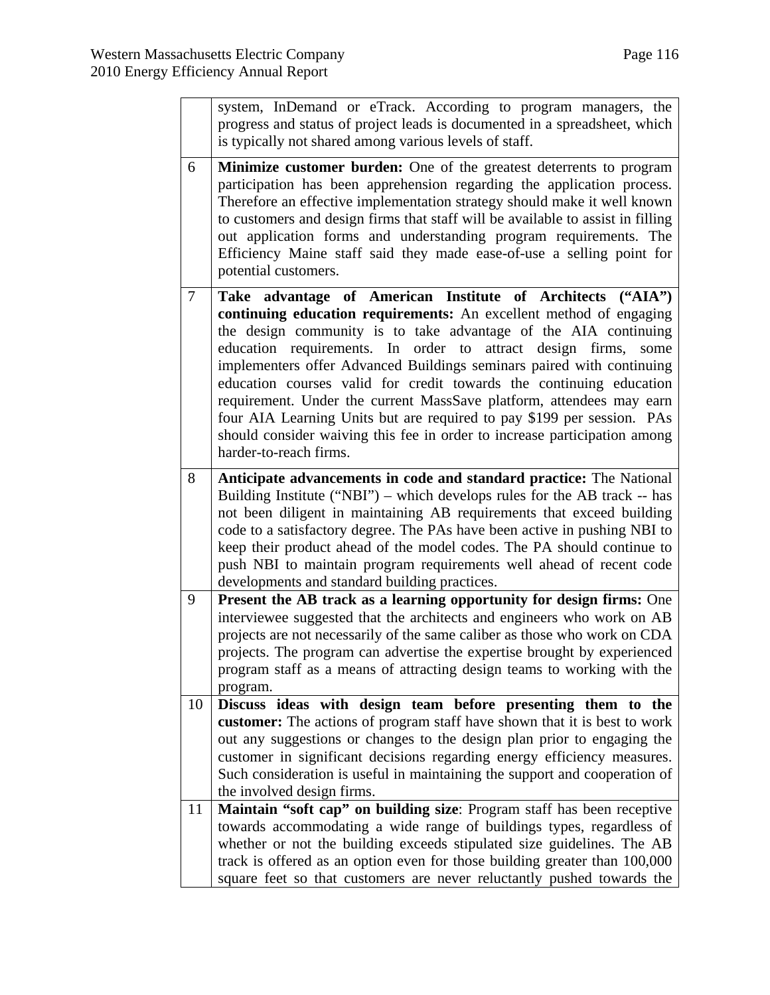|        | system, InDemand or eTrack. According to program managers, the<br>progress and status of project leads is documented in a spreadsheet, which<br>is typically not shared among various levels of staff.                                                                                                                                                                                                                                                                                                                                                                                                                                                                            |
|--------|-----------------------------------------------------------------------------------------------------------------------------------------------------------------------------------------------------------------------------------------------------------------------------------------------------------------------------------------------------------------------------------------------------------------------------------------------------------------------------------------------------------------------------------------------------------------------------------------------------------------------------------------------------------------------------------|
| 6      | <b>Minimize customer burden:</b> One of the greatest deterrents to program<br>participation has been apprehension regarding the application process.<br>Therefore an effective implementation strategy should make it well known<br>to customers and design firms that staff will be available to assist in filling<br>out application forms and understanding program requirements. The<br>Efficiency Maine staff said they made ease-of-use a selling point for<br>potential customers.                                                                                                                                                                                         |
| $\tau$ | Take advantage of American Institute of Architects ("AIA")<br>continuing education requirements: An excellent method of engaging<br>the design community is to take advantage of the AIA continuing<br>education requirements. In order to attract design firms,<br>some<br>implementers offer Advanced Buildings seminars paired with continuing<br>education courses valid for credit towards the continuing education<br>requirement. Under the current MassSave platform, attendees may earn<br>four AIA Learning Units but are required to pay \$199 per session. PAs<br>should consider waiving this fee in order to increase participation among<br>harder-to-reach firms. |
| 8      | Anticipate advancements in code and standard practice: The National<br>Building Institute ("NBI") – which develops rules for the AB track -- has<br>not been diligent in maintaining AB requirements that exceed building<br>code to a satisfactory degree. The PAs have been active in pushing NBI to<br>keep their product ahead of the model codes. The PA should continue to<br>push NBI to maintain program requirements well ahead of recent code<br>developments and standard building practices.                                                                                                                                                                          |
| 9      | Present the AB track as a learning opportunity for design firms: One<br>interviewee suggested that the architects and engineers who work on AB<br>projects are not necessarily of the same caliber as those who work on CDA<br>projects. The program can advertise the expertise brought by experienced<br>program staff as a means of attracting design teams to working with the<br>program.                                                                                                                                                                                                                                                                                    |
| 10     | Discuss ideas with design team before presenting them to the<br>customer: The actions of program staff have shown that it is best to work<br>out any suggestions or changes to the design plan prior to engaging the<br>customer in significant decisions regarding energy efficiency measures.<br>Such consideration is useful in maintaining the support and cooperation of<br>the involved design firms.                                                                                                                                                                                                                                                                       |
| 11     | Maintain "soft cap" on building size: Program staff has been receptive<br>towards accommodating a wide range of buildings types, regardless of<br>whether or not the building exceeds stipulated size guidelines. The AB<br>track is offered as an option even for those building greater than 100,000<br>square feet so that customers are never reluctantly pushed towards the                                                                                                                                                                                                                                                                                                  |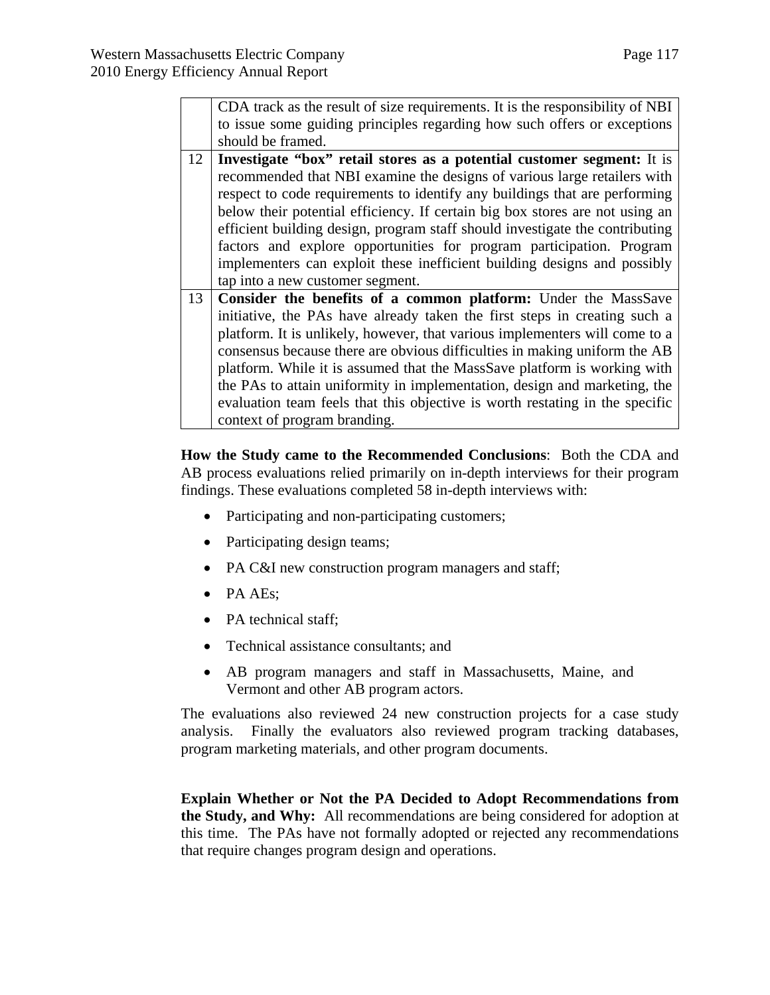|    | CDA track as the result of size requirements. It is the responsibility of NBI |  |  |  |  |
|----|-------------------------------------------------------------------------------|--|--|--|--|
|    | to issue some guiding principles regarding how such offers or exceptions      |  |  |  |  |
|    | should be framed.                                                             |  |  |  |  |
| 12 | Investigate "box" retail stores as a potential customer segment: It is        |  |  |  |  |
|    | recommended that NBI examine the designs of various large retailers with      |  |  |  |  |
|    | respect to code requirements to identify any buildings that are performing    |  |  |  |  |
|    | below their potential efficiency. If certain big box stores are not using an  |  |  |  |  |
|    | efficient building design, program staff should investigate the contributing  |  |  |  |  |
|    | factors and explore opportunities for program participation. Program          |  |  |  |  |
|    | implementers can exploit these inefficient building designs and possibly      |  |  |  |  |
|    | tap into a new customer segment.                                              |  |  |  |  |
| 13 | Consider the benefits of a common platform: Under the MassSave                |  |  |  |  |
|    | initiative, the PAs have already taken the first steps in creating such a     |  |  |  |  |
|    | platform. It is unlikely, however, that various implementers will come to a   |  |  |  |  |
|    | consensus because there are obvious difficulties in making uniform the AB     |  |  |  |  |
|    | platform. While it is assumed that the MassSave platform is working with      |  |  |  |  |
|    | the PAs to attain uniformity in implementation, design and marketing, the     |  |  |  |  |
|    | evaluation team feels that this objective is worth restating in the specific  |  |  |  |  |
|    | context of program branding.                                                  |  |  |  |  |

**How the Study came to the Recommended Conclusions**: Both the CDA and AB process evaluations relied primarily on in-depth interviews for their program findings. These evaluations completed 58 in-depth interviews with:

- Participating and non-participating customers;
- Participating design teams;
- PA C&I new construction program managers and staff;
- PA AEs;
- PA technical staff;
- Technical assistance consultants; and
- AB program managers and staff in Massachusetts, Maine, and Vermont and other AB program actors.

The evaluations also reviewed 24 new construction projects for a case study analysis. Finally the evaluators also reviewed program tracking databases, program marketing materials, and other program documents.

**Explain Whether or Not the PA Decided to Adopt Recommendations from the Study, and Why:** All recommendations are being considered for adoption at this time. The PAs have not formally adopted or rejected any recommendations that require changes program design and operations.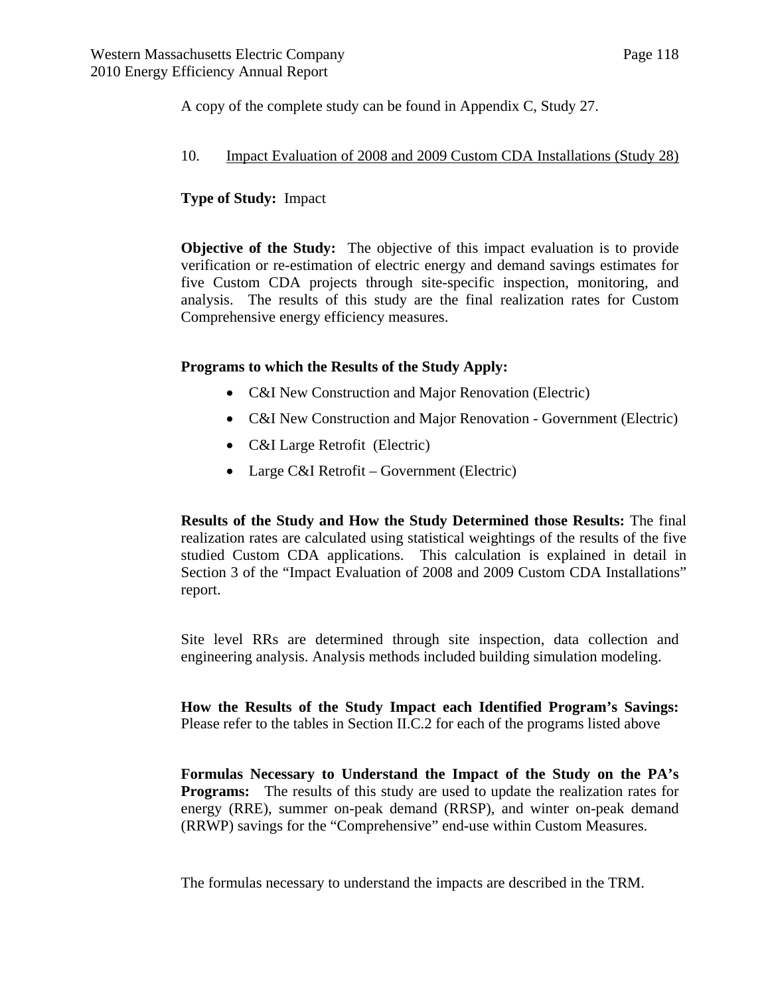A copy of the complete study can be found in Appendix C, Study 27.

#### 10. Impact Evaluation of 2008 and 2009 Custom CDA Installations (Study 28)

## **Type of Study:** Impact

**Objective of the Study:** The objective of this impact evaluation is to provide verification or re-estimation of electric energy and demand savings estimates for five Custom CDA projects through site-specific inspection, monitoring, and analysis. The results of this study are the final realization rates for Custom Comprehensive energy efficiency measures.

## **Programs to which the Results of the Study Apply:**

- C&I New Construction and Major Renovation (Electric)
- C&I New Construction and Major Renovation Government (Electric)
- C&I Large Retrofit (Electric)
- Large C&I Retrofit Government (Electric)

**Results of the Study and How the Study Determined those Results:** The final realization rates are calculated using statistical weightings of the results of the five studied Custom CDA applications. This calculation is explained in detail in Section 3 of the "Impact Evaluation of 2008 and 2009 Custom CDA Installations" report.

Site level RRs are determined through site inspection, data collection and engineering analysis. Analysis methods included building simulation modeling.

**How the Results of the Study Impact each Identified Program's Savings:** Please refer to the tables in Section II.C.2 for each of the programs listed above

**Formulas Necessary to Understand the Impact of the Study on the PA's Programs:** The results of this study are used to update the realization rates for energy (RRE), summer on-peak demand (RRSP), and winter on-peak demand (RRWP) savings for the "Comprehensive" end-use within Custom Measures.

The formulas necessary to understand the impacts are described in the TRM.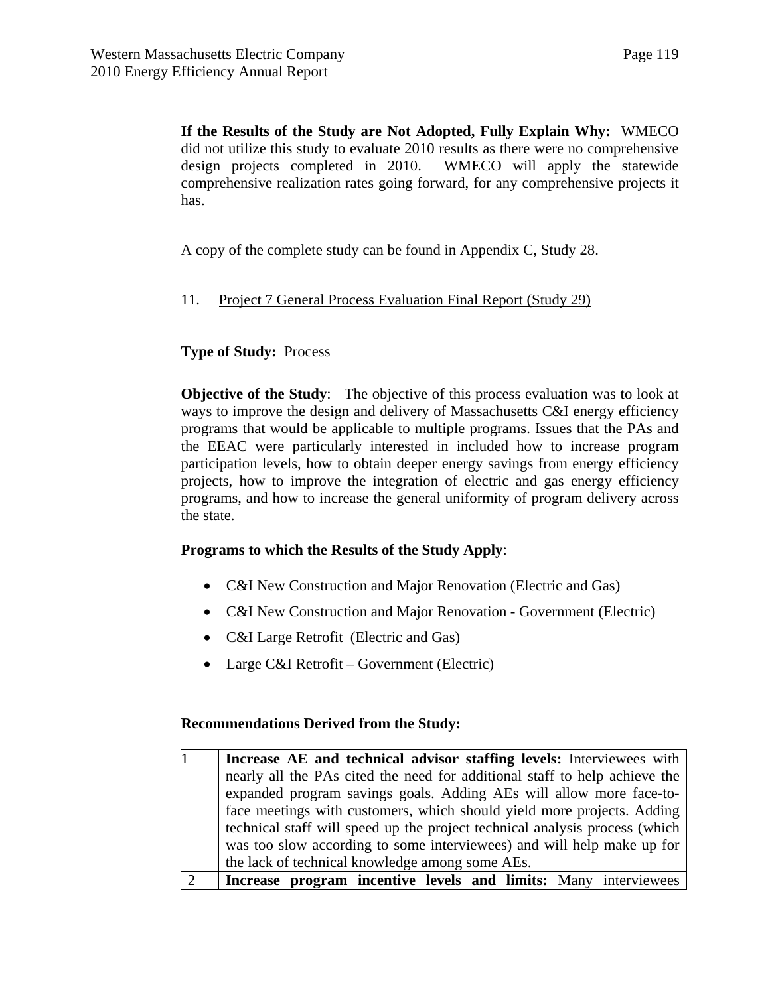**If the Results of the Study are Not Adopted, Fully Explain Why:** WMECO did not utilize this study to evaluate 2010 results as there were no comprehensive design projects completed in 2010. WMECO will apply the statewide comprehensive realization rates going forward, for any comprehensive projects it has.

A copy of the complete study can be found in Appendix C, Study 28.

## 11. Project 7 General Process Evaluation Final Report (Study 29)

## **Type of Study:** Process

**Objective of the Study**: The objective of this process evaluation was to look at ways to improve the design and delivery of Massachusetts C&I energy efficiency programs that would be applicable to multiple programs. Issues that the PAs and the EEAC were particularly interested in included how to increase program participation levels, how to obtain deeper energy savings from energy efficiency projects, how to improve the integration of electric and gas energy efficiency programs, and how to increase the general uniformity of program delivery across the state.

#### **Programs to which the Results of the Study Apply**:

- C&I New Construction and Major Renovation (Electric and Gas)
- C&I New Construction and Major Renovation Government (Electric)
- C&I Large Retrofit (Electric and Gas)
- Large C&I Retrofit Government (Electric)

#### **Recommendations Derived from the Study:**

| Increase AE and technical advisor staffing levels: Interviewees with        |
|-----------------------------------------------------------------------------|
| nearly all the PAs cited the need for additional staff to help achieve the  |
| expanded program savings goals. Adding AEs will allow more face-to-         |
| face meetings with customers, which should yield more projects. Adding      |
| technical staff will speed up the project technical analysis process (which |
| was too slow according to some interviewees) and will help make up for      |
| the lack of technical knowledge among some AEs.                             |
| Increase program incentive levels and limits: Many interviewees             |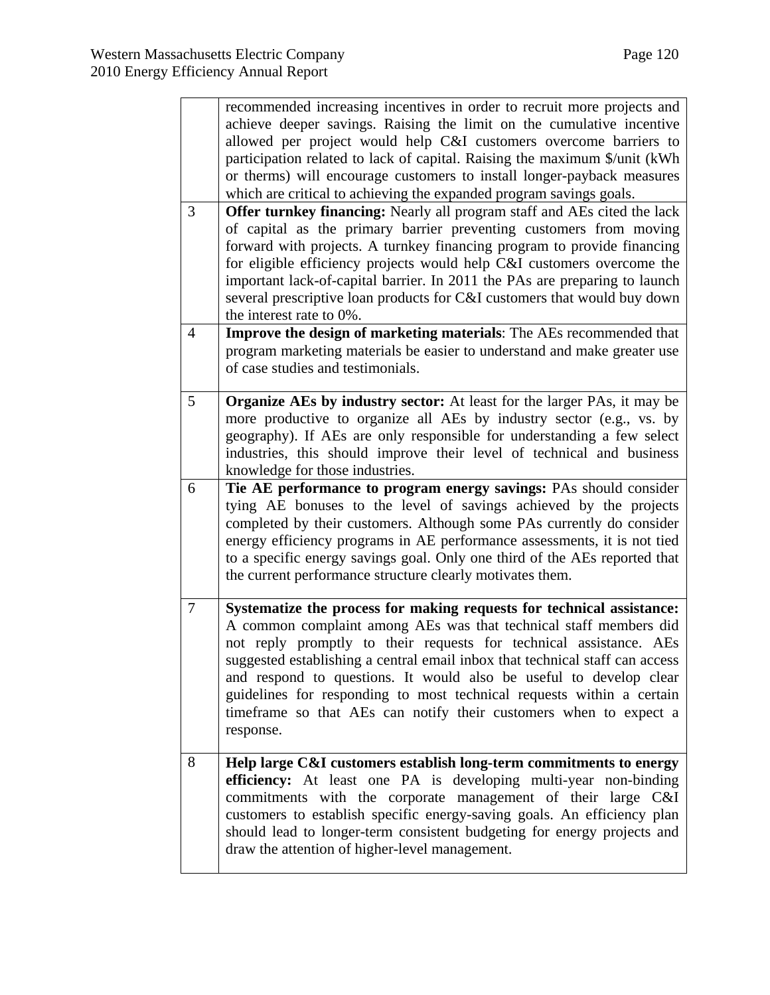|                | recommended increasing incentives in order to recruit more projects and                                                                            |
|----------------|----------------------------------------------------------------------------------------------------------------------------------------------------|
|                | achieve deeper savings. Raising the limit on the cumulative incentive                                                                              |
|                | allowed per project would help C&I customers overcome barriers to                                                                                  |
|                | participation related to lack of capital. Raising the maximum \$/unit (kWh                                                                         |
|                | or therms) will encourage customers to install longer-payback measures                                                                             |
|                | which are critical to achieving the expanded program savings goals.                                                                                |
| 3              | <b>Offer turnkey financing:</b> Nearly all program staff and AEs cited the lack                                                                    |
|                | of capital as the primary barrier preventing customers from moving                                                                                 |
|                | forward with projects. A turnkey financing program to provide financing                                                                            |
|                | for eligible efficiency projects would help C&I customers overcome the                                                                             |
|                | important lack-of-capital barrier. In 2011 the PAs are preparing to launch                                                                         |
|                | several prescriptive loan products for C&I customers that would buy down                                                                           |
|                | the interest rate to 0%.                                                                                                                           |
| $\overline{4}$ | <b>Improve the design of marketing materials:</b> The AEs recommended that                                                                         |
|                | program marketing materials be easier to understand and make greater use                                                                           |
|                | of case studies and testimonials.                                                                                                                  |
|                |                                                                                                                                                    |
| $\overline{5}$ | <b>Organize AEs by industry sector:</b> At least for the larger PAs, it may be                                                                     |
|                | more productive to organize all AEs by industry sector (e.g., vs. by                                                                               |
|                | geography). If AEs are only responsible for understanding a few select                                                                             |
|                | industries, this should improve their level of technical and business                                                                              |
| 6              | knowledge for those industries.                                                                                                                    |
|                | Tie AE performance to program energy savings: PAs should consider<br>tying AE bonuses to the level of savings achieved by the projects             |
|                | completed by their customers. Although some PAs currently do consider                                                                              |
|                | energy efficiency programs in AE performance assessments, it is not tied                                                                           |
|                | to a specific energy savings goal. Only one third of the AEs reported that                                                                         |
|                | the current performance structure clearly motivates them.                                                                                          |
|                |                                                                                                                                                    |
| $\overline{7}$ | Systematize the process for making requests for technical assistance:                                                                              |
|                | A common complaint among AEs was that technical staff members did                                                                                  |
|                | not reply promptly to their requests for technical assistance. AEs                                                                                 |
|                | suggested establishing a central email inbox that technical staff can access                                                                       |
|                | and respond to questions. It would also be useful to develop clear                                                                                 |
|                | guidelines for responding to most technical requests within a certain                                                                              |
|                | timeframe so that AEs can notify their customers when to expect a                                                                                  |
|                | response.                                                                                                                                          |
|                |                                                                                                                                                    |
| 8              | Help large C&I customers establish long-term commitments to energy                                                                                 |
|                | efficiency: At least one PA is developing multi-year non-binding                                                                                   |
|                | commitments with the corporate management of their large C&I                                                                                       |
|                | customers to establish specific energy-saving goals. An efficiency plan<br>should lead to longer-term consistent budgeting for energy projects and |
|                | draw the attention of higher-level management.                                                                                                     |
|                |                                                                                                                                                    |
|                |                                                                                                                                                    |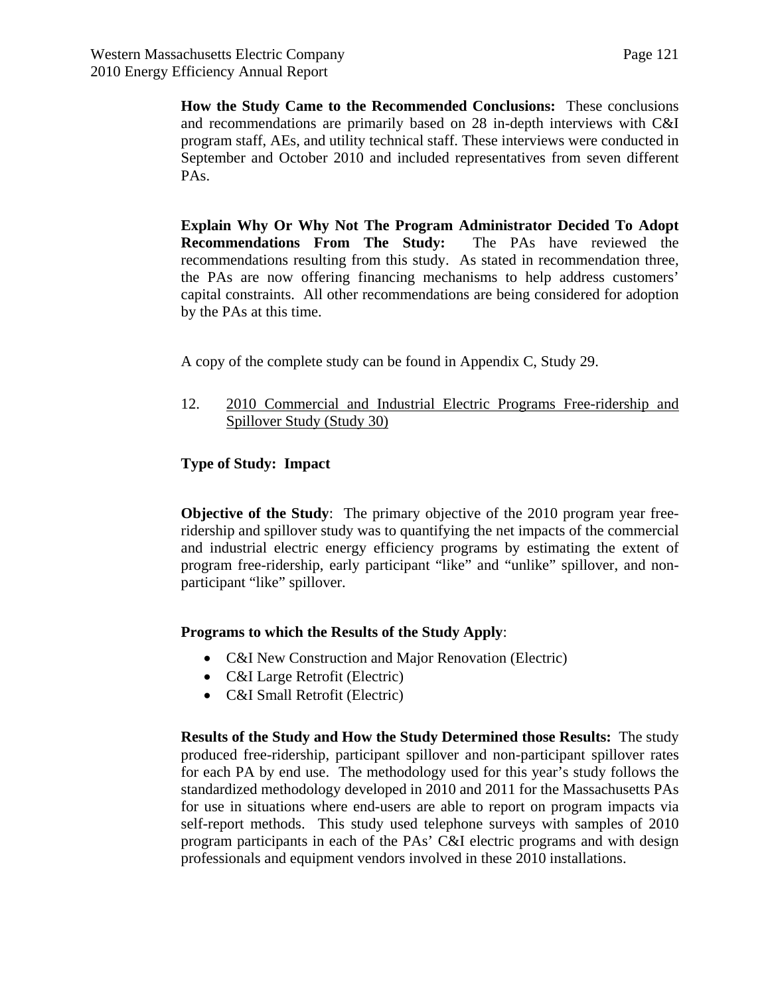**How the Study Came to the Recommended Conclusions:** These conclusions and recommendations are primarily based on 28 in-depth interviews with C&I program staff, AEs, and utility technical staff. These interviews were conducted in September and October 2010 and included representatives from seven different PAs.

**Explain Why Or Why Not The Program Administrator Decided To Adopt Recommendations From The Study:** The PAs have reviewed the recommendations resulting from this study. As stated in recommendation three, the PAs are now offering financing mechanisms to help address customers' capital constraints. All other recommendations are being considered for adoption by the PAs at this time.

A copy of the complete study can be found in Appendix C, Study 29.

12. 2010 Commercial and Industrial Electric Programs Free-ridership and Spillover Study (Study 30)

## **Type of Study: Impact**

**Objective of the Study**: The primary objective of the 2010 program year freeridership and spillover study was to quantifying the net impacts of the commercial and industrial electric energy efficiency programs by estimating the extent of program free-ridership, early participant "like" and "unlike" spillover, and nonparticipant "like" spillover.

## **Programs to which the Results of the Study Apply**:

- C&I New Construction and Major Renovation (Electric)
- C&I Large Retrofit (Electric)
- C&I Small Retrofit (Electric)

**Results of the Study and How the Study Determined those Results:** The study produced free-ridership, participant spillover and non-participant spillover rates for each PA by end use. The methodology used for this year's study follows the standardized methodology developed in 2010 and 2011 for the Massachusetts PAs for use in situations where end-users are able to report on program impacts via self-report methods. This study used telephone surveys with samples of 2010 program participants in each of the PAs' C&I electric programs and with design professionals and equipment vendors involved in these 2010 installations.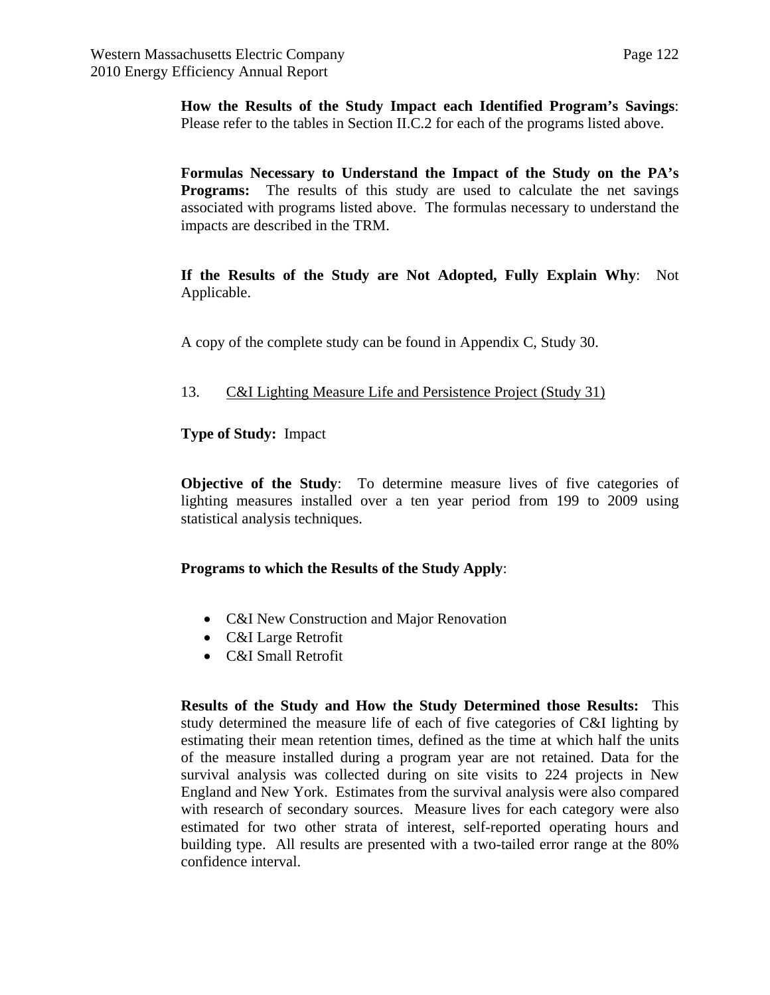**How the Results of the Study Impact each Identified Program's Savings**: Please refer to the tables in Section II.C.2 for each of the programs listed above.

**Formulas Necessary to Understand the Impact of the Study on the PA's Programs:** The results of this study are used to calculate the net savings associated with programs listed above. The formulas necessary to understand the impacts are described in the TRM.

**If the Results of the Study are Not Adopted, Fully Explain Why**: Not Applicable.

A copy of the complete study can be found in Appendix C, Study 30.

## 13. C&I Lighting Measure Life and Persistence Project (Study 31)

## **Type of Study:** Impact

**Objective of the Study**: To determine measure lives of five categories of lighting measures installed over a ten year period from 199 to 2009 using statistical analysis techniques.

#### **Programs to which the Results of the Study Apply**:

- C&I New Construction and Major Renovation
- C&I Large Retrofit
- C&I Small Retrofit

**Results of the Study and How the Study Determined those Results:** This study determined the measure life of each of five categories of C&I lighting by estimating their mean retention times, defined as the time at which half the units of the measure installed during a program year are not retained. Data for the survival analysis was collected during on site visits to 224 projects in New England and New York. Estimates from the survival analysis were also compared with research of secondary sources. Measure lives for each category were also estimated for two other strata of interest, self-reported operating hours and building type. All results are presented with a two-tailed error range at the 80% confidence interval.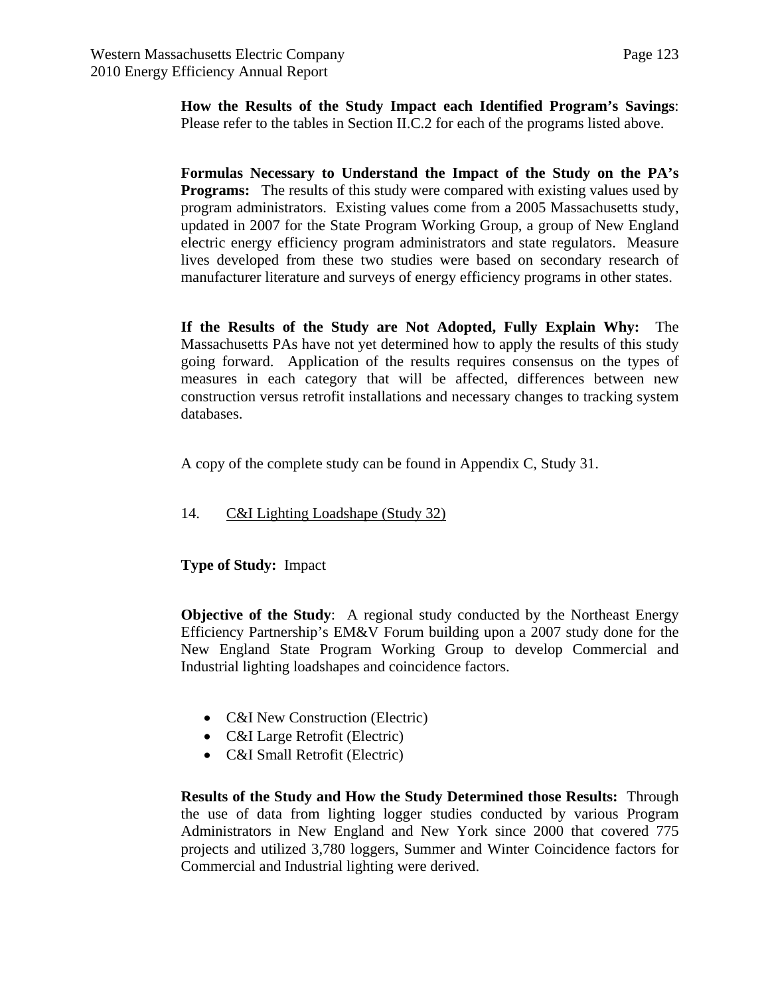**How the Results of the Study Impact each Identified Program's Savings**: Please refer to the tables in Section II.C.2 for each of the programs listed above.

**Formulas Necessary to Understand the Impact of the Study on the PA's Programs:** The results of this study were compared with existing values used by program administrators. Existing values come from a 2005 Massachusetts study, updated in 2007 for the State Program Working Group, a group of New England electric energy efficiency program administrators and state regulators. Measure lives developed from these two studies were based on secondary research of manufacturer literature and surveys of energy efficiency programs in other states.

**If the Results of the Study are Not Adopted, Fully Explain Why:** The Massachusetts PAs have not yet determined how to apply the results of this study going forward. Application of the results requires consensus on the types of measures in each category that will be affected, differences between new construction versus retrofit installations and necessary changes to tracking system databases.

A copy of the complete study can be found in Appendix C, Study 31.

14. C&I Lighting Loadshape (Study 32)

**Type of Study:** Impact

**Objective of the Study:** A regional study conducted by the Northeast Energy Efficiency Partnership's EM&V Forum building upon a 2007 study done for the New England State Program Working Group to develop Commercial and Industrial lighting loadshapes and coincidence factors.

- C&I New Construction (Electric)
- C&I Large Retrofit (Electric)
- C&I Small Retrofit (Electric)

**Results of the Study and How the Study Determined those Results:** Through the use of data from lighting logger studies conducted by various Program Administrators in New England and New York since 2000 that covered 775 projects and utilized 3,780 loggers, Summer and Winter Coincidence factors for Commercial and Industrial lighting were derived.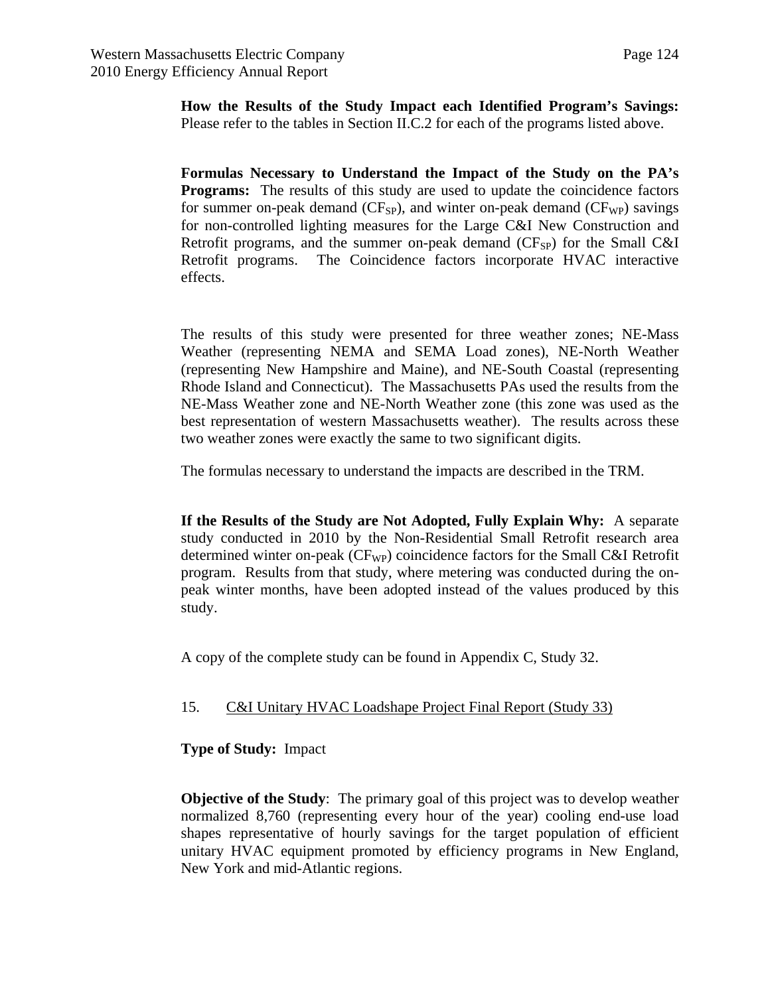**How the Results of the Study Impact each Identified Program's Savings:**  Please refer to the tables in Section II.C.2 for each of the programs listed above.

**Formulas Necessary to Understand the Impact of the Study on the PA's Programs:** The results of this study are used to update the coincidence factors for summer on-peak demand ( $CF_{SP}$ ), and winter on-peak demand ( $CF_{WP}$ ) savings for non-controlled lighting measures for the Large C&I New Construction and Retrofit programs, and the summer on-peak demand  $(CF_{SP})$  for the Small C&I Retrofit programs. The Coincidence factors incorporate HVAC interactive effects.

The results of this study were presented for three weather zones; NE-Mass Weather (representing NEMA and SEMA Load zones), NE-North Weather (representing New Hampshire and Maine), and NE-South Coastal (representing Rhode Island and Connecticut). The Massachusetts PAs used the results from the NE-Mass Weather zone and NE-North Weather zone (this zone was used as the best representation of western Massachusetts weather). The results across these two weather zones were exactly the same to two significant digits.

The formulas necessary to understand the impacts are described in the TRM.

**If the Results of the Study are Not Adopted, Fully Explain Why:** A separate study conducted in 2010 by the Non-Residential Small Retrofit research area determined winter on-peak ( $CF_{WP}$ ) coincidence factors for the Small C&I Retrofit program. Results from that study, where metering was conducted during the onpeak winter months, have been adopted instead of the values produced by this study.

A copy of the complete study can be found in Appendix C, Study 32.

#### 15. C&I Unitary HVAC Loadshape Project Final Report (Study 33)

#### **Type of Study:** Impact

**Objective of the Study**: The primary goal of this project was to develop weather normalized 8,760 (representing every hour of the year) cooling end-use load shapes representative of hourly savings for the target population of efficient unitary HVAC equipment promoted by efficiency programs in New England, New York and mid-Atlantic regions.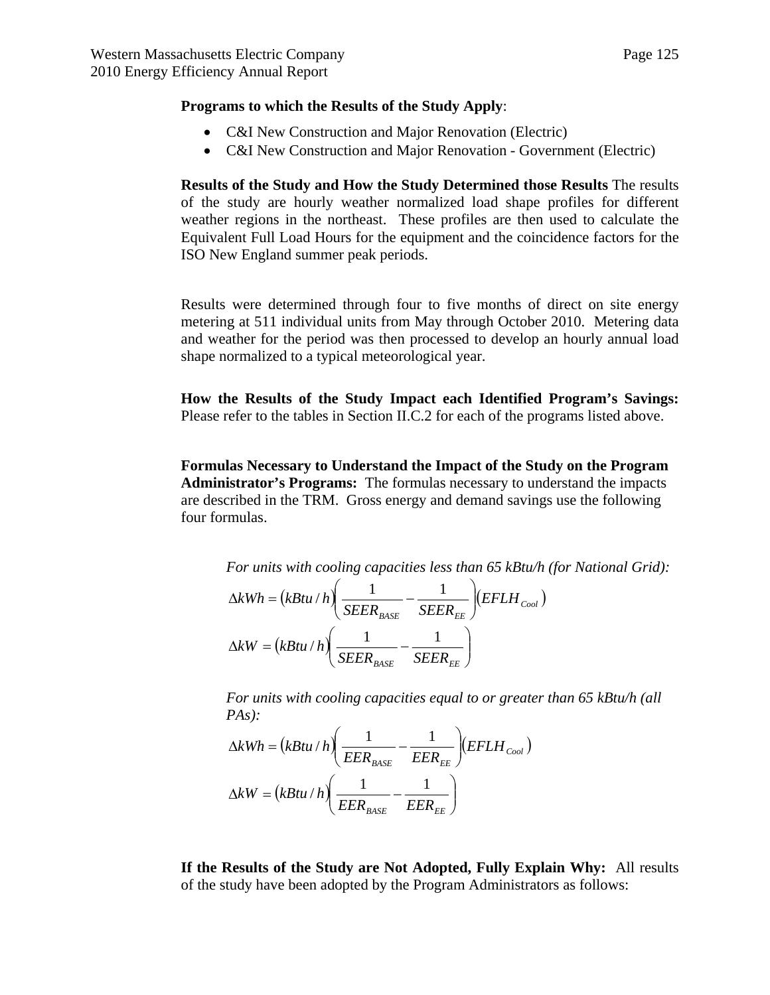#### **Programs to which the Results of the Study Apply**:

- C&I New Construction and Major Renovation (Electric)
- C&I New Construction and Major Renovation Government (Electric)

**Results of the Study and How the Study Determined those Results** The results of the study are hourly weather normalized load shape profiles for different weather regions in the northeast. These profiles are then used to calculate the Equivalent Full Load Hours for the equipment and the coincidence factors for the ISO New England summer peak periods.

Results were determined through four to five months of direct on site energy metering at 511 individual units from May through October 2010. Metering data and weather for the period was then processed to develop an hourly annual load shape normalized to a typical meteorological year.

**How the Results of the Study Impact each Identified Program's Savings:**  Please refer to the tables in Section II.C.2 for each of the programs listed above.

**Formulas Necessary to Understand the Impact of the Study on the Program Administrator's Programs:** The formulas necessary to understand the impacts are described in the TRM. Gross energy and demand savings use the following four formulas.

*For units with cooling capacities less than 65 kBtu/h (for National Grid):*   $(kBtu/h)$   $\frac{1}{CFFD} - \frac{1}{CFFD}$   $(EFLH_{cool})$  $_{BASE}$   $_{SLEN}$ <sub>EE</sub> *EFLH*  $kWh = (kBtu/h) \frac{1}{SEER_{\text{BASE}}} - \frac{1}{SEER_{\text{EE}}}$ J  $\setminus$  $\overline{\phantom{a}}$  $\setminus$  $\Delta kWh = (kBtu/h) \left( \frac{1}{\sqrt{1 - (1 - 1)^2}} - \frac{1}{\sqrt{1 - (1 - 1)^2}} \right)$  $(kBtu/h)$   $\frac{1}{SEFR}$   $\frac{1}{SEFR}$  $\backslash$ I.  $\Delta kW = (kBtu/h) \frac{1}{\pi r^2}$  $kW = (kBtu/h)\left(\frac{1}{\pi E} - \frac{1}{\pi E} \right)$ 

*For units with cooling capacities equal to or greater than 65 kBtu/h (all PAs):* 

J

$$
\Delta kWh = (kBtu/h) \left( \frac{1}{EER_{BASE}} - \frac{1}{EER_{EE}} \right) (EFLH_{cool})
$$

$$
\Delta kW = (kBtu/h) \left( \frac{1}{EER_{BASE}} - \frac{1}{EER_{EE}} \right)
$$

*BASE EE SEER SEER*

 $\setminus$ 

**If the Results of the Study are Not Adopted, Fully Explain Why:** All results of the study have been adopted by the Program Administrators as follows: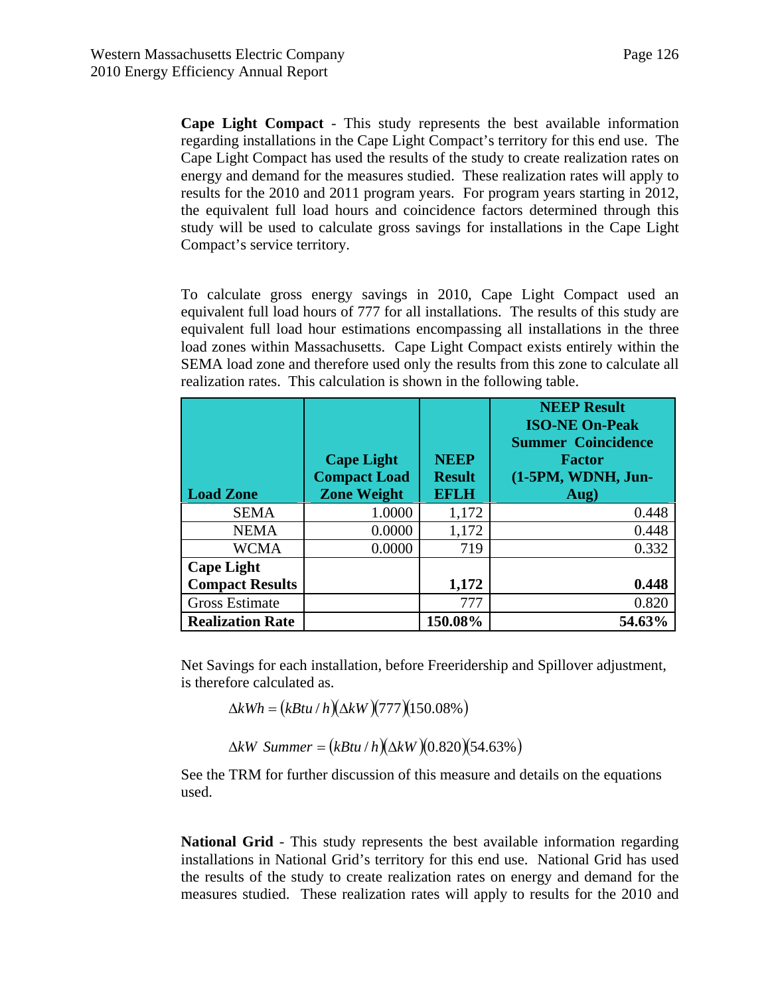**Cape Light Compact** - This study represents the best available information regarding installations in the Cape Light Compact's territory for this end use. The Cape Light Compact has used the results of the study to create realization rates on energy and demand for the measures studied. These realization rates will apply to results for the 2010 and 2011 program years. For program years starting in 2012, the equivalent full load hours and coincidence factors determined through this study will be used to calculate gross savings for installations in the Cape Light Compact's service territory.

To calculate gross energy savings in 2010, Cape Light Compact used an equivalent full load hours of 777 for all installations. The results of this study are equivalent full load hour estimations encompassing all installations in the three load zones within Massachusetts. Cape Light Compact exists entirely within the SEMA load zone and therefore used only the results from this zone to calculate all realization rates. This calculation is shown in the following table.

| <b>Load Zone</b>        | <b>Cape Light</b><br><b>Compact Load</b><br><b>Zone Weight</b> | <b>NEEP</b><br><b>Result</b><br><b>EFLH</b> | <b>NEEP Result</b><br><b>ISO-NE On-Peak</b><br><b>Summer Coincidence</b><br><b>Factor</b><br>(1-5PM, WDNH, Jun-<br>Aug) |
|-------------------------|----------------------------------------------------------------|---------------------------------------------|-------------------------------------------------------------------------------------------------------------------------|
| <b>SEMA</b>             | 1.0000                                                         | 1,172                                       | 0.448                                                                                                                   |
| <b>NEMA</b>             | 0.0000                                                         | 1,172                                       | 0.448                                                                                                                   |
| <b>WCMA</b>             | 0.0000                                                         | 719                                         | 0.332                                                                                                                   |
| <b>Cape Light</b>       |                                                                |                                             |                                                                                                                         |
| <b>Compact Results</b>  |                                                                | 1,172                                       | 0.448                                                                                                                   |
| <b>Gross Estimate</b>   |                                                                | 777                                         | 0.820                                                                                                                   |
| <b>Realization Rate</b> |                                                                | 150.08%                                     | 54.63%                                                                                                                  |

Net Savings for each installation, before Freeridership and Spillover adjustment, is therefore calculated as.

 $\Delta kWh = (kBtu/h)(\Delta kW)(777)(150.08\%)$ 

 $\Delta kW$  *Summer* =  $(kBtu/h)(\Delta kW)(0.820)(54.63%)$ 

See the TRM for further discussion of this measure and details on the equations used.

**National Grid** - This study represents the best available information regarding installations in National Grid's territory for this end use. National Grid has used the results of the study to create realization rates on energy and demand for the measures studied. These realization rates will apply to results for the 2010 and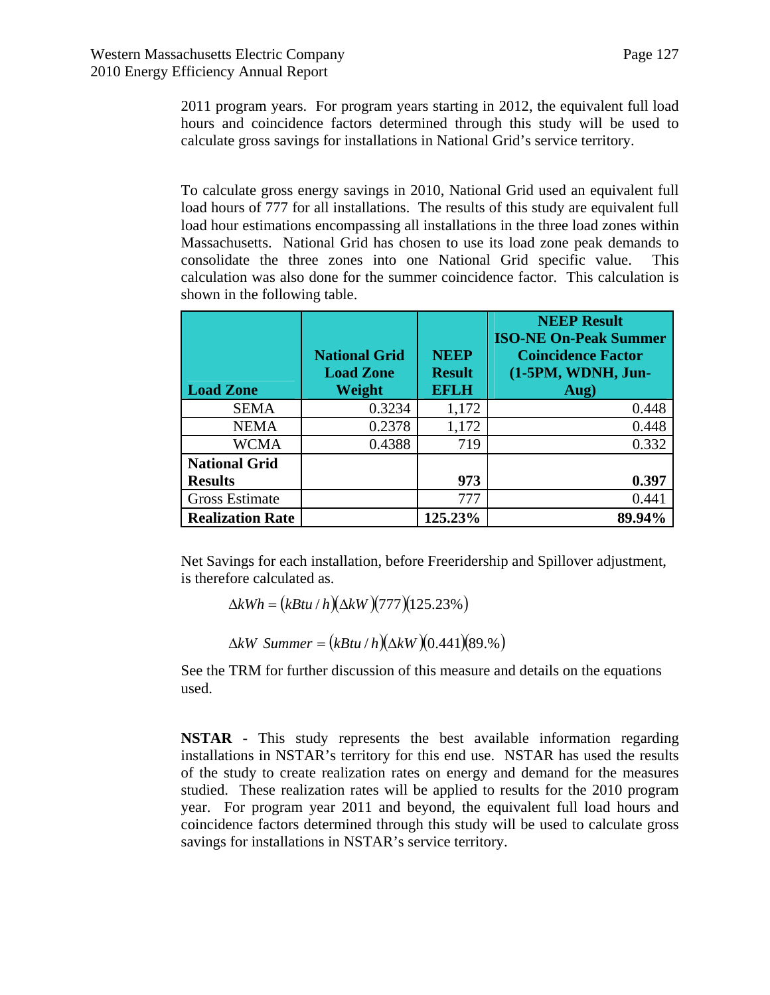2011 program years. For program years starting in 2012, the equivalent full load hours and coincidence factors determined through this study will be used to calculate gross savings for installations in National Grid's service territory.

To calculate gross energy savings in 2010, National Grid used an equivalent full load hours of 777 for all installations. The results of this study are equivalent full load hour estimations encompassing all installations in the three load zones within Massachusetts. National Grid has chosen to use its load zone peak demands to consolidate the three zones into one National Grid specific value. This calculation was also done for the summer coincidence factor. This calculation is shown in the following table.

| <b>Load Zone</b>        | <b>National Grid</b><br><b>Load Zone</b><br>Weight | <b>NEEP</b><br><b>Result</b><br><b>EFLH</b> | <b>NEEP Result</b><br><b>ISO-NE On-Peak Summer</b><br><b>Coincidence Factor</b><br>(1-5PM, WDNH, Jun-<br>Aug) |
|-------------------------|----------------------------------------------------|---------------------------------------------|---------------------------------------------------------------------------------------------------------------|
| <b>SEMA</b>             | 0.3234                                             | 1,172                                       | 0.448                                                                                                         |
| <b>NEMA</b>             | 0.2378                                             | 1,172                                       | 0.448                                                                                                         |
| <b>WCMA</b>             | 0.4388                                             | 719                                         | 0.332                                                                                                         |
| <b>National Grid</b>    |                                                    |                                             |                                                                                                               |
| <b>Results</b>          |                                                    | 973                                         | 0.397                                                                                                         |
| Gross Estimate          |                                                    | 777                                         | 0.441                                                                                                         |
| <b>Realization Rate</b> |                                                    | 125.23%                                     | 89.94%                                                                                                        |

Net Savings for each installation, before Freeridership and Spillover adjustment, is therefore calculated as.

$$
\Delta kWh = (kBtu/h)(\Delta kW)(777)(125.23\%)
$$

 $\Delta kW$  *Summer* =  $(kBtu/h)(\Delta kW)(0.441)(89.%)$ 

See the TRM for further discussion of this measure and details on the equations used.

**NSTAR -** This study represents the best available information regarding installations in NSTAR's territory for this end use. NSTAR has used the results of the study to create realization rates on energy and demand for the measures studied. These realization rates will be applied to results for the 2010 program year. For program year 2011 and beyond, the equivalent full load hours and coincidence factors determined through this study will be used to calculate gross savings for installations in NSTAR's service territory.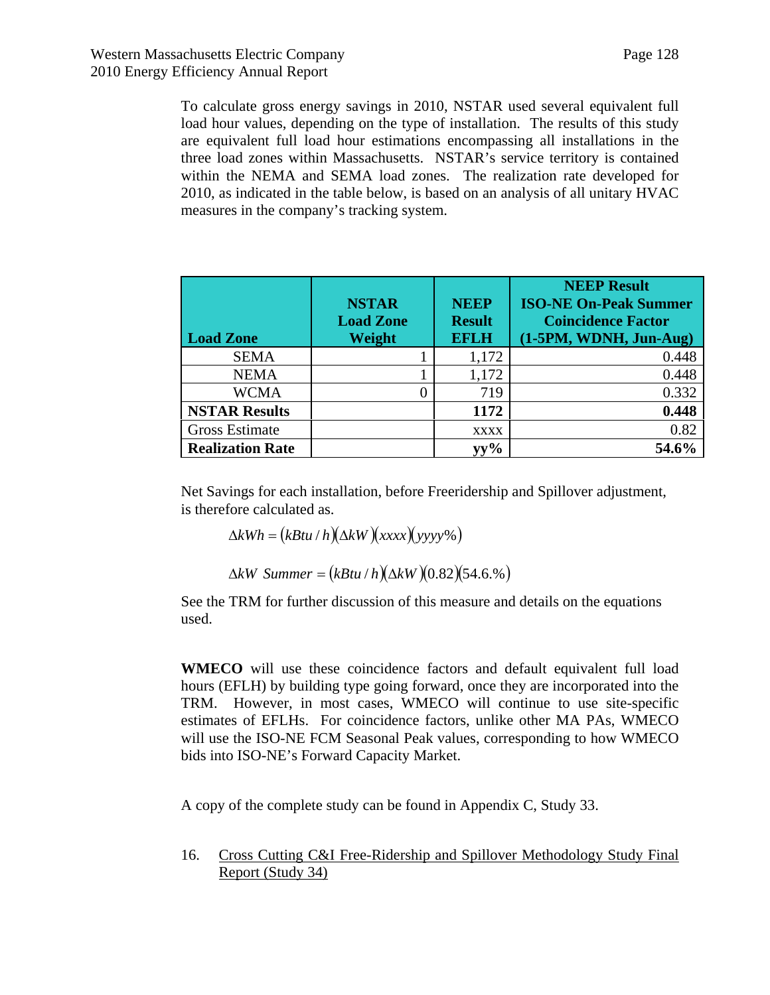To calculate gross energy savings in 2010, NSTAR used several equivalent full load hour values, depending on the type of installation. The results of this study are equivalent full load hour estimations encompassing all installations in the three load zones within Massachusetts. NSTAR's service territory is contained within the NEMA and SEMA load zones. The realization rate developed for 2010, as indicated in the table below, is based on an analysis of all unitary HVAC measures in the company's tracking system.

| <b>Load Zone</b>        | <b>NSTAR</b><br><b>Load Zone</b><br>Weight | <b>NEEP</b><br><b>Result</b><br><b>EFLH</b> | <b>NEEP Result</b><br><b>ISO-NE On-Peak Summer</b><br><b>Coincidence Factor</b><br>(1-5PM, WDNH, Jun-Aug) |
|-------------------------|--------------------------------------------|---------------------------------------------|-----------------------------------------------------------------------------------------------------------|
| <b>SEMA</b>             |                                            | 1,172                                       | 0.448                                                                                                     |
| <b>NEMA</b>             |                                            | 1,172                                       | 0.448                                                                                                     |
| <b>WCMA</b>             |                                            | 719                                         | 0.332                                                                                                     |
| <b>NSTAR Results</b>    |                                            | 1172                                        | 0.448                                                                                                     |
| <b>Gross Estimate</b>   |                                            | <b>XXXX</b>                                 | 0.82                                                                                                      |
| <b>Realization Rate</b> |                                            | vv%                                         | 54.6%                                                                                                     |

Net Savings for each installation, before Freeridership and Spillover adjustment, is therefore calculated as.

 $\Delta kWh = (kBtu/h)(\Delta kW)(xxx)(yyyy\%)$ 

 $\Delta kW$  *Summer* =  $(kBtu/h)(\Delta kW)(0.82)(54.6.%)$ 

See the TRM for further discussion of this measure and details on the equations used.

**WMECO** will use these coincidence factors and default equivalent full load hours (EFLH) by building type going forward, once they are incorporated into the TRM. However, in most cases, WMECO will continue to use site-specific estimates of EFLHs. For coincidence factors, unlike other MA PAs, WMECO will use the ISO-NE FCM Seasonal Peak values, corresponding to how WMECO bids into ISO-NE's Forward Capacity Market.

A copy of the complete study can be found in Appendix C, Study 33.

16. Cross Cutting C&I Free-Ridership and Spillover Methodology Study Final Report (Study 34)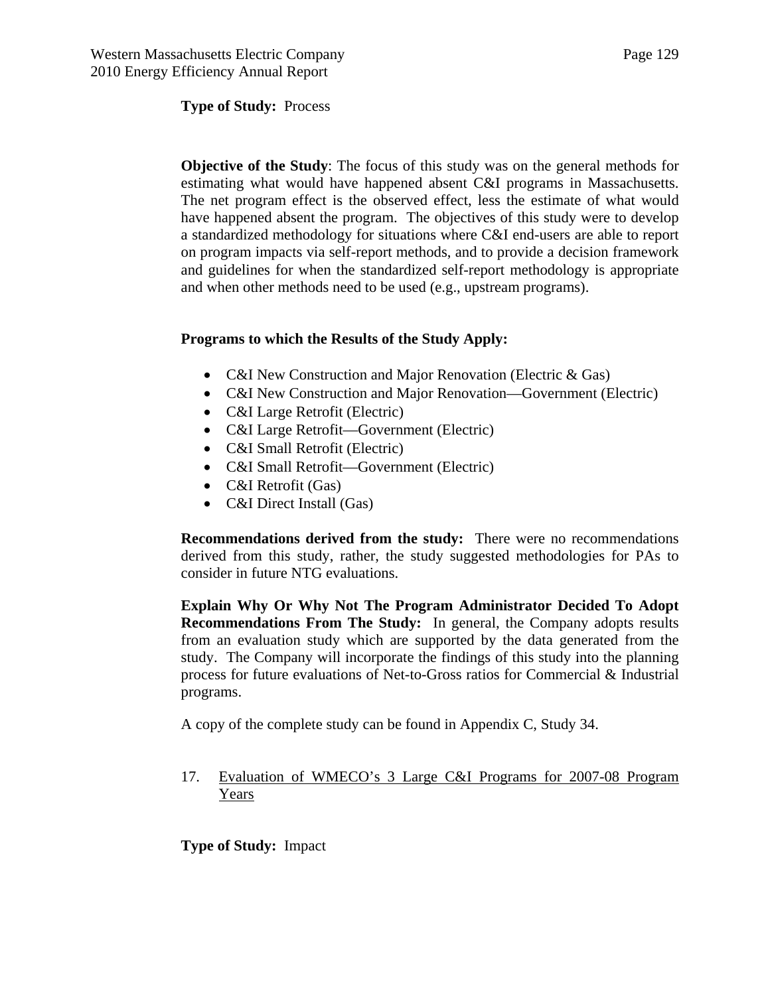**Type of Study:** Process

**Objective of the Study**: The focus of this study was on the general methods for estimating what would have happened absent C&I programs in Massachusetts. The net program effect is the observed effect, less the estimate of what would have happened absent the program. The objectives of this study were to develop a standardized methodology for situations where C&I end-users are able to report on program impacts via self-report methods, and to provide a decision framework and guidelines for when the standardized self-report methodology is appropriate and when other methods need to be used (e.g., upstream programs).

#### **Programs to which the Results of the Study Apply:**

- C&I New Construction and Major Renovation (Electric & Gas)
- C&I New Construction and Major Renovation—Government (Electric)
- C&I Large Retrofit (Electric)
- C&I Large Retrofit—Government (Electric)
- C&I Small Retrofit (Electric)
- C&I Small Retrofit—Government (Electric)
- C&I Retrofit (Gas)
- C&I Direct Install (Gas)

**Recommendations derived from the study:** There were no recommendations derived from this study, rather, the study suggested methodologies for PAs to consider in future NTG evaluations.

**Explain Why Or Why Not The Program Administrator Decided To Adopt Recommendations From The Study:** In general, the Company adopts results from an evaluation study which are supported by the data generated from the study. The Company will incorporate the findings of this study into the planning process for future evaluations of Net-to-Gross ratios for Commercial & Industrial programs.

A copy of the complete study can be found in Appendix C, Study 34.

17. Evaluation of WMECO's 3 Large C&I Programs for 2007-08 Program Years

**Type of Study:** Impact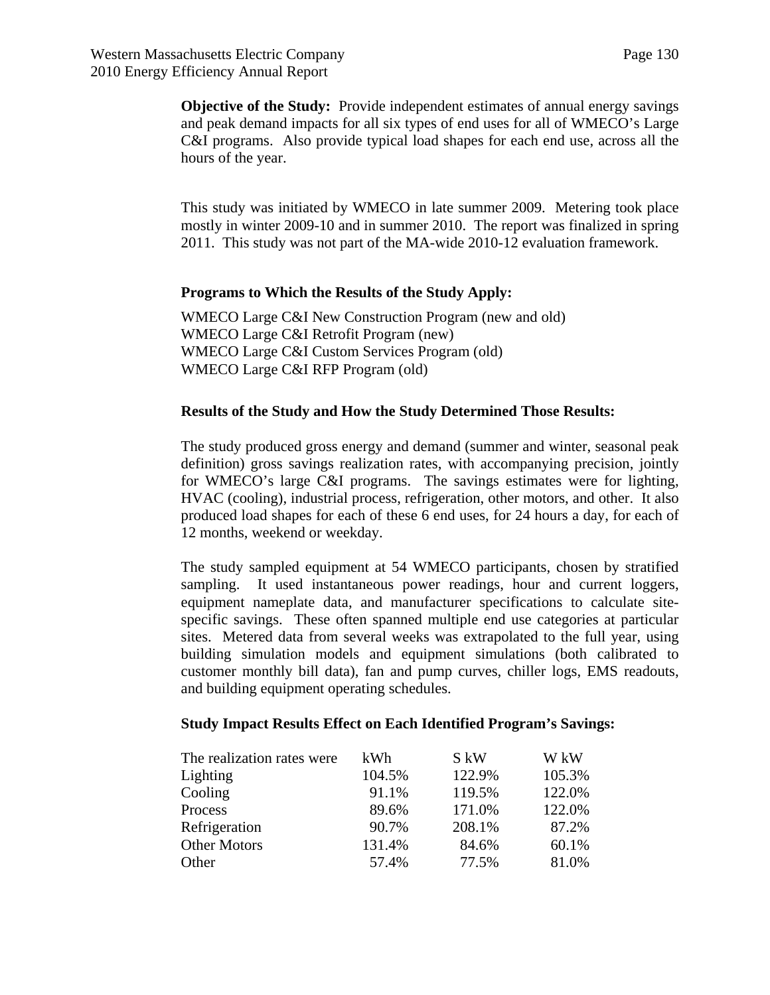**Objective of the Study:** Provide independent estimates of annual energy savings and peak demand impacts for all six types of end uses for all of WMECO's Large C&I programs. Also provide typical load shapes for each end use, across all the hours of the year.

This study was initiated by WMECO in late summer 2009. Metering took place mostly in winter 2009-10 and in summer 2010. The report was finalized in spring 2011. This study was not part of the MA-wide 2010-12 evaluation framework.

#### **Programs to Which the Results of the Study Apply:**

WMECO Large C&I New Construction Program (new and old) WMECO Large C&I Retrofit Program (new) WMECO Large C&I Custom Services Program (old) WMECO Large C&I RFP Program (old)

#### **Results of the Study and How the Study Determined Those Results:**

The study produced gross energy and demand (summer and winter, seasonal peak definition) gross savings realization rates, with accompanying precision, jointly for WMECO's large C&I programs. The savings estimates were for lighting, HVAC (cooling), industrial process, refrigeration, other motors, and other. It also produced load shapes for each of these 6 end uses, for 24 hours a day, for each of 12 months, weekend or weekday.

The study sampled equipment at 54 WMECO participants, chosen by stratified sampling. It used instantaneous power readings, hour and current loggers, equipment nameplate data, and manufacturer specifications to calculate sitespecific savings. These often spanned multiple end use categories at particular sites. Metered data from several weeks was extrapolated to the full year, using building simulation models and equipment simulations (both calibrated to customer monthly bill data), fan and pump curves, chiller logs, EMS readouts, and building equipment operating schedules.

#### **Study Impact Results Effect on Each Identified Program's Savings:**

| The realization rates were | kWh    | S kW   | W kW   |
|----------------------------|--------|--------|--------|
| Lighting                   | 104.5% | 122.9% | 105.3% |
| Cooling                    | 91.1%  | 119.5% | 122.0% |
| Process                    | 89.6%  | 171.0% | 122.0% |
| Refrigeration              | 90.7%  | 208.1% | 87.2%  |
| <b>Other Motors</b>        | 131.4% | 84.6%  | 60.1%  |
| Other                      | 57.4%  | 77.5%  | 81.0%  |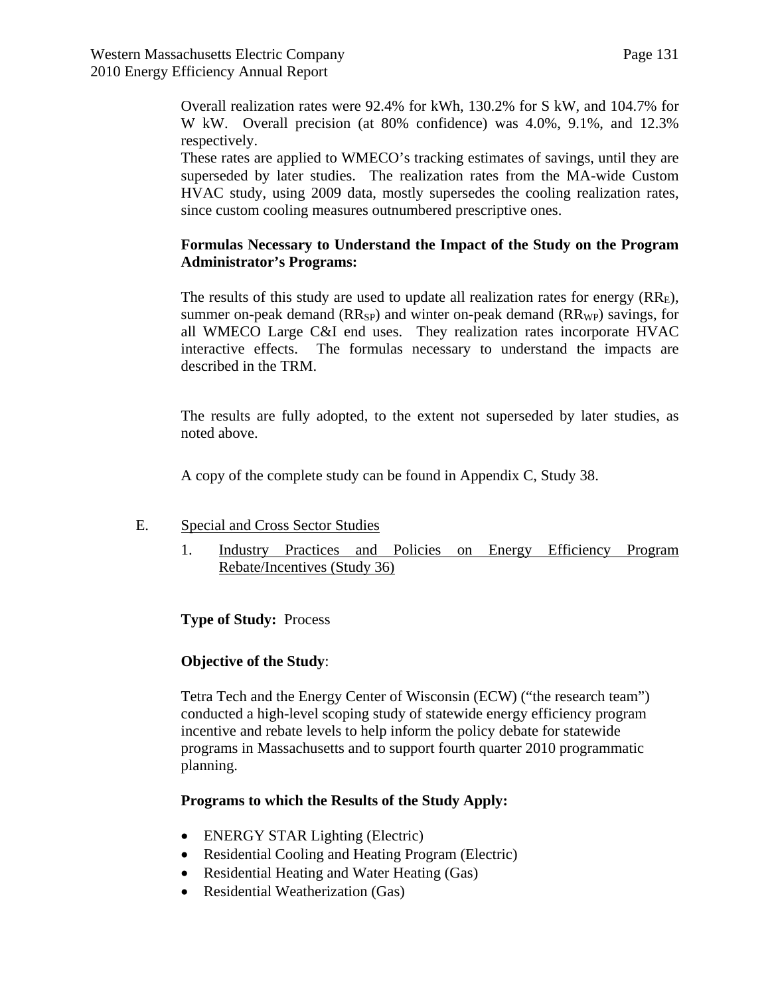Overall realization rates were 92.4% for kWh, 130.2% for S kW, and 104.7% for W kW. Overall precision (at 80% confidence) was 4.0%, 9.1%, and 12.3% respectively.

These rates are applied to WMECO's tracking estimates of savings, until they are superseded by later studies. The realization rates from the MA-wide Custom HVAC study, using 2009 data, mostly supersedes the cooling realization rates, since custom cooling measures outnumbered prescriptive ones.

## **Formulas Necessary to Understand the Impact of the Study on the Program Administrator's Programs:**

The results of this study are used to update all realization rates for energy  $(RR<sub>E</sub>)$ , summer on-peak demand  $(RR_{SP})$  and winter on-peak demand  $(RR_{WP})$  savings, for all WMECO Large C&I end uses. They realization rates incorporate HVAC interactive effects. The formulas necessary to understand the impacts are described in the TRM.

The results are fully adopted, to the extent not superseded by later studies, as noted above.

A copy of the complete study can be found in Appendix C, Study 38.

#### E. Special and Cross Sector Studies

1. Industry Practices and Policies on Energy Efficiency Program Rebate/Incentives (Study 36)

**Type of Study:** Process

## **Objective of the Study**:

Tetra Tech and the Energy Center of Wisconsin (ECW) ("the research team") conducted a high-level scoping study of statewide energy efficiency program incentive and rebate levels to help inform the policy debate for statewide programs in Massachusetts and to support fourth quarter 2010 programmatic planning.

#### **Programs to which the Results of the Study Apply:**

- ENERGY STAR Lighting (Electric)
- Residential Cooling and Heating Program (Electric)
- Residential Heating and Water Heating (Gas)
- Residential Weatherization (Gas)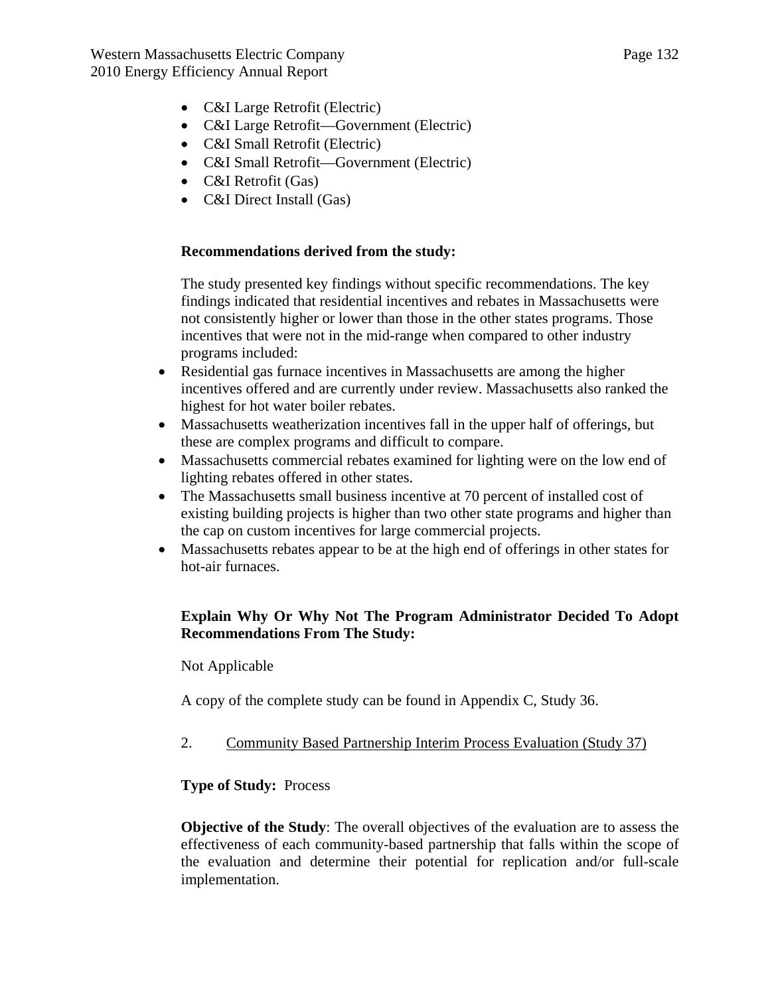- C&I Large Retrofit (Electric)
- C&I Large Retrofit—Government (Electric)
- C&I Small Retrofit (Electric)
- C&I Small Retrofit—Government (Electric)
- C&I Retrofit (Gas)
- C&I Direct Install (Gas)

## **Recommendations derived from the study:**

The study presented key findings without specific recommendations. The key findings indicated that residential incentives and rebates in Massachusetts were not consistently higher or lower than those in the other states programs. Those incentives that were not in the mid-range when compared to other industry programs included:

- Residential gas furnace incentives in Massachusetts are among the higher incentives offered and are currently under review. Massachusetts also ranked the highest for hot water boiler rebates.
- Massachusetts weatherization incentives fall in the upper half of offerings, but these are complex programs and difficult to compare.
- Massachusetts commercial rebates examined for lighting were on the low end of lighting rebates offered in other states.
- The Massachusetts small business incentive at 70 percent of installed cost of existing building projects is higher than two other state programs and higher than the cap on custom incentives for large commercial projects.
- Massachusetts rebates appear to be at the high end of offerings in other states for hot-air furnaces.

## **Explain Why Or Why Not The Program Administrator Decided To Adopt Recommendations From The Study:**

Not Applicable

A copy of the complete study can be found in Appendix C, Study 36.

2. Community Based Partnership Interim Process Evaluation (Study 37)

## **Type of Study:** Process

**Objective of the Study**: The overall objectives of the evaluation are to assess the effectiveness of each community-based partnership that falls within the scope of the evaluation and determine their potential for replication and/or full-scale implementation.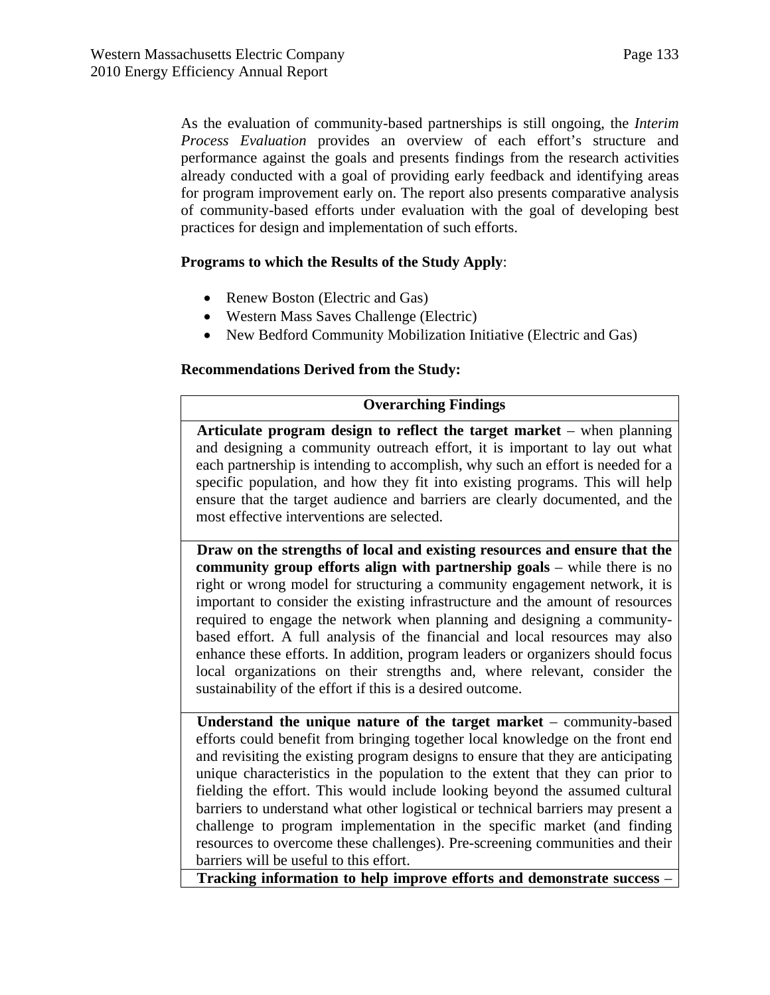As the evaluation of community-based partnerships is still ongoing, the *Interim Process Evaluation* provides an overview of each effort's structure and performance against the goals and presents findings from the research activities already conducted with a goal of providing early feedback and identifying areas for program improvement early on. The report also presents comparative analysis of community-based efforts under evaluation with the goal of developing best practices for design and implementation of such efforts.

#### **Programs to which the Results of the Study Apply**:

- Renew Boston (Electric and Gas)
- Western Mass Saves Challenge (Electric)
- New Bedford Community Mobilization Initiative (Electric and Gas)

## **Recommendations Derived from the Study:**

#### **Overarching Findings**

**Articulate program design to reflect the target market** – when planning and designing a community outreach effort, it is important to lay out what each partnership is intending to accomplish, why such an effort is needed for a specific population, and how they fit into existing programs. This will help ensure that the target audience and barriers are clearly documented, and the most effective interventions are selected.

**Draw on the strengths of local and existing resources and ensure that the community group efforts align with partnership goals** – while there is no right or wrong model for structuring a community engagement network, it is important to consider the existing infrastructure and the amount of resources required to engage the network when planning and designing a communitybased effort. A full analysis of the financial and local resources may also enhance these efforts. In addition, program leaders or organizers should focus local organizations on their strengths and, where relevant, consider the sustainability of the effort if this is a desired outcome.

**Understand the unique nature of the target market** – community-based efforts could benefit from bringing together local knowledge on the front end and revisiting the existing program designs to ensure that they are anticipating unique characteristics in the population to the extent that they can prior to fielding the effort. This would include looking beyond the assumed cultural barriers to understand what other logistical or technical barriers may present a challenge to program implementation in the specific market (and finding resources to overcome these challenges). Pre-screening communities and their barriers will be useful to this effort.

**Tracking information to help improve efforts and demonstrate success** –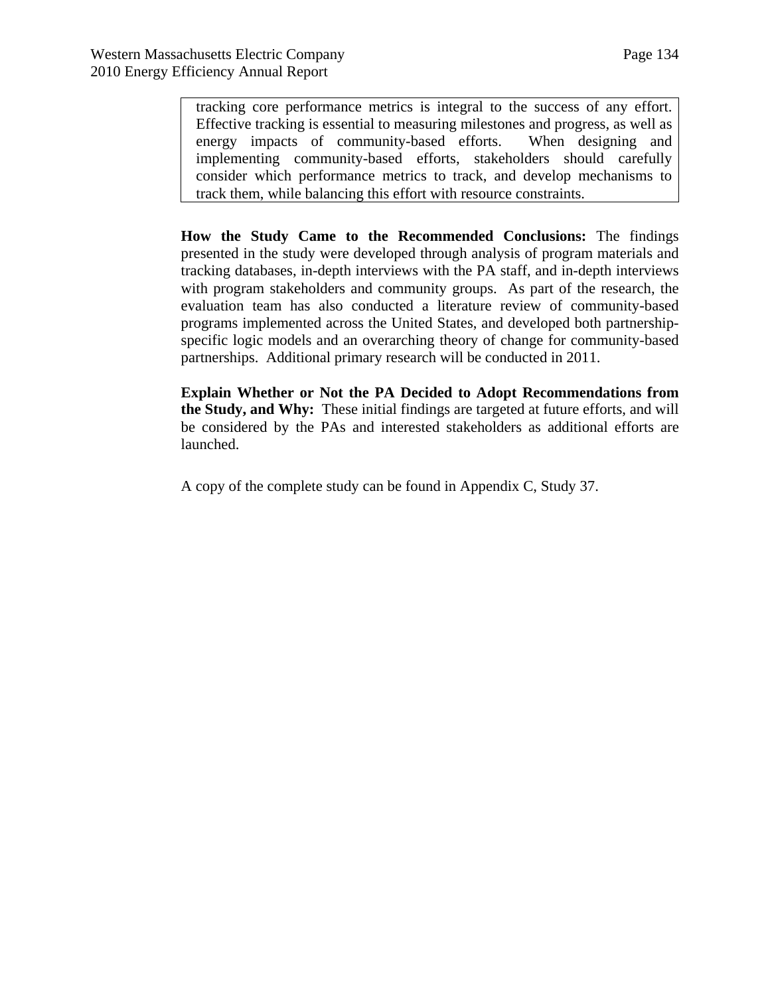tracking core performance metrics is integral to the success of any effort. Effective tracking is essential to measuring milestones and progress, as well as energy impacts of community-based efforts. When designing and implementing community-based efforts, stakeholders should carefully consider which performance metrics to track, and develop mechanisms to track them, while balancing this effort with resource constraints.

**How the Study Came to the Recommended Conclusions:** The findings presented in the study were developed through analysis of program materials and tracking databases, in-depth interviews with the PA staff, and in-depth interviews with program stakeholders and community groups. As part of the research, the evaluation team has also conducted a literature review of community-based programs implemented across the United States, and developed both partnershipspecific logic models and an overarching theory of change for community-based partnerships. Additional primary research will be conducted in 2011.

**Explain Whether or Not the PA Decided to Adopt Recommendations from the Study, and Why:** These initial findings are targeted at future efforts, and will be considered by the PAs and interested stakeholders as additional efforts are launched.

A copy of the complete study can be found in Appendix C, Study 37.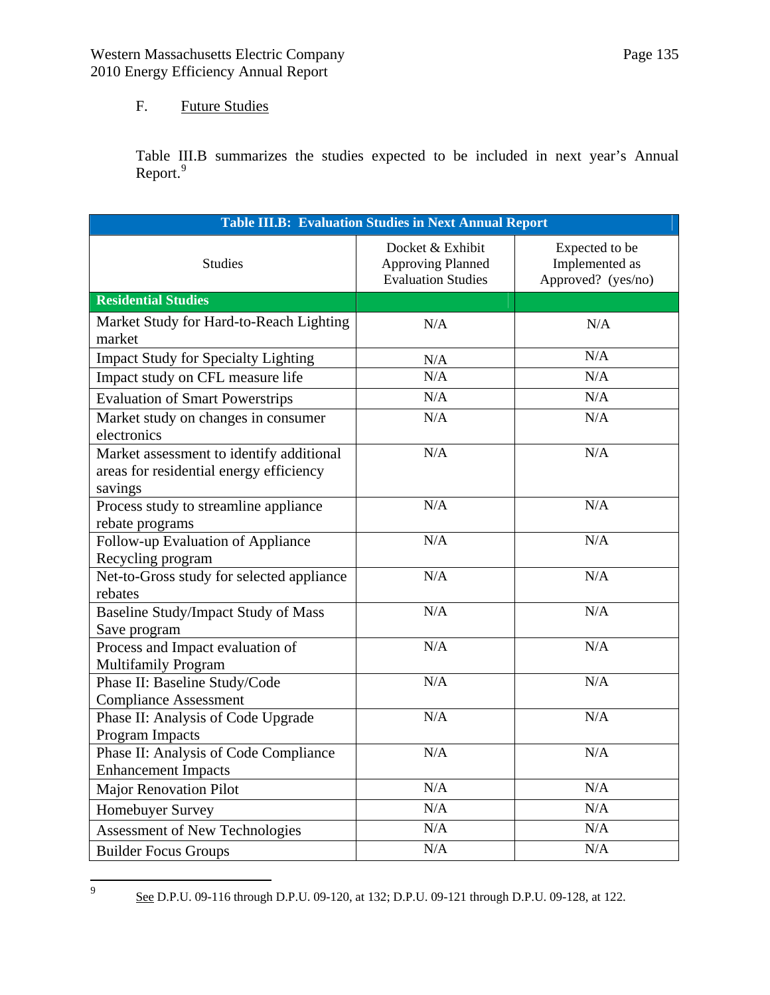# F. Future Studies

<span id="page-134-0"></span>—<br>9

Table III.B summarizes the studies expected to be included in next year's Annual Report.<sup>[9](#page-134-0)</sup>

| <b>Table III.B: Evaluation Studies in Next Annual Report</b>                                   |                                                                           |                                                        |  |  |  |  |
|------------------------------------------------------------------------------------------------|---------------------------------------------------------------------------|--------------------------------------------------------|--|--|--|--|
| <b>Studies</b>                                                                                 | Docket & Exhibit<br><b>Approving Planned</b><br><b>Evaluation Studies</b> | Expected to be<br>Implemented as<br>Approved? (yes/no) |  |  |  |  |
| <b>Residential Studies</b>                                                                     |                                                                           |                                                        |  |  |  |  |
| Market Study for Hard-to-Reach Lighting<br>market                                              | N/A                                                                       | N/A                                                    |  |  |  |  |
| <b>Impact Study for Specialty Lighting</b>                                                     | N/A                                                                       | N/A                                                    |  |  |  |  |
| Impact study on CFL measure life                                                               | N/A                                                                       | N/A                                                    |  |  |  |  |
| <b>Evaluation of Smart Powerstrips</b>                                                         | N/A                                                                       | N/A                                                    |  |  |  |  |
| Market study on changes in consumer<br>electronics                                             | N/A                                                                       | N/A                                                    |  |  |  |  |
| Market assessment to identify additional<br>areas for residential energy efficiency<br>savings | N/A                                                                       | N/A                                                    |  |  |  |  |
| Process study to streamline appliance<br>rebate programs                                       | N/A                                                                       | N/A                                                    |  |  |  |  |
| Follow-up Evaluation of Appliance<br>Recycling program                                         | N/A                                                                       | N/A                                                    |  |  |  |  |
| Net-to-Gross study for selected appliance<br>rebates                                           | N/A                                                                       | N/A                                                    |  |  |  |  |
| <b>Baseline Study/Impact Study of Mass</b><br>Save program                                     | N/A                                                                       | N/A                                                    |  |  |  |  |
| Process and Impact evaluation of<br><b>Multifamily Program</b>                                 | N/A                                                                       | N/A                                                    |  |  |  |  |
| Phase II: Baseline Study/Code<br><b>Compliance Assessment</b>                                  | N/A                                                                       | N/A                                                    |  |  |  |  |
| Phase II: Analysis of Code Upgrade<br>Program Impacts                                          | N/A                                                                       | N/A                                                    |  |  |  |  |
| Phase II: Analysis of Code Compliance<br><b>Enhancement Impacts</b>                            | N/A                                                                       | N/A                                                    |  |  |  |  |
| <b>Major Renovation Pilot</b>                                                                  | N/A                                                                       | N/A                                                    |  |  |  |  |
| Homebuyer Survey                                                                               | N/A                                                                       | N/A                                                    |  |  |  |  |
| <b>Assessment of New Technologies</b>                                                          | N/A                                                                       | N/A                                                    |  |  |  |  |
| <b>Builder Focus Groups</b>                                                                    | N/A                                                                       | N/A                                                    |  |  |  |  |

See D.P.U. 09-116 through D.P.U. 09-120, at 132; D.P.U. 09-121 through D.P.U. 09-128, at 122.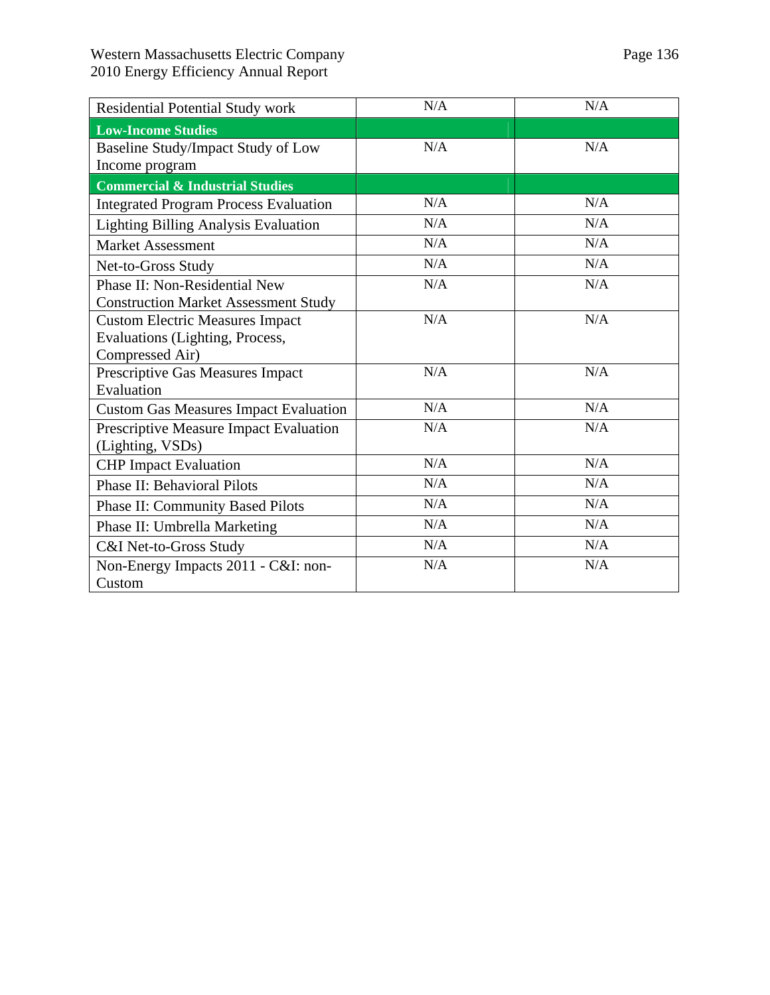| <b>Residential Potential Study work</b>      | N/A | N/A |
|----------------------------------------------|-----|-----|
| <b>Low-Income Studies</b>                    |     |     |
| Baseline Study/Impact Study of Low           | N/A | N/A |
| Income program                               |     |     |
| <b>Commercial &amp; Industrial Studies</b>   |     |     |
| <b>Integrated Program Process Evaluation</b> | N/A | N/A |
| Lighting Billing Analysis Evaluation         | N/A | N/A |
| <b>Market Assessment</b>                     | N/A | N/A |
| Net-to-Gross Study                           | N/A | N/A |
| Phase II: Non-Residential New                | N/A | N/A |
| <b>Construction Market Assessment Study</b>  |     |     |
| <b>Custom Electric Measures Impact</b>       | N/A | N/A |
| Evaluations (Lighting, Process,              |     |     |
| Compressed Air)                              |     |     |
| Prescriptive Gas Measures Impact             | N/A | N/A |
| Evaluation                                   |     |     |
| <b>Custom Gas Measures Impact Evaluation</b> | N/A | N/A |
| Prescriptive Measure Impact Evaluation       | N/A | N/A |
| (Lighting, VSDs)                             |     |     |
| <b>CHP</b> Impact Evaluation                 | N/A | N/A |
| <b>Phase II: Behavioral Pilots</b>           | N/A | N/A |
| <b>Phase II: Community Based Pilots</b>      | N/A | N/A |
| Phase II: Umbrella Marketing                 | N/A | N/A |
| C&I Net-to-Gross Study                       | N/A | N/A |
| Non-Energy Impacts 2011 - C&I: non-          | N/A | N/A |
| Custom                                       |     |     |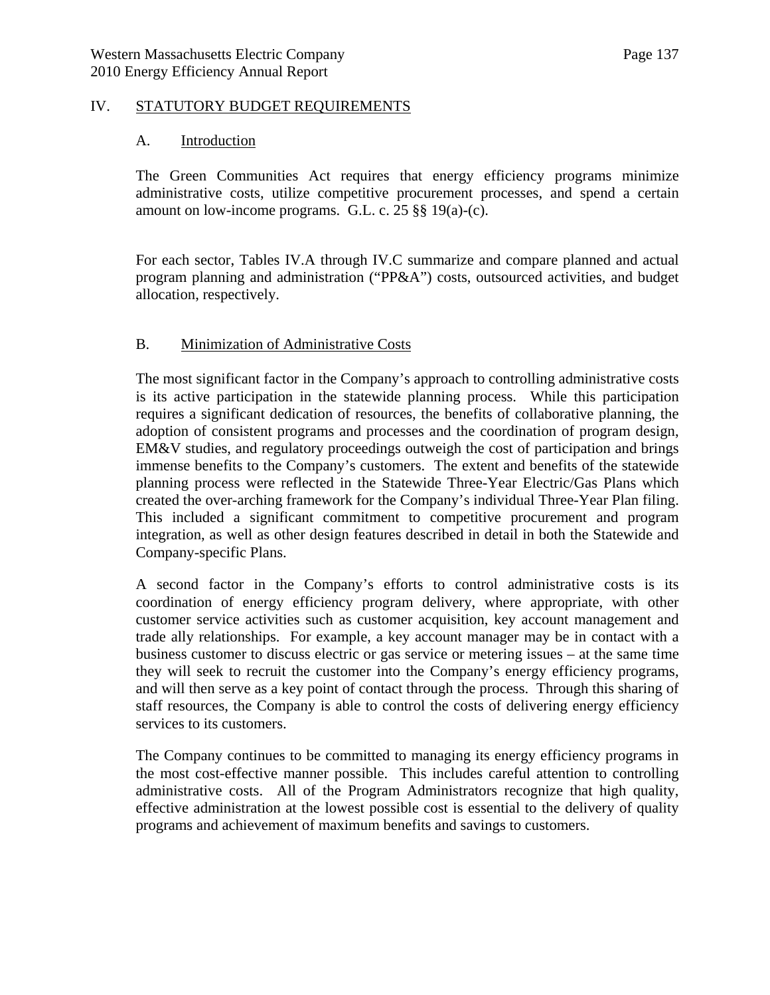#### IV. STATUTORY BUDGET REQUIREMENTS

#### A. Introduction

The Green Communities Act requires that energy efficiency programs minimize administrative costs, utilize competitive procurement processes, and spend a certain amount on low-income programs. G.L. c. 25 §§ 19(a)-(c).

For each sector, Tables IV.A through IV.C summarize and compare planned and actual program planning and administration ("PP&A") costs, outsourced activities, and budget allocation, respectively.

#### B. Minimization of Administrative Costs

The most significant factor in the Company's approach to controlling administrative costs is its active participation in the statewide planning process. While this participation requires a significant dedication of resources, the benefits of collaborative planning, the adoption of consistent programs and processes and the coordination of program design, EM&V studies, and regulatory proceedings outweigh the cost of participation and brings immense benefits to the Company's customers. The extent and benefits of the statewide planning process were reflected in the Statewide Three-Year Electric/Gas Plans which created the over-arching framework for the Company's individual Three-Year Plan filing. This included a significant commitment to competitive procurement and program integration, as well as other design features described in detail in both the Statewide and Company-specific Plans.

A second factor in the Company's efforts to control administrative costs is its coordination of energy efficiency program delivery, where appropriate, with other customer service activities such as customer acquisition, key account management and trade ally relationships. For example, a key account manager may be in contact with a business customer to discuss electric or gas service or metering issues – at the same time they will seek to recruit the customer into the Company's energy efficiency programs, and will then serve as a key point of contact through the process. Through this sharing of staff resources, the Company is able to control the costs of delivering energy efficiency services to its customers.

The Company continues to be committed to managing its energy efficiency programs in the most cost-effective manner possible. This includes careful attention to controlling administrative costs. All of the Program Administrators recognize that high quality, effective administration at the lowest possible cost is essential to the delivery of quality programs and achievement of maximum benefits and savings to customers.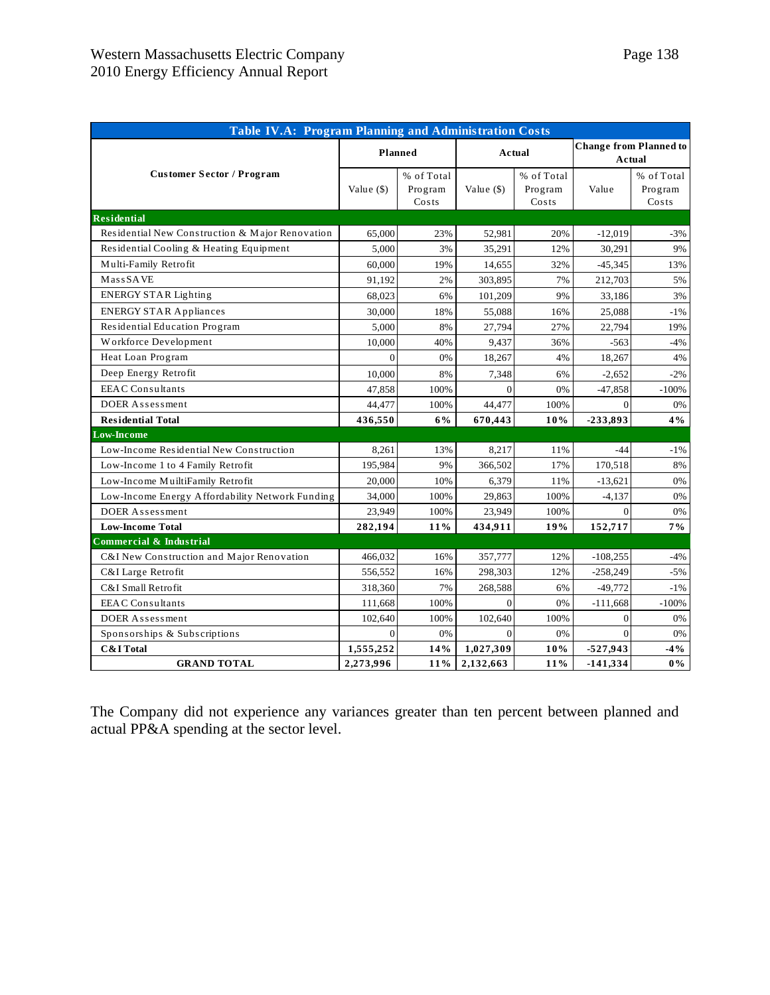| <b>Table IV.A: Program Planning and Administration Costs</b> |              |                                |             |                                |            |                                         |  |  |
|--------------------------------------------------------------|--------------|--------------------------------|-------------|--------------------------------|------------|-----------------------------------------|--|--|
|                                                              |              | Planned                        |             | Actual                         |            | <b>Change from Planned to</b><br>Actual |  |  |
| <b>Customer Sector / Program</b>                             | Value $(\$)$ | % of Total<br>Program<br>Costs | Value $($ ) | % of Total<br>Program<br>Costs | Value      | % of Total<br>Program<br>Costs          |  |  |
| <b>Residential</b>                                           |              |                                |             |                                |            |                                         |  |  |
| Residential New Construction & Major Renovation              | 65,000       | 23%                            | 52,981      | 20%                            | $-12,019$  | $-3%$                                   |  |  |
| Residential Cooling & Heating Equipment                      | 5,000        | 3%                             | 35,291      | 12%                            | 30,291     | 9%                                      |  |  |
| Multi-Family Retrofit                                        | 60,000       | 19%                            | 14,655      | 32%                            | $-45,345$  | 13%                                     |  |  |
| MassSAVE                                                     | 91,192       | 2%                             | 303,895     | 7%                             | 212,703    | 5%                                      |  |  |
| <b>ENERGY STAR Lighting</b>                                  | 68,023       | 6%                             | 101,209     | 9%                             | 33,186     | 3%                                      |  |  |
| <b>ENERGY STAR Appliances</b>                                | 30,000       | 18%                            | 55,088      | 16%                            | 25,088     | $-1\%$                                  |  |  |
| Residential Education Program                                | 5,000        | 8%                             | 27,794      | 27%                            | 22,794     | 19%                                     |  |  |
| Workforce Development                                        | 10,000       | 40%                            | 9,437       | 36%                            | $-563$     | -4%                                     |  |  |
| Heat Loan Program                                            | $\theta$     | 0%                             | 18,267      | 4%                             | 18,267     | 4%                                      |  |  |
| Deep Energy Retrofit                                         | 10,000       | 8%                             | 7,348       | 6%                             | $-2,652$   | $-2\%$                                  |  |  |
| <b>EEAC</b> Consultants                                      | 47,858       | 100%                           | $\Omega$    | 0%                             | $-47,858$  | $-100%$                                 |  |  |
| DOER Assessment                                              | 44,477       | 100%                           | 44,477      | 100%                           | $\Omega$   | 0%                                      |  |  |
| <b>Residential Total</b>                                     | 436,550      | 6%                             | 670,443     | 10%                            | -233,893   | $4\%$                                   |  |  |
| <b>Low-Income</b>                                            |              |                                |             |                                |            |                                         |  |  |
| Low-Income Residential New Construction                      | 8,261        | 13%                            | 8,217       | 11%                            | $-44$      | -1%                                     |  |  |
| Low-Income 1 to 4 Family Retrofit                            | 195,984      | 9%                             | 366,502     | 17%                            | 170,518    | 8%                                      |  |  |
| Low-Income MuiltiFamily Retrofit                             | 20,000       | 10%                            | 6,379       | 11%                            | $-13,621$  | 0%                                      |  |  |
| Low-Income Energy Affordability Network Funding              | 34,000       | 100%                           | 29,863      | 100%                           | $-4,137$   | 0%                                      |  |  |
| DOER Assessment                                              | 23,949       | 100%                           | 23,949      | 100%                           | $\Omega$   | 0%                                      |  |  |
| <b>Low-Income Total</b>                                      | 282,194      | 11%                            | 434,911     | 19%                            | 152,717    | $7\%$                                   |  |  |
| Commercial & Industrial                                      |              |                                |             |                                |            |                                         |  |  |
| C&I New Construction and Major Renovation                    | 466,032      | 16%                            | 357,777     | 12%                            | $-108,255$ | $-4%$                                   |  |  |
| C&I Large Retrofit                                           | 556,552      | 16%                            | 298,303     | 12%                            | $-258,249$ | $-5%$                                   |  |  |
| C&I Small Retrofit                                           | 318,360      | 7%                             | 268,588     | 6%                             | $-49,772$  | $-1\,\%$                                |  |  |
| <b>EEAC</b> Consultants                                      | 111,668      | 100%                           | $\Omega$    | 0%                             | $-111,668$ | $-100%$                                 |  |  |
| DOER Assessment                                              | 102,640      | 100%                           | 102,640     | 100%                           | $\theta$   | 0%                                      |  |  |
| Sponsorships & Subscriptions                                 | $\Omega$     | 0%                             | $\Omega$    | 0%                             | $\Omega$   | 0%                                      |  |  |
| <b>C&amp;I</b> Total                                         | 1,555,252    | 14%                            | 1,027,309   | $10\%$                         | $-527,943$ | $-4\%$                                  |  |  |
| <b>GRAND TOTAL</b>                                           | 2,273,996    | 11%                            | 2,132,663   | 11%                            | $-141,334$ | $0\%$                                   |  |  |

The Company did not experience any variances greater than ten percent between planned and actual PP&A spending at the sector level.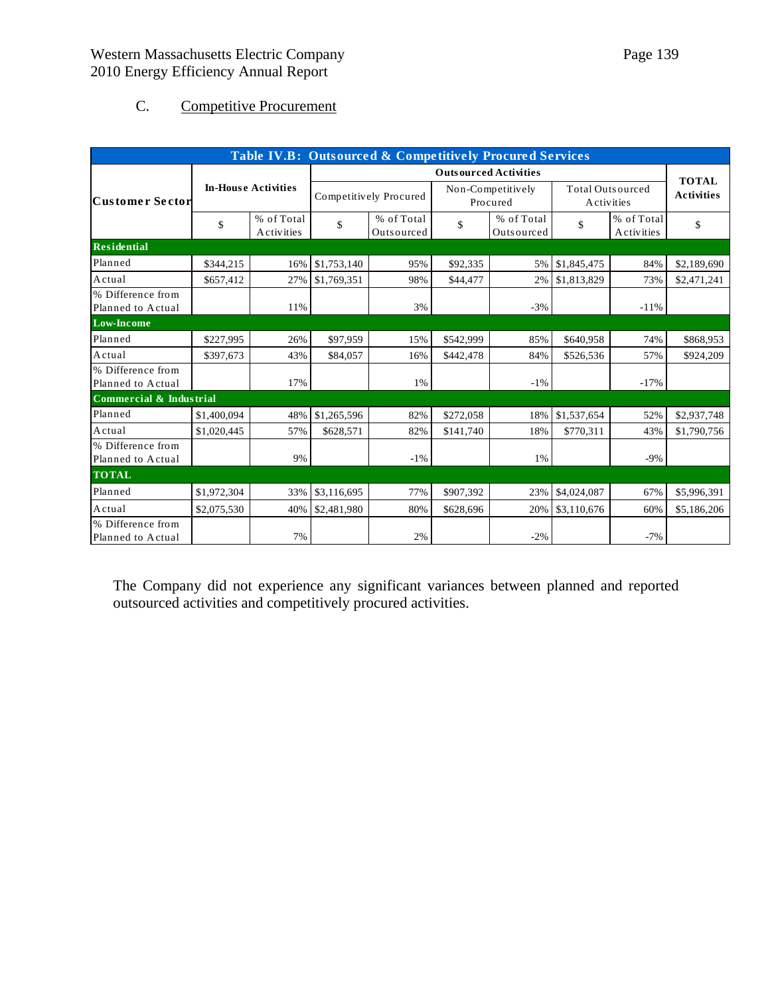# C. Competitive Procurement

| Table IV.B: Outsourced & Competitively Procured Services |             |                          |                              |                          |                               |                          |                                       |                          |             |
|----------------------------------------------------------|-------------|--------------------------|------------------------------|--------------------------|-------------------------------|--------------------------|---------------------------------------|--------------------------|-------------|
|                                                          |             |                          | <b>Outsourced Activities</b> |                          |                               |                          |                                       | <b>TOTAL</b>             |             |
| <b>In-House Activities</b><br><b>Customer Sector</b>     |             |                          | Competitively Procured       |                          | Non-Competitively<br>Procured |                          | <b>Total Outsourced</b><br>Activities |                          |             |
|                                                          | \$          | % of Total<br>Activities | \$                           | % of Total<br>Outsourced | \$                            | % of Total<br>Outsourced | \$                                    | % of Total<br>Activities | \$          |
| Residential                                              |             |                          |                              |                          |                               |                          |                                       |                          |             |
| Planned                                                  | \$344,215   | 16%                      | \$1,753,140                  | 95%                      | \$92,335                      | 5%                       | \$1,845,475                           | 84%                      | \$2,189,690 |
| Actual                                                   | \$657,412   | 27%                      | \$1,769,351                  | 98%                      | \$44,477                      | 2%                       | \$1,813,829                           | 73%                      | \$2,471,241 |
| % Difference from<br>Planned to Actual                   |             | 11%                      |                              | 3%                       |                               | $-3%$                    |                                       | $-11%$                   |             |
| <b>Low-Income</b>                                        |             |                          |                              |                          |                               |                          |                                       |                          |             |
| Planned                                                  | \$227,995   | 26%                      | \$97,959                     | 15%                      | \$542,999                     | 85%                      | \$640,958                             | 74%                      | \$868,953   |
| Actual                                                   | \$397,673   | 43%                      | \$84,057                     | 16%                      | \$442,478                     | 84%                      | \$526,536                             | 57%                      | \$924,209   |
| % Difference from<br>Planned to Actual                   |             | 17%                      |                              | 1%                       |                               | $-1\%$                   |                                       | $-17%$                   |             |
| Commercial & Industrial                                  |             |                          |                              |                          |                               |                          |                                       |                          |             |
| Planned                                                  | \$1,400,094 | 48%                      | \$1,265,596                  | 82%                      | \$272,058                     | 18%                      | \$1,537,654                           | 52%                      | \$2,937,748 |
| Actual                                                   | \$1,020,445 | 57%                      | \$628,571                    | 82%                      | \$141,740                     | 18%                      | \$770,311                             | 43%                      | \$1,790,756 |
| % Difference from<br>Planned to Actual                   |             | 9%                       |                              | $-1%$                    |                               | 1%                       |                                       | $-9%$                    |             |
| <b>TOTAL</b>                                             |             |                          |                              |                          |                               |                          |                                       |                          |             |
| Planned                                                  | \$1,972,304 | 33%                      | \$3,116,695                  | 77%                      | \$907,392                     | 23%                      | \$4,024,087                           | 67%                      | \$5,996,391 |
| Actual                                                   | \$2,075,530 | 40%                      | \$2,481,980                  | 80%                      | \$628,696                     | 20%                      | \$3,110,676                           | 60%                      | \$5,186,206 |
| % Difference from<br>Planned to Actual                   |             | 7%                       |                              | 2%                       |                               | $-2\%$                   |                                       | $-7%$                    |             |

The Company did not experience any significant variances between planned and reported outsourced activities and competitively procured activities.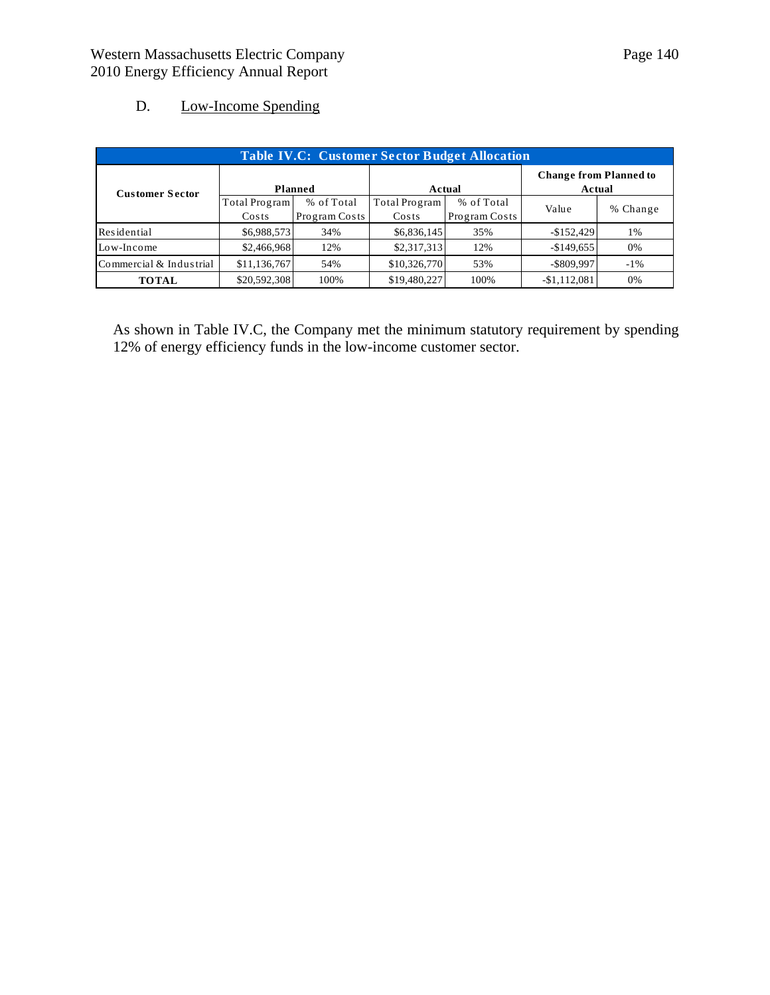## D. Low-Income Spending

| <b>Table IV.C: Customer Sector Budget Allocation</b> |                        |                             |                        |                             |                                         |          |  |  |
|------------------------------------------------------|------------------------|-----------------------------|------------------------|-----------------------------|-----------------------------------------|----------|--|--|
| <b>Customer Sector</b>                               | Planned                |                             |                        | Actual                      | <b>Change from Planned to</b><br>Actual |          |  |  |
|                                                      | Total Program<br>Costs | % of Total<br>Program Costs | Total Program<br>Costs | % of Total<br>Program Costs | Value                                   | % Change |  |  |
| Residential                                          | \$6,988,573            | 34%                         | \$6,836,145            | 35%                         | $-$152,429$                             | 1%       |  |  |
| Low-Income                                           | \$2,466,968            | 12%                         | \$2,317,313            | 12%                         | $-$149,655$                             | 0%       |  |  |
| Commercial & Industrial                              | \$11,136,767           | 54%                         | \$10,326,770           | 53%                         | $-$ \$809,997                           | $-1\%$   |  |  |
| <b>TOTAL</b>                                         | \$20,592,308           | 100%                        | \$19,480,227           | 100%                        | $-$1,112,081$                           | 0%       |  |  |

As shown in Table IV.C, the Company met the minimum statutory requirement by spending 12% of energy efficiency funds in the low-income customer sector.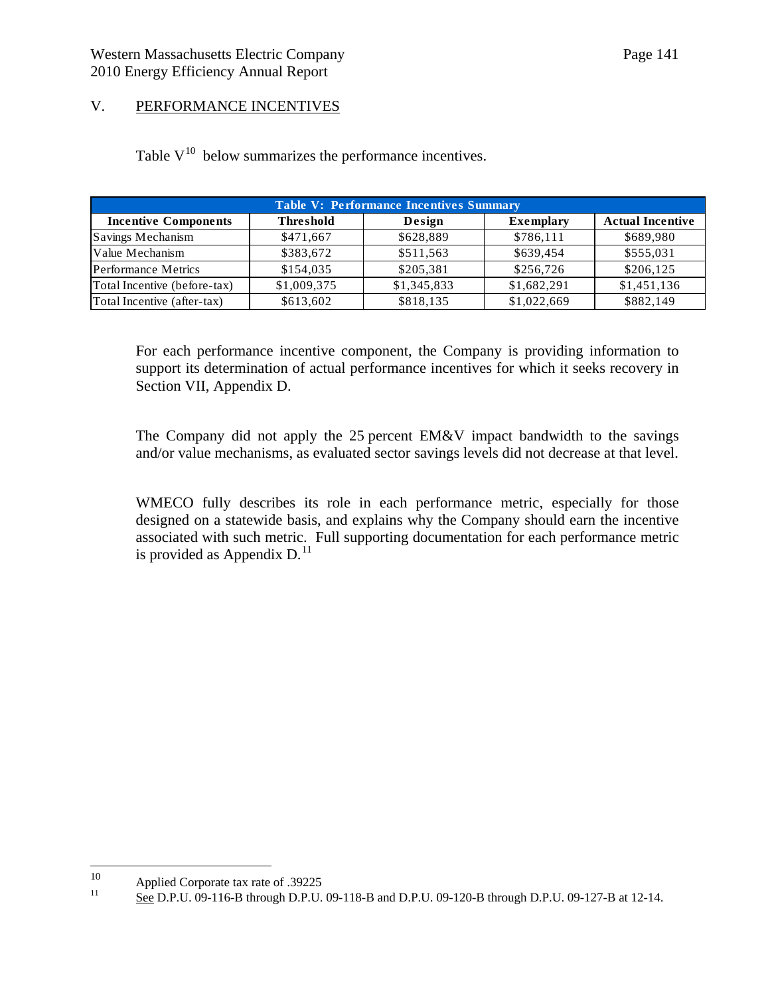## V. PERFORMANCE INCENTIVES

Table  $V^{10}$  below summarizes the performance incentives.

| <b>Table V: Performance Incentives Summary</b> |                  |             |                  |                         |  |  |  |  |
|------------------------------------------------|------------------|-------------|------------------|-------------------------|--|--|--|--|
| <b>Incentive Components</b>                    | <b>Threshold</b> | Design      | <b>Exemplary</b> | <b>Actual Incentive</b> |  |  |  |  |
| Savings Mechanism                              | \$471,667        | \$628,889   | \$786,111        | \$689,980               |  |  |  |  |
| Value Mechanism                                | \$383,672        | \$511,563   | \$639,454        | \$555,031               |  |  |  |  |
| <b>Performance Metrics</b>                     | \$154,035        | \$205,381   | \$256,726        | \$206,125               |  |  |  |  |
| Total Incentive (before-tax)                   | \$1,009,375      | \$1,345,833 | \$1,682,291      | \$1,451,136             |  |  |  |  |
| Total Incentive (after-tax)                    | \$613,602        | \$818,135   | \$1,022,669      | \$882,149               |  |  |  |  |

For each performance incentive component, the Company is providing information to support its determination of actual performance incentives for which it seeks recovery in Section VII, Appendix D.

The Company did not apply the 25 percent EM&V impact bandwidth to the savings and/or value mechanisms, as evaluated sector savings levels did not decrease at that level.

WMECO fully describes its role in each performance metric, especially for those designed on a statewide basis, and explains why the Company should earn the incentive associated with such metric. Full supporting documentation for each performance metric is provided as Appendix  $D<sup>11</sup>$  $D<sup>11</sup>$  $D<sup>11</sup>$ .

<span id="page-140-0"></span> $10\,$ 

<span id="page-140-1"></span><sup>&</sup>lt;sup>10</sup> Applied Corporate tax rate of .39225<br><sup>11</sup> See D.P.U. 09-116-B through D.P.U. 09-118-B and D.P.U. 09-120-B through D.P.U. 09-127-B at 12-14.